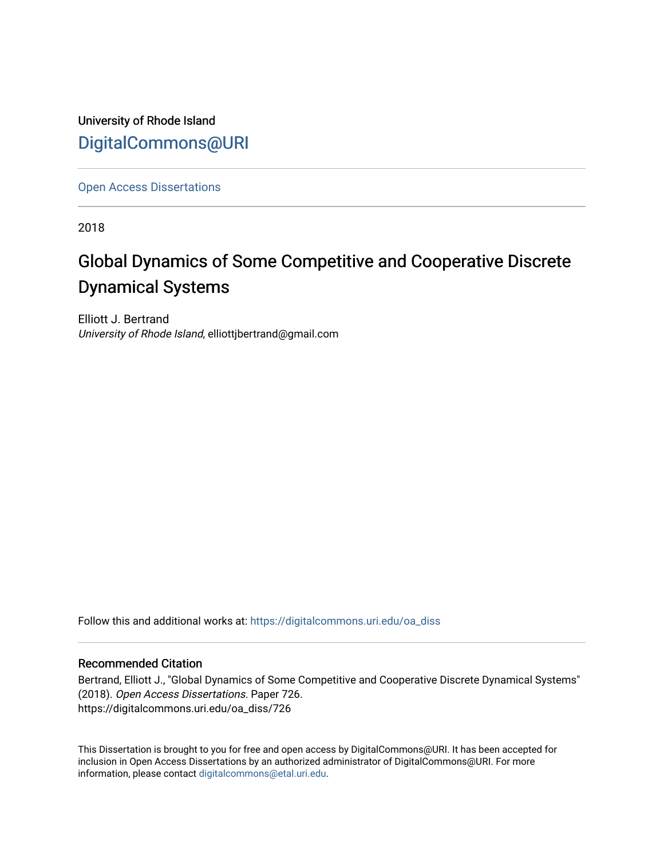University of Rhode Island [DigitalCommons@URI](https://digitalcommons.uri.edu/) 

[Open Access Dissertations](https://digitalcommons.uri.edu/oa_diss) 

2018

# Global Dynamics of Some Competitive and Cooperative Discrete Dynamical Systems

Elliott J. Bertrand University of Rhode Island, elliottjbertrand@gmail.com

Follow this and additional works at: [https://digitalcommons.uri.edu/oa\\_diss](https://digitalcommons.uri.edu/oa_diss?utm_source=digitalcommons.uri.edu%2Foa_diss%2F726&utm_medium=PDF&utm_campaign=PDFCoverPages) 

### Recommended Citation

Bertrand, Elliott J., "Global Dynamics of Some Competitive and Cooperative Discrete Dynamical Systems" (2018). Open Access Dissertations. Paper 726. https://digitalcommons.uri.edu/oa\_diss/726

This Dissertation is brought to you for free and open access by DigitalCommons@URI. It has been accepted for inclusion in Open Access Dissertations by an authorized administrator of DigitalCommons@URI. For more information, please contact [digitalcommons@etal.uri.edu.](mailto:digitalcommons@etal.uri.edu)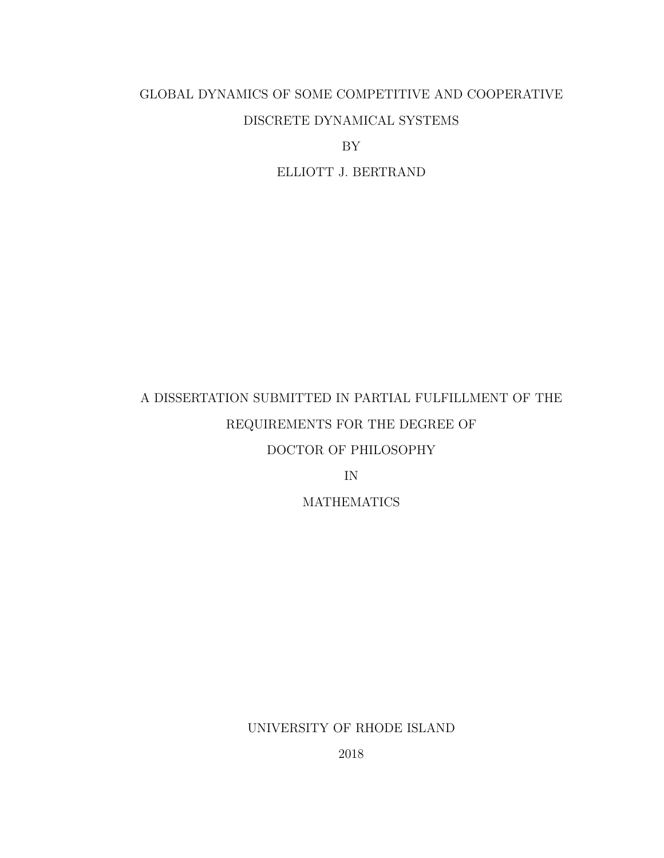# GLOBAL DYNAMICS OF SOME COMPETITIVE AND COOPERATIVE DISCRETE DYNAMICAL SYSTEMS

BY

ELLIOTT J. BERTRAND

# A DISSERTATION SUBMITTED IN PARTIAL FULFILLMENT OF THE REQUIREMENTS FOR THE DEGREE OF DOCTOR OF PHILOSOPHY IN

**MATHEMATICS** 

UNIVERSITY OF RHODE ISLAND

2018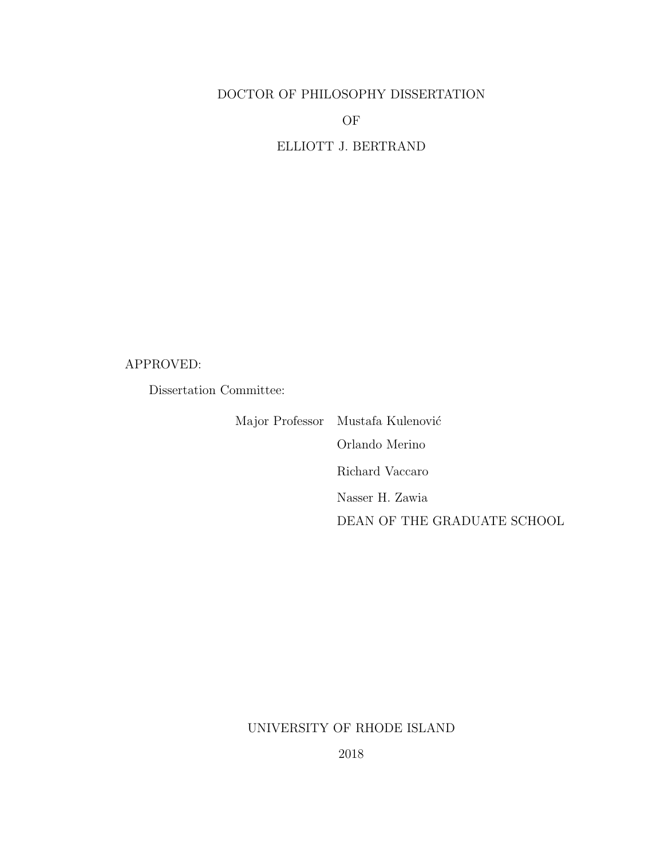## DOCTOR OF PHILOSOPHY DISSERTATION

OF

ELLIOTT J. BERTRAND

## APPROVED:

Dissertation Committee:

Major Professor Mustafa Kulenović Orlando Merino Richard Vaccaro Nasser H. Zawia DEAN OF THE GRADUATE SCHOOL

## UNIVERSITY OF RHODE ISLAND

2018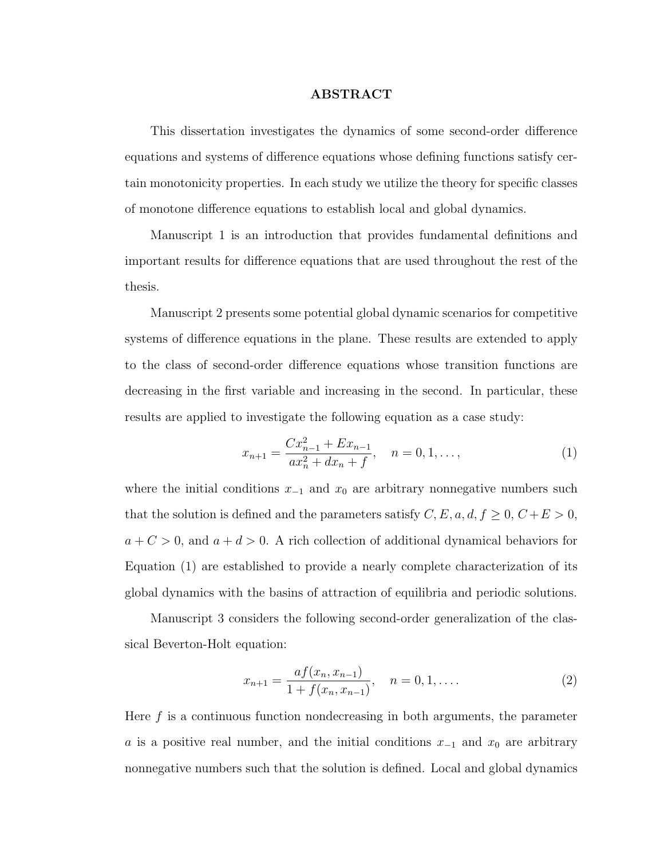#### ABSTRACT

<span id="page-3-2"></span>This dissertation investigates the dynamics of some second-order difference equations and systems of difference equations whose defining functions satisfy certain monotonicity properties. In each study we utilize the theory for specific classes of monotone difference equations to establish local and global dynamics.

Manuscript 1 is an introduction that provides fundamental definitions and important results for difference equations that are used throughout the rest of the thesis.

Manuscript 2 presents some potential global dynamic scenarios for competitive systems of difference equations in the plane. These results are extended to apply to the class of second-order difference equations whose transition functions are decreasing in the first variable and increasing in the second. In particular, these results are applied to investigate the following equation as a case study:

<span id="page-3-0"></span>
$$
x_{n+1} = \frac{Cx_{n-1}^2 + Ex_{n-1}}{ax_n^2 + dx_n + f}, \quad n = 0, 1, ...,
$$
 (1)

where the initial conditions  $x_{-1}$  and  $x_0$  are arbitrary nonnegative numbers such that the solution is defined and the parameters satisfy  $C, E, a, d, f \geq 0, C+E > 0$ ,  $a + C > 0$ , and  $a + d > 0$ . A rich collection of additional dynamical behaviors for Equation [\(1\)](#page-3-0) are established to provide a nearly complete characterization of its global dynamics with the basins of attraction of equilibria and periodic solutions.

Manuscript 3 considers the following second-order generalization of the classical Beverton-Holt equation:

<span id="page-3-1"></span>
$$
x_{n+1} = \frac{af(x_n, x_{n-1})}{1 + f(x_n, x_{n-1})}, \quad n = 0, 1, ....
$$
 (2)

Here  $f$  is a continuous function nondecreasing in both arguments, the parameter a is a positive real number, and the initial conditions  $x_{-1}$  and  $x_0$  are arbitrary nonnegative numbers such that the solution is defined. Local and global dynamics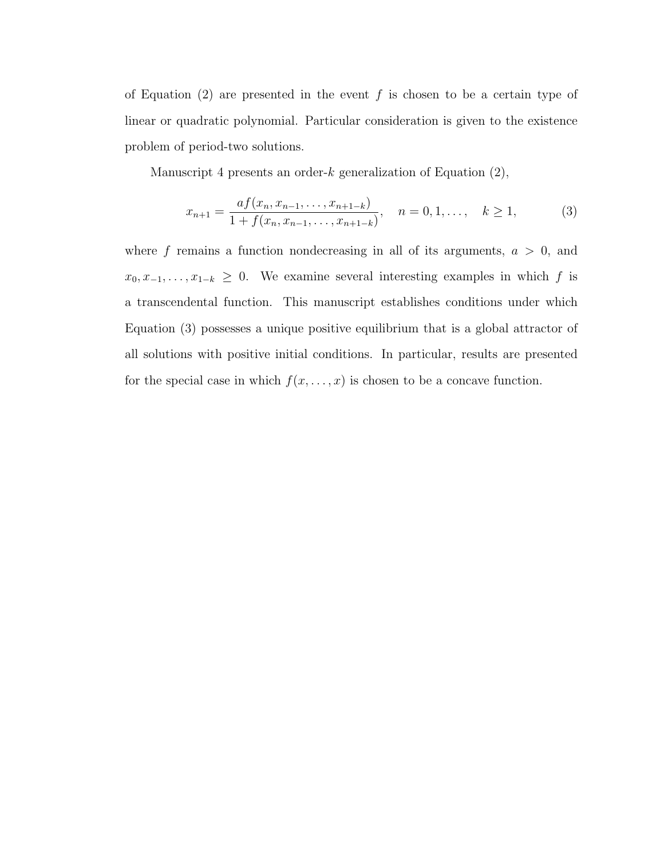of Equation [\(2\)](#page-3-1) are presented in the event f is chosen to be a certain type of linear or quadratic polynomial. Particular consideration is given to the existence problem of period-two solutions.

Manuscript 4 presents an order- $k$  generalization of Equation  $(2)$ ,

<span id="page-4-0"></span>
$$
x_{n+1} = \frac{af(x_n, x_{n-1}, \dots, x_{n+1-k})}{1 + f(x_n, x_{n-1}, \dots, x_{n+1-k})}, \quad n = 0, 1, \dots, k \ge 1,
$$
 (3)

where f remains a function nondecreasing in all of its arguments,  $a > 0$ , and  $x_0, x_{-1}, \ldots, x_{1-k} \geq 0$ . We examine several interesting examples in which f is a transcendental function. This manuscript establishes conditions under which Equation [\(3\)](#page-4-0) possesses a unique positive equilibrium that is a global attractor of all solutions with positive initial conditions. In particular, results are presented for the special case in which  $f(x, \ldots, x)$  is chosen to be a concave function.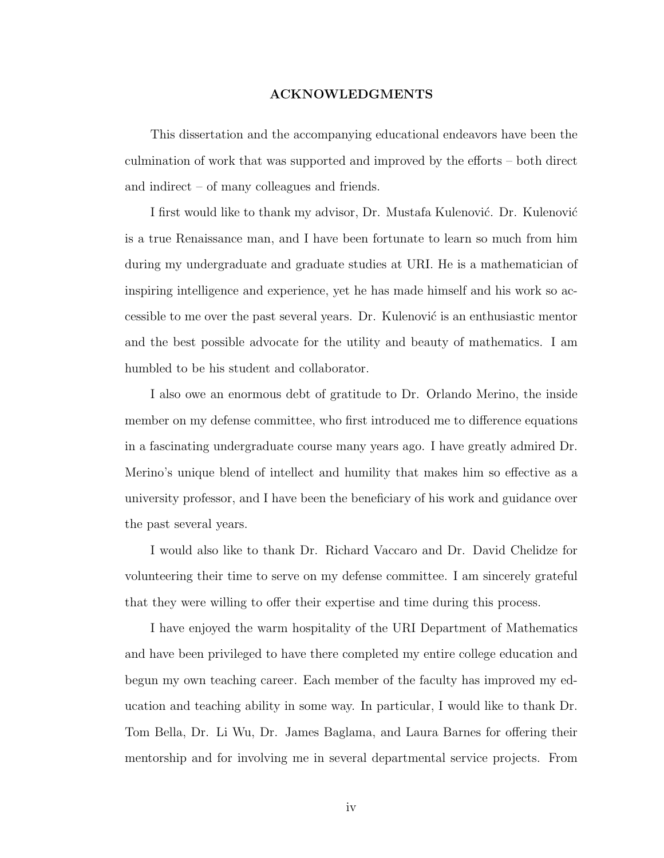#### ACKNOWLEDGMENTS

<span id="page-5-0"></span>This dissertation and the accompanying educational endeavors have been the culmination of work that was supported and improved by the efforts – both direct and indirect – of many colleagues and friends.

I first would like to thank my advisor, Dr. Mustafa Kulenović. Dr. Kulenović is a true Renaissance man, and I have been fortunate to learn so much from him during my undergraduate and graduate studies at URI. He is a mathematician of inspiring intelligence and experience, yet he has made himself and his work so accessible to me over the past several years. Dr. Kulenović is an enthusiastic mentor and the best possible advocate for the utility and beauty of mathematics. I am humbled to be his student and collaborator.

I also owe an enormous debt of gratitude to Dr. Orlando Merino, the inside member on my defense committee, who first introduced me to difference equations in a fascinating undergraduate course many years ago. I have greatly admired Dr. Merino's unique blend of intellect and humility that makes him so effective as a university professor, and I have been the beneficiary of his work and guidance over the past several years.

I would also like to thank Dr. Richard Vaccaro and Dr. David Chelidze for volunteering their time to serve on my defense committee. I am sincerely grateful that they were willing to offer their expertise and time during this process.

I have enjoyed the warm hospitality of the URI Department of Mathematics and have been privileged to have there completed my entire college education and begun my own teaching career. Each member of the faculty has improved my education and teaching ability in some way. In particular, I would like to thank Dr. Tom Bella, Dr. Li Wu, Dr. James Baglama, and Laura Barnes for offering their mentorship and for involving me in several departmental service projects. From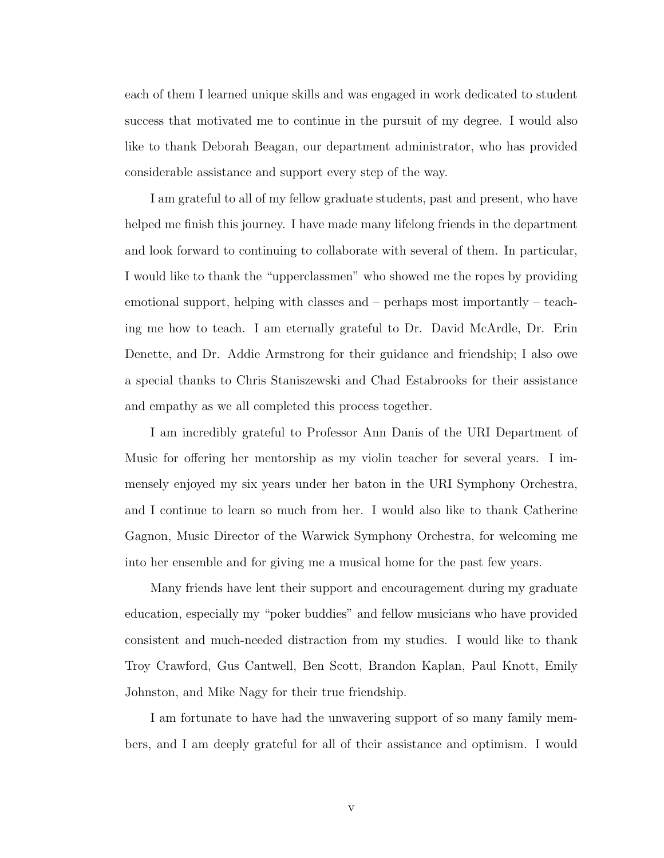each of them I learned unique skills and was engaged in work dedicated to student success that motivated me to continue in the pursuit of my degree. I would also like to thank Deborah Beagan, our department administrator, who has provided considerable assistance and support every step of the way.

I am grateful to all of my fellow graduate students, past and present, who have helped me finish this journey. I have made many lifelong friends in the department and look forward to continuing to collaborate with several of them. In particular, I would like to thank the "upperclassmen" who showed me the ropes by providing emotional support, helping with classes and – perhaps most importantly – teaching me how to teach. I am eternally grateful to Dr. David McArdle, Dr. Erin Denette, and Dr. Addie Armstrong for their guidance and friendship; I also owe a special thanks to Chris Staniszewski and Chad Estabrooks for their assistance and empathy as we all completed this process together.

I am incredibly grateful to Professor Ann Danis of the URI Department of Music for offering her mentorship as my violin teacher for several years. I immensely enjoyed my six years under her baton in the URI Symphony Orchestra, and I continue to learn so much from her. I would also like to thank Catherine Gagnon, Music Director of the Warwick Symphony Orchestra, for welcoming me into her ensemble and for giving me a musical home for the past few years.

Many friends have lent their support and encouragement during my graduate education, especially my "poker buddies" and fellow musicians who have provided consistent and much-needed distraction from my studies. I would like to thank Troy Crawford, Gus Cantwell, Ben Scott, Brandon Kaplan, Paul Knott, Emily Johnston, and Mike Nagy for their true friendship.

I am fortunate to have had the unwavering support of so many family members, and I am deeply grateful for all of their assistance and optimism. I would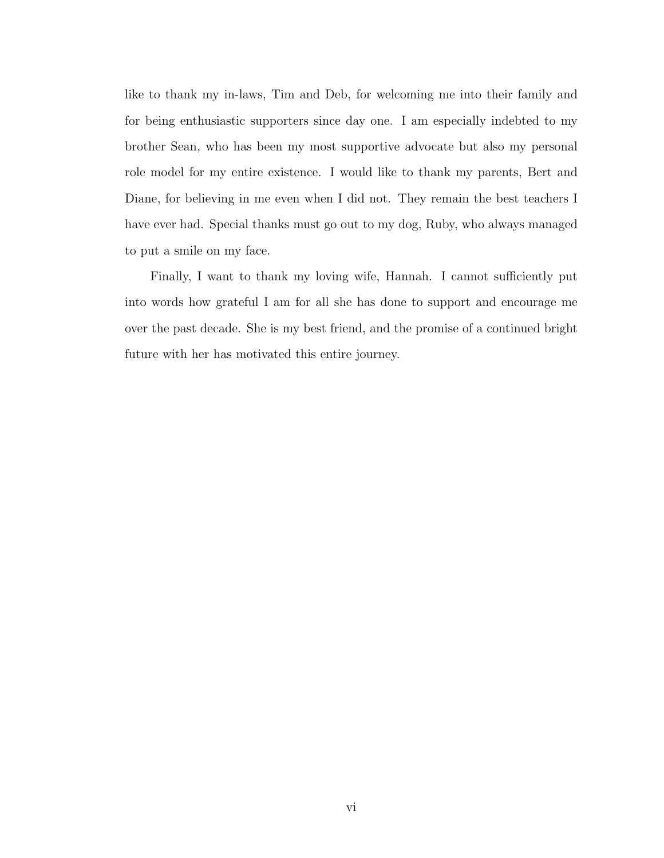like to thank my in-laws, Tim and Deb, for welcoming me into their family and for being enthusiastic supporters since day one. I am especially indebted to my brother Sean, who has been my most supportive advocate but also my personal role model for my entire existence. I would like to thank my parents, Bert and Diane, for believing in me even when I did not. They remain the best teachers I have ever had. Special thanks must go out to my dog, Ruby, who always managed to put a smile on my face.

Finally, I want to thank my loving wife, Hannah. I cannot sufficiently put into words how grateful I am for all she has done to support and encourage me over the past decade. She is my best friend, and the promise of a continued bright future with her has motivated this entire journey.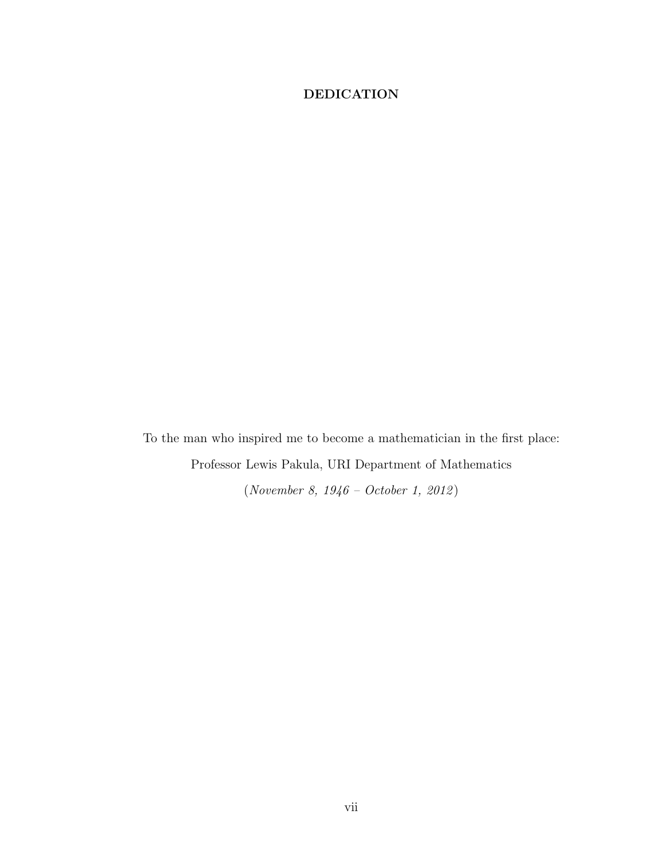## <span id="page-8-0"></span>DEDICATION

To the man who inspired me to become a mathematician in the first place: Professor Lewis Pakula, URI Department of Mathematics  $\left( November~8,~1946-October~1,~2012\right)$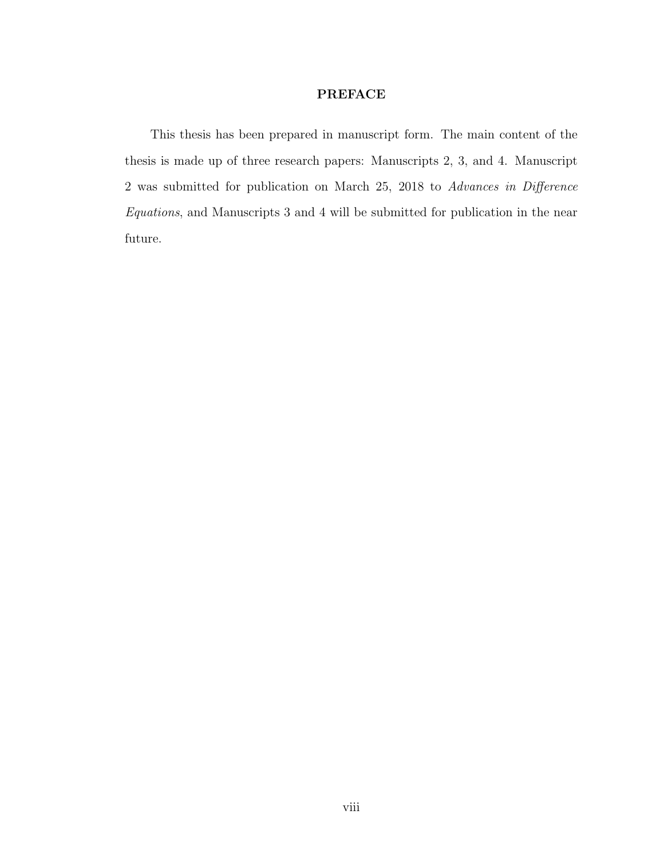#### PREFACE

<span id="page-9-0"></span>This thesis has been prepared in manuscript form. The main content of the thesis is made up of three research papers: Manuscripts 2, 3, and 4. Manuscript 2 was submitted for publication on March 25, 2018 to Advances in Difference Equations, and Manuscripts 3 and 4 will be submitted for publication in the near future.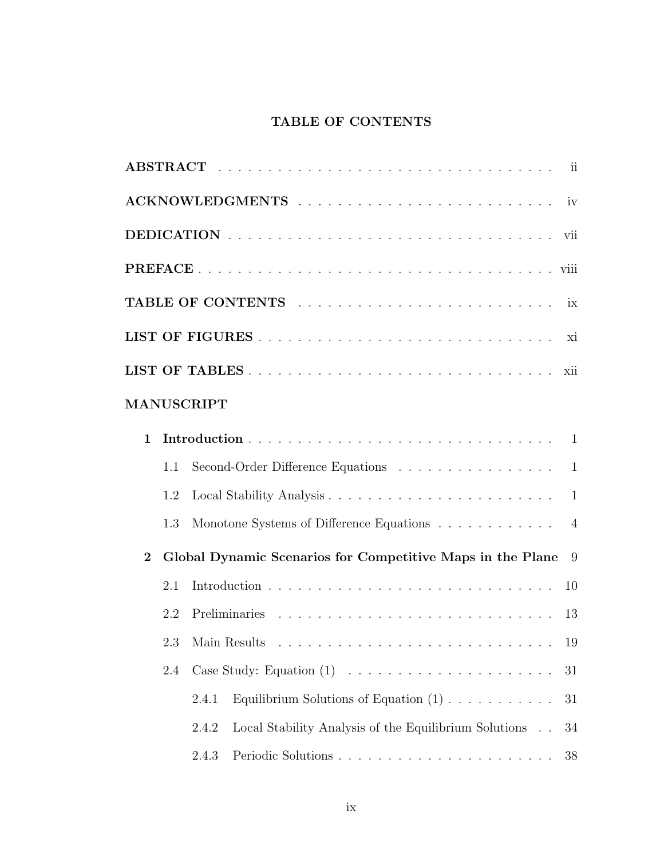# TABLE OF CONTENTS

<span id="page-10-0"></span>

|              |     | MANUSCRIPT                                                                        |  |
|--------------|-----|-----------------------------------------------------------------------------------|--|
| $\mathbf{1}$ |     |                                                                                   |  |
|              | 1.1 | Second-Order Difference Equations<br>$\mathbf{1}$                                 |  |
|              | 1.2 | $\mathbf{1}$                                                                      |  |
|              | 1.3 | Monotone Systems of Difference Equations<br>$\overline{4}$                        |  |
| $\mathbf{2}$ |     | Global Dynamic Scenarios for Competitive Maps in the Plane<br>9                   |  |
|              | 2.1 | 10                                                                                |  |
|              | 2.2 | -13                                                                               |  |
|              |     | 19                                                                                |  |
|              | 2.4 | 31                                                                                |  |
|              |     | Equilibrium Solutions of Equation $(1)$<br>2.4.1<br>31                            |  |
|              |     | Local Stability Analysis of the Equilibrium Solutions $\hfill\Box$<br>2.4.2<br>34 |  |
|              |     | 2.4.3<br>38                                                                       |  |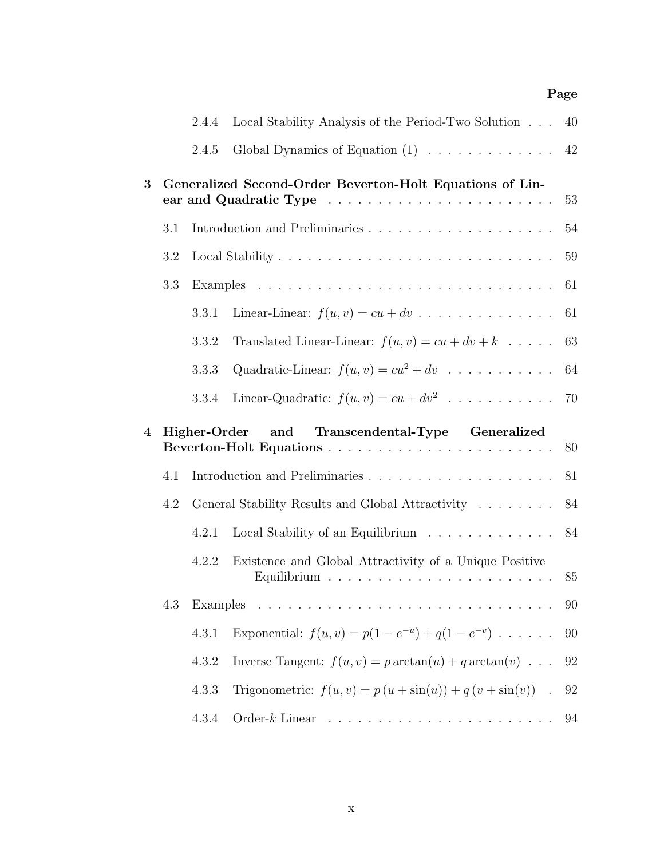## Page

|                |     | 2.4.4    | Local Stability Analysis of the Period-Two Solution             | 40     |
|----------------|-----|----------|-----------------------------------------------------------------|--------|
|                |     | 2.4.5    | Global Dynamics of Equation $(1)$                               | 42     |
| 3              |     |          | Generalized Second-Order Beverton-Holt Equations of Lin-        | 53     |
|                | 3.1 |          |                                                                 | 54     |
|                | 3.2 |          |                                                                 | 59     |
|                | 3.3 |          |                                                                 | 61     |
|                |     | 3.3.1    | Linear-Linear: $f(u, v) = cu + dv$                              | 61     |
|                |     | 3.3.2    | Translated Linear-Linear: $f(u, v) = cu + dv + k$               | 63     |
|                |     | 3.3.3    | Quadratic-Linear: $f(u, v) = cu^2 + dv$                         | 64     |
|                |     | 3.3.4    | Linear-Quadratic: $f(u, v) = cu + dv^2$                         | 70     |
|                |     |          |                                                                 |        |
| $\overline{4}$ |     |          | Higher-Order and Transcendental-Type Generalized                | 80     |
|                | 4.1 |          |                                                                 | 81     |
|                | 4.2 |          | General Stability Results and Global Attractivity               | 84     |
|                |     | 4.2.1    | Local Stability of an Equilibrium $\ldots \ldots \ldots \ldots$ | 84     |
|                |     | 4.2.2    | Existence and Global Attractivity of a Unique Positive          | 85     |
|                | 4.3 | Examples |                                                                 | 90     |
|                |     | 4.3.1    | Exponential: $f(u, v) = p(1 - e^{-u}) + q(1 - e^{-v}) \dots$    | $90\,$ |
|                |     | 4.3.2    | Inverse Tangent: $f(u, v) = p \arctan(u) + q \arctan(v) \dots$  | 92     |
|                |     | 4.3.3    | Trigonometric: $f(u, v) = p(u + \sin(u)) + q(v + \sin(v))$ .    | 92     |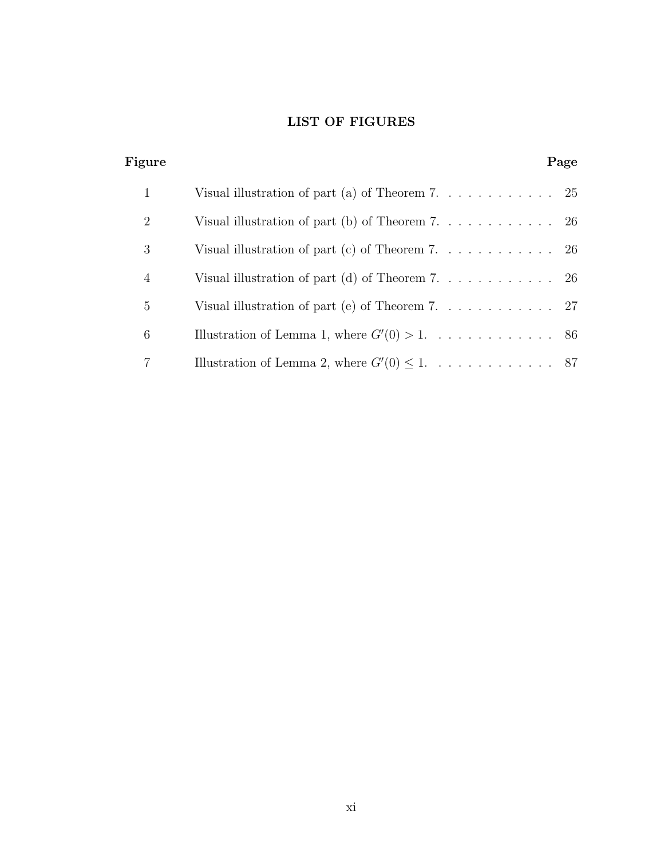# LIST OF FIGURES

<span id="page-12-0"></span>

| Figure         |                                                    | Page |
|----------------|----------------------------------------------------|------|
| 1              | Visual illustration of part (a) of Theorem 7. 25   |      |
| $\overline{2}$ | Visual illustration of part (b) of Theorem 7. 26   |      |
| 3              | Visual illustration of part (c) of Theorem 7. 26   |      |
| 4              | Visual illustration of part (d) of Theorem 7. 26   |      |
| 5              | Visual illustration of part (e) of Theorem 7. 27   |      |
| 6              |                                                    |      |
|                | Illustration of Lemma 2, where $G'(0) \leq 1$ . 87 |      |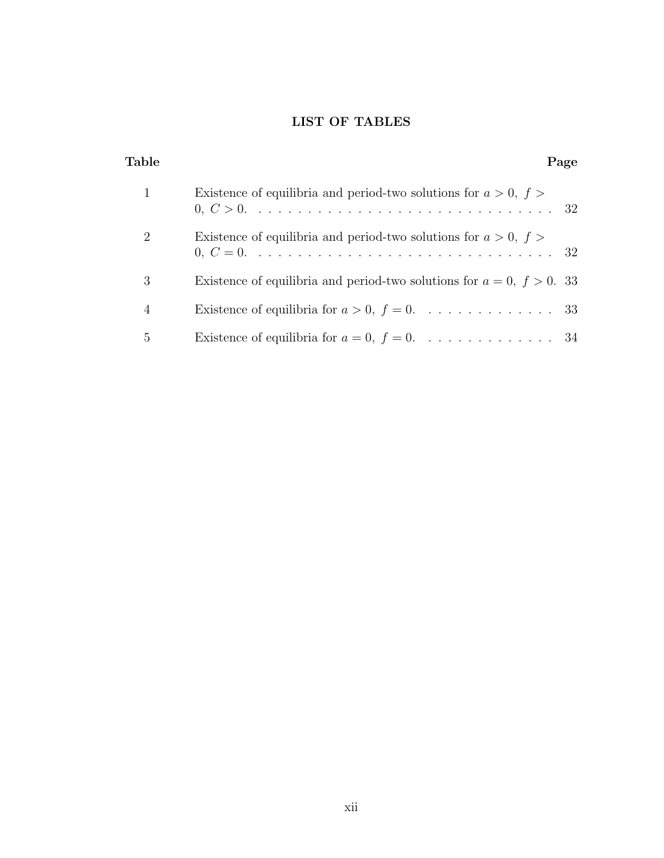# LIST OF TABLES

<span id="page-13-0"></span>

| Table          | Page                                                                          |
|----------------|-------------------------------------------------------------------------------|
|                | Existence of equilibria and period-two solutions for $a > 0$ , $f >$          |
| $\overline{2}$ | Existence of equilibria and period-two solutions for $a > 0$ , $f >$          |
| 3              | Existence of equilibria and period-two solutions for $a = 0, f > 0$ . 33      |
| $\overline{4}$ | Existence of equilibria for $a > 0$ , $f = 0$ . 33                            |
| 5              | Existence of equilibria for $a = 0, f = 0, \ldots, \ldots, \ldots, \ldots$ 34 |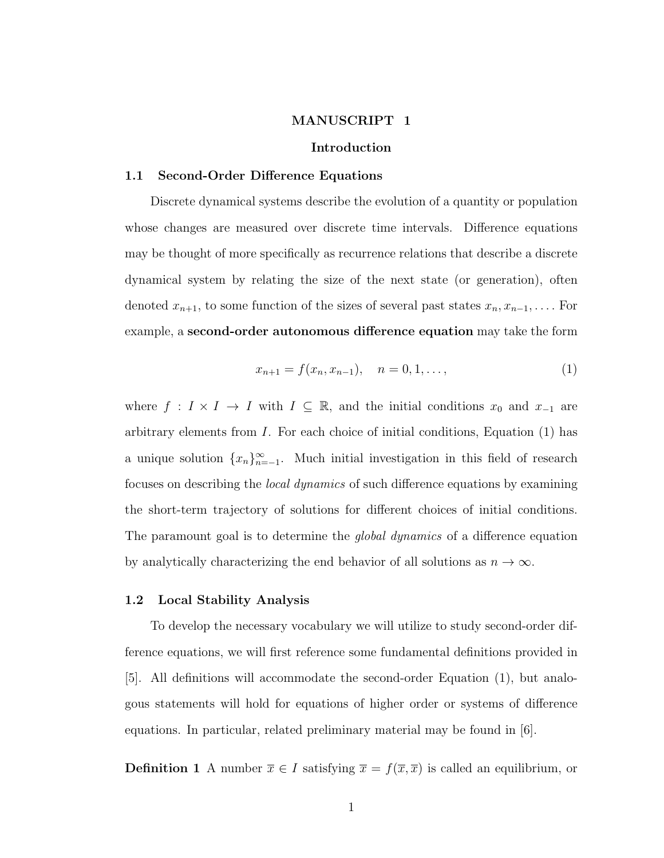#### MANUSCRIPT 1

#### Introduction

#### <span id="page-14-1"></span><span id="page-14-0"></span>1.1 Second-Order Difference Equations

Discrete dynamical systems describe the evolution of a quantity or population whose changes are measured over discrete time intervals. Difference equations may be thought of more specifically as recurrence relations that describe a discrete dynamical system by relating the size of the next state (or generation), often denoted  $x_{n+1}$ , to some function of the sizes of several past states  $x_n, x_{n-1}, \ldots$ . For example, a second-order autonomous difference equation may take the form

<span id="page-14-3"></span>
$$
x_{n+1} = f(x_n, x_{n-1}), \quad n = 0, 1, \dots,
$$
\n(1)

where  $f : I \times I \to I$  with  $I \subseteq \mathbb{R}$ , and the initial conditions  $x_0$  and  $x_{-1}$  are arbitrary elements from  $I$ . For each choice of initial conditions, Equation  $(1)$  has a unique solution  $\{x_n\}_{n=-1}^{\infty}$ . Much initial investigation in this field of research focuses on describing the local dynamics of such difference equations by examining the short-term trajectory of solutions for different choices of initial conditions. The paramount goal is to determine the *global dynamics* of a difference equation by analytically characterizing the end behavior of all solutions as  $n \to \infty$ .

#### <span id="page-14-2"></span>1.2 Local Stability Analysis

To develop the necessary vocabulary we will utilize to study second-order difference equations, we will first reference some fundamental definitions provided in [\[5\]](#page-21-0). All definitions will accommodate the second-order Equation [\(1\)](#page-14-3), but analogous statements will hold for equations of higher order or systems of difference equations. In particular, related preliminary material may be found in [\[6\]](#page-21-1).

**Definition 1** A number  $\overline{x} \in I$  satisfying  $\overline{x} = f(\overline{x}, \overline{x})$  is called an equilibrium, or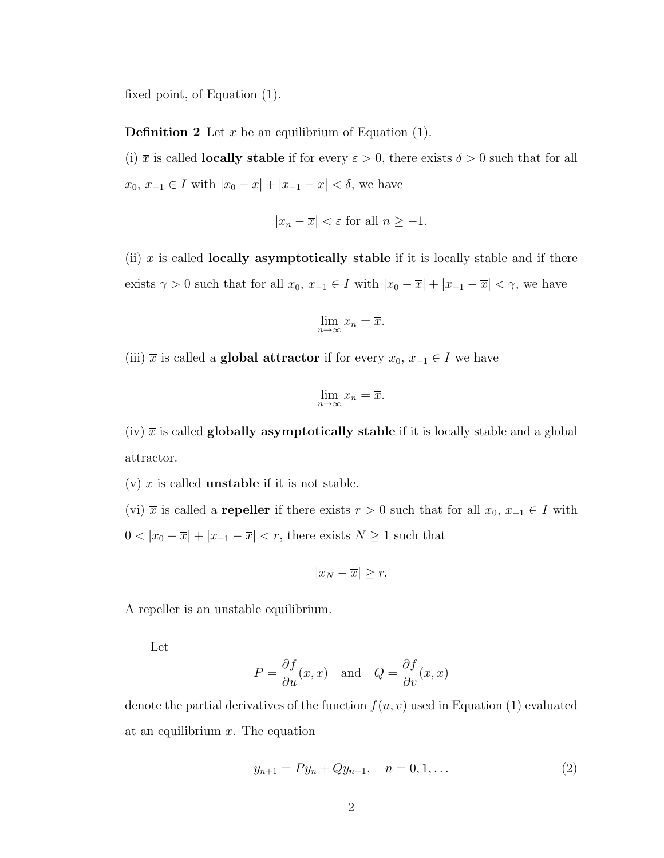fixed point, of Equation [\(1\)](#page-14-3).

**Definition 2** Let  $\bar{x}$  be an equilibrium of Equation [\(1\)](#page-14-3).

(i)  $\bar{x}$  is called **locally stable** if for every  $\varepsilon > 0$ , there exists  $\delta > 0$  such that for all  $x_0, x_{-1} \in I$  with  $|x_0 - \overline{x}| + |x_{-1} - \overline{x}| < \delta$ , we have

$$
|x_n - \overline{x}| < \varepsilon \text{ for all } n \ge -1.
$$

(ii)  $\bar{x}$  is called **locally asymptotically stable** if it is locally stable and if there exists  $\gamma > 0$  such that for all  $x_0, x_{-1} \in I$  with  $|x_0 - \overline{x}| + |x_{-1} - \overline{x}| < \gamma$ , we have

$$
\lim_{n \to \infty} x_n = \overline{x}.
$$

(iii)  $\bar{x}$  is called a **global attractor** if for every  $x_0, x_{-1} \in I$  we have

$$
\lim_{n \to \infty} x_n = \overline{x}.
$$

(iv)  $\bar{x}$  is called globally asymptotically stable if it is locally stable and a global attractor.

(v)  $\bar{x}$  is called **unstable** if it is not stable.

(vi)  $\bar{x}$  is called a **repeller** if there exists  $r > 0$  such that for all  $x_0, x_{-1} \in I$  with  $0 < |x_0 - \overline{x}| + |x_{-1} - \overline{x}| < r$ , there exists  $N \ge 1$  such that

$$
|x_N - \overline{x}| \ge r.
$$

A repeller is an unstable equilibrium.

Let

$$
P = \frac{\partial f}{\partial u}(\overline{x}, \overline{x}) \quad \text{and} \quad Q = \frac{\partial f}{\partial v}(\overline{x}, \overline{x})
$$

denote the partial derivatives of the function  $f(u, v)$  used in Equation [\(1\)](#page-14-3) evaluated at an equilibrium  $\bar{x}$ . The equation

<span id="page-15-0"></span>
$$
y_{n+1} = Py_n + Qy_{n-1}, \quad n = 0, 1, \dots
$$
\n(2)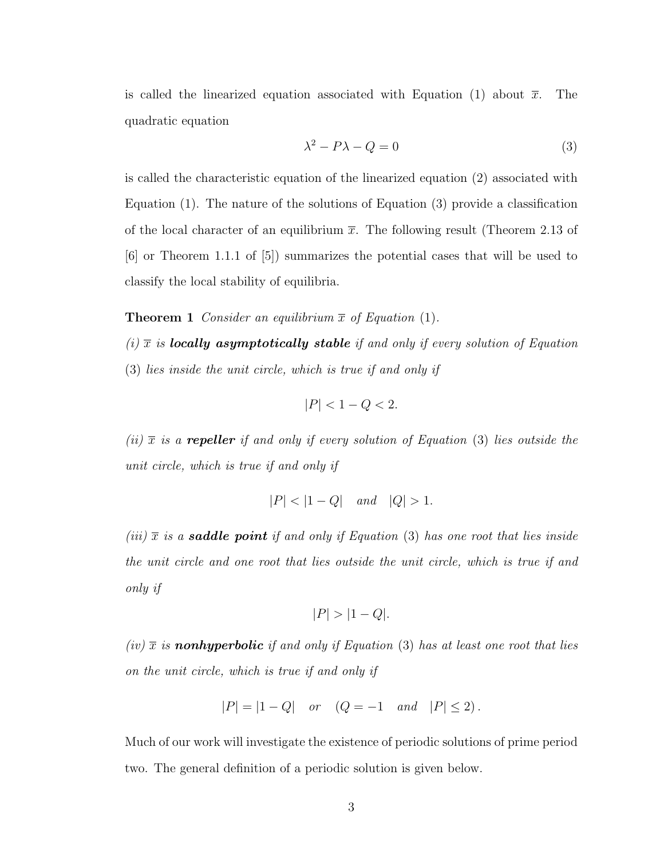is called the linearized equation associated with Equation [\(1\)](#page-14-3) about  $\bar{x}$ . The quadratic equation

<span id="page-16-0"></span>
$$
\lambda^2 - P\lambda - Q = 0\tag{3}
$$

is called the characteristic equation of the linearized equation [\(2\)](#page-15-0) associated with Equation [\(1\)](#page-14-3). The nature of the solutions of Equation [\(3\)](#page-16-0) provide a classification of the local character of an equilibrium  $\bar{x}$ . The following result (Theorem 2.13 of [\[6\]](#page-21-1) or Theorem 1.1.1 of [\[5\]](#page-21-0)) summarizes the potential cases that will be used to classify the local stability of equilibria.

**Theorem 1** Consider an equilibrium  $\bar{x}$  of Equation [\(1\)](#page-14-3).

(i)  $\bar{x}$  is **locally asymptotically stable** if and only if every solution of Equation [\(3\)](#page-16-0) lies inside the unit circle, which is true if and only if

$$
|P| < 1 - Q < 2.
$$

(ii)  $\bar{x}$  is a repeller if and only if every solution of Equation [\(3\)](#page-16-0) lies outside the unit circle, which is true if and only if

$$
|P| < |1 - Q| \quad \text{and} \quad |Q| > 1.
$$

(iii)  $\bar{x}$  is a **saddle point** if and only if Equation [\(3\)](#page-16-0) has one root that lies inside the unit circle and one root that lies outside the unit circle, which is true if and only if

$$
|P| > |1 - Q|.
$$

(iv)  $\bar{x}$  is nonhyperbolic if and only if Equation [\(3\)](#page-16-0) has at least one root that lies on the unit circle, which is true if and only if

$$
|P| = |1 - Q| \quad or \quad (Q = -1 \quad and \quad |P| \le 2).
$$

Much of our work will investigate the existence of periodic solutions of prime period two. The general definition of a periodic solution is given below.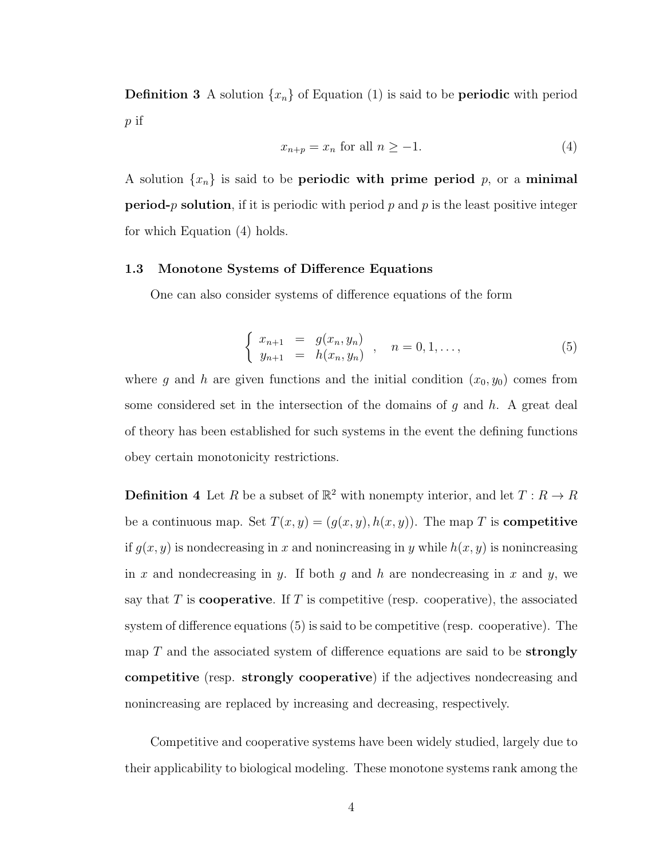**Definition 3** A solution  $\{x_n\}$  of Equation [\(1\)](#page-14-3) is said to be **periodic** with period p if

<span id="page-17-1"></span>
$$
x_{n+p} = x_n \text{ for all } n \ge -1. \tag{4}
$$

A solution  $\{x_n\}$  is said to be **periodic with prime period** p, or a **minimal period-**p solution, if it is periodic with period p and p is the least positive integer for which Equation [\(4\)](#page-17-1) holds.

#### <span id="page-17-0"></span>1.3 Monotone Systems of Difference Equations

One can also consider systems of difference equations of the form

<span id="page-17-2"></span>
$$
\begin{cases}\n x_{n+1} = g(x_n, y_n) \\
y_{n+1} = h(x_n, y_n)\n\end{cases}, \quad n = 0, 1, \ldots,\n\tag{5}
$$

where g and h are given functions and the initial condition  $(x_0, y_0)$  comes from some considered set in the intersection of the domains of  $g$  and  $h$ . A great deal of theory has been established for such systems in the event the defining functions obey certain monotonicity restrictions.

**Definition 4** Let R be a subset of  $\mathbb{R}^2$  with nonempty interior, and let  $T: R \to R$ be a continuous map. Set  $T(x, y) = (g(x, y), h(x, y))$ . The map T is **competitive** if  $g(x, y)$  is nondecreasing in x and nonincreasing in y while  $h(x, y)$  is nonincreasing in x and nondecreasing in y. If both g and h are nondecreasing in x and y, we say that T is **cooperative**. If T is competitive (resp. cooperative), the associated system of difference equations [\(5\)](#page-17-2) is said to be competitive (resp. cooperative). The map  $T$  and the associated system of difference equations are said to be **strongly** competitive (resp. strongly cooperative) if the adjectives nondecreasing and nonincreasing are replaced by increasing and decreasing, respectively.

Competitive and cooperative systems have been widely studied, largely due to their applicability to biological modeling. These monotone systems rank among the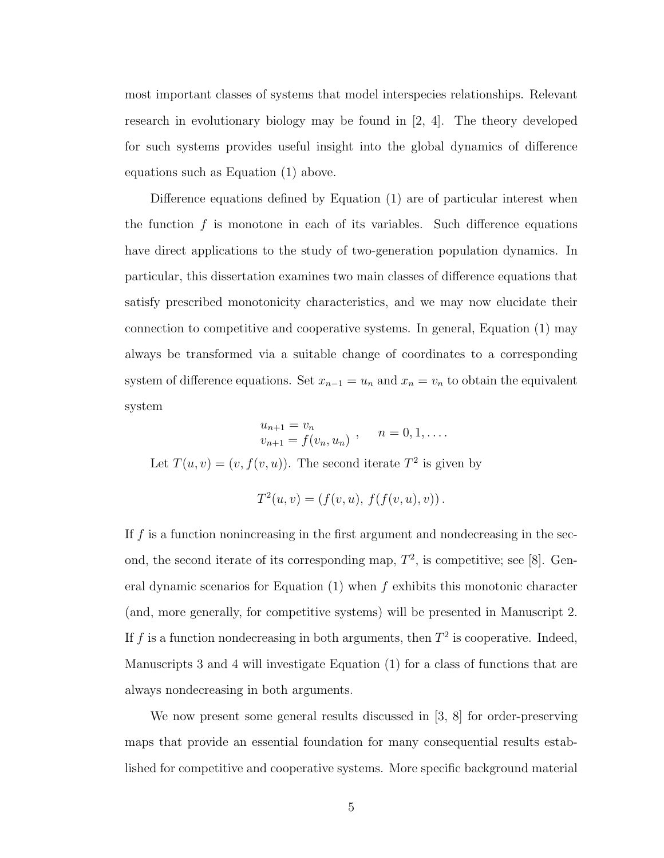most important classes of systems that model interspecies relationships. Relevant research in evolutionary biology may be found in [\[2,](#page-20-0) [4\]](#page-21-2). The theory developed for such systems provides useful insight into the global dynamics of difference equations such as Equation  $(1)$  above.

Difference equations defined by Equation [\(1\)](#page-14-3) are of particular interest when the function  $f$  is monotone in each of its variables. Such difference equations have direct applications to the study of two-generation population dynamics. In particular, this dissertation examines two main classes of difference equations that satisfy prescribed monotonicity characteristics, and we may now elucidate their connection to competitive and cooperative systems. In general, Equation [\(1\)](#page-14-3) may always be transformed via a suitable change of coordinates to a corresponding system of difference equations. Set  $x_{n-1} = u_n$  and  $x_n = v_n$  to obtain the equivalent system

$$
u_{n+1} = v_n v_{n+1} = f(v_n, u_n) , \quad n = 0, 1, ....
$$

Let  $T(u, v) = (v, f(v, u))$ . The second iterate  $T^2$  is given by

$$
T^{2}(u, v) = (f(v, u), f(f(v, u), v)).
$$

If  $f$  is a function nonincreasing in the first argument and nondecreasing in the second, the second iterate of its corresponding map,  $T^2$ , is competitive; see [\[8\]](#page-21-3). General dynamic scenarios for Equation  $(1)$  when f exhibits this monotonic character (and, more generally, for competitive systems) will be presented in Manuscript 2. If f is a function nondecreasing in both arguments, then  $T^2$  is cooperative. Indeed, Manuscripts 3 and 4 will investigate Equation [\(1\)](#page-14-3) for a class of functions that are always nondecreasing in both arguments.

We now present some general results discussed in [\[3,](#page-20-1) [8\]](#page-21-3) for order-preserving maps that provide an essential foundation for many consequential results established for competitive and cooperative systems. More specific background material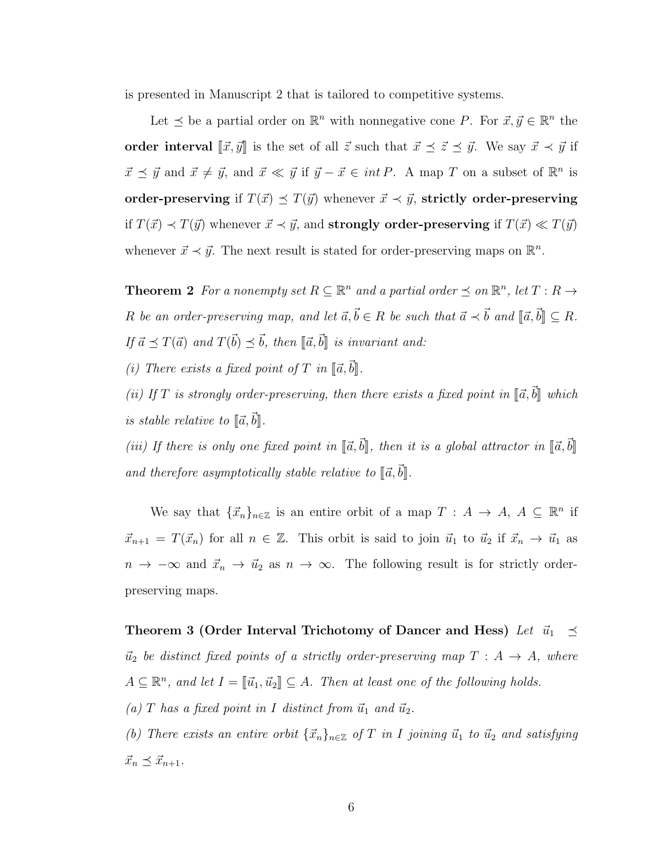is presented in Manuscript 2 that is tailored to competitive systems.

Let  $\leq$  be a partial order on  $\mathbb{R}^n$  with nonnegative cone P. For  $\vec{x}, \vec{y} \in \mathbb{R}^n$  the order interval  $\llbracket \vec{x}, \vec{y} \rrbracket$  is the set of all  $\vec{z}$  such that  $\vec{x} \preceq \vec{z} \preceq \vec{y}$ . We say  $\vec{x} \prec \vec{y}$  if  $\vec{x} \preceq \vec{y}$  and  $\vec{x} \neq \vec{y}$ , and  $\vec{x} \ll \vec{y}$  if  $\vec{y} - \vec{x} \in int P$ . A map T on a subset of  $\mathbb{R}^n$  is order-preserving if  $T(\vec{x}) \preceq T(\vec{y})$  whenever  $\vec{x} \prec \vec{y}$ , strictly order-preserving if  $T(\vec{x}) \prec T(\vec{y})$  whenever  $\vec{x} \prec \vec{y}$ , and **strongly order-preserving** if  $T(\vec{x}) \ll T(\vec{y})$ whenever  $\vec{x} \prec \vec{y}$ . The next result is stated for order-preserving maps on  $\mathbb{R}^n$ .

**Theorem 2** For a nonempty set  $R \subseteq \mathbb{R}^n$  and a partial order  $\preceq$  on  $\mathbb{R}^n$ , let  $T : R \to$ R be an order-preserving map, and let  $\vec{a}, \vec{b} \in R$  be such that  $\vec{a} \prec \vec{b}$  and  $[\![\vec{a}, \vec{b}]\!] \subseteq R$ . If  $\vec{a} \preceq T(\vec{a})$  and  $T(\vec{b}) \preceq \vec{b}$ , then  $[\![\vec{a}, \vec{b}]\!]$  is invariant and:

(i) There exists a fixed point of T in  $[\![\vec{a},\vec{b}]\!]$ .

(ii) If T is strongly order-preserving, then there exists a fixed point in  $\lbrack\!\lbrack\bar{a},\bar{b}\rbrack\!\rbrack$  which is stable relative to  $\lbrack \! \lbrack \vec{a}, \vec{b} \rbrack \! \rbrack$ .

(iii) If there is only one fixed point in  $\[\vec{a}, \vec{b}\]$ , then it is a global attractor in  $\[\vec{a}, \vec{b}\]$ and therefore asymptotically stable relative to  $\lbrack \! \lbrack \bar{a},\bar{b}\rbrack \! \rbrack$ .

We say that  $\{\vec{x}_n\}_{n\in\mathbb{Z}}$  is an entire orbit of a map  $T : A \to A, A \subseteq \mathbb{R}^n$  if  $\vec{x}_{n+1} = T(\vec{x}_n)$  for all  $n \in \mathbb{Z}$ . This orbit is said to join  $\vec{u}_1$  to  $\vec{u}_2$  if  $\vec{x}_n \to \vec{u}_1$  as  $n \to -\infty$  and  $\vec{x}_n \to \vec{u}_2$  as  $n \to \infty$ . The following result is for strictly orderpreserving maps.

Theorem 3 (Order Interval Trichotomy of Dancer and Hess) Let  $\vec{u}_1 \preceq$  $\vec{u}_2$  be distinct fixed points of a strictly order-preserving map  $T : A \rightarrow A$ , where  $A \subseteq \mathbb{R}^n$ , and let  $I = [\![\vec{u}_1, \vec{u}_2]\!] \subseteq A$ . Then at least one of the following holds.

(a) T has a fixed point in I distinct from  $\vec{u}_1$  and  $\vec{u}_2$ .

(b) There exists an entire orbit  $\{\vec{x}_n\}_{n\in\mathbb{Z}}$  of T in I joining  $\vec{u}_1$  to  $\vec{u}_2$  and satisfying  $\vec{x}_n \preceq \vec{x}_{n+1}.$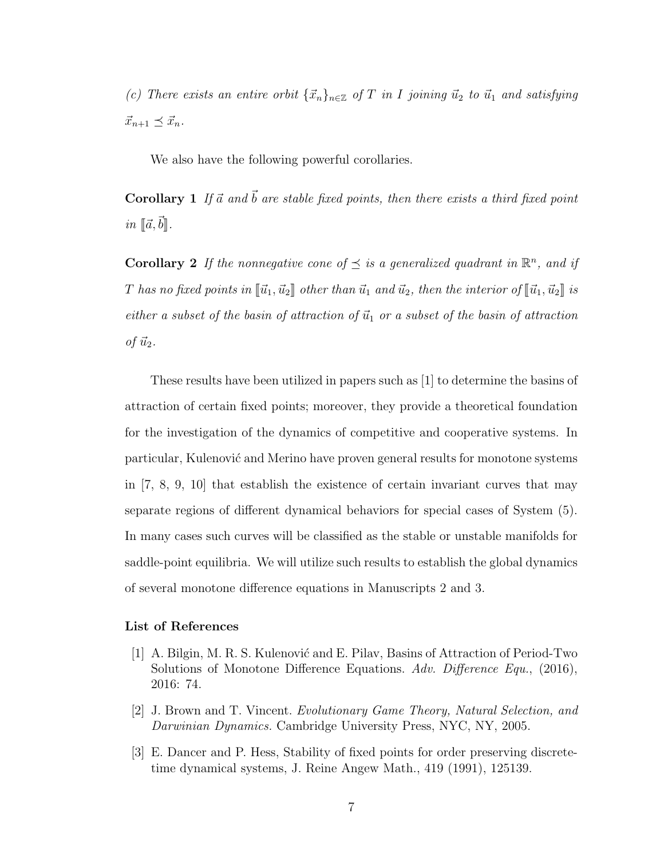(c) There exists an entire orbit  $\{\vec{x}_n\}_{n\in\mathbb{Z}}$  of T in I joining  $\vec{u}_2$  to  $\vec{u}_1$  and satisfying  $\vec{x}_{n+1} \preceq \vec{x}_n$ .

We also have the following powerful corollaries.

**Corollary 1** If  $\vec{a}$  and  $\vec{b}$  are stable fixed points, then there exists a third fixed point in  $\lbrack\!\lbrack\vec{a},\vec{b}\rbrack\!\rbrack$ .

**Corollary 2** If the nonnegative cone of  $\preceq$  is a generalized quadrant in  $\mathbb{R}^n$ , and if T has no fixed points in  $[\![\vec{u}_1, \vec{u}_2]\!]$  other than  $\vec{u}_1$  and  $\vec{u}_2$ , then the interior of  $[\![\vec{u}_1, \vec{u}_2]\!]$  is either a subset of the basin of attraction of  $\vec{u}_1$  or a subset of the basin of attraction of  $\vec{u}_2$ .

These results have been utilized in papers such as [\[1\]](#page-20-2) to determine the basins of attraction of certain fixed points; moreover, they provide a theoretical foundation for the investigation of the dynamics of competitive and cooperative systems. In particular, Kulenović and Merino have proven general results for monotone systems in [\[7,](#page-21-4) [8,](#page-21-3) [9,](#page-21-5) [10\]](#page-21-6) that establish the existence of certain invariant curves that may separate regions of different dynamical behaviors for special cases of System [\(5\)](#page-17-2). In many cases such curves will be classified as the stable or unstable manifolds for saddle-point equilibria. We will utilize such results to establish the global dynamics of several monotone difference equations in Manuscripts 2 and 3.

#### List of References

- <span id="page-20-2"></span>[1] A. Bilgin, M. R. S. Kulenović and E. Pilav, Basins of Attraction of Period-Two Solutions of Monotone Difference Equations. Adv. Difference Equ., (2016), 2016: 74.
- <span id="page-20-0"></span>[2] J. Brown and T. Vincent. Evolutionary Game Theory, Natural Selection, and Darwinian Dynamics. Cambridge University Press, NYC, NY, 2005.
- <span id="page-20-1"></span>[3] E. Dancer and P. Hess, Stability of fixed points for order preserving discretetime dynamical systems, J. Reine Angew Math., 419 (1991), 125139.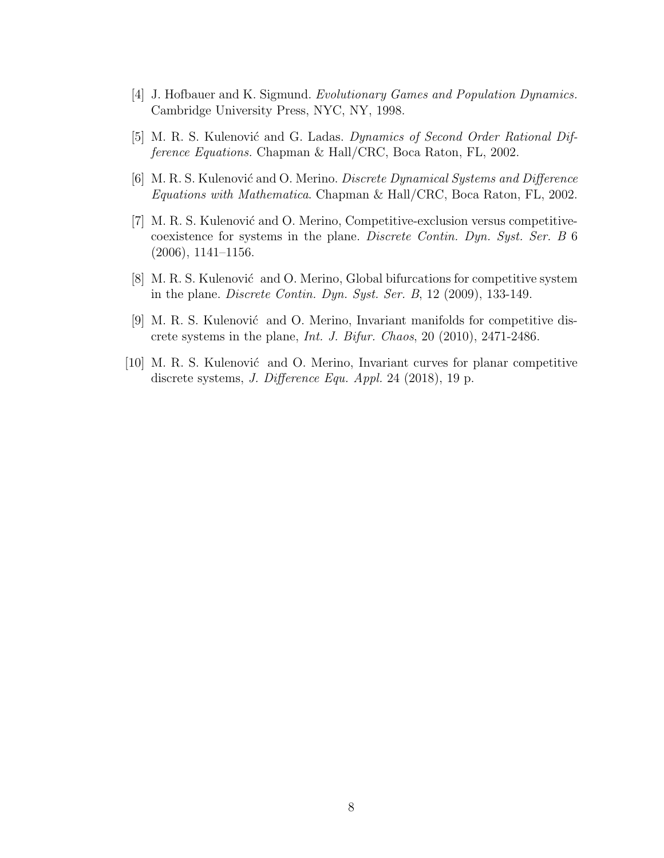- <span id="page-21-2"></span>[4] J. Hofbauer and K. Sigmund. Evolutionary Games and Population Dynamics. Cambridge University Press, NYC, NY, 1998.
- <span id="page-21-0"></span>[5] M. R. S. Kulenović and G. Ladas. Dynamics of Second Order Rational Difference Equations. Chapman & Hall/CRC, Boca Raton, FL, 2002.
- <span id="page-21-1"></span>[6] M. R. S. Kulenović and O. Merino. Discrete Dynamical Systems and Difference Equations with Mathematica. Chapman & Hall/CRC, Boca Raton, FL, 2002.
- <span id="page-21-4"></span>[7] M. R. S. Kulenović and O. Merino, Competitive-exclusion versus competitivecoexistence for systems in the plane. Discrete Contin. Dyn. Syst. Ser. B 6 (2006), 1141–1156.
- <span id="page-21-3"></span>[8] M. R. S. Kulenović and O. Merino, Global bifurcations for competitive system in the plane. Discrete Contin. Dyn. Syst. Ser. B, 12 (2009), 133-149.
- <span id="page-21-5"></span>[9] M. R. S. Kulenović and O. Merino, Invariant manifolds for competitive discrete systems in the plane, Int. J. Bifur. Chaos, 20 (2010), 2471-2486.
- <span id="page-21-6"></span>[10] M. R. S. Kulenović and O. Merino, Invariant curves for planar competitive discrete systems, J. Difference Equ. Appl. 24 (2018), 19 p.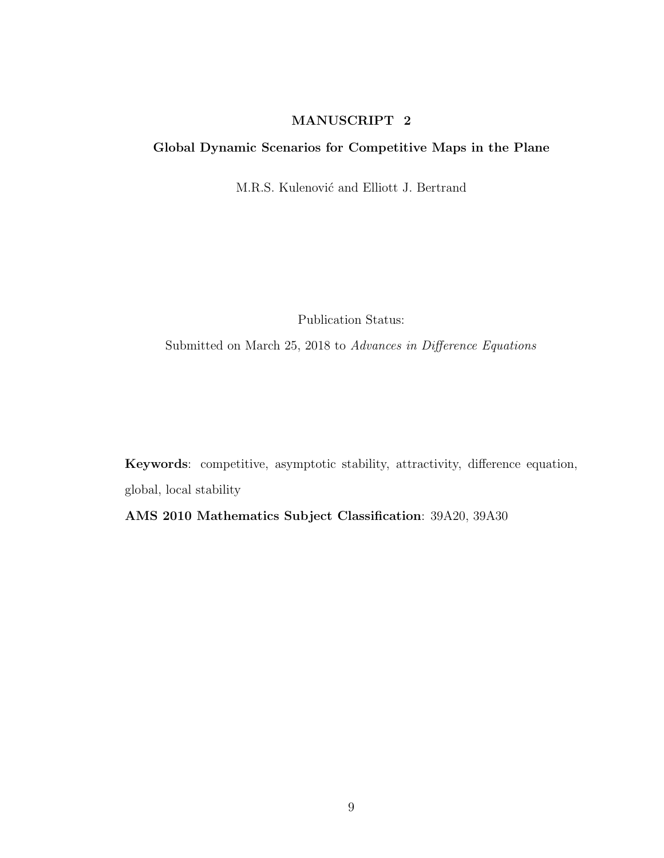## MANUSCRIPT 2

### <span id="page-22-0"></span>Global Dynamic Scenarios for Competitive Maps in the Plane

M.R.S. Kulenović and Elliott J. Bertrand

Publication Status:

Submitted on March 25, 2018 to Advances in Difference Equations

Keywords: competitive, asymptotic stability, attractivity, difference equation, global, local stability

AMS 2010 Mathematics Subject Classification: 39A20, 39A30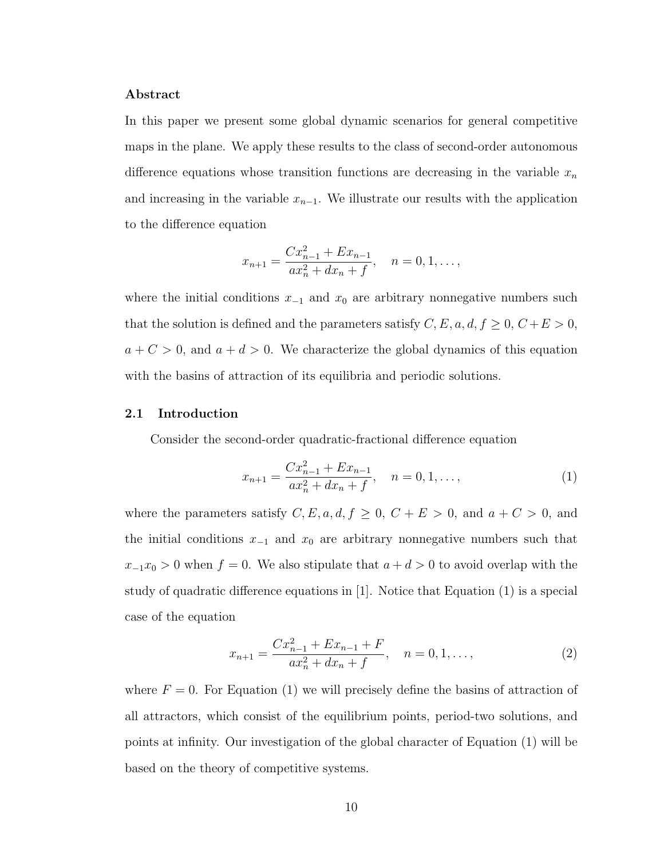#### Abstract

In this paper we present some global dynamic scenarios for general competitive maps in the plane. We apply these results to the class of second-order autonomous difference equations whose transition functions are decreasing in the variable  $x_n$ and increasing in the variable  $x_{n-1}$ . We illustrate our results with the application to the difference equation

$$
x_{n+1} = \frac{Cx_{n-1}^2 + Ex_{n-1}}{ax_n^2 + dx_n + f}, \quad n = 0, 1, \dots,
$$

where the initial conditions  $x_{-1}$  and  $x_0$  are arbitrary nonnegative numbers such that the solution is defined and the parameters satisfy  $C, E, a, d, f \ge 0, C+E > 0$ ,  $a + C > 0$ , and  $a + d > 0$ . We characterize the global dynamics of this equation with the basins of attraction of its equilibria and periodic solutions.

#### <span id="page-23-0"></span>2.1 Introduction

Consider the second-order quadratic-fractional difference equation

<span id="page-23-1"></span>
$$
x_{n+1} = \frac{Cx_{n-1}^2 + Ex_{n-1}}{ax_n^2 + dx_n + f}, \quad n = 0, 1, ...,
$$
 (1)

where the parameters satisfy  $C, E, a, d, f \ge 0$ ,  $C + E > 0$ , and  $a + C > 0$ , and the initial conditions  $x_{-1}$  and  $x_0$  are arbitrary nonnegative numbers such that  $x_{-1}x_0 > 0$  when  $f = 0$ . We also stipulate that  $a + d > 0$  to avoid overlap with the study of quadratic difference equations in [\[1\]](#page-63-0). Notice that Equation [\(1\)](#page-23-1) is a special case of the equation

<span id="page-23-2"></span>
$$
x_{n+1} = \frac{Cx_{n-1}^2 + Ex_{n-1} + F}{ax_n^2 + dx_n + f}, \quad n = 0, 1, ...,
$$
 (2)

where  $F = 0$ . For Equation [\(1\)](#page-23-1) we will precisely define the basins of attraction of all attractors, which consist of the equilibrium points, period-two solutions, and points at infinity. Our investigation of the global character of Equation [\(1\)](#page-23-1) will be based on the theory of competitive systems.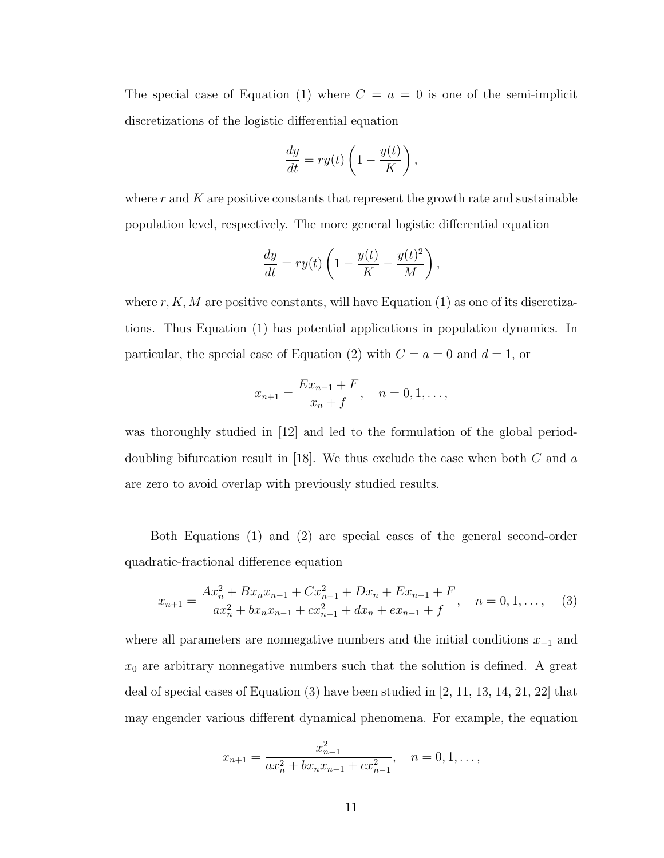The special case of Equation [\(1\)](#page-23-1) where  $C = a = 0$  is one of the semi-implicit discretizations of the logistic differential equation

$$
\frac{dy}{dt} = ry(t)\left(1 - \frac{y(t)}{K}\right),\,
$$

where  $r$  and  $K$  are positive constants that represent the growth rate and sustainable population level, respectively. The more general logistic differential equation

$$
\frac{dy}{dt} = ry(t)\left(1 - \frac{y(t)}{K} - \frac{y(t)^2}{M}\right),\,
$$

where  $r, K, M$  are positive constants, will have Equation [\(1\)](#page-23-1) as one of its discretizations. Thus Equation [\(1\)](#page-23-1) has potential applications in population dynamics. In particular, the special case of Equation [\(2\)](#page-23-2) with  $C = a = 0$  and  $d = 1$ , or

$$
x_{n+1} = \frac{Ex_{n-1} + F}{x_n + f}, \quad n = 0, 1, \dots,
$$

was thoroughly studied in [\[12\]](#page-64-0) and led to the formulation of the global period-doubling bifurcation result in [\[18\]](#page-65-0). We thus exclude the case when both  $C$  and  $a$ are zero to avoid overlap with previously studied results.

Both Equations [\(1\)](#page-23-1) and [\(2\)](#page-23-2) are special cases of the general second-order quadratic-fractional difference equation

<span id="page-24-0"></span>
$$
x_{n+1} = \frac{Ax_n^2 + Bx_nx_{n-1} + Cx_{n-1}^2 + Dx_n + Ex_{n-1} + F}{ax_n^2 + bx_nx_{n-1} + cx_{n-1}^2 + dx_n + ex_{n-1} + f}, \quad n = 0, 1, ..., \quad (3)
$$

where all parameters are nonnegative numbers and the initial conditions  $x_{-1}$  and  $x_0$  are arbitrary nonnegative numbers such that the solution is defined. A great deal of special cases of Equation [\(3\)](#page-24-0) have been studied in [\[2,](#page-63-1) [11,](#page-64-1) [13,](#page-64-2) [14,](#page-64-3) [21,](#page-65-1) [22\]](#page-65-2) that may engender various different dynamical phenomena. For example, the equation

$$
x_{n+1} = \frac{x_{n-1}^2}{ax_n^2 + bx_nx_{n-1} + cx_{n-1}^2}, \quad n = 0, 1, \dots,
$$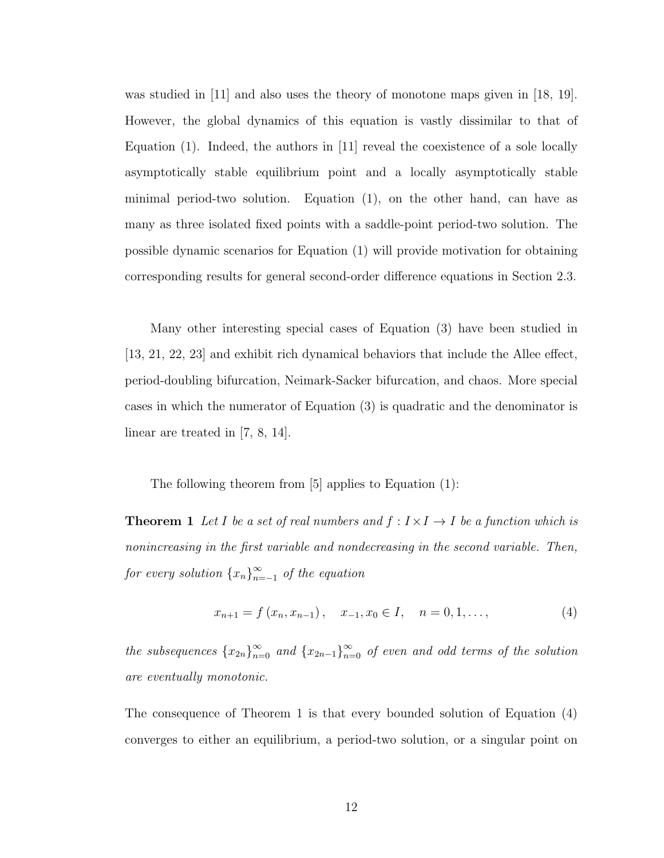was studied in [\[11\]](#page-64-1) and also uses the theory of monotone maps given in [\[18,](#page-65-0) [19\]](#page-65-3). However, the global dynamics of this equation is vastly dissimilar to that of Equation [\(1\)](#page-23-1). Indeed, the authors in [\[11\]](#page-64-1) reveal the coexistence of a sole locally asymptotically stable equilibrium point and a locally asymptotically stable minimal period-two solution. Equation [\(1\)](#page-23-1), on the other hand, can have as many as three isolated fixed points with a saddle-point period-two solution. The possible dynamic scenarios for Equation [\(1\)](#page-23-1) will provide motivation for obtaining corresponding results for general second-order difference equations in Section [2.3.](#page-32-0)

Many other interesting special cases of Equation [\(3\)](#page-24-0) have been studied in [\[13,](#page-64-2) [21,](#page-65-1) [22,](#page-65-2) [23\]](#page-65-4) and exhibit rich dynamical behaviors that include the Allee effect, period-doubling bifurcation, Neimark-Sacker bifurcation, and chaos. More special cases in which the numerator of Equation [\(3\)](#page-24-0) is quadratic and the denominator is linear are treated in [\[7,](#page-64-4) [8,](#page-64-5) [14\]](#page-64-3).

The following theorem from [\[5\]](#page-64-6) applies to Equation [\(1\)](#page-23-1):

**Theorem 1** Let I be a set of real numbers and  $f : I \times I \rightarrow I$  be a function which is nonincreasing in the first variable and nondecreasing in the second variable. Then, for every solution  $\{x_n\}_{n=1}^{\infty}$  $\sum_{n=-1}^{\infty}$  of the equation

<span id="page-25-1"></span><span id="page-25-0"></span>
$$
x_{n+1} = f(x_n, x_{n-1}), \quad x_{-1}, x_0 \in I, \quad n = 0, 1, \dots,
$$
\n<sup>(4)</sup>

the subsequences  ${x_{2n}}_{n=0}^{\infty}$  and  ${x_{2n-1}}_{n=0}^{\infty}$  of even and odd terms of the solution are eventually monotonic.

The consequence of Theorem [1](#page-25-0) is that every bounded solution of Equation [\(4\)](#page-25-1) converges to either an equilibrium, a period-two solution, or a singular point on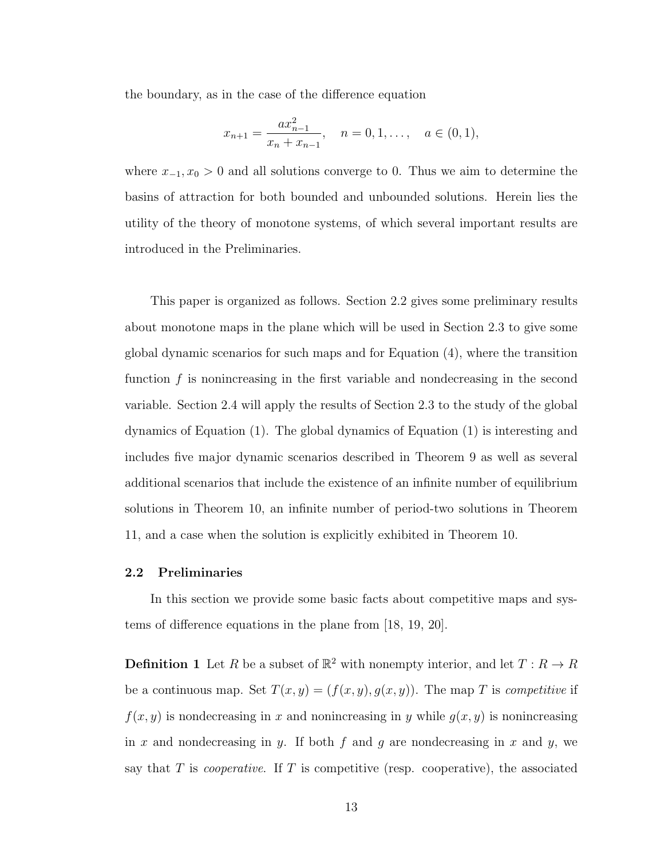the boundary, as in the case of the difference equation

$$
x_{n+1} = \frac{ax_{n-1}^2}{x_n + x_{n-1}}, \quad n = 0, 1, \dots, \quad a \in (0, 1),
$$

where  $x_{-1}, x_0 > 0$  and all solutions converge to 0. Thus we aim to determine the basins of attraction for both bounded and unbounded solutions. Herein lies the utility of the theory of monotone systems, of which several important results are introduced in the Preliminaries.

This paper is organized as follows. Section [2.2](#page-26-0) gives some preliminary results about monotone maps in the plane which will be used in Section [2.3](#page-32-0) to give some global dynamic scenarios for such maps and for Equation [\(4\)](#page-25-1), where the transition function f is nonincreasing in the first variable and nondecreasing in the second variable. Section [2.4](#page-44-0) will apply the results of Section [2.3](#page-32-0) to the study of the global dynamics of Equation [\(1\)](#page-23-1). The global dynamics of Equation [\(1\)](#page-23-1) is interesting and includes five major dynamic scenarios described in Theorem [9](#page-57-0) as well as several additional scenarios that include the existence of an infinite number of equilibrium solutions in Theorem [10,](#page-58-0) an infinite number of period-two solutions in Theorem [11,](#page-61-0) and a case when the solution is explicitly exhibited in Theorem [10.](#page-58-0)

#### <span id="page-26-0"></span>2.2 Preliminaries

In this section we provide some basic facts about competitive maps and systems of difference equations in the plane from [\[18,](#page-65-0) [19,](#page-65-3) [20\]](#page-65-5).

**Definition 1** Let R be a subset of  $\mathbb{R}^2$  with nonempty interior, and let  $T: R \to R$ be a continuous map. Set  $T(x, y) = (f(x, y), g(x, y))$ . The map T is *competitive* if  $f(x, y)$  is nondecreasing in x and nonincreasing in y while  $g(x, y)$  is nonincreasing in x and nondecreasing in y. If both f and q are nondecreasing in x and y, we say that  $T$  is *cooperative*. If  $T$  is competitive (resp. cooperative), the associated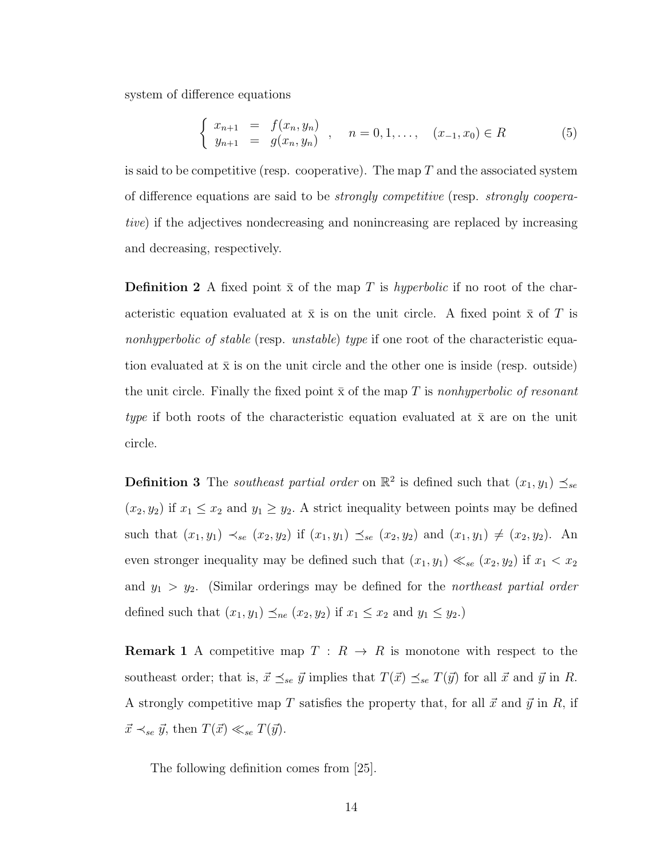system of difference equations

<span id="page-27-0"></span>
$$
\begin{cases}\n x_{n+1} = f(x_n, y_n) \\
y_{n+1} = g(x_n, y_n)\n\end{cases}, \quad n = 0, 1, \ldots, \quad (x_{-1}, x_0) \in R\n\tag{5}
$$

is said to be competitive (resp. cooperative). The map  $T$  and the associated system of difference equations are said to be strongly competitive (resp. strongly cooperative) if the adjectives nondecreasing and nonincreasing are replaced by increasing and decreasing, respectively.

**Definition 2** A fixed point  $\bar{x}$  of the map T is hyperbolic if no root of the characteristic equation evaluated at  $\bar{x}$  is on the unit circle. A fixed point  $\bar{x}$  of T is nonhyperbolic of stable (resp. unstable) type if one root of the characteristic equation evaluated at  $\bar{x}$  is on the unit circle and the other one is inside (resp. outside) the unit circle. Finally the fixed point  $\bar{x}$  of the map T is nonly perbolic of resonant type if both roots of the characteristic equation evaluated at  $\bar{x}$  are on the unit circle.

**Definition 3** The *southeast partial order* on  $\mathbb{R}^2$  is defined such that  $(x_1, y_1) \leq_{se}$  $(x_2, y_2)$  if  $x_1 \le x_2$  and  $y_1 \ge y_2$ . A strict inequality between points may be defined such that  $(x_1, y_1) \prec_{se} (x_2, y_2)$  if  $(x_1, y_1) \preceq_{se} (x_2, y_2)$  and  $(x_1, y_1) \neq (x_2, y_2)$ . An even stronger inequality may be defined such that  $(x_1, y_1) \ll_{se} (x_2, y_2)$  if  $x_1 < x_2$ and  $y_1 > y_2$ . (Similar orderings may be defined for the *northeast partial order* defined such that  $(x_1, y_1) \preceq_{ne} (x_2, y_2)$  if  $x_1 \leq x_2$  and  $y_1 \leq y_2$ .

**Remark 1** A competitive map  $T : R \to R$  is monotone with respect to the southeast order; that is,  $\vec{x} \preceq_{se} \vec{y}$  implies that  $T(\vec{x}) \preceq_{se} T(\vec{y})$  for all  $\vec{x}$  and  $\vec{y}$  in R. A strongly competitive map T satisfies the property that, for all  $\vec{x}$  and  $\vec{y}$  in R, if  $\vec{x} \prec_{se} \vec{y}$ , then  $T(\vec{x}) \ll_{se} T(\vec{y})$ .

The following definition comes from [\[25\]](#page-65-6).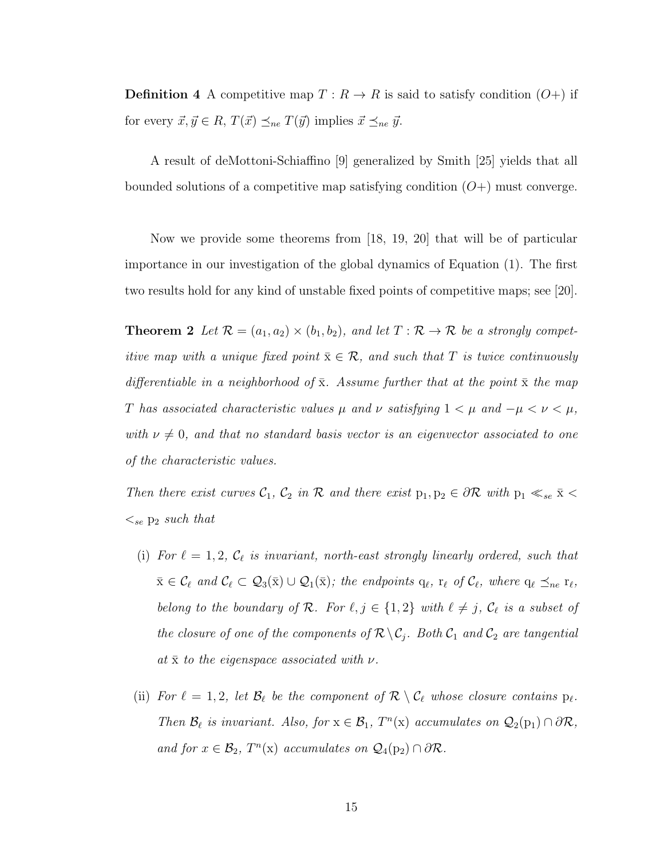**Definition 4** A competitive map  $T: R \to R$  is said to satisfy condition  $(O+)$  if for every  $\vec{x}, \vec{y} \in R, T(\vec{x}) \preceq_{ne} T(\vec{y})$  implies  $\vec{x} \preceq_{ne} \vec{y}$ .

A result of deMottoni-Schiaffino [\[9\]](#page-64-7) generalized by Smith [\[25\]](#page-65-6) yields that all bounded solutions of a competitive map satisfying condition  $(O+)$  must converge.

Now we provide some theorems from [\[18,](#page-65-0) [19,](#page-65-3) [20\]](#page-65-5) that will be of particular importance in our investigation of the global dynamics of Equation [\(1\)](#page-23-1). The first two results hold for any kind of unstable fixed points of competitive maps; see [\[20\]](#page-65-5).

<span id="page-28-0"></span>**Theorem 2** Let  $\mathcal{R} = (a_1, a_2) \times (b_1, b_2)$ , and let  $T : \mathcal{R} \to \mathcal{R}$  be a strongly competitive map with a unique fixed point  $\bar{x} \in \mathcal{R}$ , and such that T is twice continuously differentiable in a neighborhood of  $\bar{x}$ . Assume further that at the point  $\bar{x}$  the map T has associated characteristic values  $\mu$  and  $\nu$  satisfying  $1 < \mu$  and  $-\mu < \nu < \mu$ , with  $\nu \neq 0$ , and that no standard basis vector is an eigenvector associated to one of the characteristic values.

Then there exist curves  $C_1$ ,  $C_2$  in R and there exist  $p_1, p_2 \in \partial \mathcal{R}$  with  $p_1 \ll_{se} \bar{x} <$  $\lt_{se}$   $p_2$  such that

- (i) For  $\ell = 1, 2, \mathcal{C}_\ell$  is invariant, north-east strongly linearly ordered, such that  $\bar{x} \in \mathcal{C}_{\ell}$  and  $\mathcal{C}_{\ell} \subset \mathcal{Q}_{3}(\bar{x}) \cup \mathcal{Q}_{1}(\bar{x});$  the endpoints  $q_{\ell}, r_{\ell}$  of  $\mathcal{C}_{\ell}$ , where  $q_{\ell} \preceq_{ne} r_{\ell}$ , belong to the boundary of R. For  $\ell, j \in \{1, 2\}$  with  $\ell \neq j$ ,  $C_{\ell}$  is a subset of the closure of one of the components of  $\mathcal{R} \backslash \mathcal{C}_j$ . Both  $\mathcal{C}_1$  and  $\mathcal{C}_2$  are tangential at  $\bar{x}$  to the eigenspace associated with  $\nu$ .
- (ii) For  $\ell = 1, 2$ , let  $\mathcal{B}_\ell$  be the component of  $\mathcal{R} \setminus \mathcal{C}_\ell$  whose closure contains  $p_\ell$ . Then  $\mathcal{B}_\ell$  is invariant. Also, for  $x \in \mathcal{B}_1$ ,  $T^n(x)$  accumulates on  $\mathcal{Q}_2(p_1) \cap \partial \mathcal{R}$ , and for  $x \in \mathcal{B}_2$ ,  $T^n(x)$  accumulates on  $\mathcal{Q}_4(p_2) \cap \partial \mathcal{R}$ .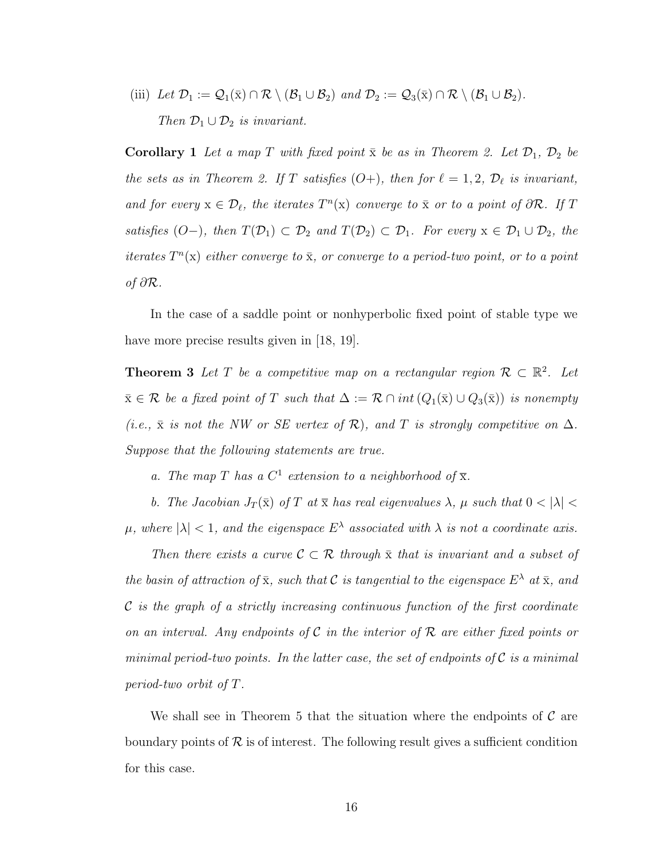(iii) Let 
$$
\mathcal{D}_1 := \mathcal{Q}_1(\bar{x}) \cap \mathcal{R} \setminus (\mathcal{B}_1 \cup \mathcal{B}_2)
$$
 and  $\mathcal{D}_2 := \mathcal{Q}_3(\bar{x}) \cap \mathcal{R} \setminus (\mathcal{B}_1 \cup \mathcal{B}_2)$ .  
\nThen  $\mathcal{D}_1 \cup \mathcal{D}_2$  is invariant.

**Corollary 1** Let a map T with fixed point  $\bar{x}$  be as in Theorem [2.](#page-28-0) Let  $\mathcal{D}_1$ ,  $\mathcal{D}_2$  be the sets as in Theorem [2.](#page-28-0) If T satisfies  $(O+)$ , then for  $\ell = 1, 2, \mathcal{D}_\ell$  is invariant, and for every  $x \in \mathcal{D}_{\ell}$ , the iterates  $T^{n}(x)$  converge to  $\bar{x}$  or to a point of  $\partial \mathcal{R}$ . If T satisfies  $(O-)$ , then  $T(\mathcal{D}_1) \subset \mathcal{D}_2$  and  $T(\mathcal{D}_2) \subset \mathcal{D}_1$ . For every  $x \in \mathcal{D}_1 \cup \mathcal{D}_2$ , the iterates  $T^n(x)$  either converge to  $\bar{x}$ , or converge to a period-two point, or to a point of  $\partial \mathcal{R}$ .

In the case of a saddle point or nonhyperbolic fixed point of stable type we have more precise results given in [\[18,](#page-65-0) [19\]](#page-65-3).

<span id="page-29-0"></span>**Theorem 3** Let T be a competitive map on a rectangular region  $\mathcal{R} \subset \mathbb{R}^2$ . Let  $\bar{x} \in \mathcal{R}$  be a fixed point of T such that  $\Delta := \mathcal{R} \cap int(Q_1(\bar{x}) \cup Q_3(\bar{x}))$  is nonempty (i.e.,  $\bar{x}$  is not the NW or SE vertex of R), and T is strongly competitive on  $\Delta$ . Suppose that the following statements are true.

a. The map T has a  $C^1$  extension to a neighborhood of  $\overline{x}$ .

b. The Jacobian  $J_T(\bar{x})$  of T at  $\bar{x}$  has real eigenvalues  $\lambda$ ,  $\mu$  such that  $0 < |\lambda|$  $\mu$ , where  $|\lambda| < 1$ , and the eigenspace  $E^{\lambda}$  associated with  $\lambda$  is not a coordinate axis.

Then there exists a curve  $\mathcal{C} \subset \mathcal{R}$  through  $\bar{x}$  that is invariant and a subset of the basin of attraction of  $\bar{x}$ , such that C is tangential to the eigenspace  $E^{\lambda}$  at  $\bar{x}$ , and  $\mathcal C$  is the graph of a strictly increasing continuous function of the first coordinate on an interval. Any endpoints of C in the interior of R are either fixed points or minimal period-two points. In the latter case, the set of endpoints of  $\mathcal C$  is a minimal period-two orbit of T.

<span id="page-29-1"></span>We shall see in Theorem [5](#page-30-0) that the situation where the endpoints of  $\mathcal C$  are boundary points of  $\mathcal R$  is of interest. The following result gives a sufficient condition for this case.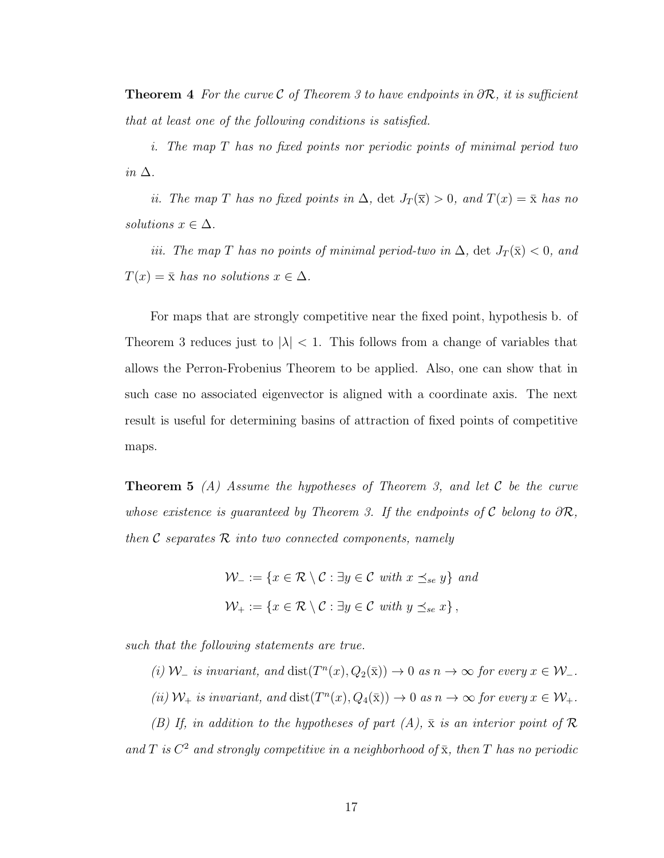**Theorem 4** For the curve C of Theorem [3](#page-29-0) to have endpoints in  $\partial \mathcal{R}$ , it is sufficient that at least one of the following conditions is satisfied.

i. The map T has no fixed points nor periodic points of minimal period two in  $\Delta$ .

ii. The map T has no fixed points in  $\Delta$ , det  $J_T(\bar{x}) > 0$ , and  $T(x) = \bar{x}$  has no solutions  $x \in \Delta$ .

iii. The map T has no points of minimal period-two in  $\Delta$ , det  $J_T(\bar{x}) < 0$ , and  $T(x) = \bar{x}$  has no solutions  $x \in \Delta$ .

For maps that are strongly competitive near the fixed point, hypothesis b. of Theorem [3](#page-29-0) reduces just to  $|\lambda| < 1$ . This follows from a change of variables that allows the Perron-Frobenius Theorem to be applied. Also, one can show that in such case no associated eigenvector is aligned with a coordinate axis. The next result is useful for determining basins of attraction of fixed points of competitive maps.

<span id="page-30-0"></span>**Theorem 5** (A) Assume the hypotheses of Theorem [3,](#page-29-0) and let C be the curve whose existence is guaranteed by Theorem [3.](#page-29-0) If the endpoints of C belong to  $\partial \mathcal{R}$ , then  $\mathcal C$  separates  $\mathcal R$  into two connected components, namely

> $\mathcal{W}_- := \{x \in \mathcal{R} \setminus \mathcal{C} : \exists y \in \mathcal{C} \text{ with } x \preceq_{se} y\} \text{ and }$  $\mathcal{W}_+ := \{x \in \mathcal{R} \setminus \mathcal{C} : \exists y \in \mathcal{C} \text{ with } y \preceq_{se} x\},\$

such that the following statements are true.

(i)  $W_$  is invariant, and  $dist(T^n(x), Q_2(\bar{x})) \to 0$  as  $n \to \infty$  for every  $x \in W_$ .

(ii)  $W_+$  is invariant, and  $dist(T^n(x), Q_4(\bar{x})) \to 0$  as  $n \to \infty$  for every  $x \in W_+$ .

(B) If, in addition to the hypotheses of part  $(A)$ ,  $\bar{x}$  is an interior point of  $\mathcal R$ and T is  $C^2$  and strongly competitive in a neighborhood of  $\bar{x}$ , then T has no periodic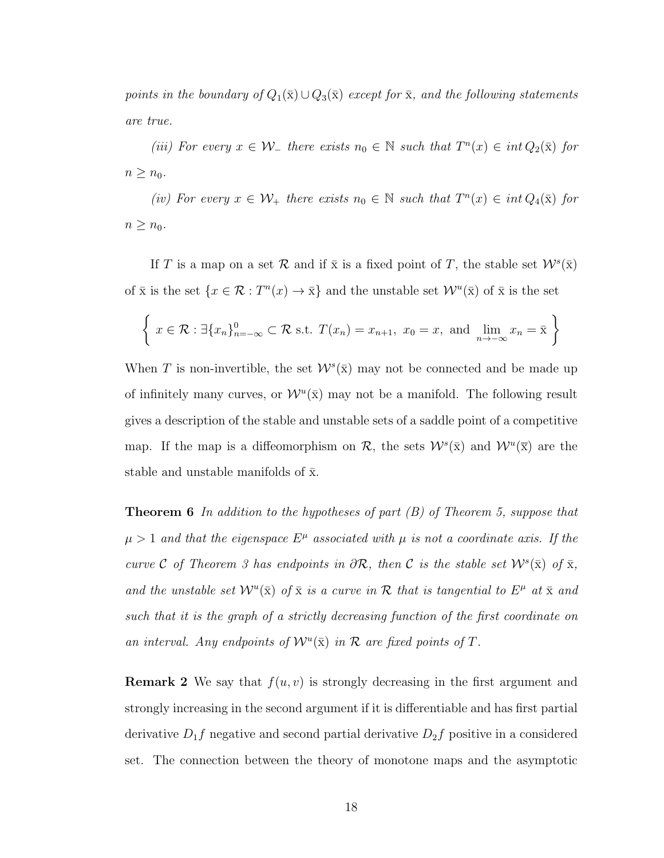points in the boundary of  $Q_1(\bar{x}) \cup Q_3(\bar{x})$  except for  $\bar{x}$ , and the following statements are true.

(iii) For every  $x \in \mathcal{W}_-$  there exists  $n_0 \in \mathbb{N}$  such that  $T^n(x) \in int Q_2(\bar{x})$  for  $n \geq n_0$ .

(iv) For every  $x \in \mathcal{W}_+$  there exists  $n_0 \in \mathbb{N}$  such that  $T^n(x) \in int Q_4(\bar{x})$  for  $n \geq n_0$ .

If T is a map on a set R and if  $\bar{x}$  is a fixed point of T, the stable set  $W^s(\bar{x})$ of  $\bar{x}$  is the set  $\{x \in \mathcal{R} : T^n(x) \to \bar{x}\}\$  and the unstable set  $\mathcal{W}^u(\bar{x})$  of  $\bar{x}$  is the set

$$
\left\{ x \in \mathcal{R} : \exists \{x_n\}_{n=-\infty}^0 \subset \mathcal{R} \text{ s.t. } T(x_n) = x_{n+1}, x_0 = x, \text{ and } \lim_{n \to -\infty} x_n = \overline{x} \right\}
$$

When T is non-invertible, the set  $W^s(\bar{x})$  may not be connected and be made up of infinitely many curves, or  $\mathcal{W}^u(\bar{x})$  may not be a manifold. The following result gives a description of the stable and unstable sets of a saddle point of a competitive map. If the map is a diffeomorphism on  $\mathcal{R}$ , the sets  $\mathcal{W}^s(\bar{x})$  and  $\mathcal{W}^u(\bar{x})$  are the stable and unstable manifolds of  $\bar{x}$ .

<span id="page-31-0"></span>**Theorem 6** In addition to the hypotheses of part  $(B)$  of Theorem [5,](#page-30-0) suppose that  $\mu > 1$  and that the eigenspace  $E^{\mu}$  associated with  $\mu$  is not a coordinate axis. If the curve C of Theorem [3](#page-29-0) has endpoints in  $\partial \mathcal{R}$ , then C is the stable set  $\mathcal{W}^s(\bar{x})$  of  $\bar{x}$ , and the unstable set  $\mathcal{W}^u(\bar{x})$  of  $\bar{x}$  is a curve in  $\mathcal R$  that is tangential to  $E^{\mu}$  at  $\bar{x}$  and such that it is the graph of a strictly decreasing function of the first coordinate on an interval. Any endpoints of  $\mathcal{W}^u(\bar{x})$  in  $\mathcal R$  are fixed points of  $T$ .

**Remark 2** We say that  $f(u, v)$  is strongly decreasing in the first argument and strongly increasing in the second argument if it is differentiable and has first partial derivative  $D_1f$  negative and second partial derivative  $D_2f$  positive in a considered set. The connection between the theory of monotone maps and the asymptotic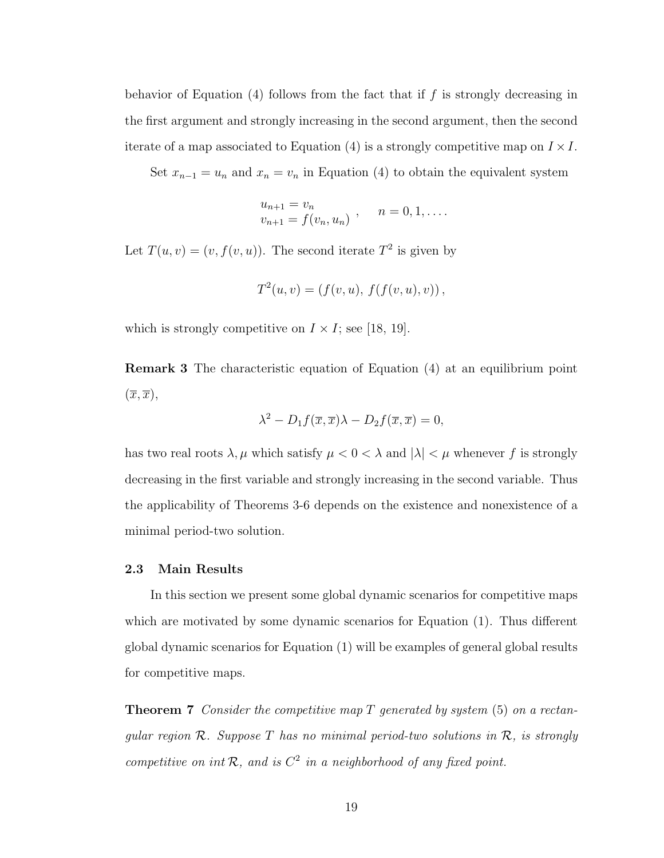behavior of Equation  $(4)$  follows from the fact that if f is strongly decreasing in the first argument and strongly increasing in the second argument, then the second iterate of a map associated to Equation [\(4\)](#page-25-1) is a strongly competitive map on  $I \times I$ .

Set  $x_{n-1} = u_n$  and  $x_n = v_n$  in Equation [\(4\)](#page-25-1) to obtain the equivalent system

$$
u_{n+1} = v_n v_{n+1} = f(v_n, u_n) , \quad n = 0, 1, ....
$$

Let  $T(u, v) = (v, f(v, u))$ . The second iterate  $T^2$  is given by

$$
T^{2}(u, v) = (f(v, u), f(f(v, u), v)),
$$

which is strongly competitive on  $I \times I$ ; see [\[18,](#page-65-0) [19\]](#page-65-3).

Remark 3 The characteristic equation of Equation [\(4\)](#page-25-1) at an equilibrium point  $(\overline{x}, \overline{x}),$ 

$$
\lambda^2 - D_1 f(\overline{x}, \overline{x}) \lambda - D_2 f(\overline{x}, \overline{x}) = 0,
$$

has two real roots  $\lambda, \mu$  which satisfy  $\mu < 0 < \lambda$  and  $|\lambda| < \mu$  whenever f is strongly decreasing in the first variable and strongly increasing in the second variable. Thus the applicability of Theorems [3-](#page-29-0)[6](#page-31-0) depends on the existence and nonexistence of a minimal period-two solution.

#### <span id="page-32-0"></span>2.3 Main Results

In this section we present some global dynamic scenarios for competitive maps which are motivated by some dynamic scenarios for Equation [\(1\)](#page-23-1). Thus different global dynamic scenarios for Equation [\(1\)](#page-23-1) will be examples of general global results for competitive maps.

<span id="page-32-1"></span>**Theorem 7** Consider the competitive map T generated by system  $(5)$  on a rectangular region  $\mathcal{R}$ . Suppose T has no minimal period-two solutions in  $\mathcal{R}$ , is strongly competitive on int  $\mathcal{R}$ , and is  $C^2$  in a neighborhood of any fixed point.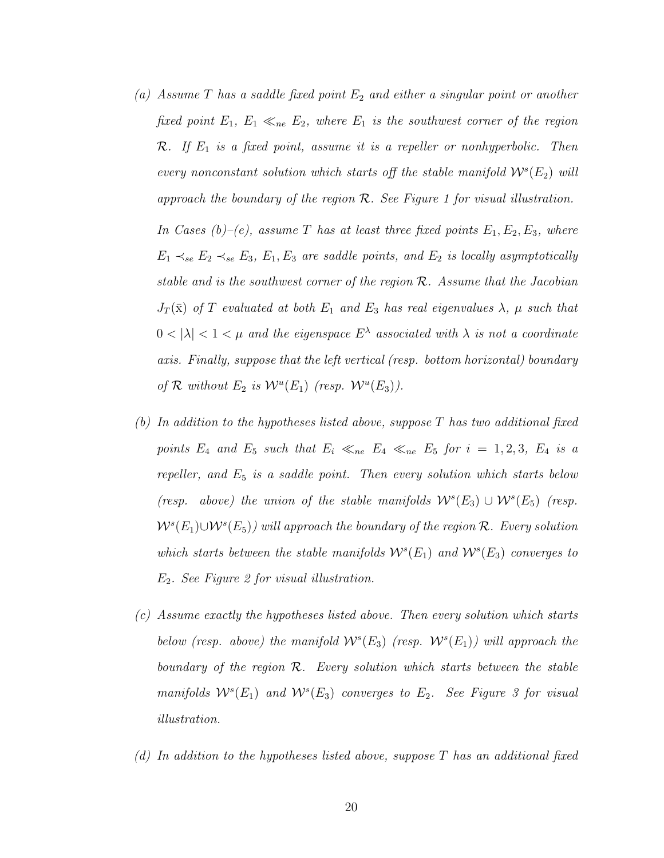(a) Assume T has a saddle fixed point  $E_2$  and either a singular point or another fixed point  $E_1, E_1 \ll_{ne} E_2$ , where  $E_1$  is the southwest corner of the region  $\mathcal{R}.$  If  $E_1$  is a fixed point, assume it is a repeller or nonhyperbolic. Then every nonconstant solution which starts off the stable manifold  $W<sup>s</sup>(E<sub>2</sub>)$  will approach the boundary of the region  $\mathcal{R}$ . See Figure [1](#page-38-0) for visual illustration.

In Cases (b)–(e), assume T has at least three fixed points  $E_1, E_2, E_3$ , where  $E_1 \prec_{se} E_2 \prec_{se} E_3$ ,  $E_1, E_3$  are saddle points, and  $E_2$  is locally asymptotically stable and is the southwest corner of the region R. Assume that the Jacobian  $J_T(\bar{x})$  of T evaluated at both  $E_1$  and  $E_3$  has real eigenvalues  $\lambda$ ,  $\mu$  such that  $0 < |\lambda| < 1 < \mu$  and the eigenspace  $E^{\lambda}$  associated with  $\lambda$  is not a coordinate axis. Finally, suppose that the left vertical (resp. bottom horizontal) boundary of  $\mathcal R$  without  $E_2$  is  $\mathcal W^u(E_1)$  (resp.  $\mathcal W^u(E_3)$ ).

- (b) In addition to the hypotheses listed above, suppose  $T$  has two additional fixed points  $E_4$  and  $E_5$  such that  $E_i \ll_{ne} E_4 \ll_{ne} E_5$  for  $i = 1, 2, 3, E_4$  is a repeller, and  $E_5$  is a saddle point. Then every solution which starts below (resp. above) the union of the stable manifolds  $W^s(E_3) \cup W^s(E_5)$  (resp.  $W^s(E_1) \cup W^s(E_5)$ ) will approach the boundary of the region R. Every solution which starts between the stable manifolds  $W^s(E_1)$  and  $W^s(E_3)$  converges to  $E_2$ . See Figure [2](#page-39-0) for visual illustration.
- (c) Assume exactly the hypotheses listed above. Then every solution which starts below (resp. above) the manifold  $W^s(E_3)$  (resp.  $W^s(E_1)$ ) will approach the boundary of the region  $\mathcal{R}$ . Every solution which starts between the stable manifolds  $W^s(E_1)$  and  $W^s(E_3)$  converges to  $E_2$ . See Figure [3](#page-39-1) for visual illustration.
- (d) In addition to the hypotheses listed above, suppose T has an additional fixed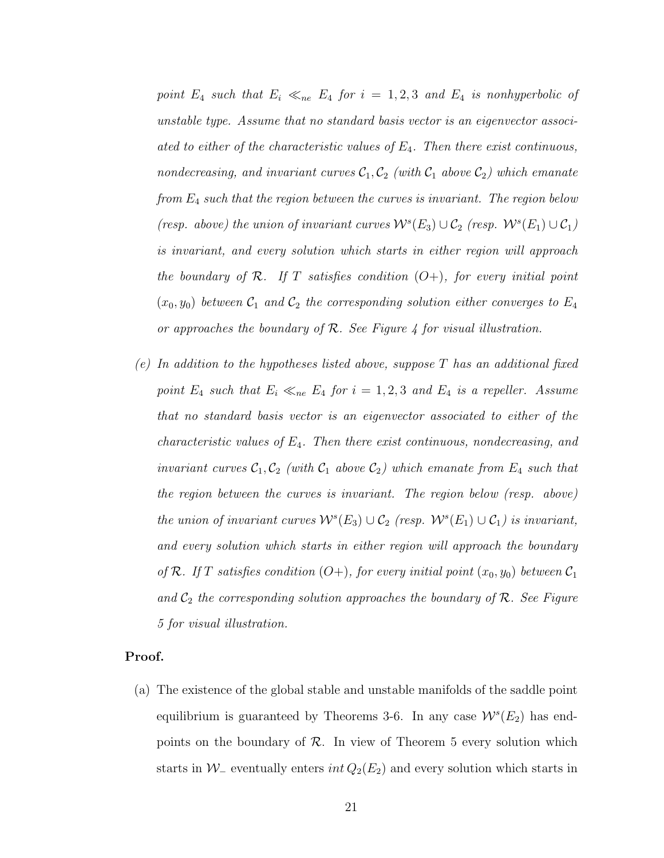point  $E_4$  such that  $E_i \ll_{ne} E_4$  for  $i = 1, 2, 3$  and  $E_4$  is nonhyperbolic of unstable type. Assume that no standard basis vector is an eigenvector associated to either of the characteristic values of  $E_4$ . Then there exist continuous, nondecreasing, and invariant curves  $C_1, C_2$  (with  $C_1$  above  $C_2$ ) which emanate from  $E_4$  such that the region between the curves is invariant. The region below (resp. above) the union of invariant curves  $\mathcal{W}^s(E_3) \cup \mathcal{C}_2$  (resp.  $\mathcal{W}^s(E_1) \cup \mathcal{C}_1$ ) is invariant, and every solution which starts in either region will approach the boundary of  $\mathcal R$ . If T satisfies condition  $(O+)$ , for every initial point  $(x_0, y_0)$  between  $\mathcal{C}_1$  and  $\mathcal{C}_2$  the corresponding solution either converges to  $E_4$ or approaches the boundary of  $\mathcal{R}$ . See Figure [4](#page-39-2) for visual illustration.

(e) In addition to the hypotheses listed above, suppose  $T$  has an additional fixed point  $E_4$  such that  $E_i \ll_{ne} E_4$  for  $i = 1, 2, 3$  and  $E_4$  is a repeller. Assume that no standard basis vector is an eigenvector associated to either of the characteristic values of  $E_4$ . Then there exist continuous, nondecreasing, and invariant curves  $C_1, C_2$  (with  $C_1$  above  $C_2$ ) which emanate from  $E_4$  such that the region between the curves is invariant. The region below (resp. above) the union of invariant curves  $\mathcal{W}^s(E_3) \cup \mathcal{C}_2$  (resp.  $\mathcal{W}^s(E_1) \cup \mathcal{C}_1$ ) is invariant, and every solution which starts in either region will approach the boundary of R. If T satisfies condition  $(O+)$ , for every initial point  $(x_0, y_0)$  between  $C_1$ and  $C_2$  the corresponding solution approaches the boundary of  $R$ . See Figure [5](#page-40-0) for visual illustration.

#### Proof.

(a) The existence of the global stable and unstable manifolds of the saddle point equilibrium is guaranteed by Theorems [3](#page-29-0)[-6.](#page-31-0) In any case  $\mathcal{W}^s(E_2)$  has endpoints on the boundary of  $\mathcal{R}$ . In view of Theorem [5](#page-30-0) every solution which starts in  $W_-\$  eventually enters  $int Q_2(E_2)$  and every solution which starts in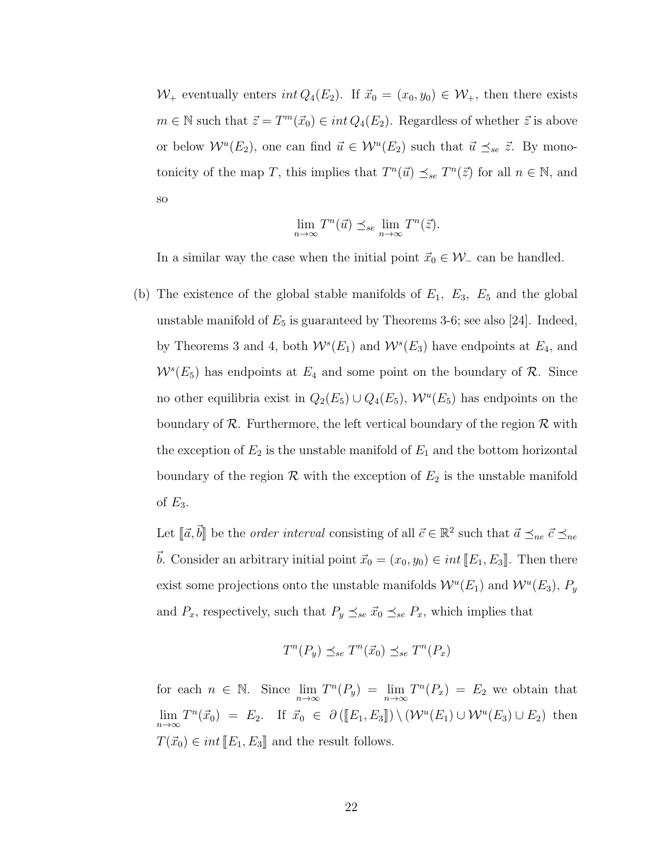$W_+$  eventually enters int  $Q_4(E_2)$ . If  $\vec{x}_0 = (x_0, y_0) \in W_+$ , then there exists  $m \in \mathbb{N}$  such that  $\vec{z} = T^m(\vec{x}_0) \in int Q_4(E_2)$ . Regardless of whether  $\vec{z}$  is above or below  $\mathcal{W}^u(E_2)$ , one can find  $\vec{u} \in \mathcal{W}^u(E_2)$  such that  $\vec{u} \preceq_{se} \vec{z}$ . By monotonicity of the map T, this implies that  $T^n(\vec{u}) \preceq_{se} T^n(\vec{z})$  for all  $n \in \mathbb{N}$ , and so

$$
\lim_{n \to \infty} T^n(\vec{u}) \preceq_{se} \lim_{n \to \infty} T^n(\vec{z}).
$$

In a similar way the case when the initial point  $\vec{x}_0 \in \mathcal{W}_-$  can be handled.

(b) The existence of the global stable manifolds of  $E_1$ ,  $E_3$ ,  $E_5$  and the global unstable manifold of  $E_5$  is guaranteed by Theorems [3-](#page-29-0)[6;](#page-31-0) see also [\[24\]](#page-65-7). Indeed, by Theorems [3](#page-29-0) and [4,](#page-29-1) both  $W<sup>s</sup>(E<sub>1</sub>)$  and  $W<sup>s</sup>(E<sub>3</sub>)$  have endpoints at  $E<sub>4</sub>$ , and  $W<sup>s</sup>(E<sub>5</sub>)$  has endpoints at  $E<sub>4</sub>$  and some point on the boundary of  $\mathcal{R}$ . Since no other equilibria exist in  $Q_2(E_5) \cup Q_4(E_5)$ ,  $\mathcal{W}^u(E_5)$  has endpoints on the boundary of  $\mathcal{R}$ . Furthermore, the left vertical boundary of the region  $\mathcal{R}$  with the exception of  $E_2$  is the unstable manifold of  $E_1$  and the bottom horizontal boundary of the region  $\mathcal R$  with the exception of  $E_2$  is the unstable manifold of  $E_3$ .

Let  $[\![\vec{a}, \vec{b}]\!]$  be the *order interval* consisting of all  $\vec{c} \in \mathbb{R}^2$  such that  $\vec{a} \preceq_{ne} \vec{c} \preceq_{ne}$  $\vec{b}$ . Consider an arbitrary initial point  $\vec{x}_0 = (x_0, y_0) \in int [[E_1, E_3]]$ . Then there exist some projections onto the unstable manifolds  $\mathcal{W}^u(E_1)$  and  $\mathcal{W}^u(E_3)$ ,  $P_y$ and  $P_x$ , respectively, such that  $P_y \preceq_{se} \vec{x}_0 \preceq_{se} P_x$ , which implies that

$$
T^n(P_y) \preceq_{se} T^n(\vec{x}_0) \preceq_{se} T^n(P_x)
$$

for each  $n \in \mathbb{N}$ . Since  $\lim_{n \to \infty} T^n(P_y) = \lim_{n \to \infty} T^n(P_x) = E_2$  we obtain that  $\lim_{n\to\infty} T^n(\vec{x}_0) = E_2$ . If  $\vec{x}_0 \in \partial (\llbracket E_1, E_3 \rrbracket) \setminus (\mathcal{W}^u(E_1) \cup \mathcal{W}^u(E_3) \cup E_2)$  then  $T(\vec{x}_0) \in int \llbracket E_1, E_3 \rrbracket$  and the result follows.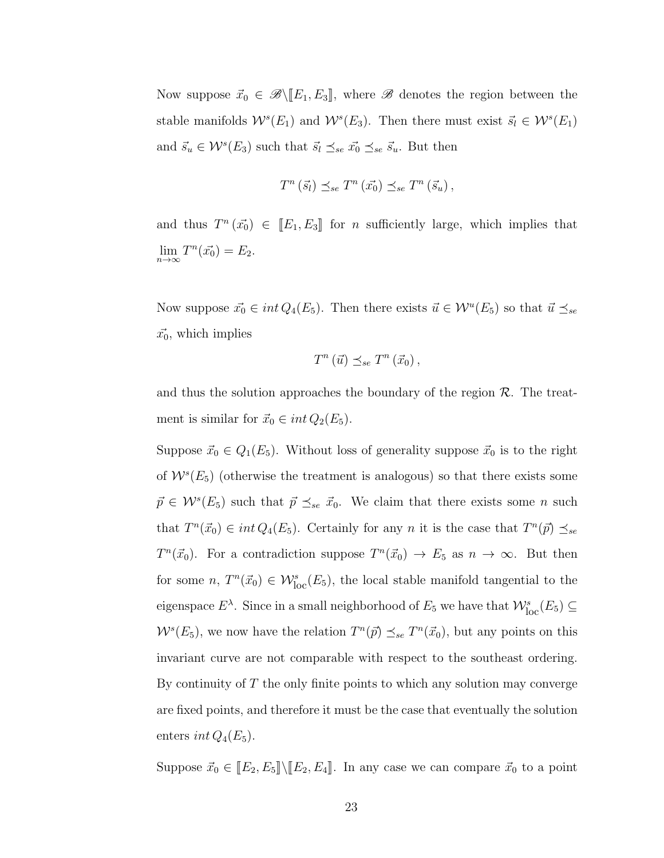Now suppose  $\vec{x}_0 \in \mathcal{B} \setminus [E_1, E_3]$ , where  $\mathcal{B}$  denotes the region between the stable manifolds  $W^s(E_1)$  and  $W^s(E_3)$ . Then there must exist  $\vec{s}_l \in W^s(E_1)$ and  $\vec{s}_u \in \mathcal{W}^s(E_3)$  such that  $\vec{s}_l \preceq_{se} \vec{x}_0 \preceq_{se} \vec{s}_u$ . But then

$$
T^n\left(\vec{s}_l\right) \preceq_{se} T^n\left(\vec{x_0}\right) \preceq_{se} T^n\left(\vec{s}_u\right),
$$

and thus  $T^n(\vec{x_0}) \in [E_1, E_3]$  for *n* sufficiently large, which implies that  $\lim_{n\to\infty} T^n(\vec{x_0}) = E_2.$ 

Now suppose  $\vec{x_0} \in int Q_4(E_5)$ . Then there exists  $\vec{u} \in \mathcal{W}^u(E_5)$  so that  $\vec{u} \preceq_{se}$  $\vec{x_0}$ , which implies

$$
T^n\left(\vec{u}\right) \preceq_{se} T^n\left(\vec{x}_0\right),
$$

and thus the solution approaches the boundary of the region  $\mathcal{R}$ . The treatment is similar for  $\vec{x}_0 \in int Q_2(E_5)$ .

Suppose  $\vec{x}_0 \in Q_1(E_5)$ . Without loss of generality suppose  $\vec{x}_0$  is to the right of  $W^s(E_5)$  (otherwise the treatment is analogous) so that there exists some  $\vec{p} \in \mathcal{W}^s(E_5)$  such that  $\vec{p} \preceq_{se} \vec{x}_0$ . We claim that there exists some n such that  $T^n(\vec{x}_0) \in int Q_4(E_5)$ . Certainly for any n it is the case that  $T^n(\vec{p}) \preceq_{se}$  $T^n(\vec{x}_0)$ . For a contradiction suppose  $T^n(\vec{x}_0) \to E_5$  as  $n \to \infty$ . But then for some  $n, T^{n}(\vec{x}_{0}) \in \mathcal{W}_{loc}^{s}(E_{5}),$  the local stable manifold tangential to the eigenspace  $E^{\lambda}$ . Since in a small neighborhood of  $E_5$  we have that  $\mathcal{W}_{\text{loc}}^s(E_5) \subseteq$  $W^{s}(E_5)$ , we now have the relation  $T^{n}(\vec{p}) \preceq_{se} T^{n}(\vec{x}_0)$ , but any points on this invariant curve are not comparable with respect to the southeast ordering. By continuity of  $T$  the only finite points to which any solution may converge are fixed points, and therefore it must be the case that eventually the solution enters *int*  $Q_4(E_5)$ .

Suppose  $\vec{x}_0 \in [E_2, E_5] \setminus [E_2, E_4]$ . In any case we can compare  $\vec{x}_0$  to a point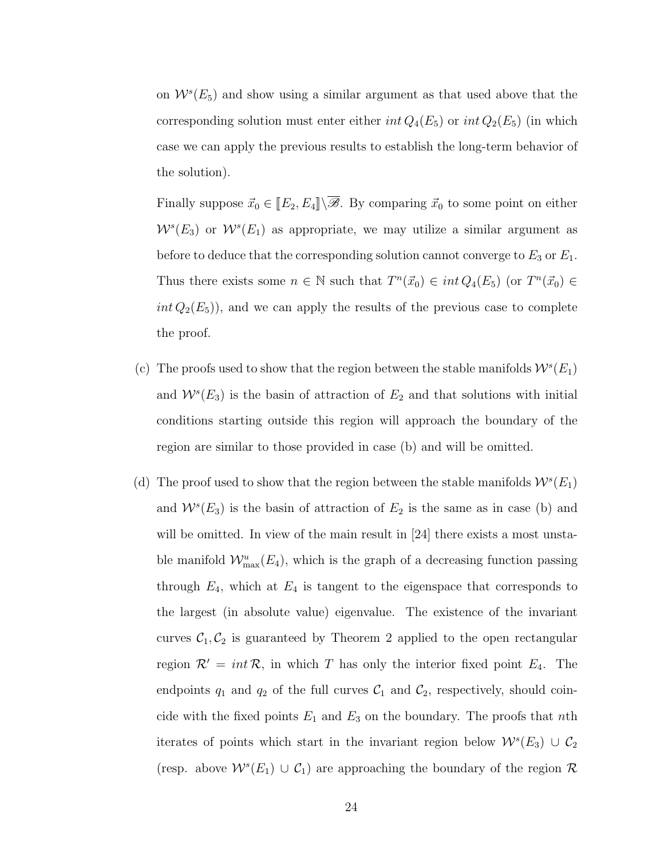on  $W<sup>s</sup>(E<sub>5</sub>)$  and show using a similar argument as that used above that the corresponding solution must enter either  $int Q_4(E_5)$  or  $int Q_2(E_5)$  (in which case we can apply the previous results to establish the long-term behavior of the solution).

Finally suppose  $\vec{x}_0 \in [\![E_2, E_4]\!] \setminus \overline{\mathscr{B}}$ . By comparing  $\vec{x}_0$  to some point on either  $W^{s}(E_3)$  or  $W^{s}(E_1)$  as appropriate, we may utilize a similar argument as before to deduce that the corresponding solution cannot converge to  $E_3$  or  $E_1$ . Thus there exists some  $n \in \mathbb{N}$  such that  $T^n(\vec{x}_0) \in int Q_4(E_5)$  (or  $T^n(\vec{x}_0) \in$  $int Q_2(E_5)$ , and we can apply the results of the previous case to complete the proof.

- (c) The proofs used to show that the region between the stable manifolds  $W<sup>s</sup>(E<sub>1</sub>)$ and  $W<sup>s</sup>(E<sub>3</sub>)$  is the basin of attraction of  $E<sub>2</sub>$  and that solutions with initial conditions starting outside this region will approach the boundary of the region are similar to those provided in case (b) and will be omitted.
- (d) The proof used to show that the region between the stable manifolds  $W<sup>s</sup>(E<sub>1</sub>)$ and  $W<sup>s</sup>(E<sub>3</sub>)$  is the basin of attraction of  $E<sub>2</sub>$  is the same as in case (b) and will be omitted. In view of the main result in [\[24\]](#page-65-0) there exists a most unstable manifold  $\mathcal{W}_{\max}^u(E_4)$ , which is the graph of a decreasing function passing through  $E_4$ , which at  $E_4$  is tangent to the eigenspace that corresponds to the largest (in absolute value) eigenvalue. The existence of the invariant curves  $C_1, C_2$  is guaranteed by Theorem [2](#page-28-0) applied to the open rectangular region  $\mathcal{R}' = int \mathcal{R}$ , in which T has only the interior fixed point  $E_4$ . The endpoints  $q_1$  and  $q_2$  of the full curves  $C_1$  and  $C_2$ , respectively, should coincide with the fixed points  $E_1$  and  $E_3$  on the boundary. The proofs that nth iterates of points which start in the invariant region below  $\mathcal{W}^s(E_3) \cup \mathcal{C}_2$ (resp. above  $W^s(E_1) \cup C_1$ ) are approaching the boundary of the region R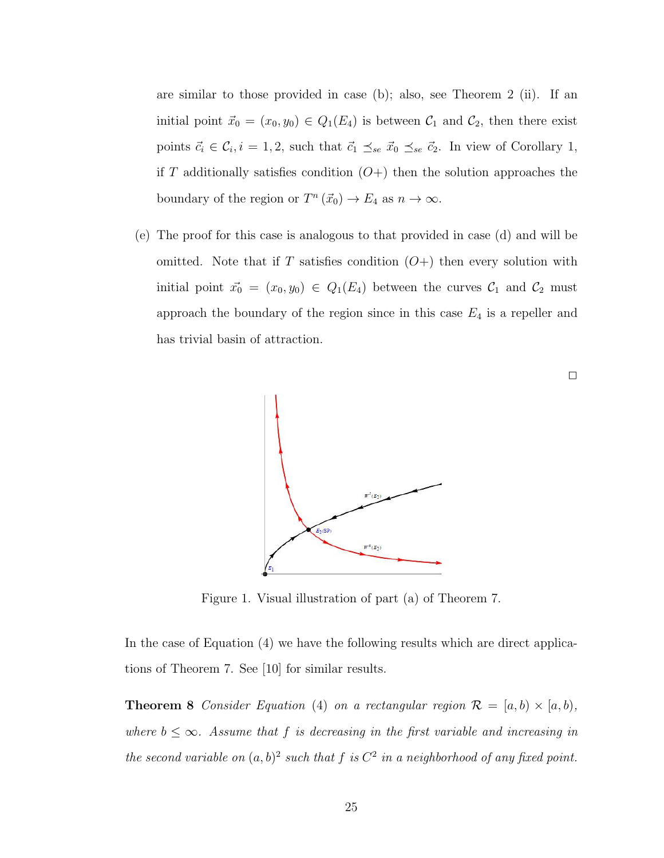are similar to those provided in case (b); also, see Theorem [2](#page-28-0) (ii). If an initial point  $\vec{x}_0 = (x_0, y_0) \in Q_1(E_4)$  is between  $C_1$  and  $C_2$ , then there exist points  $\vec{c}_i \in \mathcal{C}_i, i = 1, 2$  $\vec{c}_i \in \mathcal{C}_i, i = 1, 2$  $\vec{c}_i \in \mathcal{C}_i, i = 1, 2$ , such that  $\vec{c}_1 \preceq_{se} \vec{x}_0 \preceq_{se} \vec{c}_2$ . In view of Corollary 1, if T additionally satisfies condition  $(O+)$  then the solution approaches the boundary of the region or  $T^n(\vec{x}_0) \to E_4$  as  $n \to \infty$ .

(e) The proof for this case is analogous to that provided in case (d) and will be omitted. Note that if T satisfies condition  $(O+)$  then every solution with initial point  $\vec{x_0} = (x_0, y_0) \in Q_1(E_4)$  between the curves  $C_1$  and  $C_2$  must approach the boundary of the region since in this case  $E_4$  is a repeller and has trivial basin of attraction.



 $\Box$ 

<span id="page-38-0"></span>Figure 1. Visual illustration of part (a) of Theorem [7.](#page-32-0)

In the case of Equation [\(4\)](#page-25-0) we have the following results which are direct applications of Theorem [7.](#page-32-0) See [\[10\]](#page-64-0) for similar results.

**Theorem 8** Consider Equation [\(4\)](#page-25-0) on a rectangular region  $\mathcal{R} = [a, b) \times [a, b)$ , where  $b \leq \infty$ . Assume that f is decreasing in the first variable and increasing in the second variable on  $(a, b)^2$  such that f is  $C^2$  in a neighborhood of any fixed point.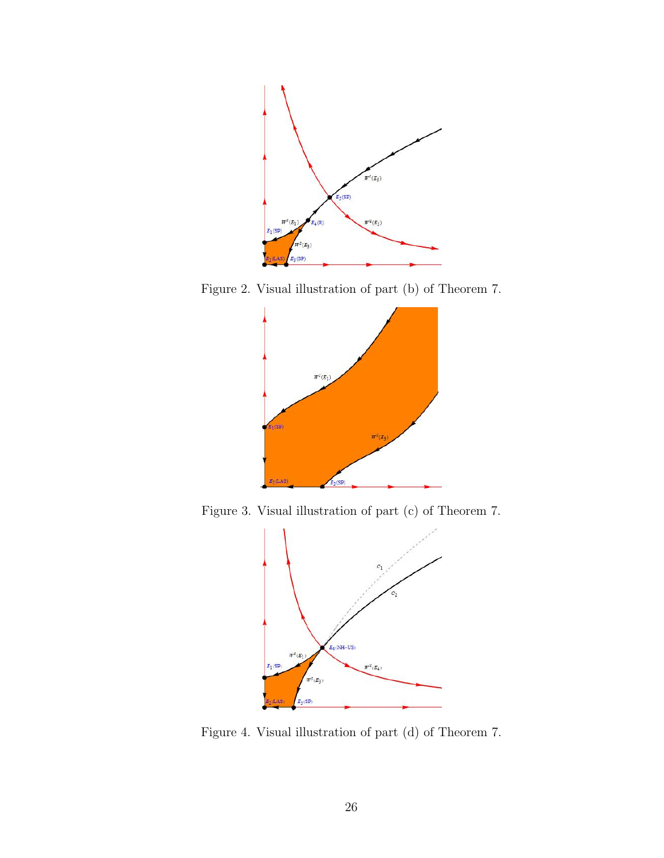

Figure 2. Visual illustration of part (b) of Theorem [7.](#page-32-0)



Figure 3. Visual illustration of part (c) of Theorem [7.](#page-32-0)



Figure 4. Visual illustration of part (d) of Theorem [7.](#page-32-0)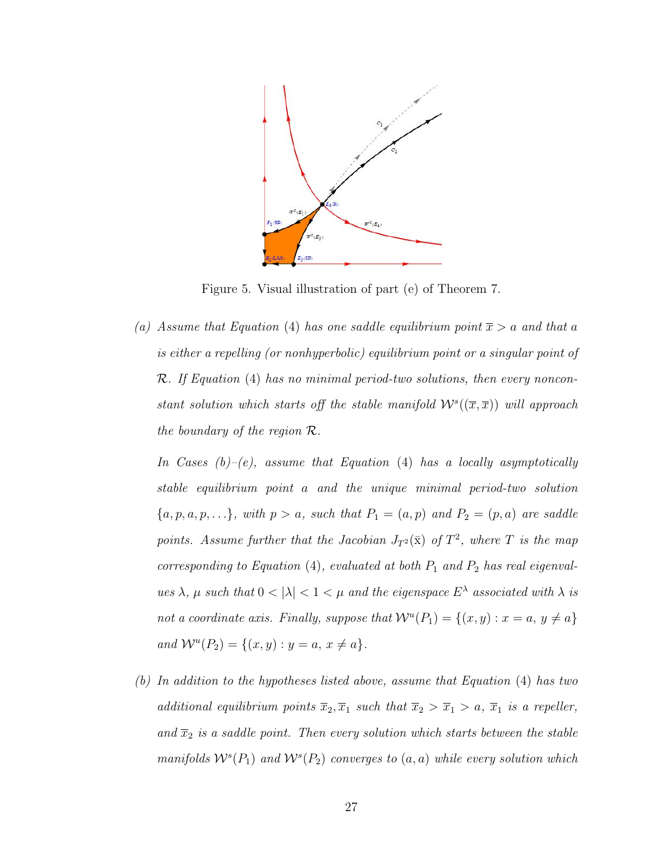

Figure 5. Visual illustration of part (e) of Theorem [7.](#page-32-0)

(a) Assume that Equation [\(4\)](#page-25-0) has one saddle equilibrium point  $\bar{x} > a$  and that a is either a repelling (or nonhyperbolic) equilibrium point or a singular point of R. If Equation [\(4\)](#page-25-0) has no minimal period-two solutions, then every nonconstant solution which starts off the stable manifold  $W^s((\overline{x}, \overline{x}))$  will approach the boundary of the region R.

In Cases  $(b)-(e)$ , assume that Equation  $(4)$  has a locally asymptotically stable equilibrium point a and the unique minimal period-two solution  ${a, p, a, p, \ldots}$ , with  $p > a$ , such that  $P_1 = (a, p)$  and  $P_2 = (p, a)$  are saddle points. Assume further that the Jacobian  $J_{T^2}(\bar{x})$  of  $T^2$ , where T is the map corresponding to Equation  $(4)$ , evaluated at both  $P_1$  and  $P_2$  has real eigenvalues  $\lambda$ ,  $\mu$  such that  $0 < |\lambda| < 1 < \mu$  and the eigenspace  $E^{\lambda}$  associated with  $\lambda$  is not a coordinate axis. Finally, suppose that  $\mathcal{W}^u(P_1) = \{(x, y) : x = a, y \neq a\}$ and  $W^u(P_2) = \{(x, y) : y = a, x \neq a\}.$ 

(b) In addition to the hypotheses listed above, assume that Equation [\(4\)](#page-25-0) has two additional equilibrium points  $\overline{x}_2, \overline{x}_1$  such that  $\overline{x}_2 > \overline{x}_1 > a$ ,  $\overline{x}_1$  is a repeller, and  $\overline{x}_2$  is a saddle point. Then every solution which starts between the stable manifolds  $\mathcal{W}^s(P_1)$  and  $\mathcal{W}^s(P_2)$  converges to  $(a, a)$  while every solution which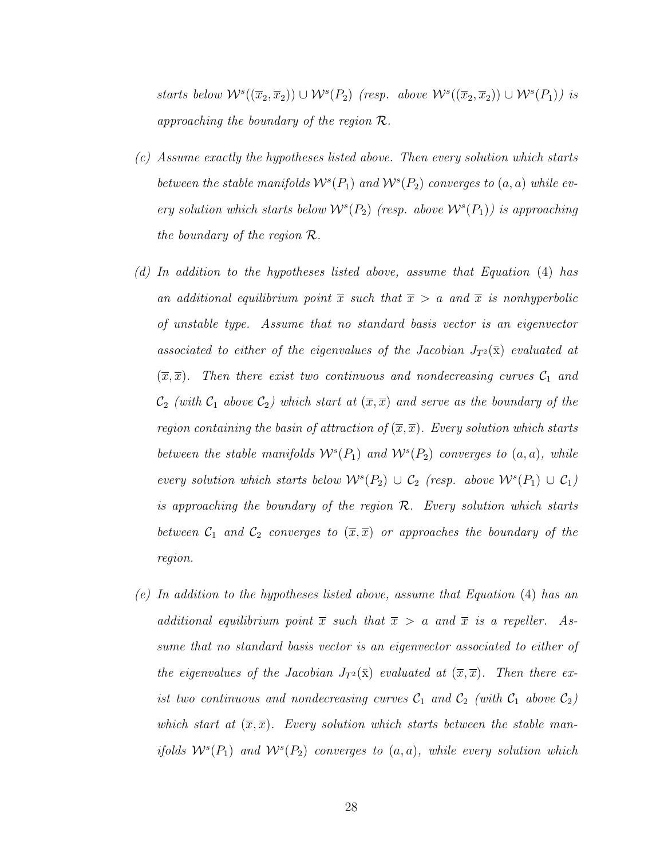starts below  $W^s((\overline{x}_2, \overline{x}_2)) \cup W^s(P_2)$  (resp. above  $W^s((\overline{x}_2, \overline{x}_2)) \cup W^s(P_1)$ ) is approaching the boundary of the region  $\mathcal{R}$ .

- (c) Assume exactly the hypotheses listed above. Then every solution which starts between the stable manifolds  $W^{s}(P_1)$  and  $W^{s}(P_2)$  converges to  $(a, a)$  while every solution which starts below  $\mathcal{W}^s(P_2)$  (resp. above  $\mathcal{W}^s(P_1)$ ) is approaching the boundary of the region R.
- (d) In addition to the hypotheses listed above, assume that Equation [\(4\)](#page-25-0) has an additional equilibrium point  $\bar{x}$  such that  $\bar{x} > a$  and  $\bar{x}$  is nonhyperbolic of unstable type. Assume that no standard basis vector is an eigenvector associated to either of the eigenvalues of the Jacobian  $J_{T^2}(\bar{x})$  evaluated at  $(\overline{x}, \overline{x})$ . Then there exist two continuous and nondecreasing curves  $\mathcal{C}_1$  and  $C_2$  (with  $C_1$  above  $C_2$ ) which start at  $(\overline{x}, \overline{x})$  and serve as the boundary of the region containing the basin of attraction of  $(\overline{x}, \overline{x})$ . Every solution which starts between the stable manifolds  $W^{s}(P_1)$  and  $W^{s}(P_2)$  converges to  $(a, a)$ , while every solution which starts below  $W^{s}(P_2) \cup C_2$  (resp. above  $W^{s}(P_1) \cup C_1$ ) is approaching the boundary of the region  $\mathcal{R}$ . Every solution which starts between  $C_1$  and  $C_2$  converges to  $(\overline{x}, \overline{x})$  or approaches the boundary of the region.
- (e) In addition to the hypotheses listed above, assume that Equation [\(4\)](#page-25-0) has an additional equilibrium point  $\overline{x}$  such that  $\overline{x} > a$  and  $\overline{x}$  is a repeller. Assume that no standard basis vector is an eigenvector associated to either of the eigenvalues of the Jacobian  $J_{T^2}(\bar{x})$  evaluated at  $(\bar{x}, \bar{x})$ . Then there exist two continuous and nondecreasing curves  $C_1$  and  $C_2$  (with  $C_1$  above  $C_2$ ) which start at  $(\overline{x}, \overline{x})$ . Every solution which starts between the stable manifolds  $W^{s}(P_1)$  and  $W^{s}(P_2)$  converges to  $(a, a)$ , while every solution which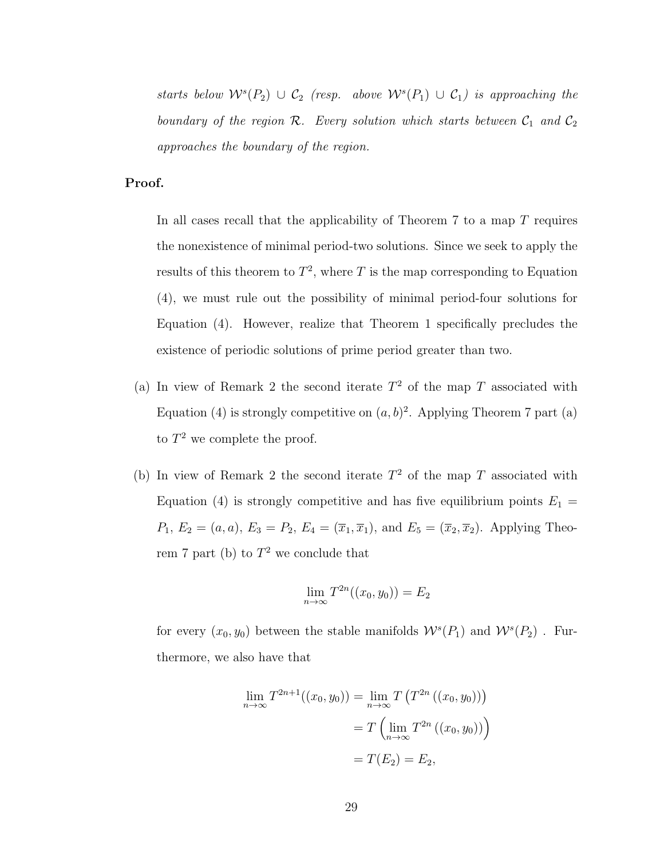starts below  $\mathcal{W}^s(P_2) \cup \mathcal{C}_2$  (resp. above  $\mathcal{W}^s(P_1) \cup \mathcal{C}_1$ ) is approaching the boundary of the region  $\mathcal{R}$ . Every solution which starts between  $\mathcal{C}_1$  and  $\mathcal{C}_2$ approaches the boundary of the region.

### Proof.

In all cases recall that the applicability of Theorem  $7$  to a map  $T$  requires the nonexistence of minimal period-two solutions. Since we seek to apply the results of this theorem to  $T^2$ , where T is the map corresponding to Equation [\(4\)](#page-25-0), we must rule out the possibility of minimal period-four solutions for Equation [\(4\)](#page-25-0). However, realize that Theorem [1](#page-25-1) specifically precludes the existence of periodic solutions of prime period greater than two.

- (a) In view of Remark [2](#page-31-0) the second iterate  $T^2$  of the map T associated with Equation [\(4\)](#page-25-0) is strongly competitive on  $(a, b)^2$ . Applying Theorem [7](#page-32-0) part (a) to  $T^2$  we complete the proof.
- (b) In view of Remark [2](#page-31-0) the second iterate  $T^2$  of the map T associated with Equation [\(4\)](#page-25-0) is strongly competitive and has five equilibrium points  $E_1 =$  $P_1, E_2 = (a, a), E_3 = P_2, E_4 = (\overline{x}_1, \overline{x}_1), \text{ and } E_5 = (\overline{x}_2, \overline{x}_2).$  Applying Theo-rem [7](#page-32-0) part (b) to  $T^2$  we conclude that

$$
\lim_{n \to \infty} T^{2n}((x_0, y_0)) = E_2
$$

for every  $(x_0, y_0)$  between the stable manifolds  $\mathcal{W}^s(P_1)$  and  $\mathcal{W}^s(P_2)$ . Furthermore, we also have that

$$
\lim_{n \to \infty} T^{2n+1}((x_0, y_0)) = \lim_{n \to \infty} T(T^{2n}((x_0, y_0)))
$$

$$
= T(\lim_{n \to \infty} T^{2n}((x_0, y_0)))
$$

$$
= T(E_2) = E_2,
$$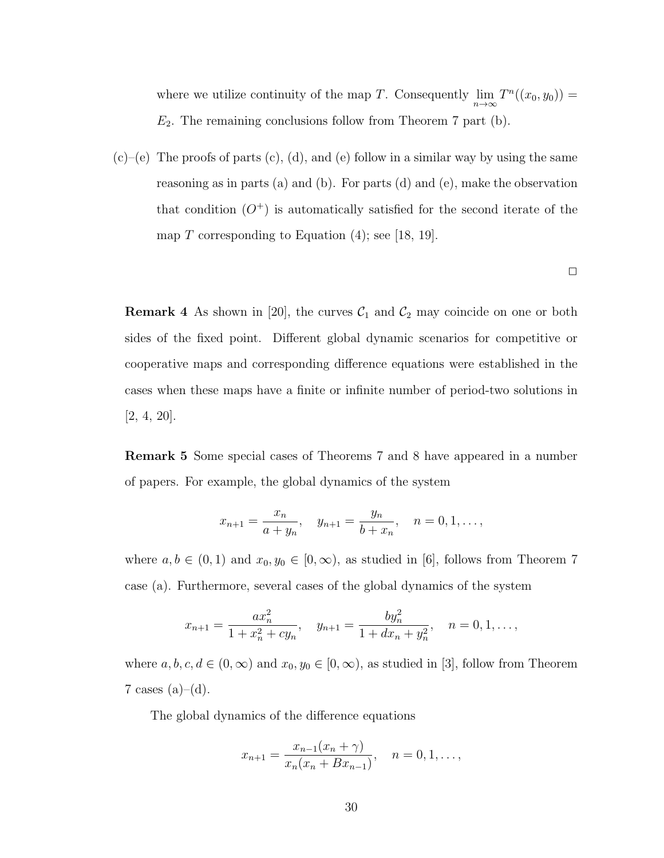where we utilize continuity of the map T. Consequently  $\lim_{n\to\infty} T^n((x_0, y_0)) =$  $E_2$ . The remaining conclusions follow from Theorem [7](#page-32-0) part (b).

 $(c)$ – $(e)$  The proofs of parts  $(c)$ ,  $(d)$ , and  $(e)$  follow in a similar way by using the same reasoning as in parts (a) and (b). For parts (d) and (e), make the observation that condition  $(O^+)$  is automatically satisfied for the second iterate of the map T corresponding to Equation  $(4)$ ; see [\[18,](#page-65-1) [19\]](#page-65-2).

 $\Box$ 

**Remark 4** As shown in [\[20\]](#page-65-3), the curves  $C_1$  and  $C_2$  may coincide on one or both sides of the fixed point. Different global dynamic scenarios for competitive or cooperative maps and corresponding difference equations were established in the cases when these maps have a finite or infinite number of period-two solutions in [\[2,](#page-63-0) [4,](#page-63-1) [20\]](#page-65-3).

Remark 5 Some special cases of Theorems [7](#page-32-0) and [8](#page-38-0) have appeared in a number of papers. For example, the global dynamics of the system

$$
x_{n+1} = \frac{x_n}{a+y_n}, \quad y_{n+1} = \frac{y_n}{b+x_n}, \quad n = 0, 1, \ldots,
$$

where  $a, b \in (0, 1)$  and  $x_0, y_0 \in [0, \infty)$ , as studied in [\[6\]](#page-64-1), follows from Theorem [7](#page-32-0) case (a). Furthermore, several cases of the global dynamics of the system

$$
x_{n+1} = \frac{ax_n^2}{1 + x_n^2 + cy_n}, \quad y_{n+1} = \frac{by_n^2}{1 + dx_n + y_n^2}, \quad n = 0, 1, \dots,
$$

where  $a, b, c, d \in (0, \infty)$  and  $x_0, y_0 \in [0, \infty)$ , as studied in [\[3\]](#page-63-2), follow from Theorem [7](#page-32-0) cases  $(a)–(d)$ .

The global dynamics of the difference equations

$$
x_{n+1} = \frac{x_{n-1}(x_n + \gamma)}{x_n(x_n + Bx_{n-1})}, \quad n = 0, 1, \dots,
$$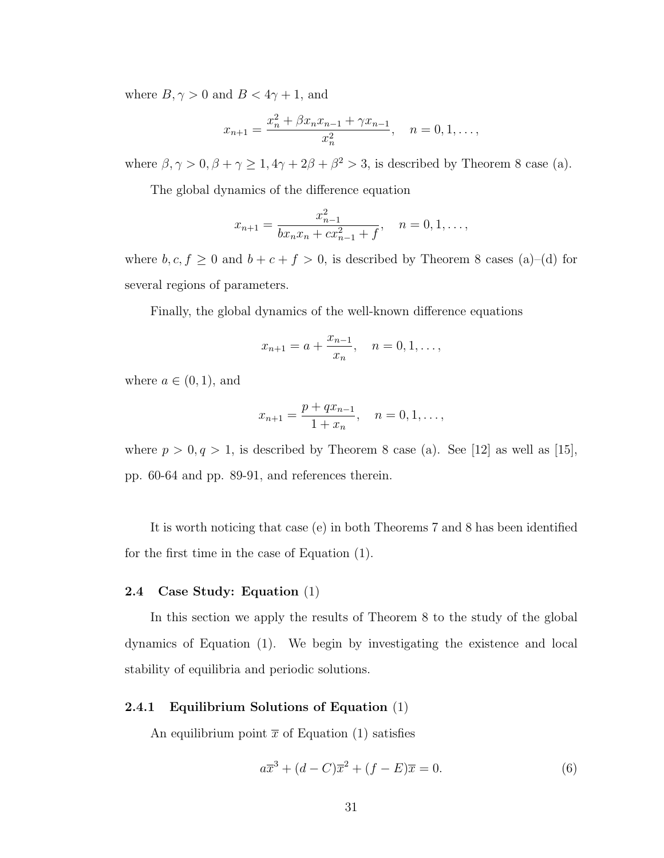where  $B, \gamma > 0$  and  $B < 4\gamma + 1$ , and

$$
x_{n+1} = \frac{x_n^2 + \beta x_n x_{n-1} + \gamma x_{n-1}}{x_n^2}, \quad n = 0, 1, \dots,
$$

where  $\beta, \gamma > 0, \beta + \gamma \geq 1, 4\gamma + 2\beta + \beta^2 > 3$ , is described by Theorem [8](#page-38-0) case (a).

The global dynamics of the difference equation

$$
x_{n+1} = \frac{x_{n-1}^2}{bx_nx_n + cx_{n-1}^2 + f}, \quad n = 0, 1, \dots,
$$

where  $b, c, f \ge 0$  and  $b + c + f > 0$ , is described by Theorem [8](#page-38-0) cases (a)–(d) for several regions of parameters.

Finally, the global dynamics of the well-known difference equations

$$
x_{n+1} = a + \frac{x_{n-1}}{x_n}, \quad n = 0, 1, \ldots,
$$

where  $a \in (0,1)$ , and

$$
x_{n+1} = \frac{p + qx_{n-1}}{1 + x_n}, \quad n = 0, 1, \dots,
$$

where  $p > 0, q > 1$ , is described by Theorem [8](#page-38-0) case (a). See [\[12\]](#page-64-2) as well as [\[15\]](#page-64-3), pp. 60-64 and pp. 89-91, and references therein.

It is worth noticing that case (e) in both Theorems [7](#page-32-0) and [8](#page-38-0) has been identified for the first time in the case of Equation [\(1\)](#page-23-0).

#### 2.4 Case Study: Equation [\(1\)](#page-23-0)

In this section we apply the results of Theorem [8](#page-38-0) to the study of the global dynamics of Equation [\(1\)](#page-23-0). We begin by investigating the existence and local stability of equilibria and periodic solutions.

### 2.4.1 Equilibrium Solutions of Equation [\(1\)](#page-23-0)

An equilibrium point  $\bar{x}$  of Equation [\(1\)](#page-23-0) satisfies

<span id="page-44-0"></span>
$$
a\overline{x}^{3} + (d - C)\overline{x}^{2} + (f - E)\overline{x} = 0.
$$
 (6)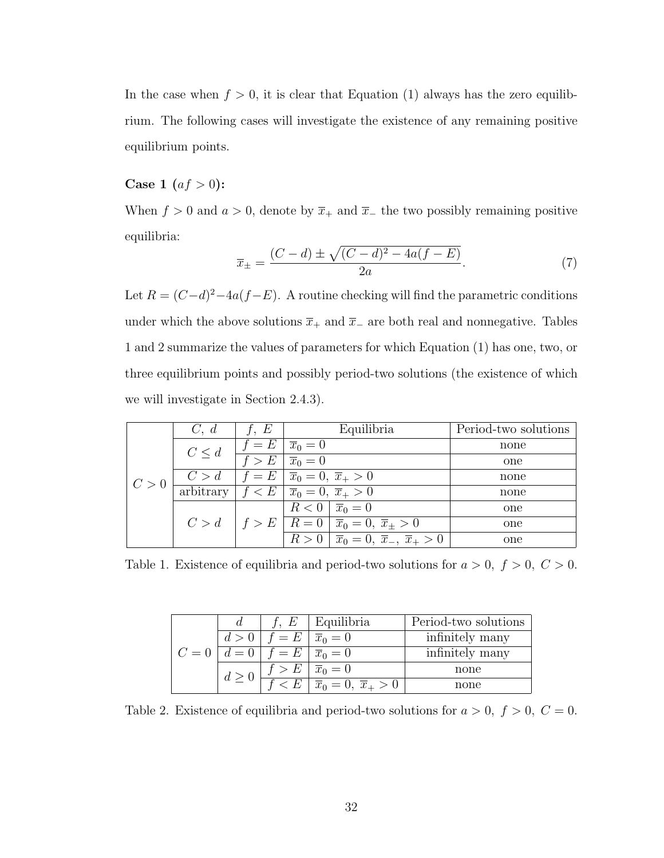In the case when  $f > 0$ , it is clear that Equation [\(1\)](#page-23-0) always has the zero equilibrium. The following cases will investigate the existence of any remaining positive equilibrium points.

# **Case 1**  $(af > 0)$ :

When  $f > 0$  and  $a > 0$ , denote by  $\overline{x}_+$  and  $\overline{x}_-$  the two possibly remaining positive equilibria:

<span id="page-45-2"></span>
$$
\overline{x}_{\pm} = \frac{(C-d) \pm \sqrt{(C-d)^2 - 4a(f-E)}}{2a}.
$$
\n(7)

Let  $R = (C-d)^2-4a(f-E)$ . A routine checking will find the parametric conditions under which the above solutions  $\overline{x}_+$  and  $\overline{x}_-$  are both real and nonnegative. Tables [1](#page-45-0) and [2](#page-45-1) summarize the values of parameters for which Equation [\(1\)](#page-23-0) has one, two, or three equilibrium points and possibly period-two solutions (the existence of which we will investigate in Section [2.4.3\)](#page-51-0).

|     | C, d       | f, E    | Equilibria                                                                  | Period-two solutions |
|-----|------------|---------|-----------------------------------------------------------------------------|----------------------|
|     | $C \leq d$ | $f = E$ | $\overline{x}_0 = 0$                                                        | none                 |
|     |            | f > E   | $\overline{x}_0 = 0$                                                        | one                  |
| C>0 | C > d      |         | $f = E   \overline{x}_0 = 0, \overline{x}_+ > 0$                            | none                 |
|     | arbitrary  |         | $f < E \mid \overline{x}_0 = 0, \overline{x}_+ > 0$                         | none                 |
|     |            |         | $R < 0   \bar{x}_0 = 0$                                                     | one                  |
|     |            |         | $C > d$   $f > E$   $R = 0$   $\overline{x}_0 = 0$ , $\overline{x}_\pm > 0$ | one                  |
|     |            |         | $R > 0$   $\overline{x}_0 = 0$ , $\overline{x}_-$ , $\overline{x}_+ > 0$    | one                  |

<span id="page-45-0"></span>Table 1. Existence of equilibria and period-two solutions for  $a > 0$ ,  $f > 0$ ,  $C > 0$ .

|            |                                              | f, $E$   Equilibria                                 | Period-two solutions |
|------------|----------------------------------------------|-----------------------------------------------------|----------------------|
| d>0        |                                              | $f = E \mid \overline{x}_0 = 0$                     | infinitely many      |
|            | $C = 0   d = 0   f = E   \overline{x}_0 = 0$ |                                                     | infinitely many      |
| $d \geq 0$ |                                              | $f > E \mid \overline{x}_0 = 0$                     | none                 |
|            |                                              | $\lt E \mid \overline{x}_0 = 0, \overline{x}_+ > 0$ | none                 |

<span id="page-45-1"></span>Table 2. Existence of equilibria and period-two solutions for  $a > 0$ ,  $f > 0$ ,  $C = 0$ .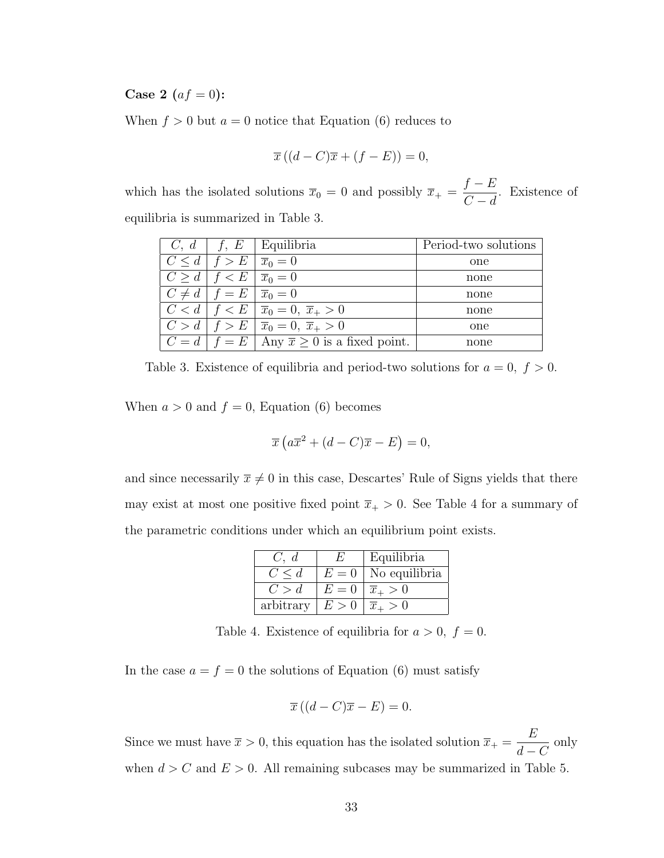**Case 2** ( $af = 0$ ):

When  $f > 0$  but  $a = 0$  notice that Equation [\(6\)](#page-44-0) reduces to

$$
\overline{x}\left((d-C)\overline{x}+(f-E)\right)=0,
$$

which has the isolated solutions  $\bar{x}_0 = 0$  and possibly  $\bar{x}_+$  =  $f - E$  $C - d$ . Existence of equilibria is summarized in Table [3.](#page-46-0)

|                                               | $C, d \mid f, E \mid$ Equilibria                                            | Period-two solutions |
|-----------------------------------------------|-----------------------------------------------------------------------------|----------------------|
| $C < d   f > E   \overline{x}_0 = 0$          |                                                                             | one                  |
| $C > d \mid f < E \mid \overline{x}_0 = 0$    |                                                                             | none                 |
| $C \neq d \mid f = E \mid \overline{x}_0 = 0$ |                                                                             | none                 |
|                                               | $C < d   f < E   \overline{x}_0 = 0, \overline{x}_+ > 0$                    | none                 |
|                                               | $C > d   f > E   \overline{x}_0 = 0, \overline{x}_+ > 0$                    | one                  |
|                                               | $C = d   f = E   \text{Any } \overline{x} \geq 0 \text{ is a fixed point.}$ | none                 |

<span id="page-46-0"></span>Table 3. Existence of equilibria and period-two solutions for  $a = 0, f > 0$ .

When  $a > 0$  and  $f = 0$ , Equation [\(6\)](#page-44-0) becomes

$$
\overline{x}\left(a\overline{x}^2 + (d-C)\overline{x} - E\right) = 0,
$$

and since necessarily  $\bar{x} \neq 0$  in this case, Descartes' Rule of Signs yields that there may exist at most one positive fixed point  $\overline{x}_+ > 0$ . See Table [4](#page-46-1) for a summary of the parametric conditions under which an equilibrium point exists.

| C, d       |       | Equilibria           |
|------------|-------|----------------------|
| $C \leq d$ | $E=0$ | No equilibria        |
| C > d      | $E=0$ | $\overline{x}_+ > 0$ |
| arbitrary  | E>0   | $\overline{x}_+ > 0$ |

<span id="page-46-1"></span>Table 4. Existence of equilibria for  $a > 0$ ,  $f = 0$ .

In the case  $a = f = 0$  the solutions of Equation [\(6\)](#page-44-0) must satisfy

$$
\overline{x}\left((d-C)\overline{x}-E\right)=0.
$$

Since we must have  $\bar{x} > 0$ , this equation has the isolated solution  $\bar{x}_+$  = E  $d - C$ only when  $d > C$  and  $E > 0$ . All remaining subcases may be summarized in Table [5.](#page-47-0)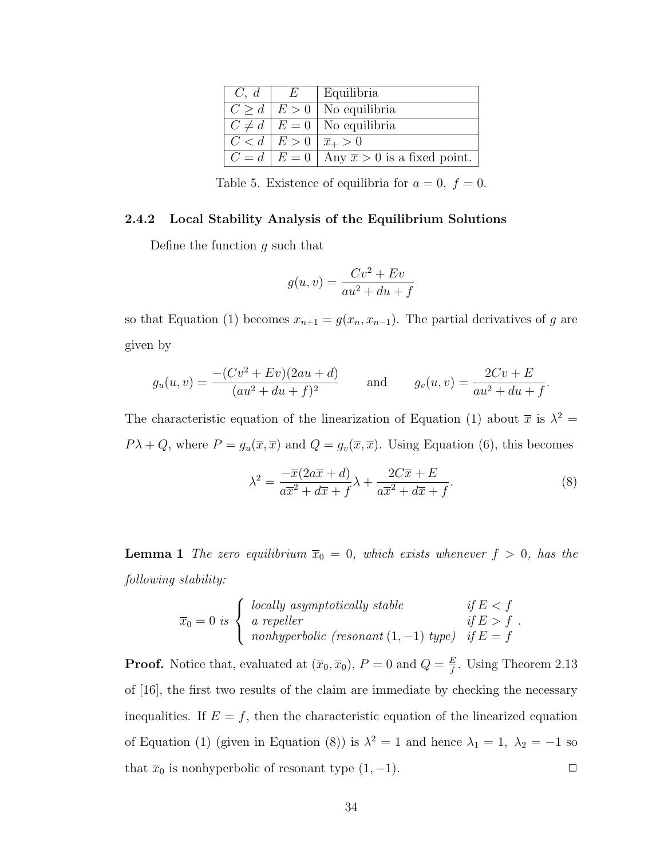| C, d                                  | $E_{\rm c}$ | Equilibria                                                                |
|---------------------------------------|-------------|---------------------------------------------------------------------------|
|                                       |             | $ C > d   E > 0  $ No equilibria                                          |
|                                       |             | $C \neq d \mid E = 0$ No equilibria                                       |
| $ C < d   E > 0   \overline{x}_+ > 0$ |             |                                                                           |
|                                       |             | $ C = d   E = 0   \text{Any } \overline{x} > 0 \text{ is a fixed point.}$ |

<span id="page-47-0"></span>Table 5. Existence of equilibria for  $a = 0, f = 0$ .

### 2.4.2 Local Stability Analysis of the Equilibrium Solutions

Define the function  $q$  such that

$$
g(u, v) = \frac{Cv^2 + Ev}{au^2 + du + f}
$$

so that Equation [\(1\)](#page-23-0) becomes  $x_{n+1} = g(x_n, x_{n-1})$ . The partial derivatives of g are given by

$$
g_u(u, v) = \frac{-(Cv^2 + Ev)(2au + d)}{(au^2 + du + f)^2}
$$
 and  $g_v(u, v) = \frac{2Cv + E}{au^2 + du + f}$ .

The characteristic equation of the linearization of Equation [\(1\)](#page-23-0) about  $\bar{x}$  is  $\lambda^2 =$  $P\lambda + Q$ , where  $P = g_u(\overline{x}, \overline{x})$  and  $Q = g_v(\overline{x}, \overline{x})$ . Using Equation [\(6\)](#page-44-0), this becomes

<span id="page-47-1"></span>
$$
\lambda^2 = \frac{-\overline{x}(2a\overline{x} + d)}{a\overline{x}^2 + d\overline{x} + f} \lambda + \frac{2C\overline{x} + E}{a\overline{x}^2 + d\overline{x} + f}.
$$
 (8)

<span id="page-47-2"></span>**Lemma 1** The zero equilibrium  $\overline{x}_0 = 0$ , which exists whenever  $f > 0$ , has the following stability:

$$
\overline{x}_0 = 0 \text{ is } \begin{cases} \text{ locally asymptotically stable} & \text{if } E < f \\ \text{a repeller} & \text{if } E > f \\ \text{nonhyperbolic (resonant (1, -1) type)} & \text{if } E = f \end{cases}.
$$

**Proof.** Notice that, evaluated at  $(\overline{x}_0, \overline{x}_0)$ ,  $P = 0$  and  $Q = \frac{E}{f}$  $\frac{E}{f}$ . Using Theorem 2.13 of [\[16\]](#page-64-4), the first two results of the claim are immediate by checking the necessary inequalities. If  $E = f$ , then the characteristic equation of the linearized equation of Equation [\(1\)](#page-23-0) (given in Equation [\(8\)](#page-47-1)) is  $\lambda^2 = 1$  and hence  $\lambda_1 = 1$ ,  $\lambda_2 = -1$  so that  $\overline{x}_0$  is nonhyperbolic of resonant type  $(1, -1)$ .  $\Box$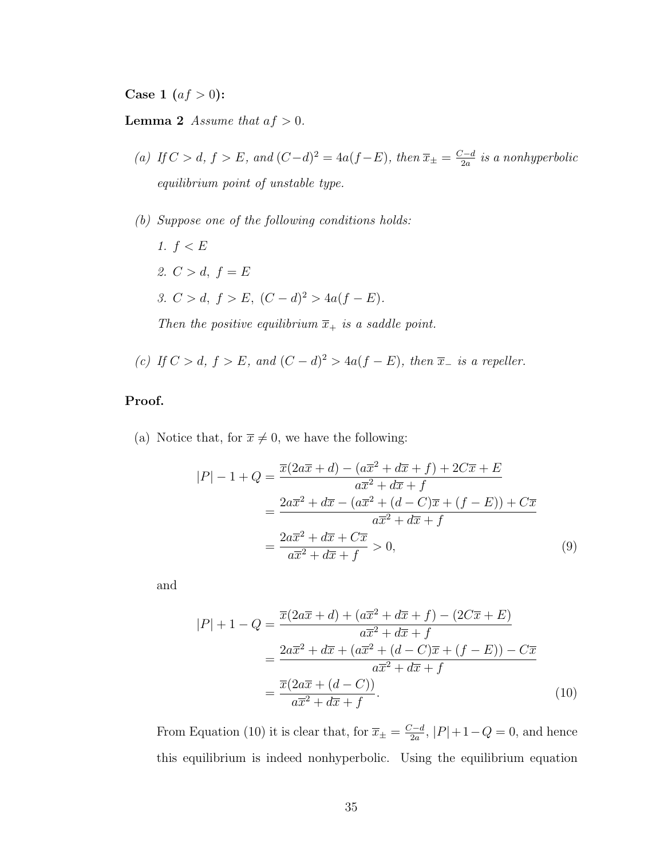**Case 1**  $(af > 0)$ :

**Lemma 2** Assume that  $af > 0$ .

- (a) If  $C > d$ ,  $f > E$ , and  $(C-d)^2 = 4a(f-E)$ , then  $\overline{x_{\pm}} = \frac{C-d}{2a}$  $\frac{z-d}{2a}$  is a nonhyperbolic equilibrium point of unstable type.
- (b) Suppose one of the following conditions holds:
	- 1.  $f < E$ 2.  $C > d$ ,  $f = E$ 3.  $C > d$ ,  $f > E$ ,  $(C - d)^2 > 4a(f - E)$ . Then the positive equilibrium  $\overline{x}_+$  is a saddle point.
	-
- (c) If  $C > d$ ,  $f > E$ , and  $(C d)^2 > 4a(f E)$ , then  $\overline{x}_{-}$  is a repeller.

# Proof.

(a) Notice that, for  $\bar{x} \neq 0$ , we have the following:

<span id="page-48-1"></span>
$$
|P| - 1 + Q = \frac{\overline{x}(2a\overline{x} + d) - (a\overline{x}^2 + d\overline{x} + f) + 2C\overline{x} + E}{a\overline{x}^2 + d\overline{x} + f}
$$
  
= 
$$
\frac{2a\overline{x}^2 + d\overline{x} - (a\overline{x}^2 + (d - C)\overline{x} + (f - E)) + C\overline{x}}{a\overline{x}^2 + d\overline{x} + f}
$$
  
= 
$$
\frac{2a\overline{x}^2 + d\overline{x} + C\overline{x}}{a\overline{x}^2 + d\overline{x} + f} > 0,
$$
 (9)

and

<span id="page-48-0"></span>
$$
|P| + 1 - Q = \frac{\overline{x}(2a\overline{x} + d) + (a\overline{x}^2 + d\overline{x} + f) - (2C\overline{x} + E)}{a\overline{x}^2 + d\overline{x} + f} = \frac{2a\overline{x}^2 + d\overline{x} + (a\overline{x}^2 + (d - C)\overline{x} + (f - E)) - C\overline{x}}{a\overline{x}^2 + d\overline{x} + f} = \frac{\overline{x}(2a\overline{x} + (d - C))}{a\overline{x}^2 + d\overline{x} + f}.
$$
(10)

From Equation [\(10\)](#page-48-0) it is clear that, for  $\overline{x}_{\pm} = \frac{C-d}{2a}$  $\frac{Z-d}{2a}$ ,  $|P|+1-Q=0$ , and hence this equilibrium is indeed nonhyperbolic. Using the equilibrium equation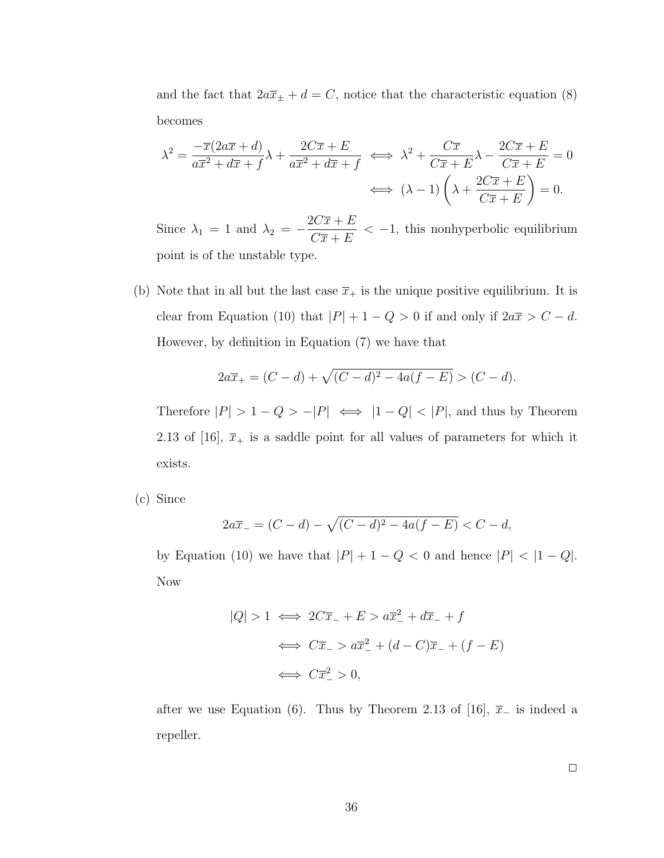and the fact that  $2a\overline{x}_{\pm} + d = C$ , notice that the characteristic equation [\(8\)](#page-47-1) becomes

$$
\lambda^{2} = \frac{-\overline{x}(2a\overline{x} + d)}{a\overline{x}^{2} + d\overline{x} + f} \lambda + \frac{2C\overline{x} + E}{a\overline{x}^{2} + d\overline{x} + f} \iff \lambda^{2} + \frac{C\overline{x}}{C\overline{x} + E} \lambda - \frac{2C\overline{x} + E}{C\overline{x} + E} = 0
$$

$$
\iff (\lambda - 1) \left(\lambda + \frac{2C\overline{x} + E}{C\overline{x} + E}\right) = 0.
$$

Since  $\lambda_1 = 1$  and  $\lambda_2 = -\frac{2C\overline{x} + E}{C\overline{x} + E}$  $C\overline{x} + E$  $<-1$ , this nonhyperbolic equilibrium point is of the unstable type.

(b) Note that in all but the last case  $\bar{x}_+$  is the unique positive equilibrium. It is clear from Equation [\(10\)](#page-48-0) that  $|P| + 1 - Q > 0$  if and only if  $2a\overline{x} > C - d$ . However, by definition in Equation [\(7\)](#page-45-2) we have that

$$
2a\overline{x}_{+} = (C - d) + \sqrt{(C - d)^{2} - 4a(f - E)} > (C - d).
$$

Therefore  $|P| > 1 - Q > -|P| \iff |1 - Q| < |P|$ , and thus by Theorem 2.13 of [\[16\]](#page-64-4),  $\bar{x}_+$  is a saddle point for all values of parameters for which it exists.

(c) Since

$$
2a\overline{x}_{-} = (C - d) - \sqrt{(C - d)^2 - 4a(f - E)} < C - d,
$$

by Equation [\(10\)](#page-48-0) we have that  $|P| + 1 - Q < 0$  and hence  $|P| < |1 - Q|$ . Now

$$
|Q| > 1 \iff 2C\overline{x}_{-} + E > a\overline{x}_{-}^{2} + d\overline{x}_{-} + f
$$

$$
\iff C\overline{x}_{-} > a\overline{x}_{-}^{2} + (d - C)\overline{x}_{-} + (f - E)
$$

$$
\iff C\overline{x}_{-}^{2} > 0,
$$

after we use Equation [\(6\)](#page-44-0). Thus by Theorem 2.13 of [\[16\]](#page-64-4),  $\bar{x}_-$  is indeed a repeller.

 $\Box$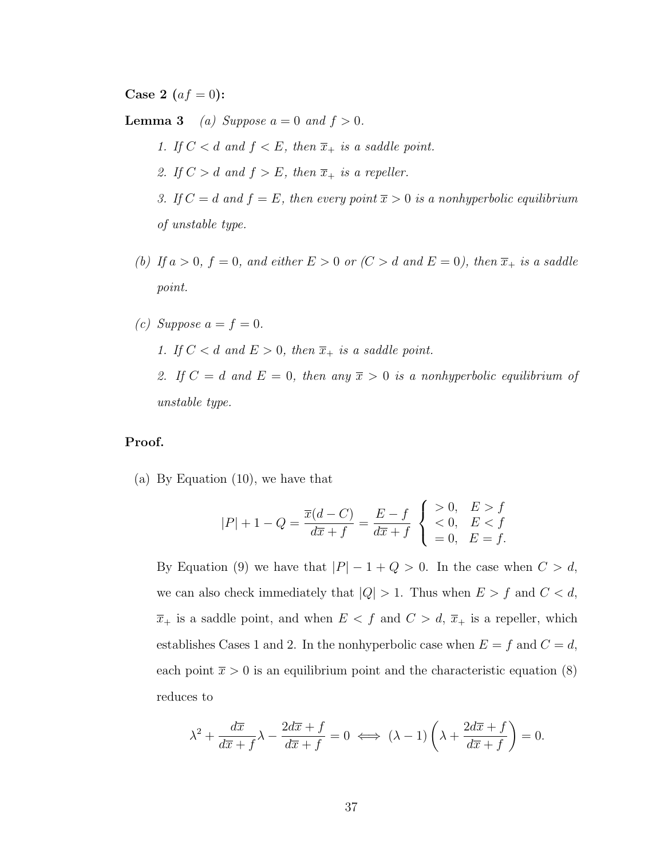**Case 2** ( $af = 0$ ):

**Lemma 3** (a) Suppose  $a = 0$  and  $f > 0$ .

- 1. If  $C < d$  and  $f < E$ , then  $\overline{x}_+$  is a saddle point. 2. If  $C > d$  and  $f > E$ , then  $\overline{x}_+$  is a repeller. 3. If  $C = d$  and  $f = E$ , then every point  $\overline{x} > 0$  is a nonhyperbolic equilibrium of unstable type.
- (b) If  $a > 0$ ,  $f = 0$ , and either  $E > 0$  or  $(C > d$  and  $E = 0)$ , then  $\overline{x}_+$  is a saddle point.

\n- (c) Suppose 
$$
a = f = 0
$$
.
\n- 1. If  $C < d$  and  $E > 0$ , then  $\overline{x}_+$  is a saddle point.
\n- 2. If  $C = d$  and  $E = 0$ , then any  $\overline{x} > 0$  is a nonhyperbolic equilibrium of unstable type.
\n

# Proof.

(a) By Equation [\(10\)](#page-48-0), we have that

$$
|P| + 1 - Q = \frac{\overline{x}(d - C)}{d\overline{x} + f} = \frac{E - f}{d\overline{x} + f} \begin{cases} > 0, \quad E > f \\ < 0, \quad E < f \\ = 0, \quad E = f. \end{cases}
$$

By Equation [\(9\)](#page-48-1) we have that  $|P| - 1 + Q > 0$ . In the case when  $C > d$ , we can also check immediately that  $|Q| > 1$ . Thus when  $E > f$  and  $C < d$ ,  $\overline{x}_+$  is a saddle point, and when  $E < f$  and  $C > d$ ,  $\overline{x}_+$  is a repeller, which establishes Cases 1 and 2. In the nonhyperbolic case when  $E = f$  and  $C = d$ , each point  $\bar{x} > 0$  is an equilibrium point and the characteristic equation [\(8\)](#page-47-1) reduces to

$$
\lambda^2 + \frac{d\overline{x}}{d\overline{x} + f} \lambda - \frac{2d\overline{x} + f}{d\overline{x} + f} = 0 \iff (\lambda - 1) \left( \lambda + \frac{2d\overline{x} + f}{d\overline{x} + f} \right) = 0.
$$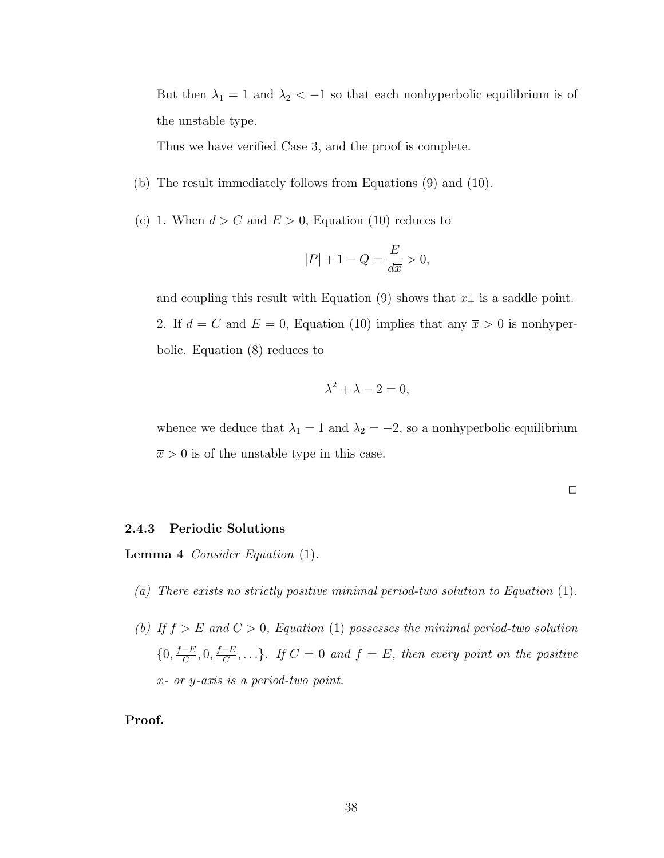But then  $\lambda_1 = 1$  and  $\lambda_2 < -1$  so that each nonhyperbolic equilibrium is of the unstable type.

Thus we have verified Case 3, and the proof is complete.

- (b) The result immediately follows from Equations [\(9\)](#page-48-1) and [\(10\)](#page-48-0).
- (c) 1. When  $d > C$  and  $E > 0$ , Equation [\(10\)](#page-48-0) reduces to

$$
|P| + 1 - Q = \frac{E}{d\overline{x}} > 0,
$$

and coupling this result with Equation [\(9\)](#page-48-1) shows that  $\bar{x}_+$  is a saddle point. 2. If  $d = C$  and  $E = 0$ , Equation [\(10\)](#page-48-0) implies that any  $\bar{x} > 0$  is nonhyperbolic. Equation [\(8\)](#page-47-1) reduces to

$$
\lambda^2 + \lambda - 2 = 0,
$$

whence we deduce that  $\lambda_1 = 1$  and  $\lambda_2 = -2$ , so a nonhyperbolic equilibrium  $\bar{x} > 0$  is of the unstable type in this case.

#### <span id="page-51-0"></span>2.4.3 Periodic Solutions

Lemma 4 Consider Equation [\(1\)](#page-23-0).

- (a) There exists no strictly positive minimal period-two solution to Equation [\(1\)](#page-23-0).
- (b) If  $f > E$  and  $C > 0$ , Equation [\(1\)](#page-23-0) possesses the minimal period-two solution  $\{0, \frac{f-E}{C}\}$  $\frac{-E}{C}, 0, \frac{f-E}{C}$  $\frac{-E}{C}, \ldots$ }. If  $C = 0$  and  $f = E$ , then every point on the positive x- or y-axis is a period-two point.

Proof.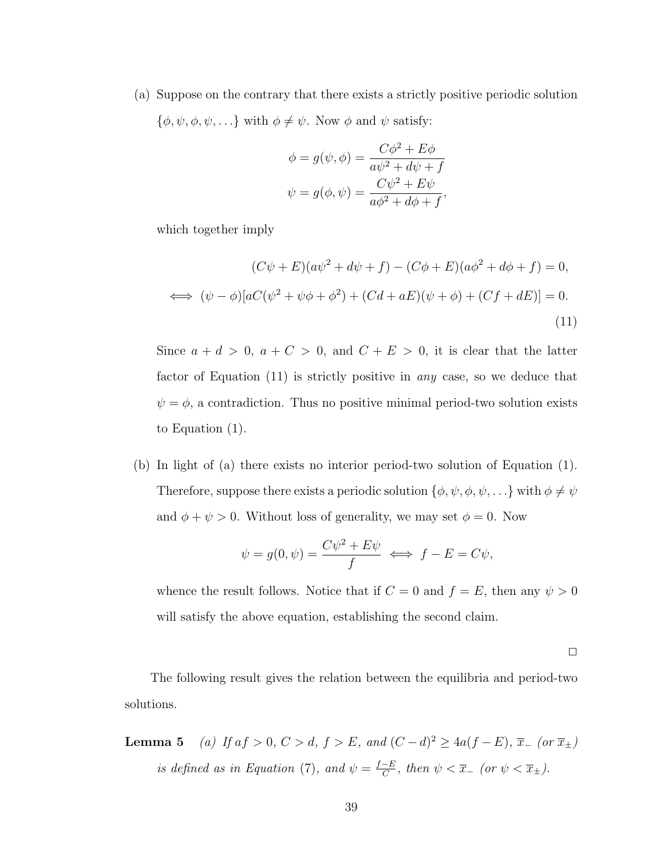(a) Suppose on the contrary that there exists a strictly positive periodic solution  ${\phi, \psi, \phi, \psi, \ldots}$  with  $\phi \neq \psi$ . Now  $\phi$  and  $\psi$  satisfy:

<span id="page-52-0"></span>
$$
\phi = g(\psi, \phi) = \frac{C\phi^2 + E\phi}{a\psi^2 + d\psi + f}
$$

$$
\psi = g(\phi, \psi) = \frac{C\psi^2 + E\psi}{a\phi^2 + d\phi + f},
$$

which together imply

$$
(C\psi + E)(a\psi^2 + d\psi + f) - (C\phi + E)(a\phi^2 + d\phi + f) = 0,
$$
  

$$
\iff (\psi - \phi)[aC(\psi^2 + \psi\phi + \phi^2) + (Cd + aE)(\psi + \phi) + (Cf + dE)] = 0.
$$
  
(11)

Since  $a + d > 0$ ,  $a + C > 0$ , and  $C + E > 0$ , it is clear that the latter factor of Equation [\(11\)](#page-52-0) is strictly positive in any case, so we deduce that  $\psi = \phi$ , a contradiction. Thus no positive minimal period-two solution exists to Equation [\(1\)](#page-23-0).

(b) In light of (a) there exists no interior period-two solution of Equation [\(1\)](#page-23-0). Therefore, suppose there exists a periodic solution  $\{\phi, \psi, \phi, \psi, \ldots\}$  with  $\phi \neq \psi$ and  $\phi + \psi > 0$ . Without loss of generality, we may set  $\phi = 0$ . Now

$$
\psi = g(0, \psi) = \frac{C\psi^2 + E\psi}{f} \iff f - E = C\psi,
$$

whence the result follows. Notice that if  $C = 0$  and  $f = E$ , then any  $\psi > 0$ will satisfy the above equation, establishing the second claim.

 $\Box$ 

The following result gives the relation between the equilibria and period-two solutions.

**Lemma 5** (a) If  $af > 0$ ,  $C > d$ ,  $f > E$ , and  $(C - d)^2 \ge 4a(f - E)$ ,  $\overline{x}$  (or  $\overline{x}$   $\pm$ ) is defined as in Equation [\(7\)](#page-45-2), and  $\psi = \frac{f-E}{C}$  $\frac{-E}{C}$ , then  $\psi < \overline{x}_{-}$  (or  $\psi < \overline{x}_{\pm}$ ).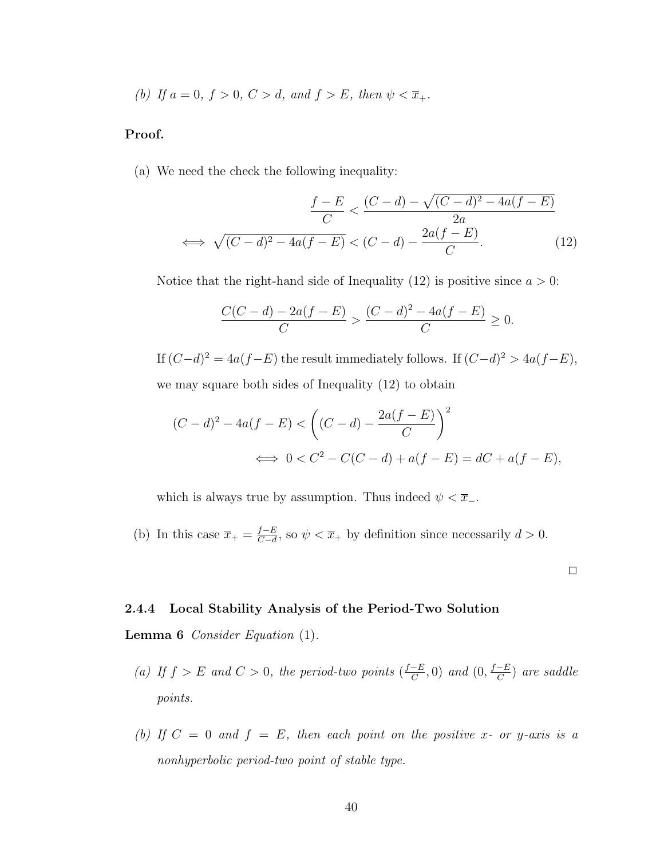(b) If  $a = 0$ ,  $f > 0$ ,  $C > d$ , and  $f > E$ , then  $\psi < \overline{x}_{+}$ .

### Proof.

(a) We need the check the following inequality:

$$
\frac{f-E}{C} < \frac{(C-d) - \sqrt{(C-d)^2 - 4a(f-E)}}{2a}
$$
\n
$$
\iff \sqrt{(C-d)^2 - 4a(f-E)} < (C-d) - \frac{2a(f-E)}{C}.\tag{12}
$$

Notice that the right-hand side of Inequality [\(12\)](#page-53-0) is positive since  $a > 0$ :

<span id="page-53-0"></span>
$$
\frac{C(C-d) - 2a(f-E)}{C} > \frac{(C-d)^2 - 4a(f-E)}{C} \ge 0.
$$

If  $(C-d)^2 = 4a(f-E)$  the result immediately follows. If  $(C-d)^2 > 4a(f-E)$ , we may square both sides of Inequality [\(12\)](#page-53-0) to obtain

$$
(C-d)^{2} - 4a(f-E) < ((C-d) - \frac{2a(f-E)}{C})^{2}
$$
  

$$
\iff 0 < C^{2} - C(C-d) + a(f-E) = dC + a(f-E),
$$

which is always true by assumption. Thus indeed  $\psi < \overline{x}$ .

(b) In this case  $\overline{x}_+ = \frac{f-E}{C-d}$  $\frac{f-E}{C-d}$ , so  $\psi < \overline{x}_+$  by definition since necessarily  $d > 0$ .

 $\Box$ 

#### <span id="page-53-1"></span>2.4.4 Local Stability Analysis of the Period-Two Solution

Lemma 6 Consider Equation [\(1\)](#page-23-0).

- (a) If  $f > E$  and  $C > 0$ , the period-two points  $\left(\frac{f-E}{C}\right)$  $\frac{-E}{C}$ , 0) and  $(0, \frac{f-E}{C})$  $\frac{-E}{C}$ ) are saddle points.
- (b) If  $C = 0$  and  $f = E$ , then each point on the positive x- or y-axis is a nonhyperbolic period-two point of stable type.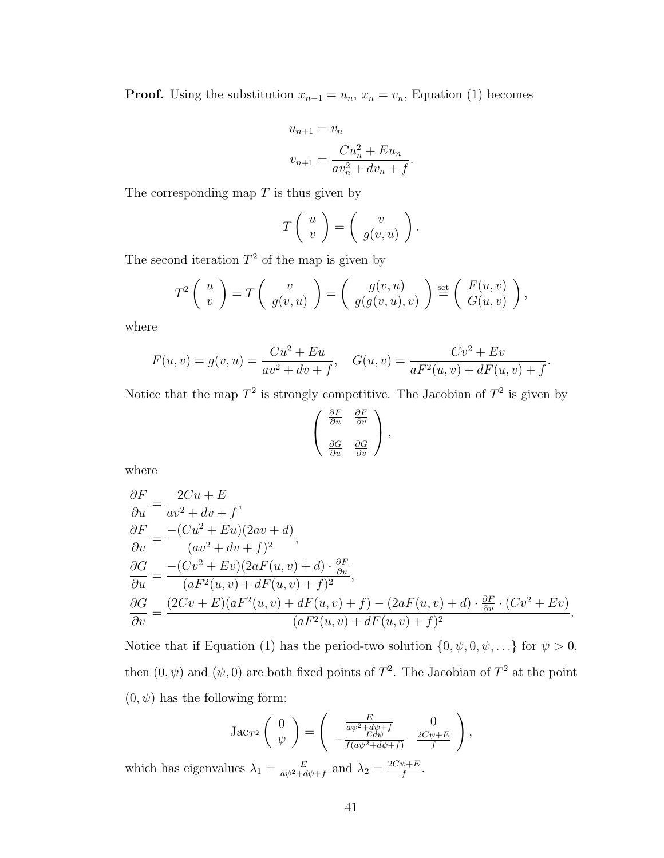**Proof.** Using the substitution  $x_{n-1} = u_n$ ,  $x_n = v_n$ , Equation [\(1\)](#page-23-0) becomes

$$
u_{n+1} = v_n
$$
  

$$
v_{n+1} = \frac{Cu_n^2 + Eu_n}{av_n^2 + dv_n + f}.
$$

The corresponding map  $T$  is thus given by

$$
T\left(\begin{array}{c}u\\v\end{array}\right)=\left(\begin{array}{c}v\\g(v,u)\end{array}\right).
$$

The second iteration  $T^2$  of the map is given by

$$
T^{2}\left(\begin{array}{c}u\\v\end{array}\right)=T\left(\begin{array}{c}v\\g(v,u)\end{array}\right)=\left(\begin{array}{c}g(v,u)\\g(g(v,u),v)\end{array}\right)\stackrel{\text{set}}{=}\left(\begin{array}{c}F(u,v)\\G(u,v)\end{array}\right),
$$

where

$$
F(u, v) = g(v, u) = \frac{Cu^2 + Eu}{av^2 + dv + f}, \quad G(u, v) = \frac{Cv^2 + Ev}{aF^2(u, v) + dF(u, v) + f}.
$$

Notice that the map  $T^2$  is strongly competitive. The Jacobian of  $T^2$  is given by

$$
\begin{pmatrix}\n\frac{\partial F}{\partial u} & \frac{\partial F}{\partial v} \\
\frac{\partial G}{\partial u} & \frac{\partial G}{\partial v}\n\end{pmatrix},
$$

where

$$
\begin{aligned}\n\frac{\partial F}{\partial u} &= \frac{2Cu + E}{av^2 + dv + f}, \\
\frac{\partial F}{\partial v} &= \frac{-(Cu^2 + Eu)(2av + d)}{(av^2 + dv + f)^2}, \\
\frac{\partial G}{\partial u} &= \frac{-(Cv^2 + Ev)(2aF(u, v) + d) \cdot \frac{\partial F}{\partial u}}{(aF^2(u, v) + dF(u, v) + f)^2}, \\
\frac{\partial G}{\partial v} &= \frac{(2Cu + E)(aF^2(u, v) + dF(u, v) + f) - (2aF(u, v) + d) \cdot \frac{\partial F}{\partial v} \cdot (Cv^2 + Ev)}{(aF^2(u, v) + dF(u, v) + f)^2}.\n\end{aligned}
$$

Notice that if Equation [\(1\)](#page-23-0) has the period-two solution  $\{0, \psi, 0, \psi, ...\}$  for  $\psi > 0$ , then  $(0, \psi)$  and  $(\psi, 0)$  are both fixed points of  $T^2$ . The Jacobian of  $T^2$  at the point  $(0, \psi)$  has the following form:

Jac<sub>T</sub><sup>2</sup> 
$$
\begin{pmatrix} 0 \\ \psi \end{pmatrix} = \begin{pmatrix} \frac{E}{a\psi^2 + d\psi + f} & 0 \\ -\frac{Ed\psi}{f(a\psi^2 + d\psi + f)} & \frac{2C\psi + E}{f} \end{pmatrix}
$$
,

which has eigenvalues  $\lambda_1 = \frac{E}{a v^2 + a}$  $\frac{E}{a\psi^2+d\psi+f}$  and  $\lambda_2=\frac{2C\psi+E}{f}$  $\frac{\psi+E}{f}$  .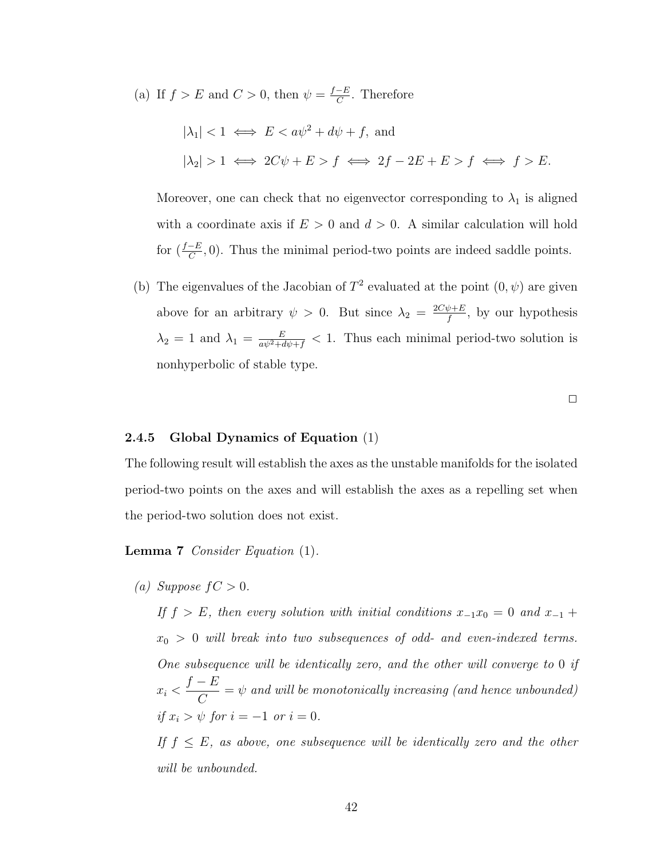(a) If  $f > E$  and  $C > 0$ , then  $\psi = \frac{f-E}{C}$  $\frac{-E}{C}$ . Therefore

$$
|\lambda_1| < 1 \iff E < a\psi^2 + d\psi + f, \text{ and}
$$
\n
$$
|\lambda_2| > 1 \iff 2C\psi + E > f \iff 2f - 2E + E > f \iff f > E.
$$

Moreover, one can check that no eigenvector corresponding to  $\lambda_1$  is aligned with a coordinate axis if  $E > 0$  and  $d > 0$ . A similar calculation will hold for  $(\frac{f-E}{C}, 0)$ . Thus the minimal period-two points are indeed saddle points.

(b) The eigenvalues of the Jacobian of  $T^2$  evaluated at the point  $(0, \psi)$  are given above for an arbitrary  $\psi > 0$ . But since  $\lambda_2 = \frac{2C\psi + E}{f}$  $\frac{\psi+E}{f}$ , by our hypothesis  $\lambda_2 = 1$  and  $\lambda_1 = \frac{E}{a\psi^2 + d\psi + f} < 1$ . Thus each minimal period-two solution is nonhyperbolic of stable type.

 $\Box$ 

#### 2.4.5 Global Dynamics of Equation [\(1\)](#page-23-0)

The following result will establish the axes as the unstable manifolds for the isolated period-two points on the axes and will establish the axes as a repelling set when the period-two solution does not exist.

Lemma 7 Consider Equation [\(1\)](#page-23-0).

(a) Suppose  $fC > 0$ .

<span id="page-55-0"></span>If  $f > E$ , then every solution with initial conditions  $x_{-1}x_0 = 0$  and  $x_{-1}$  +  $x_0 > 0$  will break into two subsequences of odd- and even-indexed terms. One subsequence will be identically zero, and the other will converge to 0 if  $x_i$  <  $f - E$  $\mathcal{C}_{0}^{(n)}$  $=\psi$  and will be monotonically increasing (and hence unbounded) if  $x_i > \psi$  for  $i = -1$  or  $i = 0$ .

If  $f \leq E$ , as above, one subsequence will be identically zero and the other will be unbounded.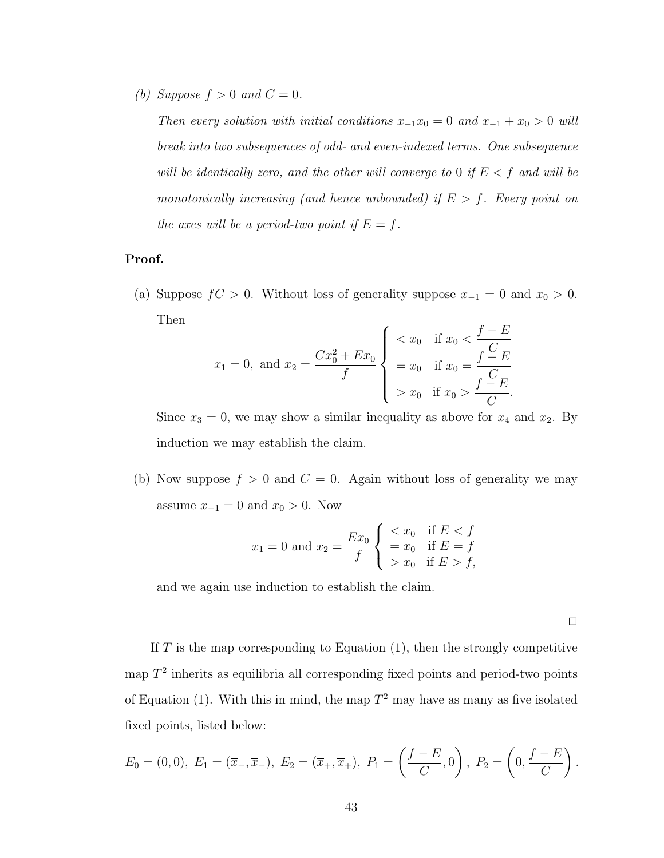(b) Suppose  $f > 0$  and  $C = 0$ .

Then every solution with initial conditions  $x_{-1}x_0 = 0$  and  $x_{-1} + x_0 > 0$  will break into two subsequences of odd- and even-indexed terms. One subsequence will be identically zero, and the other will converge to 0 if  $E < f$  and will be monotonically increasing (and hence unbounded) if  $E > f$ . Every point on the axes will be a period-two point if  $E = f$ .

# Proof.

(a) Suppose  $fC > 0$ . Without loss of generality suppose  $x_{-1} = 0$  and  $x_0 > 0$ . Then

$$
x_1 = 0
$$
, and  $x_2 = \frac{Cx_0^2 + Ex_0}{f}$ 
$$
\begin{cases} < x_0 & \text{if } x_0 < \frac{f - E}{C} \\ = x_0 & \text{if } x_0 = \frac{f - E}{C} \\ > x_0 & \text{if } x_0 > \frac{f - E}{C} .\end{cases}
$$

Since  $x_3 = 0$ , we may show a similar inequality as above for  $x_4$  and  $x_2$ . By induction we may establish the claim.

(b) Now suppose  $f > 0$  and  $C = 0$ . Again without loss of generality we may assume  $x_{-1} = 0$  and  $x_0 > 0$ . Now

$$
x_1 = 0
$$
 and  $x_2 = \frac{Ex_0}{f}$   $\begin{cases} < x_0 & \text{if } E < f \\ = x_0 & \text{if } E = f \\ > x_0 & \text{if } E > f, \end{cases}$ 

and we again use induction to establish the claim.

 $\Box$ 

If  $T$  is the map corresponding to Equation [\(1\)](#page-23-0), then the strongly competitive map  $T^2$  inherits as equilibria all corresponding fixed points and period-two points of Equation [\(1\)](#page-23-0). With this in mind, the map  $T^2$  may have as many as five isolated fixed points, listed below:

$$
E_0 = (0,0), E_1 = (\overline{x}_-,\overline{x}_-), E_2 = (\overline{x}_+,\overline{x}_+), P_1 = \left(\frac{f-E}{C},0\right), P_2 = \left(0,\frac{f-E}{C}\right).
$$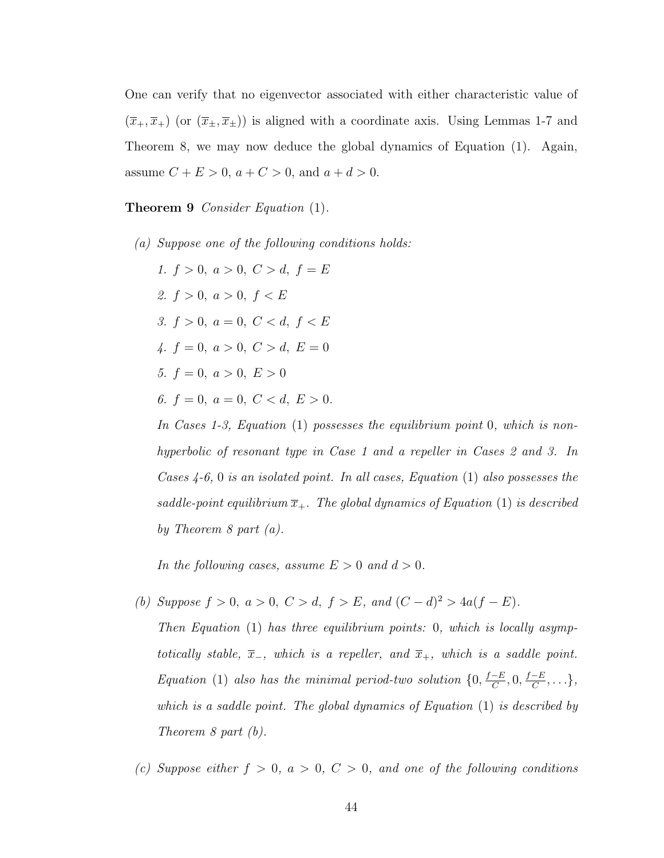One can verify that no eigenvector associated with either characteristic value of  $(\overline{x}_+,\overline{x}_+)$  (or  $(\overline{x}_\pm,\overline{x}_\pm)$ ) is aligned with a coordinate axis. Using Lemmas [1-](#page-47-2)[7](#page-55-0) and Theorem [8,](#page-38-0) we may now deduce the global dynamics of Equation [\(1\)](#page-23-0). Again, assume  $C + E > 0$ ,  $a + C > 0$ , and  $a + d > 0$ .

<span id="page-57-0"></span>Theorem 9 Consider Equation [\(1\)](#page-23-0).

(a) Suppose one of the following conditions holds: 1.  $f > 0$ ,  $a > 0$ ,  $C > d$ ,  $f = E$ 2.  $f > 0$ ,  $a > 0$ ,  $f < E$ 3.  $f > 0$ ,  $a = 0$ ,  $C < d$ ,  $f < E$ 4.  $f = 0, a > 0, C > d, E = 0$ 5.  $f = 0, a > 0, E > 0$ 6.  $f = 0, a = 0, C < d, E > 0.$ 

In Cases 1-3, Equation [\(1\)](#page-23-0) possesses the equilibrium point 0, which is nonhyperbolic of resonant type in Case 1 and a repeller in Cases 2 and 3. In Cases 4-6, 0 is an isolated point. In all cases, Equation [\(1\)](#page-23-0) also possesses the saddle-point equilibrium  $\overline{x}_+$ . The global dynamics of Equation [\(1\)](#page-23-0) is described by Theorem [8](#page-38-0) part  $(a)$ .

In the following cases, assume  $E > 0$  and  $d > 0$ .

- (b) Suppose  $f > 0$ ,  $a > 0$ ,  $C > d$ ,  $f > E$ , and  $(C d)^2 > 4a(f E)$ .
	- Then Equation [\(1\)](#page-23-0) has three equilibrium points: 0, which is locally asymptotically stable,  $\overline{x}_-$ , which is a repeller, and  $\overline{x}_+$ , which is a saddle point. Equation [\(1\)](#page-23-0) also has the minimal period-two solution  $\{0, \frac{f-E}{C}\}$  $\frac{-E}{C}, 0, \frac{f-E}{C}$  $\frac{-E}{C}, \ldots \},$ which is a saddle point. The global dynamics of Equation [\(1\)](#page-23-0) is described by Theorem [8](#page-38-0) part (b).
- (c) Suppose either  $f > 0$ ,  $a > 0$ ,  $C > 0$ , and one of the following conditions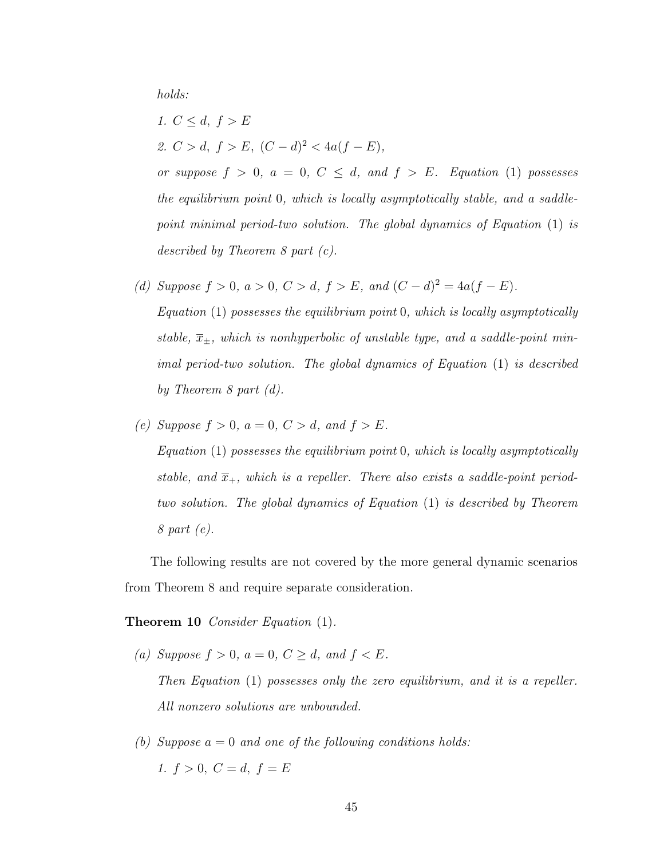holds:

- 1.  $C \leq d, f > E$ 2.  $C > d$ ,  $f > E$ ,  $(C - d)^2 < 4a(f - E)$ , or suppose  $f > 0$ ,  $a = 0$ ,  $C \le d$ , and  $f > E$ . Equation [\(1\)](#page-23-0) possesses the equilibrium point 0, which is locally asymptotically stable, and a saddlepoint minimal period-two solution. The global dynamics of Equation [\(1\)](#page-23-0) is described by Theorem [8](#page-38-0) part (c).
- (d) Suppose  $f > 0$ ,  $a > 0$ ,  $C > d$ ,  $f > E$ , and  $(C d)^2 = 4a(f E)$ .

Equation [\(1\)](#page-23-0) possesses the equilibrium point 0, which is locally asymptotically stable,  $\overline{x}_{\pm}$ , which is nonhyperbolic of unstable type, and a saddle-point minimal period-two solution. The global dynamics of Equation [\(1\)](#page-23-0) is described by Theorem [8](#page-38-0) part (d).

(e) Suppose  $f > 0$ ,  $a = 0$ ,  $C > d$ , and  $f > E$ . Equation  $(1)$  possesses the equilibrium point 0, which is locally asymptotically stable, and  $\overline{x}_+$ , which is a repeller. There also exists a saddle-point periodtwo solution. The global dynamics of Equation [\(1\)](#page-23-0) is described by Theorem [8](#page-38-0) part (e).

The following results are not covered by the more general dynamic scenarios from Theorem [8](#page-38-0) and require separate consideration.

Theorem 10 *Consider Equation* [\(1\)](#page-23-0).

- (a) Suppose  $f > 0$ ,  $a = 0$ ,  $C \ge d$ , and  $f < E$ . Then Equation [\(1\)](#page-23-0) possesses only the zero equilibrium, and it is a repeller. All nonzero solutions are unbounded.
- (b) Suppose  $a = 0$  and one of the following conditions holds: 1.  $f > 0$ ,  $C = d$ ,  $f = E$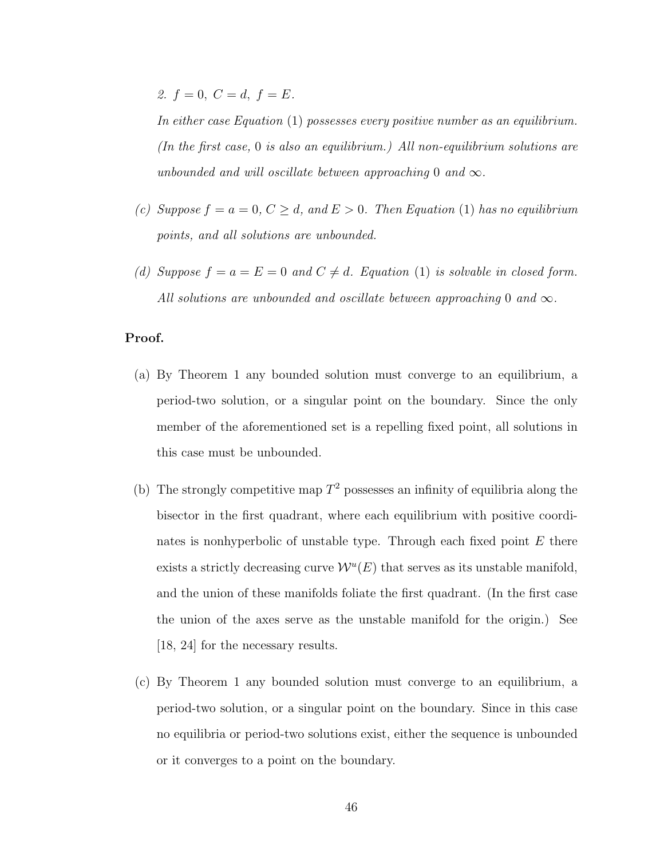2.  $f = 0$ ,  $C = d$ ,  $f = E$ .

In either case Equation [\(1\)](#page-23-0) possesses every positive number as an equilibrium. (In the first case,  $0$  is also an equilibrium.) All non-equilibrium solutions are unbounded and will oscillate between approaching 0 and  $\infty$ .

- (c) Suppose  $f = a = 0, C \ge d$ , and  $E > 0$ . Then Equation [\(1\)](#page-23-0) has no equilibrium points, and all solutions are unbounded.
- (d) Suppose  $f = a = E = 0$  and  $C \neq d$ . Equation [\(1\)](#page-23-0) is solvable in closed form. All solutions are unbounded and oscillate between approaching 0 and  $\infty$ .

### Proof.

- (a) By Theorem [1](#page-25-1) any bounded solution must converge to an equilibrium, a period-two solution, or a singular point on the boundary. Since the only member of the aforementioned set is a repelling fixed point, all solutions in this case must be unbounded.
- (b) The strongly competitive map  $T^2$  possesses an infinity of equilibria along the bisector in the first quadrant, where each equilibrium with positive coordinates is nonhyperbolic of unstable type. Through each fixed point  $E$  there exists a strictly decreasing curve  $\mathcal{W}^u(E)$  that serves as its unstable manifold, and the union of these manifolds foliate the first quadrant. (In the first case the union of the axes serve as the unstable manifold for the origin.) See [\[18,](#page-65-1) [24\]](#page-65-0) for the necessary results.
- (c) By Theorem [1](#page-25-1) any bounded solution must converge to an equilibrium, a period-two solution, or a singular point on the boundary. Since in this case no equilibria or period-two solutions exist, either the sequence is unbounded or it converges to a point on the boundary.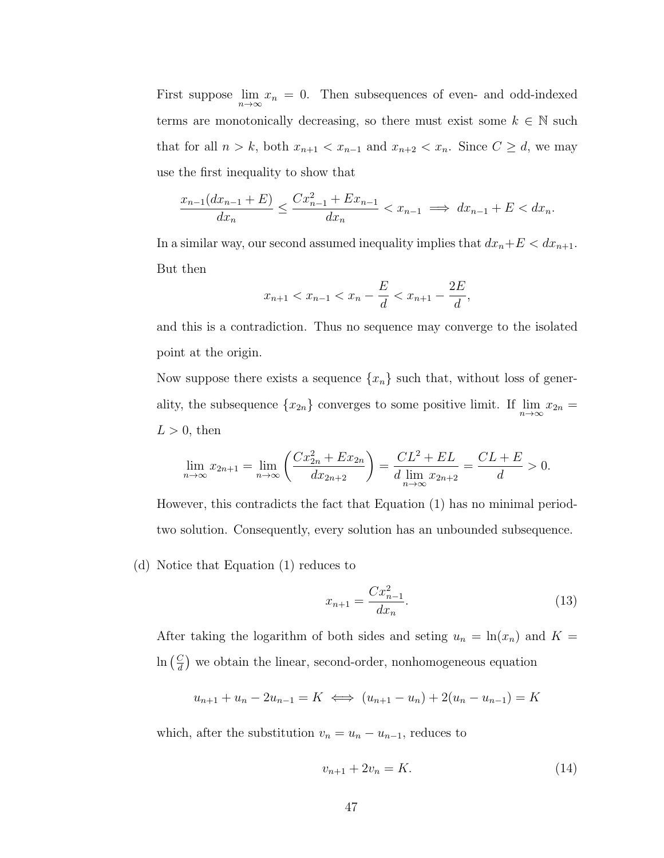First suppose  $\lim_{n\to\infty}x_n=0$ . Then subsequences of even- and odd-indexed terms are monotonically decreasing, so there must exist some  $k \in \mathbb{N}$  such that for all  $n > k$ , both  $x_{n+1} < x_{n-1}$  and  $x_{n+2} < x_n$ . Since  $C \geq d$ , we may use the first inequality to show that

$$
\frac{x_{n-1}(dx_{n-1} + E)}{dx_n} \le \frac{Cx_{n-1}^2 + Ex_{n-1}}{dx_n} < x_{n-1} \implies dx_{n-1} + E < dx_n.
$$

In a similar way, our second assumed inequality implies that  $dx_n+E < dx_{n+1}$ . But then

$$
x_{n+1} < x_{n-1} < x_n - \frac{E}{d} < x_{n+1} - \frac{2E}{d},
$$

and this is a contradiction. Thus no sequence may converge to the isolated point at the origin.

Now suppose there exists a sequence  $\{x_n\}$  such that, without loss of generality, the subsequence  $\{x_{2n}\}$  converges to some positive limit. If  $\lim_{n\to\infty}x_{2n}$  =  $L > 0$ , then

$$
\lim_{n \to \infty} x_{2n+1} = \lim_{n \to \infty} \left( \frac{Cx_{2n}^2 + Ex_{2n}}{dx_{2n+2}} \right) = \frac{CL^2 + EL}{d \lim_{n \to \infty} x_{2n+2}} = \frac{CL + E}{d} > 0.
$$

However, this contradicts the fact that Equation [\(1\)](#page-23-0) has no minimal periodtwo solution. Consequently, every solution has an unbounded subsequence.

(d) Notice that Equation [\(1\)](#page-23-0) reduces to

<span id="page-60-1"></span>
$$
x_{n+1} = \frac{Cx_{n-1}^2}{dx_n}.
$$
\n(13)

After taking the logarithm of both sides and seting  $u_n = \ln(x_n)$  and  $K =$  $\ln\left(\frac{C}{d}\right)$  $\frac{C}{d}$  we obtain the linear, second-order, nonhomogeneous equation

$$
u_{n+1} + u_n - 2u_{n-1} = K \iff (u_{n+1} - u_n) + 2(u_n - u_{n-1}) = K
$$

which, after the substitution  $v_n = u_n - u_{n-1}$ , reduces to

<span id="page-60-0"></span>
$$
v_{n+1} + 2v_n = K.\t\t(14)
$$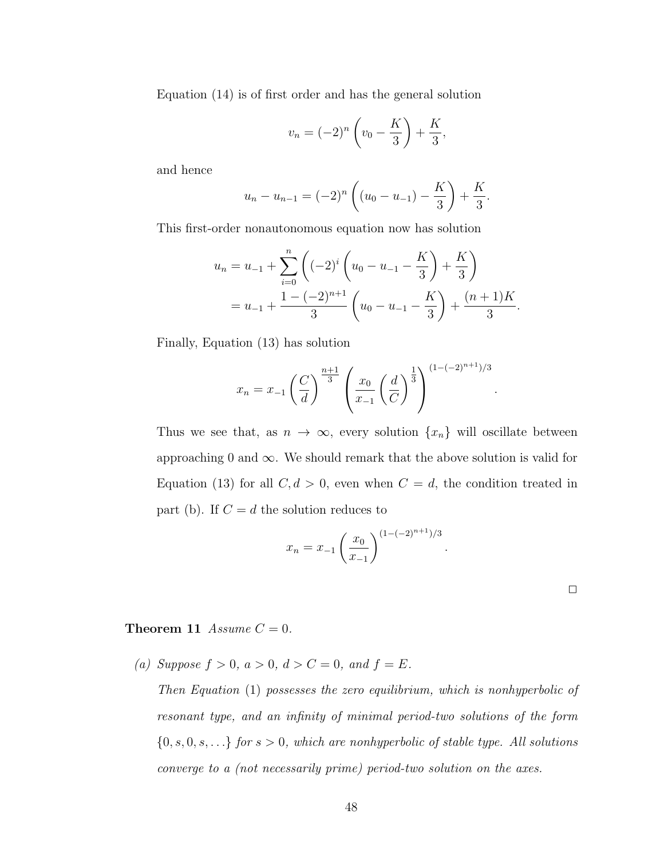Equation [\(14\)](#page-60-0) is of first order and has the general solution

$$
v_n = (-2)^n \left( v_0 - \frac{K}{3} \right) + \frac{K}{3},
$$

and hence

$$
u_n - u_{n-1} = (-2)^n \left( (u_0 - u_{-1}) - \frac{K}{3} \right) + \frac{K}{3}.
$$

This first-order nonautonomous equation now has solution

$$
u_n = u_{-1} + \sum_{i=0}^n \left( (-2)^i \left( u_0 - u_{-1} - \frac{K}{3} \right) + \frac{K}{3} \right)
$$
  
=  $u_{-1} + \frac{1 - (-2)^{n+1}}{3} \left( u_0 - u_{-1} - \frac{K}{3} \right) + \frac{(n+1)K}{3}.$ 

Finally, Equation [\(13\)](#page-60-1) has solution

$$
x_n = x_{-1} \left(\frac{C}{d}\right)^{\frac{n+1}{3}} \left(\frac{x_0}{x_{-1}} \left(\frac{d}{C}\right)^{\frac{1}{3}}\right)^{(1-(-2)^{n+1})/3}
$$

Thus we see that, as  $n \to \infty$ , every solution  $\{x_n\}$  will oscillate between approaching 0 and  $\infty$ . We should remark that the above solution is valid for Equation [\(13\)](#page-60-1) for all  $C, d > 0$ , even when  $C = d$ , the condition treated in part (b). If  $C = d$  the solution reduces to

$$
x_n = x_{-1} \left(\frac{x_0}{x_{-1}}\right)^{(1 - (-2)^{n+1})/3}
$$

| ٠   |  |  |
|-----|--|--|
|     |  |  |
| ___ |  |  |

.

.

## <span id="page-61-0"></span>**Theorem 11** Assume  $C = 0$ .

(a) Suppose  $f > 0$ ,  $a > 0$ ,  $d > C = 0$ , and  $f = E$ .

Then Equation [\(1\)](#page-23-0) possesses the zero equilibrium, which is nonhyperbolic of resonant type, and an infinity of minimal period-two solutions of the form  ${0, s, 0, s, \ldots}$  for  $s > 0$ , which are nonhyperbolic of stable type. All solutions converge to a (not necessarily prime) period-two solution on the axes.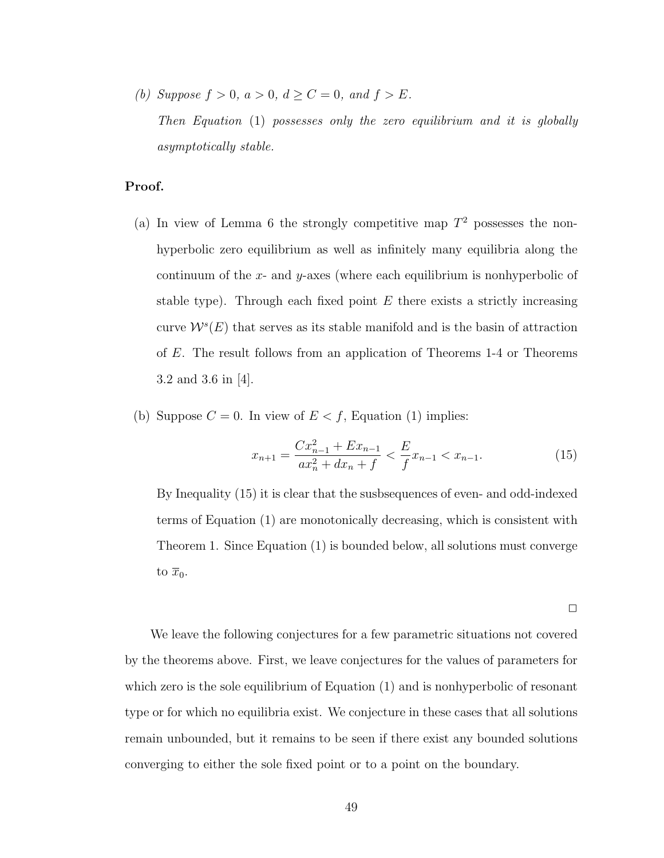(b) Suppose  $f > 0$ ,  $a > 0$ ,  $d \ge C = 0$ , and  $f > E$ .

Then Equation [\(1\)](#page-23-0) possesses only the zero equilibrium and it is globally asymptotically stable.

## Proof.

- (a) In view of Lemma [6](#page-53-1) the strongly competitive map  $T^2$  possesses the nonhyperbolic zero equilibrium as well as infinitely many equilibria along the continuum of the  $x$ - and  $y$ -axes (where each equilibrium is nonhyperbolic of stable type). Through each fixed point  $E$  there exists a strictly increasing curve  $W^{s}(E)$  that serves as its stable manifold and is the basin of attraction of E. The result follows from an application of Theorems [1-](#page-25-1)[4](#page-29-0) or Theorems 3.2 and 3.6 in [\[4\]](#page-63-1).
- (b) Suppose  $C = 0$ . In view of  $E < f$ , Equation [\(1\)](#page-23-0) implies:

<span id="page-62-0"></span>
$$
x_{n+1} = \frac{Cx_{n-1}^2 + Ex_{n-1}}{ax_n^2 + dx_n + f} < \frac{E}{f} x_{n-1} < x_{n-1}.\tag{15}
$$

By Inequality [\(15\)](#page-62-0) it is clear that the susbsequences of even- and odd-indexed terms of Equation [\(1\)](#page-23-0) are monotonically decreasing, which is consistent with Theorem [1.](#page-25-1) Since Equation [\(1\)](#page-23-0) is bounded below, all solutions must converge to  $\overline{x}_0$ .

 $\Box$ 

We leave the following conjectures for a few parametric situations not covered by the theorems above. First, we leave conjectures for the values of parameters for which zero is the sole equilibrium of Equation [\(1\)](#page-23-0) and is nonhyperbolic of resonant type or for which no equilibria exist. We conjecture in these cases that all solutions remain unbounded, but it remains to be seen if there exist any bounded solutions converging to either the sole fixed point or to a point on the boundary.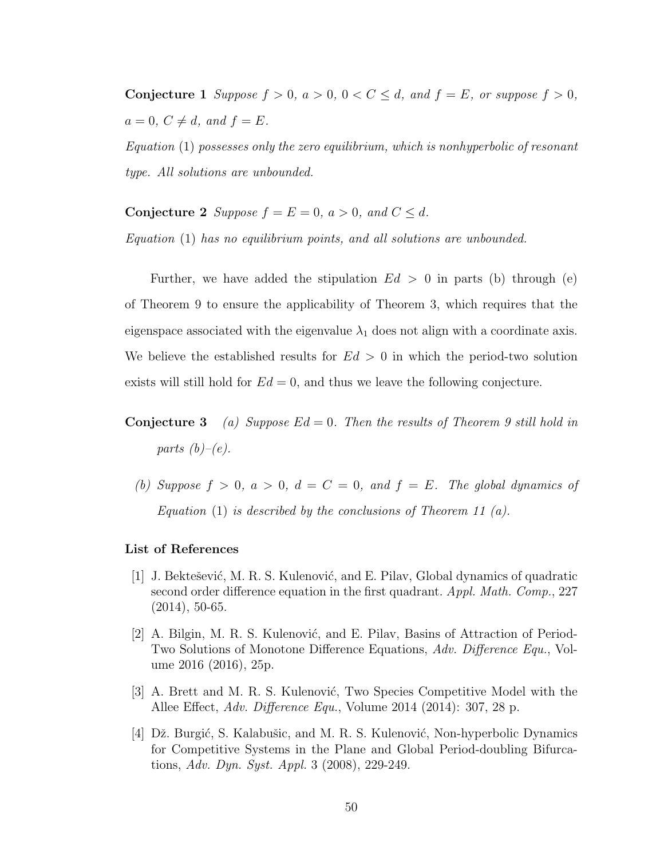**Conjecture 1** Suppose  $f > 0$ ,  $a > 0$ ,  $0 < C \le d$ , and  $f = E$ , or suppose  $f > 0$ ,  $a = 0, C \neq d, and f = E.$ 

Equation [\(1\)](#page-23-0) possesses only the zero equilibrium, which is nonhyperbolic of resonant type. All solutions are unbounded.

**Conjecture 2** Suppose  $f = E = 0$ ,  $a > 0$ , and  $C \le d$ .

Equation [\(1\)](#page-23-0) has no equilibrium points, and all solutions are unbounded.

Further, we have added the stipulation  $Ed > 0$  in parts (b) through (e) of Theorem [9](#page-57-0) to ensure the applicability of Theorem [3,](#page-29-1) which requires that the eigenspace associated with the eigenvalue  $\lambda_1$  does not align with a coordinate axis. We believe the established results for  $Ed > 0$  in which the period-two solution exists will still hold for  $Ed = 0$ , and thus we leave the following conjecture.

**Conjecture 3** (a) Suppose  $Ed = 0$ . Then the results of Theorem [9](#page-57-0) still hold in parts  $(b)-(e)$ .

(b) Suppose  $f > 0$ ,  $a > 0$ ,  $d = C = 0$ , and  $f = E$ . The global dynamics of Equation [\(1\)](#page-23-0) is described by the conclusions of Theorem [11](#page-61-0)  $(a)$ .

#### List of References

- [1] J. Bektešević, M. R. S. Kulenović, and E. Pilav, Global dynamics of quadratic second order difference equation in the first quadrant. Appl. Math. Comp., 227 (2014), 50-65.
- <span id="page-63-0"></span>[2] A. Bilgin, M. R. S. Kulenović, and E. Pilav, Basins of Attraction of Period-Two Solutions of Monotone Difference Equations, Adv. Difference Equ., Volume 2016 (2016), 25p.
- <span id="page-63-2"></span>[3] A. Brett and M. R. S. Kulenović, Two Species Competitive Model with the Allee Effect, Adv. Difference Equ., Volume 2014 (2014): 307, 28 p.
- <span id="page-63-1"></span>[4] Dž. Burgić, S. Kalabušic, and M. R. S. Kulenović, Non-hyperbolic Dynamics for Competitive Systems in the Plane and Global Period-doubling Bifurcations, Adv. Dyn. Syst. Appl. 3 (2008), 229-249.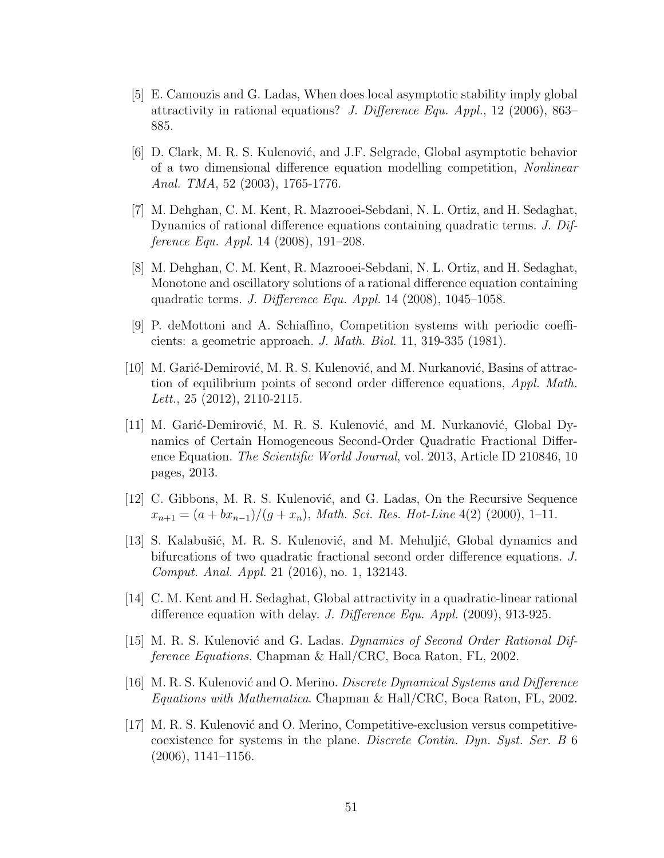- [5] E. Camouzis and G. Ladas, When does local asymptotic stability imply global attractivity in rational equations? J. Difference Equ. Appl., 12 (2006), 863– 885.
- <span id="page-64-1"></span>[6] D. Clark, M. R. S. Kulenović, and J.F. Selgrade, Global asymptotic behavior of a two dimensional difference equation modelling competition, Nonlinear Anal. TMA, 52 (2003), 1765-1776.
- [7] M. Dehghan, C. M. Kent, R. Mazrooei-Sebdani, N. L. Ortiz, and H. Sedaghat, Dynamics of rational difference equations containing quadratic terms. J. Difference Equ. Appl. 14 (2008), 191–208.
- [8] M. Dehghan, C. M. Kent, R. Mazrooei-Sebdani, N. L. Ortiz, and H. Sedaghat, Monotone and oscillatory solutions of a rational difference equation containing quadratic terms. J. Difference Equ. Appl. 14 (2008), 1045–1058.
- [9] P. deMottoni and A. Schiaffino, Competition systems with periodic coefficients: a geometric approach. J. Math. Biol. 11, 319-335 (1981).
- <span id="page-64-0"></span>[10] M. Garić-Demirović, M. R. S. Kulenović, and M. Nurkanović, Basins of attraction of equilibrium points of second order difference equations, Appl. Math. Lett., 25 (2012), 2110-2115.
- [11] M. Garić-Demirović, M. R. S. Kulenović, and M. Nurkanović, Global Dynamics of Certain Homogeneous Second-Order Quadratic Fractional Difference Equation. The Scientific World Journal, vol. 2013, Article ID 210846, 10 pages, 2013.
- <span id="page-64-2"></span>[12] C. Gibbons, M. R. S. Kulenović, and G. Ladas, On the Recursive Sequence  $x_{n+1} = (a + bx_{n-1})/(g + x_n)$ , Math. Sci. Res. Hot-Line 4(2) (2000), 1–11.
- [13] S. Kalabušić, M. R. S. Kulenović, and M. Mehuljić, Global dynamics and bifurcations of two quadratic fractional second order difference equations. J. Comput. Anal. Appl. 21 (2016), no. 1, 132143.
- [14] C. M. Kent and H. Sedaghat, Global attractivity in a quadratic-linear rational difference equation with delay. J. Difference Equ. Appl. (2009), 913-925.
- <span id="page-64-3"></span>[15] M. R. S. Kulenović and G. Ladas. Dynamics of Second Order Rational Difference Equations. Chapman & Hall/CRC, Boca Raton, FL, 2002.
- <span id="page-64-4"></span>[16] M. R. S. Kulenović and O. Merino. *Discrete Dynamical Systems and Difference* Equations with Mathematica. Chapman & Hall/CRC, Boca Raton, FL, 2002.
- [17] M. R. S. Kulenović and O. Merino, Competitive-exclusion versus competitivecoexistence for systems in the plane. Discrete Contin. Dyn. Syst. Ser. B 6  $(2006)$ , 1141–1156.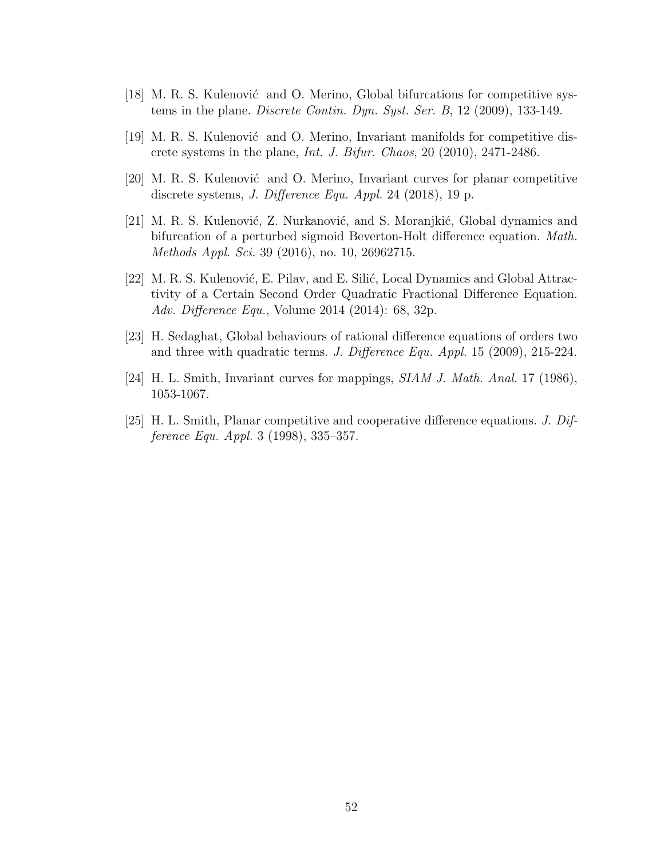- <span id="page-65-1"></span>[18] M. R. S. Kulenović and O. Merino, Global bifurcations for competitive systems in the plane. Discrete Contin. Dyn. Syst. Ser. B, 12 (2009), 133-149.
- <span id="page-65-2"></span>[19] M. R. S. Kulenović and O. Merino, Invariant manifolds for competitive discrete systems in the plane, Int. J. Bifur. Chaos, 20 (2010), 2471-2486.
- <span id="page-65-3"></span>[20] M. R. S. Kulenović and O. Merino, Invariant curves for planar competitive discrete systems, J. Difference Equ. Appl. 24 (2018), 19 p.
- [21] M. R. S. Kulenović, Z. Nurkanović, and S. Moranjkić, Global dynamics and bifurcation of a perturbed sigmoid Beverton-Holt difference equation. Math. Methods Appl. Sci. 39 (2016), no. 10, 26962715.
- [22] M. R. S. Kulenović, E. Pilav, and E. Silić, Local Dynamics and Global Attractivity of a Certain Second Order Quadratic Fractional Difference Equation. Adv. Difference Equ., Volume 2014 (2014): 68, 32p.
- [23] H. Sedaghat, Global behaviours of rational difference equations of orders two and three with quadratic terms. J. Difference Equ. Appl. 15 (2009), 215-224.
- <span id="page-65-0"></span>[24] H. L. Smith, Invariant curves for mappings, SIAM J. Math. Anal. 17 (1986), 1053-1067.
- [25] H. L. Smith, Planar competitive and cooperative difference equations. J. Difference Equ. Appl. 3 (1998), 335–357.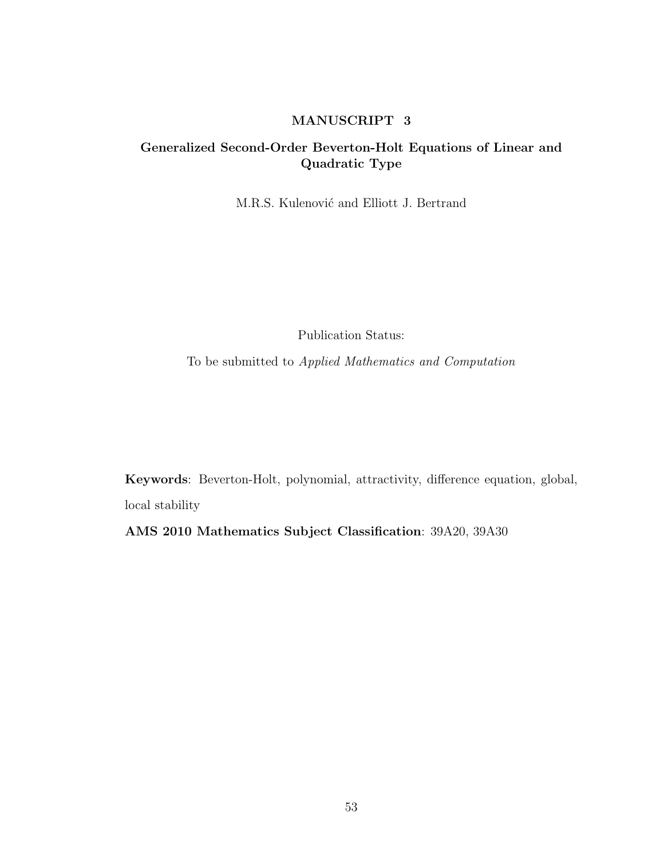# MANUSCRIPT 3

# Generalized Second-Order Beverton-Holt Equations of Linear and Quadratic Type

M.R.S. Kulenović and Elliott J. Bertrand

Publication Status:

To be submitted to Applied Mathematics and Computation

Keywords: Beverton-Holt, polynomial, attractivity, difference equation, global, local stability

AMS 2010 Mathematics Subject Classification: 39A20, 39A30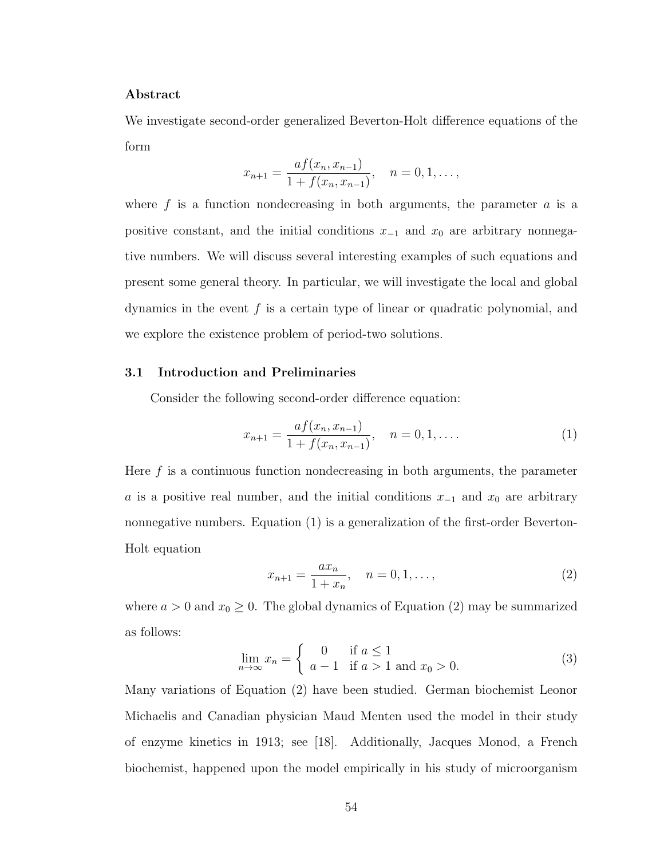# Abstract

We investigate second-order generalized Beverton-Holt difference equations of the form

$$
x_{n+1} = \frac{af(x_n, x_{n-1})}{1 + f(x_n, x_{n-1})}, \quad n = 0, 1, \dots,
$$

where  $f$  is a function nondecreasing in both arguments, the parameter  $a$  is a positive constant, and the initial conditions  $x_{-1}$  and  $x_0$  are arbitrary nonnegative numbers. We will discuss several interesting examples of such equations and present some general theory. In particular, we will investigate the local and global dynamics in the event  $f$  is a certain type of linear or quadratic polynomial, and we explore the existence problem of period-two solutions.

### 3.1 Introduction and Preliminaries

Consider the following second-order difference equation:

<span id="page-67-0"></span>
$$
x_{n+1} = \frac{af(x_n, x_{n-1})}{1 + f(x_n, x_{n-1})}, \quad n = 0, 1, ....
$$
 (1)

Here  $f$  is a continuous function nondecreasing in both arguments, the parameter a is a positive real number, and the initial conditions  $x_{-1}$  and  $x_0$  are arbitrary nonnegative numbers. Equation [\(1\)](#page-67-0) is a generalization of the first-order Beverton-Holt equation

<span id="page-67-1"></span>
$$
x_{n+1} = \frac{ax_n}{1+x_n}, \quad n = 0, 1, \dots,
$$
\n(2)

where  $a > 0$  and  $x_0 \geq 0$ . The global dynamics of Equation [\(2\)](#page-67-1) may be summarized as follows:

<span id="page-67-2"></span>
$$
\lim_{n \to \infty} x_n = \begin{cases} 0 & \text{if } a \le 1 \\ a - 1 & \text{if } a > 1 \text{ and } x_0 > 0. \end{cases}
$$
 (3)

Many variations of Equation [\(2\)](#page-67-1) have been studied. German biochemist Leonor Michaelis and Canadian physician Maud Menten used the model in their study of enzyme kinetics in 1913; see [\[18\]](#page-92-0). Additionally, Jacques Monod, a French biochemist, happened upon the model empirically in his study of microorganism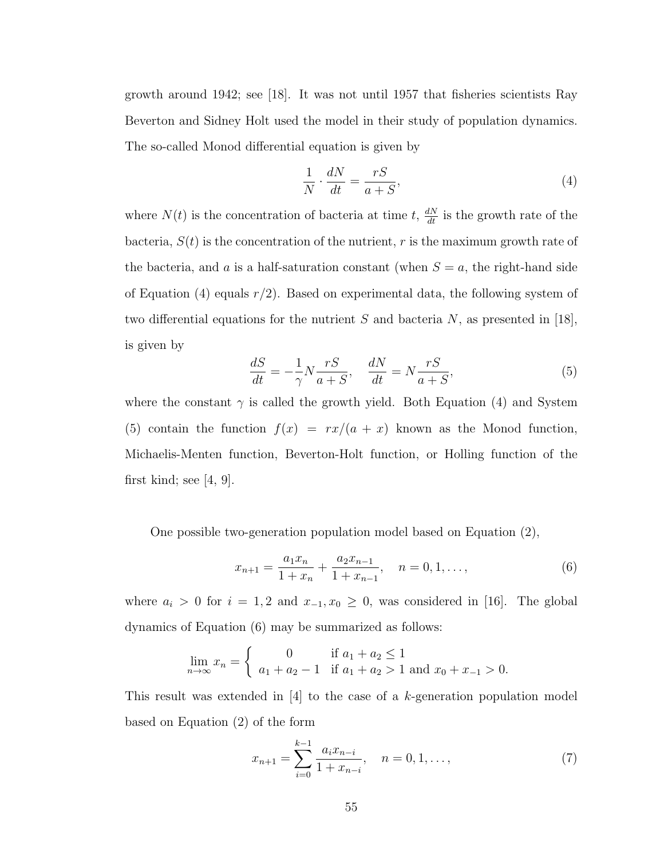growth around 1942; see [\[18\]](#page-92-0). It was not until 1957 that fisheries scientists Ray Beverton and Sidney Holt used the model in their study of population dynamics. The so-called Monod differential equation is given by

<span id="page-68-0"></span>
$$
\frac{1}{N} \cdot \frac{dN}{dt} = \frac{rS}{a+S},\tag{4}
$$

where  $N(t)$  is the concentration of bacteria at time t,  $\frac{dN}{dt}$  is the growth rate of the bacteria,  $S(t)$  is the concentration of the nutrient, r is the maximum growth rate of the bacteria, and a is a half-saturation constant (when  $S = a$ , the right-hand side of Equation [\(4\)](#page-68-0) equals  $r/2$ ). Based on experimental data, the following system of two differential equations for the nutrient  $S$  and bacteria  $N$ , as presented in [\[18\]](#page-92-0), is given by

<span id="page-68-1"></span>
$$
\frac{dS}{dt} = -\frac{1}{\gamma} N \frac{rS}{a+S}, \quad \frac{dN}{dt} = N \frac{rS}{a+S},\tag{5}
$$

where the constant  $\gamma$  is called the growth yield. Both Equation [\(4\)](#page-68-0) and System [\(5\)](#page-68-1) contain the function  $f(x) = rx/(a + x)$  known as the Monod function, Michaelis-Menten function, Beverton-Holt function, or Holling function of the first kind; see  $[4, 9]$  $[4, 9]$ .

One possible two-generation population model based on Equation [\(2\)](#page-67-1),

<span id="page-68-2"></span>
$$
x_{n+1} = \frac{a_1 x_n}{1 + x_n} + \frac{a_2 x_{n-1}}{1 + x_{n-1}}, \quad n = 0, 1, \dots,
$$
 (6)

where  $a_i > 0$  for  $i = 1, 2$  and  $x_{-1}, x_0 \ge 0$ , was considered in [\[16\]](#page-92-1). The global dynamics of Equation [\(6\)](#page-68-2) may be summarized as follows:

$$
\lim_{n \to \infty} x_n = \begin{cases} 0 & \text{if } a_1 + a_2 \le 1 \\ a_1 + a_2 - 1 & \text{if } a_1 + a_2 > 1 \text{ and } x_0 + x_{-1} > 0. \end{cases}
$$

This result was extended in  $[4]$  to the case of a k-generation population model based on Equation [\(2\)](#page-67-1) of the form

<span id="page-68-3"></span>
$$
x_{n+1} = \sum_{i=0}^{k-1} \frac{a_i x_{n-i}}{1 + x_{n-i}}, \quad n = 0, 1, \dots,
$$
 (7)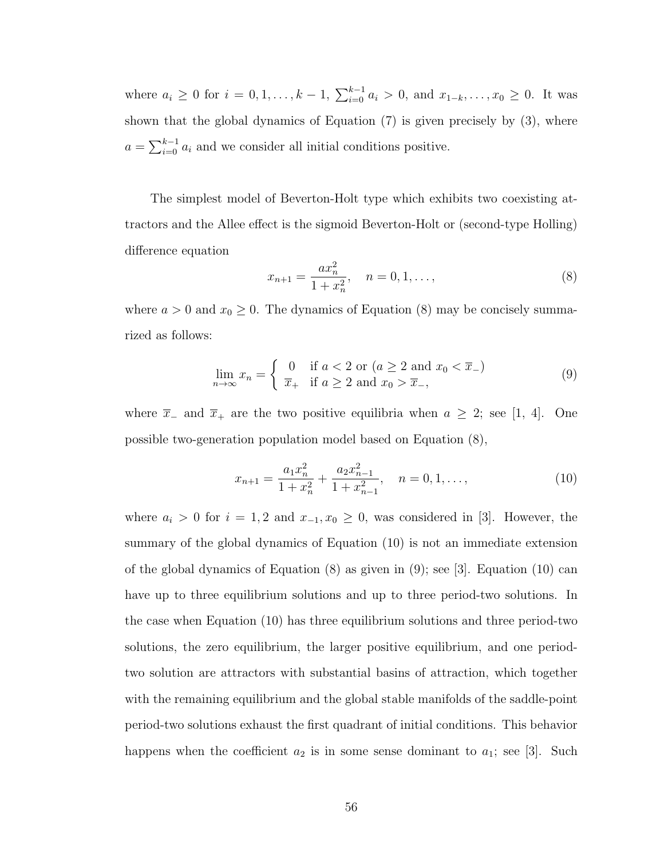where  $a_i \geq 0$  for  $i = 0, 1, ..., k - 1$ ,  $\sum_{i=0}^{k-1} a_i > 0$ , and  $x_{1-k}, ..., x_0 \geq 0$ . It was shown that the global dynamics of Equation [\(7\)](#page-68-3) is given precisely by [\(3\)](#page-67-2), where  $a = \sum_{i=0}^{k-1} a_i$  and we consider all initial conditions positive.

The simplest model of Beverton-Holt type which exhibits two coexisting attractors and the Allee effect is the sigmoid Beverton-Holt or (second-type Holling) difference equation

<span id="page-69-0"></span>
$$
x_{n+1} = \frac{ax_n^2}{1+x_n^2}, \quad n = 0, 1, \dots,
$$
\n(8)

where  $a > 0$  and  $x_0 \ge 0$ . The dynamics of Equation [\(8\)](#page-69-0) may be concisely summarized as follows:

<span id="page-69-2"></span>
$$
\lim_{n \to \infty} x_n = \begin{cases} 0 & \text{if } a < 2 \text{ or } (a \ge 2 \text{ and } x_0 < \overline{x}_-) \\ \overline{x}_+ & \text{if } a \ge 2 \text{ and } x_0 > \overline{x}_-, \end{cases} \tag{9}
$$

where  $\overline{x}_-$  and  $\overline{x}_+$  are the two positive equilibria when  $a \geq 2$ ; see [\[1,](#page-91-2) [4\]](#page-91-0). One possible two-generation population model based on Equation [\(8\)](#page-69-0),

<span id="page-69-1"></span>
$$
x_{n+1} = \frac{a_1 x_n^2}{1 + x_n^2} + \frac{a_2 x_{n-1}^2}{1 + x_{n-1}^2}, \quad n = 0, 1, \dots,
$$
 (10)

where  $a_i > 0$  for  $i = 1, 2$  and  $x_{-1}, x_0 \ge 0$ , was considered in [\[3\]](#page-91-3). However, the summary of the global dynamics of Equation [\(10\)](#page-69-1) is not an immediate extension of the global dynamics of Equation [\(8\)](#page-69-0) as given in [\(9\)](#page-69-2); see [\[3\]](#page-91-3). Equation [\(10\)](#page-69-1) can have up to three equilibrium solutions and up to three period-two solutions. In the case when Equation [\(10\)](#page-69-1) has three equilibrium solutions and three period-two solutions, the zero equilibrium, the larger positive equilibrium, and one periodtwo solution are attractors with substantial basins of attraction, which together with the remaining equilibrium and the global stable manifolds of the saddle-point period-two solutions exhaust the first quadrant of initial conditions. This behavior happens when the coefficient  $a_2$  is in some sense dominant to  $a_1$ ; see [\[3\]](#page-91-3). Such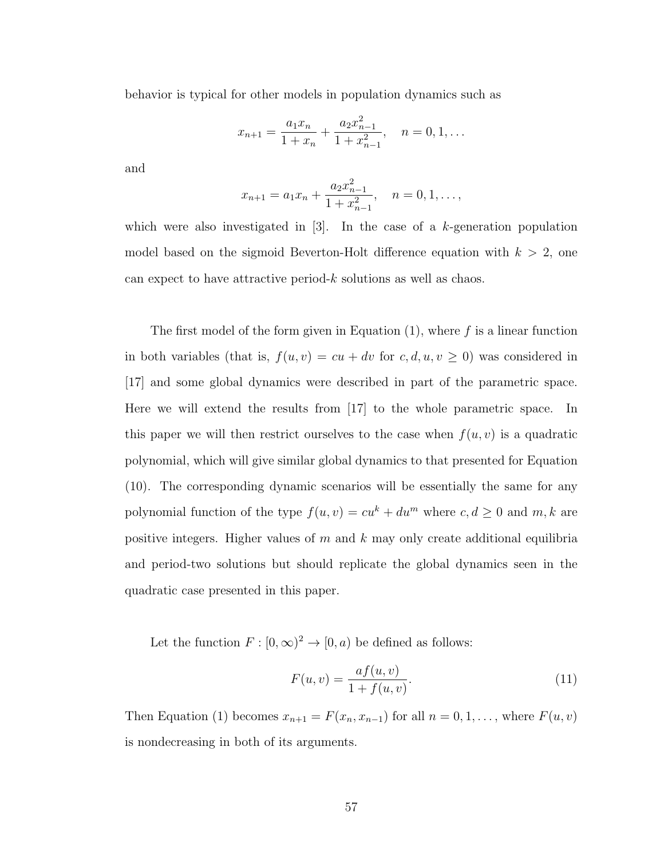behavior is typical for other models in population dynamics such as

$$
x_{n+1} = \frac{a_1 x_n}{1 + x_n} + \frac{a_2 x_{n-1}^2}{1 + x_{n-1}^2}, \quad n = 0, 1, \dots
$$

and

$$
x_{n+1} = a_1 x_n + \frac{a_2 x_{n-1}^2}{1 + x_{n-1}^2}, \quad n = 0, 1, \dots,
$$

which were also investigated in  $[3]$ . In the case of a k-generation population model based on the sigmoid Beverton-Holt difference equation with  $k > 2$ , one can expect to have attractive period-k solutions as well as chaos.

The first model of the form given in Equation  $(1)$ , where f is a linear function in both variables (that is,  $f(u, v) = cu + dv$  for  $c, d, u, v \ge 0$ ) was considered in [\[17\]](#page-92-2) and some global dynamics were described in part of the parametric space. Here we will extend the results from  $|17|$  to the whole parametric space. In this paper we will then restrict ourselves to the case when  $f(u, v)$  is a quadratic polynomial, which will give similar global dynamics to that presented for Equation [\(10\)](#page-69-1). The corresponding dynamic scenarios will be essentially the same for any polynomial function of the type  $f(u, v) = cu^k + du^m$  where  $c, d \ge 0$  and  $m, k$  are positive integers. Higher values of  $m$  and  $k$  may only create additional equilibria and period-two solutions but should replicate the global dynamics seen in the quadratic case presented in this paper.

Let the function  $F : [0, \infty)^2 \to [0, a)$  be defined as follows:

$$
F(u, v) = \frac{af(u, v)}{1 + f(u, v)}.
$$
\n(11)

Then Equation [\(1\)](#page-67-0) becomes  $x_{n+1} = F(x_n, x_{n-1})$  for all  $n = 0, 1, \ldots$ , where  $F(u, v)$ is nondecreasing in both of its arguments.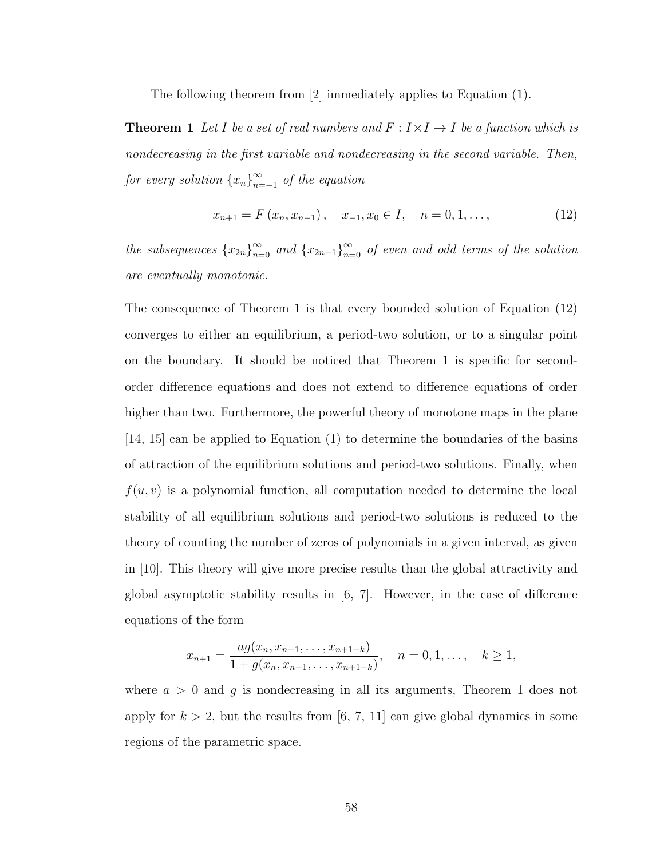The following theorem from [\[2\]](#page-91-4) immediately applies to Equation [\(1\)](#page-67-0).

**Theorem 1** Let I be a set of real numbers and  $F : I \times I \rightarrow I$  be a function which is nondecreasing in the first variable and nondecreasing in the second variable. Then, for every solution  $\{x_n\}_{n=1}^{\infty}$  $\sum_{n=-1}^{\infty}$  of the equation

<span id="page-71-1"></span><span id="page-71-0"></span>
$$
x_{n+1} = F(x_n, x_{n-1}), \quad x_{-1}, x_0 \in I, \quad n = 0, 1, \dots,
$$
 (12)

the subsequences  ${x_{2n}}_{n=0}^{\infty}$  and  ${x_{2n-1}}_{n=0}^{\infty}$  of even and odd terms of the solution are eventually monotonic.

The consequence of Theorem [1](#page-71-0) is that every bounded solution of Equation [\(12\)](#page-71-1) converges to either an equilibrium, a period-two solution, or to a singular point on the boundary. It should be noticed that Theorem [1](#page-71-0) is specific for secondorder difference equations and does not extend to difference equations of order higher than two. Furthermore, the powerful theory of monotone maps in the plane [\[14,](#page-92-3) [15\]](#page-92-4) can be applied to Equation [\(1\)](#page-67-0) to determine the boundaries of the basins of attraction of the equilibrium solutions and period-two solutions. Finally, when  $f(u, v)$  is a polynomial function, all computation needed to determine the local stability of all equilibrium solutions and period-two solutions is reduced to the theory of counting the number of zeros of polynomials in a given interval, as given in [\[10\]](#page-91-5). This theory will give more precise results than the global attractivity and global asymptotic stability results in [\[6,](#page-91-6) [7\]](#page-91-7). However, in the case of difference equations of the form

$$
x_{n+1} = \frac{ag(x_n, x_{n-1}, \dots, x_{n+1-k})}{1 + g(x_n, x_{n-1}, \dots, x_{n+1-k})}, \quad n = 0, 1, \dots, k \ge 1,
$$

where  $a > 0$  and g is nondecreasing in all its arguments, Theorem [1](#page-71-0) does not apply for  $k > 2$ , but the results from [\[6,](#page-91-6) [7,](#page-91-7) [11\]](#page-92-5) can give global dynamics in some regions of the parametric space.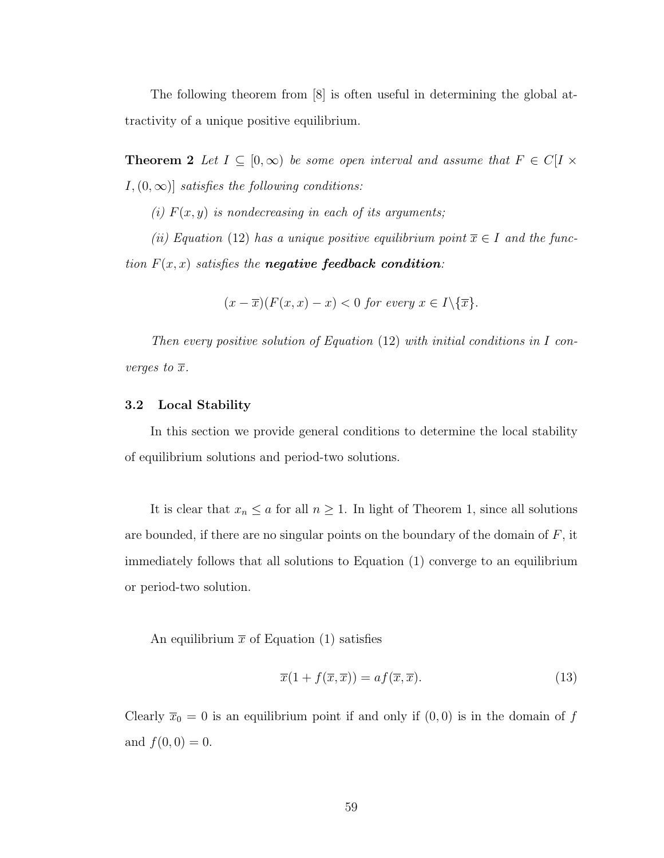The following theorem from [\[8\]](#page-91-0) is often useful in determining the global attractivity of a unique positive equilibrium.

<span id="page-72-1"></span>**Theorem 2** Let  $I \subseteq [0,\infty)$  be some open interval and assume that  $F \in C[I \times \mathbb{R})$  $I,(0,\infty)$ ] satisfies the following conditions:

(i)  $F(x, y)$  is nondecreasing in each of its arguments;

(ii) Equation [\(12\)](#page-71-0) has a unique positive equilibrium point  $\overline{x} \in I$  and the function  $F(x, x)$  satisfies the **negative feedback condition**:

$$
(x - \overline{x})(F(x, x) - x) < 0 \text{ for every } x \in I \setminus \{ \overline{x} \}.
$$

Then every positive solution of Equation  $(12)$  with initial conditions in I converges to  $\overline{x}$ .

#### 3.2 Local Stability

In this section we provide general conditions to determine the local stability of equilibrium solutions and period-two solutions.

It is clear that  $x_n \le a$  for all  $n \ge 1$ . In light of Theorem [1,](#page-71-1) since all solutions are bounded, if there are no singular points on the boundary of the domain of  $F$ , it immediately follows that all solutions to Equation [\(1\)](#page-67-0) converge to an equilibrium or period-two solution.

An equilibrium  $\bar{x}$  of Equation [\(1\)](#page-67-0) satisfies

<span id="page-72-0"></span>
$$
\overline{x}(1 + f(\overline{x}, \overline{x})) = af(\overline{x}, \overline{x}).\tag{13}
$$

Clearly  $\overline{x}_0 = 0$  is an equilibrium point if and only if  $(0, 0)$  is in the domain of f and  $f(0, 0) = 0$ .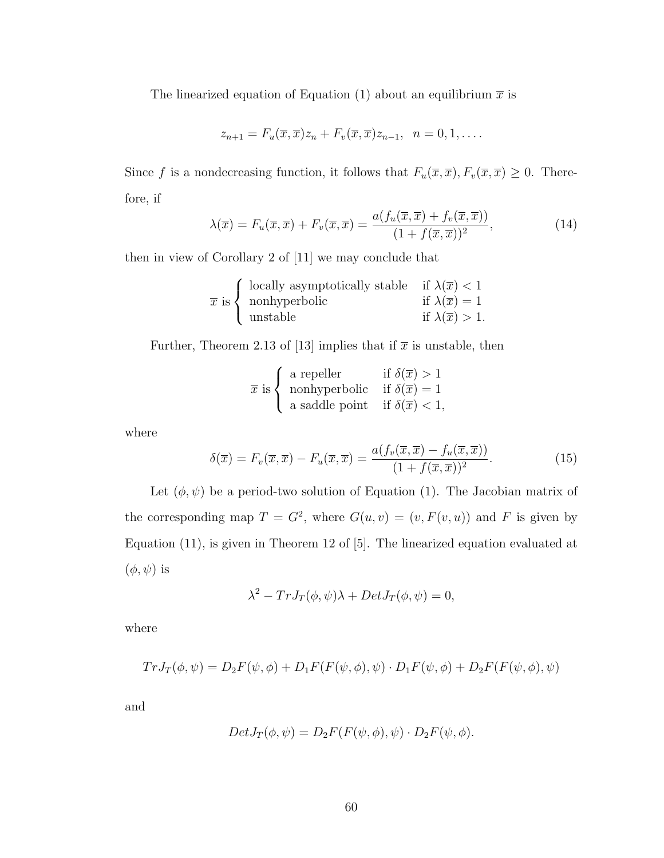The linearized equation of Equation [\(1\)](#page-67-0) about an equilibrium  $\bar{x}$  is

$$
z_{n+1} = F_u(\overline{x}, \overline{x})z_n + F_v(\overline{x}, \overline{x})z_{n-1}, \quad n = 0, 1, \dots
$$

Since f is a nondecreasing function, it follows that  $F_u(\overline{x}, \overline{x}), F_v(\overline{x}, \overline{x}) \geq 0$ . Therefore, if

<span id="page-73-0"></span>
$$
\lambda(\overline{x}) = F_u(\overline{x}, \overline{x}) + F_v(\overline{x}, \overline{x}) = \frac{a(f_u(\overline{x}, \overline{x}) + f_v(\overline{x}, \overline{x}))}{(1 + f(\overline{x}, \overline{x}))^2},
$$
(14)

then in view of Corollary 2 of [\[11\]](#page-92-0) we may conclude that

$$
\overline{x} \text{ is } \begin{cases} \begin{array}{c} \text{locally asymptotically stable} \\ \text{nonhyperbolic} \end{array} & \text{if } \lambda(\overline{x}) < 1 \\ \text{instable} \end{array} \\ \text{if } \lambda(\overline{x}) = 1 \\ \text{if } \lambda(\overline{x}) > 1. \end{cases}
$$

Further, Theorem 2.13 of [\[13\]](#page-92-1) implies that if  $\bar{x}$  is unstable, then

$$
\overline{x} \text{ is }\begin{cases}\n\text{ a repeller} & \text{if } \delta(\overline{x}) > 1 \\
\text{ nonhyperbolic} & \text{if } \delta(\overline{x}) = 1 \\
\text{ a saddle point} & \text{if } \delta(\overline{x}) < 1,\n\end{cases}
$$

where

<span id="page-73-1"></span>
$$
\delta(\overline{x}) = F_v(\overline{x}, \overline{x}) - F_u(\overline{x}, \overline{x}) = \frac{a(f_v(\overline{x}, \overline{x}) - f_u(\overline{x}, \overline{x}))}{(1 + f(\overline{x}, \overline{x}))^2}.
$$
\n(15)

Let  $(\phi, \psi)$  be a period-two solution of Equation [\(1\)](#page-67-0). The Jacobian matrix of the corresponding map  $T = G^2$ , where  $G(u, v) = (v, F(v, u))$  and F is given by Equation [\(11\)](#page-70-0), is given in Theorem 12 of [\[5\]](#page-91-1). The linearized equation evaluated at  $(\phi, \psi)$  is

$$
\lambda^{2} - TrJ_{T}(\phi, \psi)\lambda + DetJ_{T}(\phi, \psi) = 0,
$$

where

$$
Tr J_T(\phi, \psi) = D_2 F(\psi, \phi) + D_1 F(F(\psi, \phi), \psi) \cdot D_1 F(\psi, \phi) + D_2 F(F(\psi, \phi), \psi)
$$

and

$$
Det J_T(\phi, \psi) = D_2 F(F(\psi, \phi), \psi) \cdot D_2 F(\psi, \phi).
$$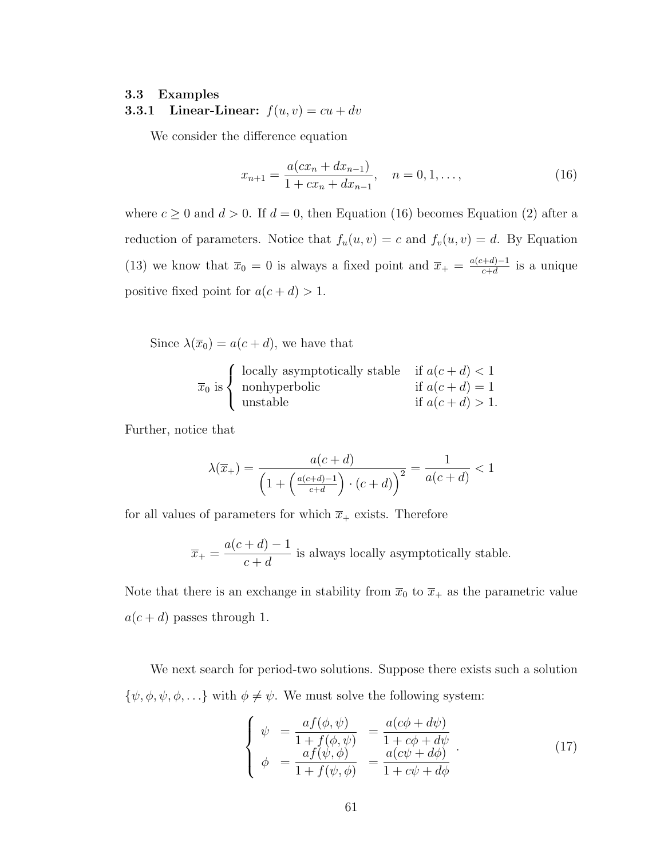#### 3.3 Examples

**3.3.1** Linear-Linear:  $f(u, v) = cu + dv$ 

We consider the difference equation

<span id="page-74-0"></span>
$$
x_{n+1} = \frac{a(cx_n + dx_{n-1})}{1 + cx_n + dx_{n-1}}, \quad n = 0, 1, ...,
$$
\n(16)

where  $c \ge 0$  and  $d > 0$ . If  $d = 0$ , then Equation [\(16\)](#page-74-0) becomes Equation [\(2\)](#page-67-1) after a reduction of parameters. Notice that  $f_u(u, v) = c$  and  $f_v(u, v) = d$ . By Equation [\(13\)](#page-72-0) we know that  $\overline{x}_0 = 0$  is always a fixed point and  $\overline{x}_+ = \frac{a(c+d)-1}{c+d}$  $\frac{a+a-1}{c+d}$  is a unique positive fixed point for  $a(c + d) > 1$ .

Since  $\lambda(\overline{x}_0) = a(c+d)$ , we have that

$$
\overline{x}_0
$$
 is 
$$
\begin{cases}\n\text{locally asymptotically stable} & \text{if } a(c+d) < 1 \\
\text{nonhyperbolic} & \text{if } a(c+d) = 1 \\
\text{unstable} & \text{if } a(c+d) > 1.\n\end{cases}
$$

Further, notice that

$$
\lambda(\overline{x}_{+}) = \frac{a(c+d)}{\left(1 + \left(\frac{a(c+d)-1}{c+d}\right) \cdot (c+d)\right)^{2}} = \frac{1}{a(c+d)} < 1
$$

for all values of parameters for which  $\bar{x}_+$  exists. Therefore

$$
\overline{x}_{+} = \frac{a(c+d)-1}{c+d}
$$
 is always locally asymptotically stable.

Note that there is an exchange in stability from  $\overline{x}_0$  to  $\overline{x}_+$  as the parametric value  $a(c+d)$  passes through 1.

We next search for period-two solutions. Suppose there exists such a solution  $\{\psi, \phi, \psi, \phi, \ldots\}$  with  $\phi \neq \psi$ . We must solve the following system:

<span id="page-74-1"></span>
$$
\begin{cases}\n\psi = \frac{af(\phi, \psi)}{1 + f(\phi, \psi)} = \frac{a(c\phi + d\psi)}{1 + c\phi + d\psi} \\
\phi = \frac{af(\psi, \phi)}{1 + f(\psi, \phi)} = \frac{a(c\psi + d\phi)}{1 + c\psi + d\phi}\n\end{cases} (17)
$$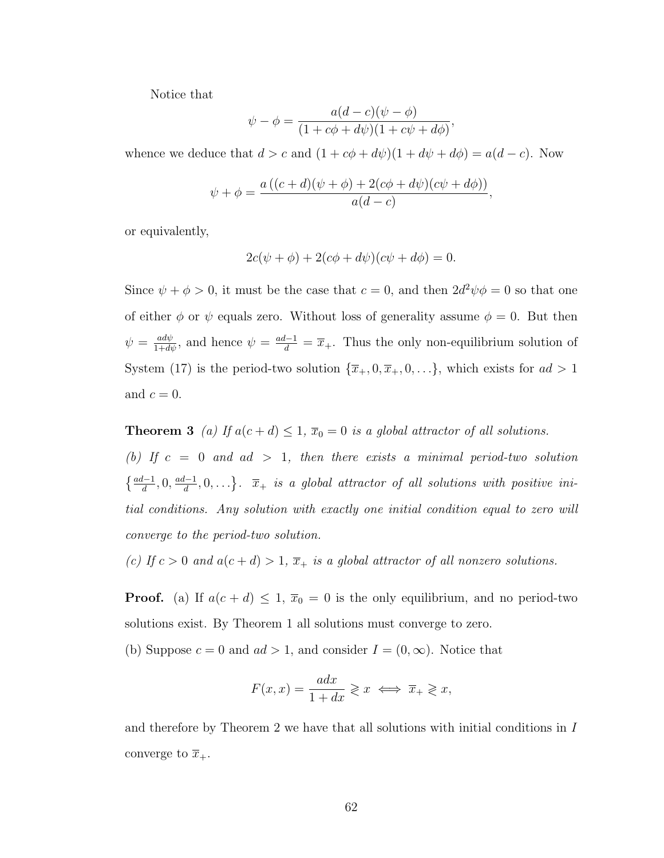Notice that

$$
\psi - \phi = \frac{a(d-c)(\psi - \phi)}{(1+c\phi + d\psi)(1+c\psi + d\phi)},
$$

whence we deduce that  $d > c$  and  $(1 + c\phi + d\psi)(1 + d\psi + d\phi) = a(d - c)$ . Now

$$
\psi + \phi = \frac{a ((c+d)(\psi + \phi) + 2(c\phi + d\psi)(c\psi + d\phi))}{a(d-c)},
$$

or equivalently,

$$
2c(\psi + \phi) + 2(c\phi + d\psi)(c\psi + d\phi) = 0.
$$

Since  $\psi + \phi > 0$ , it must be the case that  $c = 0$ , and then  $2d^2\psi\phi = 0$  so that one of either  $\phi$  or  $\psi$  equals zero. Without loss of generality assume  $\phi = 0$ . But then  $\psi = \frac{ad\psi}{1+d\psi}$ , and hence  $\psi = \frac{ad-1}{d} = \overline{x}_+$ . Thus the only non-equilibrium solution of System [\(17\)](#page-74-1) is the period-two solution  $\{\overline{x}_+, 0, \overline{x}_+, 0, \ldots\}$ , which exists for  $ad > 1$ and  $c = 0$ .

<span id="page-75-0"></span>**Theorem 3** (a) If  $a(c+d) \leq 1$ ,  $\overline{x}_0 = 0$  is a global attractor of all solutions.

(b) If  $c = 0$  and  $ad > 1$ , then there exists a minimal period-two solution  $\left\{\frac{ad-1}{d}, 0, \frac{ad-1}{d}\right\}$  $\{\frac{l-1}{d}, 0, \ldots\}$ .  $\overline{x}_+$  is a global attractor of all solutions with positive initial conditions. Any solution with exactly one initial condition equal to zero will converge to the period-two solution.

(c) If  $c > 0$  and  $a(c + d) > 1$ ,  $\overline{x}_+$  is a global attractor of all nonzero solutions.

**Proof.** (a) If  $a(c + d) \leq 1$ ,  $\overline{x}_0 = 0$  is the only equilibrium, and no period-two solutions exist. By Theorem [1](#page-71-1) all solutions must converge to zero.

(b) Suppose  $c = 0$  and  $ad > 1$ , and consider  $I = (0, \infty)$ . Notice that

$$
F(x,x) = \frac{adx}{1+dx} \geqslant x \iff \overline{x}_+ \geqslant x,
$$

and therefore by Theorem [2](#page-72-1) we have that all solutions with initial conditions in I converge to  $\overline{x}_+.$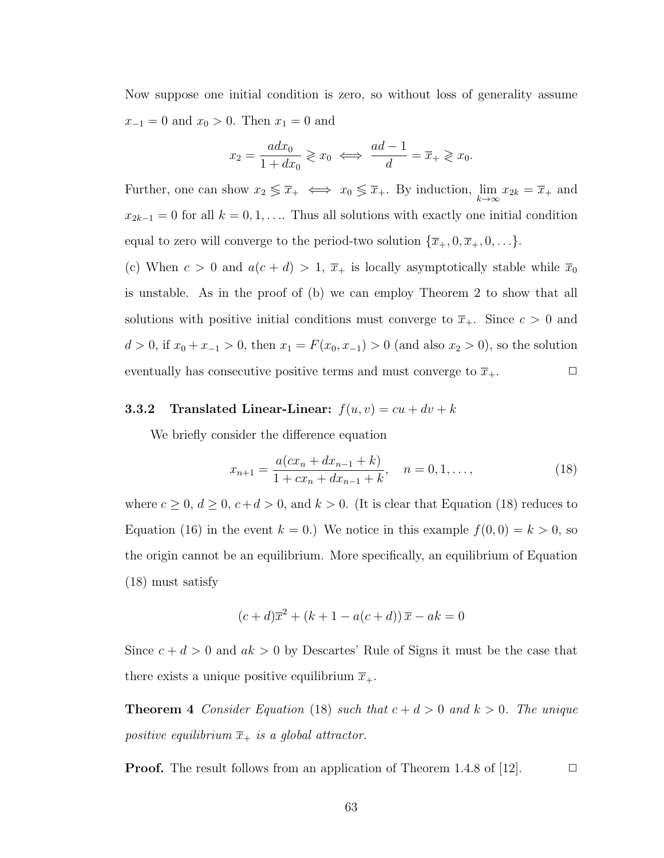Now suppose one initial condition is zero, so without loss of generality assume  $x_{-1} = 0$  and  $x_0 > 0$ . Then  $x_1 = 0$  and

$$
x_2 = \frac{adx_0}{1 + dx_0} \geqslant x_0 \iff \frac{ad - 1}{d} = \overline{x}_+ \geqslant x_0.
$$

Further, one can show  $x_2 \leq \overline{x}_+ \iff x_0 \leq \overline{x}_+$ . By induction,  $\lim_{k \to \infty} x_{2k} = \overline{x}_+$  and  $x_{2k-1} = 0$  for all  $k = 0, 1, \ldots$  Thus all solutions with exactly one initial condition equal to zero will converge to the period-two solution  $\{\overline{x}_+, 0, \overline{x}_+, 0, \ldots\}$ .

(c) When  $c > 0$  and  $a(c + d) > 1$ ,  $\overline{x}_+$  is locally asymptotically stable while  $\overline{x}_0$ is unstable. As in the proof of (b) we can employ Theorem [2](#page-72-1) to show that all solutions with positive initial conditions must converge to  $\overline{x}_+$ . Since  $c > 0$  and  $d > 0$ , if  $x_0 + x_{-1} > 0$ , then  $x_1 = F(x_0, x_{-1}) > 0$  (and also  $x_2 > 0$ ), so the solution eventually has consecutive positive terms and must converge to  $\overline{x}_+$ .

## **3.3.2** Translated Linear-Linear:  $f(u, v) = cu + dv + k$

We briefly consider the difference equation

<span id="page-76-0"></span>
$$
x_{n+1} = \frac{a(cx_n + dx_{n-1} + k)}{1 + cx_n + dx_{n-1} + k}, \quad n = 0, 1, ...,
$$
 (18)

where  $c \ge 0$ ,  $d \ge 0$ ,  $c+d > 0$ , and  $k > 0$ . (It is clear that Equation [\(18\)](#page-76-0) reduces to Equation [\(16\)](#page-74-0) in the event  $k = 0$ .) We notice in this example  $f(0, 0) = k > 0$ , so the origin cannot be an equilibrium. More specifically, an equilibrium of Equation [\(18\)](#page-76-0) must satisfy

$$
(c+d)\overline{x}^2 + (k+1-a(c+d))\overline{x} - ak = 0
$$

Since  $c + d > 0$  and  $ak > 0$  by Descartes' Rule of Signs it must be the case that there exists a unique positive equilibrium  $\overline{x}_{+}$ .

**Theorem 4** Consider Equation [\(18\)](#page-76-0) such that  $c + d > 0$  and  $k > 0$ . The unique positive equilibrium  $\overline{x}_+$  is a global attractor.

**Proof.** The result follows from an application of Theorem 1.4.8 of [\[12\]](#page-92-2).  $\Box$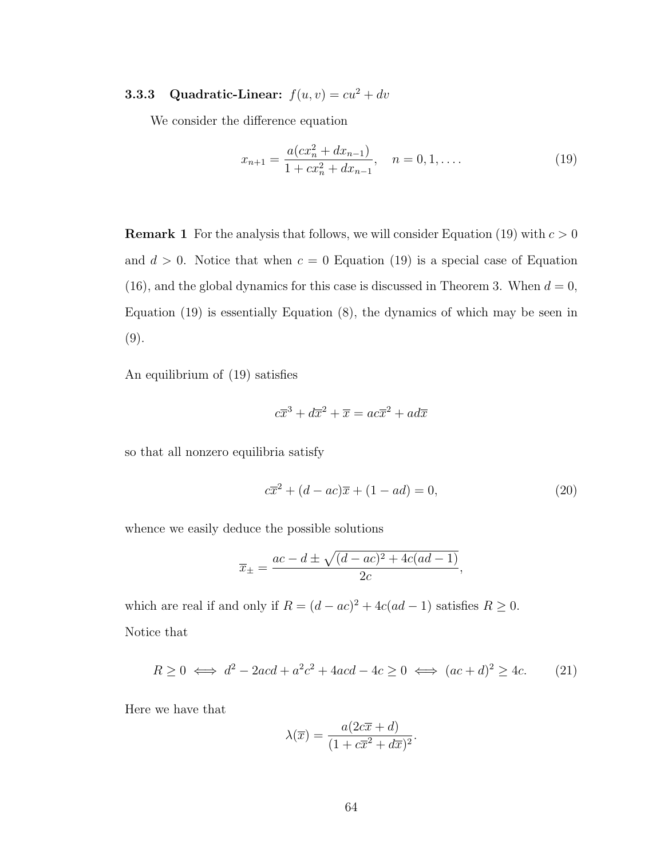# 3.3.3 Quadratic-Linear:  $f(u, v) = cu^2 + dv$

We consider the difference equation

<span id="page-77-0"></span>
$$
x_{n+1} = \frac{a(cx_n^2 + dx_{n-1})}{1 + cx_n^2 + dx_{n-1}}, \quad n = 0, 1, ....
$$
\n(19)

**Remark 1** For the analysis that follows, we will consider Equation [\(19\)](#page-77-0) with  $c > 0$ and  $d > 0$ . Notice that when  $c = 0$  Equation [\(19\)](#page-77-0) is a special case of Equation [\(16\)](#page-74-0), and the global dynamics for this case is discussed in Theorem [3.](#page-75-0) When  $d = 0$ , Equation [\(19\)](#page-77-0) is essentially Equation [\(8\)](#page-69-0), the dynamics of which may be seen in [\(9\)](#page-69-1).

An equilibrium of [\(19\)](#page-77-0) satisfies

$$
c\overline{x}^3 + d\overline{x}^2 + \overline{x} = ac\overline{x}^2 + ad\overline{x}
$$

so that all nonzero equilibria satisfy

<span id="page-77-1"></span>
$$
c\overline{x}^{2} + (d - ac)\overline{x} + (1 - ad) = 0,
$$
\n(20)

whence we easily deduce the possible solutions

$$
\overline{x}_{\pm} = \frac{ac - d \pm \sqrt{(d - ac)^2 + 4c(ad - 1)}}{2c},
$$

which are real if and only if  $R = (d - ac)^2 + 4c(ad - 1)$  satisfies  $R \ge 0$ . Notice that

<span id="page-77-2"></span>
$$
R \ge 0 \iff d^2 - 2acd + a^2c^2 + 4acd - 4c \ge 0 \iff (ac + d)^2 \ge 4c. \tag{21}
$$

Here we have that

$$
\lambda(\overline{x}) = \frac{a(2c\overline{x} + d)}{(1 + c\overline{x}^2 + d\overline{x})^2}.
$$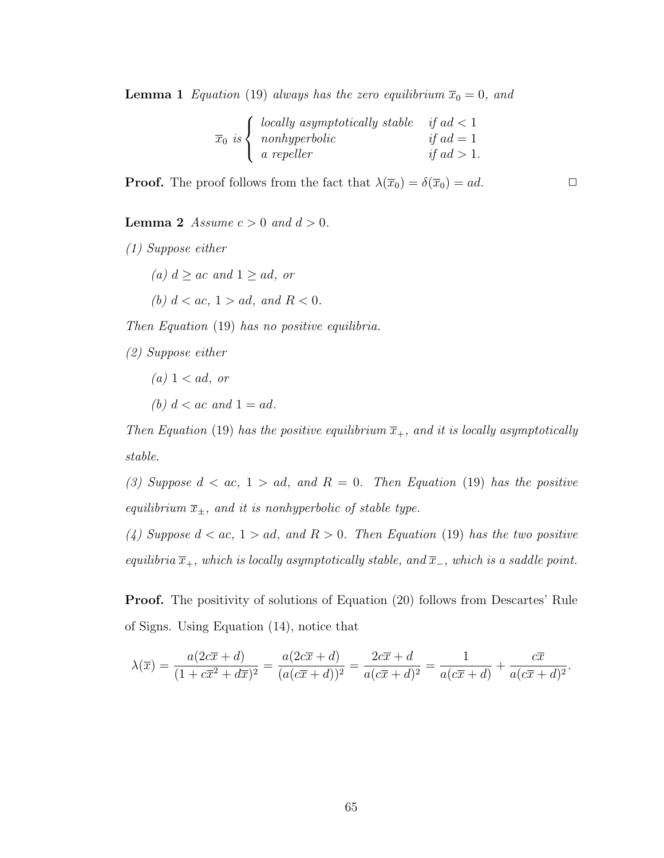**Lemma 1** Equation [\(19\)](#page-77-0) always has the zero equilibrium  $\overline{x}_0 = 0$ , and

| $\int$ locally asymptotically stable if ad < 1 |                      |
|------------------------------------------------|----------------------|
| $\overline{x}_0$ is $\langle$ nonhyperbolic    | if $ad = 1$          |
| $\int$ <i>a</i> repeller                       | <i>if ad</i> $> 1$ . |

**Proof.** The proof follows from the fact that  $\lambda(\overline{x}_0) = \delta(\overline{x}_0) = ad$ .

**Lemma 2** Assume  $c > 0$  and  $d > 0$ .

(1) Suppose either

- (a)  $d \geq ac$  and  $1 \geq ad$ , or
- (b)  $d < ac$ ,  $1 > ad$ , and  $R < 0$ .

Then Equation [\(19\)](#page-77-0) has no positive equilibria.

(2) Suppose either

 $(a)$  1 < ad, or (b)  $d < ac$  and  $1 = ad$ .

Then Equation [\(19\)](#page-77-0) has the positive equilibrium  $\overline{x}_{+}$ , and it is locally asymptotically stable.

(3) Suppose  $d < ac$ ,  $1 > ad$ , and  $R = 0$ . Then Equation [\(19\)](#page-77-0) has the positive equilibrium  $\overline{x}_{\pm}$ , and it is nonhyperbolic of stable type.

(4) Suppose  $d < ac$ ,  $1 > ad$ , and  $R > 0$ . Then Equation [\(19\)](#page-77-0) has the two positive equilibria  $\overline{x}_+$ , which is locally asymptotically stable, and  $\overline{x}_-$ , which is a saddle point.

Proof. The positivity of solutions of Equation [\(20\)](#page-77-1) follows from Descartes' Rule of Signs. Using Equation [\(14\)](#page-73-0), notice that

$$
\lambda(\overline{x}) = \frac{a(2c\overline{x} + d)}{(1 + c\overline{x}^2 + d\overline{x})^2} = \frac{a(2c\overline{x} + d)}{(a(c\overline{x} + d))^2} = \frac{2c\overline{x} + d}{a(c\overline{x} + d)^2} = \frac{1}{a(c\overline{x} + d)} + \frac{c\overline{x}}{a(c\overline{x} + d)^2}.
$$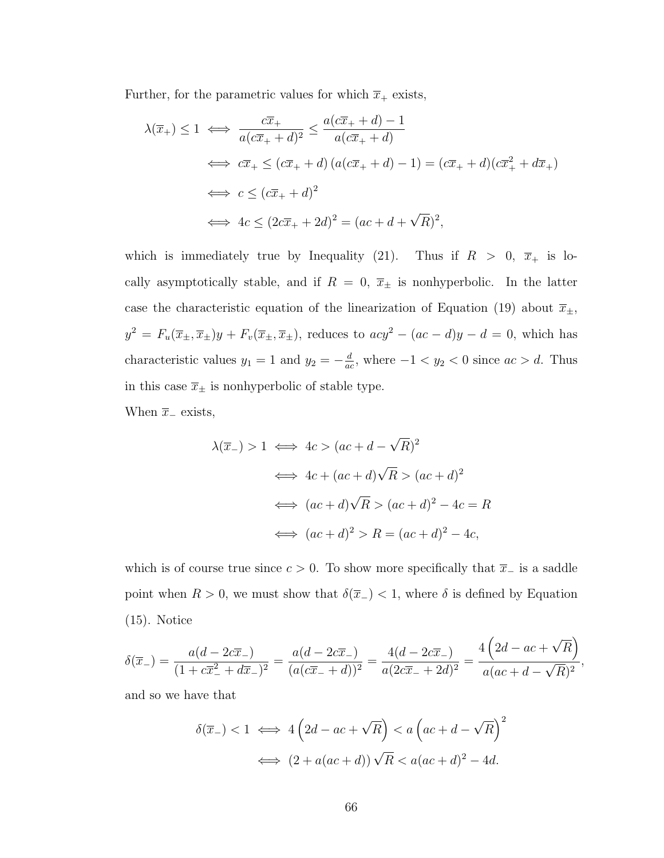Further, for the parametric values for which  $\overline{x}_+$  exists,

$$
\lambda(\overline{x}_{+}) \le 1 \iff \frac{c\overline{x}_{+}}{a(c\overline{x}_{+} + d)^{2}} \le \frac{a(c\overline{x}_{+} + d) - 1}{a(c\overline{x}_{+} + d)}
$$
  

$$
\iff c\overline{x}_{+} \le (c\overline{x}_{+} + d) (a(c\overline{x}_{+} + d) - 1) = (c\overline{x}_{+} + d)(c\overline{x}_{+}^{2} + d\overline{x}_{+})
$$
  

$$
\iff c \le (c\overline{x}_{+} + d)^{2}
$$
  

$$
\iff 4c \le (2c\overline{x}_{+} + 2d)^{2} = (ac + d + \sqrt{R})^{2},
$$

which is immediately true by Inequality [\(21\)](#page-77-2). Thus if  $R > 0$ ,  $\overline{x}_+$  is locally asymptotically stable, and if  $R = 0$ ,  $\bar{x}_{\pm}$  is nonhyperbolic. In the latter case the characteristic equation of the linearization of Equation [\(19\)](#page-77-0) about  $\overline{x}_{\pm}$ ,  $y^2 = F_u(\overline{x}_\pm, \overline{x}_\pm) y + F_v(\overline{x}_\pm, \overline{x}_\pm)$ , reduces to  $acy^2 - (ac - d)y - d = 0$ , which has characteristic values  $y_1 = 1$  and  $y_2 = -\frac{d}{da}$  $\frac{d}{ac}$ , where  $-1 < y_2 < 0$  since  $ac > d$ . Thus in this case  $\overline{x}_{\pm}$  is nonhyperbolic of stable type.

When  $\bar{x}_-$  exists,

$$
\lambda(\overline{x}_-) > 1 \iff 4c > (ac + d - \sqrt{R})^2
$$
  

$$
\iff 4c + (ac + d)\sqrt{R} > (ac + d)^2
$$
  

$$
\iff (ac + d)\sqrt{R} > (ac + d)^2 - 4c = R
$$
  

$$
\iff (ac + d)^2 > R = (ac + d)^2 - 4c,
$$

which is of course true since  $c > 0$ . To show more specifically that  $\overline{x}_-$  is a saddle point when  $R > 0$ , we must show that  $\delta(\overline{x}_-) < 1$ , where  $\delta$  is defined by Equation [\(15\)](#page-73-1). Notice

$$
\delta(\overline{x}_{-}) = \frac{a(d - 2c\overline{x}_{-})}{(1 + c\overline{x}_{-}^{2} + d\overline{x}_{-})^{2}} = \frac{a(d - 2c\overline{x}_{-})}{(a(c\overline{x}_{-} + d))^{2}} = \frac{4(d - 2c\overline{x}_{-})}{a(2c\overline{x}_{-} + 2d)^{2}} = \frac{4\left(2d - ac + \sqrt{R}\right)}{a(ac + d - \sqrt{R})^{2}},
$$

and so we have that

$$
\delta(\overline{x}_-) < 1 \iff 4\left(2d - ac + \sqrt{R}\right) < a\left(ac + d - \sqrt{R}\right)^2
$$
\n
$$
\iff \left(2 + a(ac + d)\right)\sqrt{R} < a(ac + d)^2 - 4d.
$$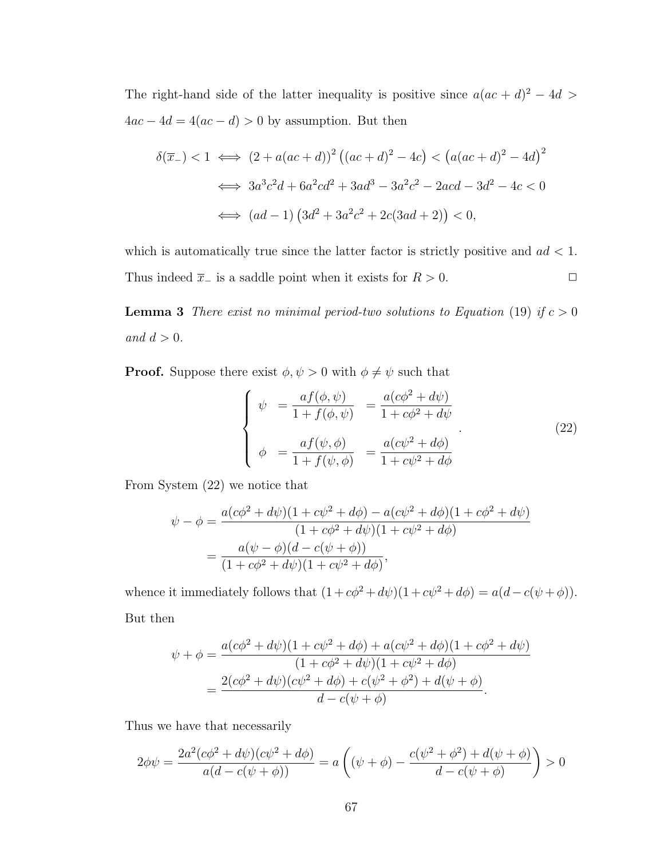The right-hand side of the latter inequality is positive since  $a(ac + d)^2 - 4d$  $4ac - 4d = 4(ac - d) > 0$  by assumption. But then

$$
\delta(\overline{x}_-) < 1 \iff (2 + a(ac + d))^2 \left( (ac + d)^2 - 4c \right) < \left( a(ac + d)^2 - 4d \right)^2
$$
\n
$$
\iff 3a^3c^2d + 6a^2cd^2 + 3ad^3 - 3a^2c^2 - 2acd - 3d^2 - 4c < 0
$$
\n
$$
\iff (ad - 1) \left( 3d^2 + 3a^2c^2 + 2c(3ad + 2) \right) < 0,
$$

which is automatically true since the latter factor is strictly positive and  $ad < 1$ . Thus indeed  $\overline{x}_-$  is a saddle point when it exists for  $R > 0$ .  $\Box$ 

**Lemma 3** There exist no minimal period-two solutions to Equation [\(19\)](#page-77-0) if  $c > 0$ and  $d > 0$ .

**Proof.** Suppose there exist  $\phi, \psi > 0$  with  $\phi \neq \psi$  such that

<span id="page-80-0"></span>
$$
\begin{cases}\n\psi = \frac{af(\phi, \psi)}{1 + f(\phi, \psi)} = \frac{a(c\phi^2 + d\psi)}{1 + c\phi^2 + d\psi} \\
\phi = \frac{af(\psi, \phi)}{1 + f(\psi, \phi)} = \frac{a(c\psi^2 + d\phi)}{1 + c\psi^2 + d\phi}\n\end{cases}
$$
\n(22)

From System [\(22\)](#page-80-0) we notice that

$$
\psi - \phi = \frac{a(c\phi^2 + d\psi)(1 + c\psi^2 + d\phi) - a(c\psi^2 + d\phi)(1 + c\phi^2 + d\psi)}{(1 + c\phi^2 + d\psi)(1 + c\psi^2 + d\phi)}
$$

$$
= \frac{a(\psi - \phi)(d - c(\psi + \phi))}{(1 + c\phi^2 + d\psi)(1 + c\psi^2 + d\phi)},
$$

whence it immediately follows that  $(1 + c\phi^2 + d\psi)(1 + c\psi^2 + d\phi) = a(d - c(\psi + \phi)).$ But then

$$
\psi + \phi = \frac{a(c\phi^2 + d\psi)(1 + c\psi^2 + d\phi) + a(c\psi^2 + d\phi)(1 + c\phi^2 + d\psi)}{(1 + c\phi^2 + d\psi)(1 + c\psi^2 + d\phi)}
$$
  
= 
$$
\frac{2(c\phi^2 + d\psi)(c\psi^2 + d\phi) + c(\psi^2 + \phi^2) + d(\psi + \phi)}{d - c(\psi + \phi)}.
$$

Thus we have that necessarily

$$
2\phi\psi = \frac{2a^2(c\phi^2 + d\psi)(c\psi^2 + d\phi)}{a(d - c(\psi + \phi))} = a\left((\psi + \phi) - \frac{c(\psi^2 + \phi^2) + d(\psi + \phi)}{d - c(\psi + \phi)}\right) > 0
$$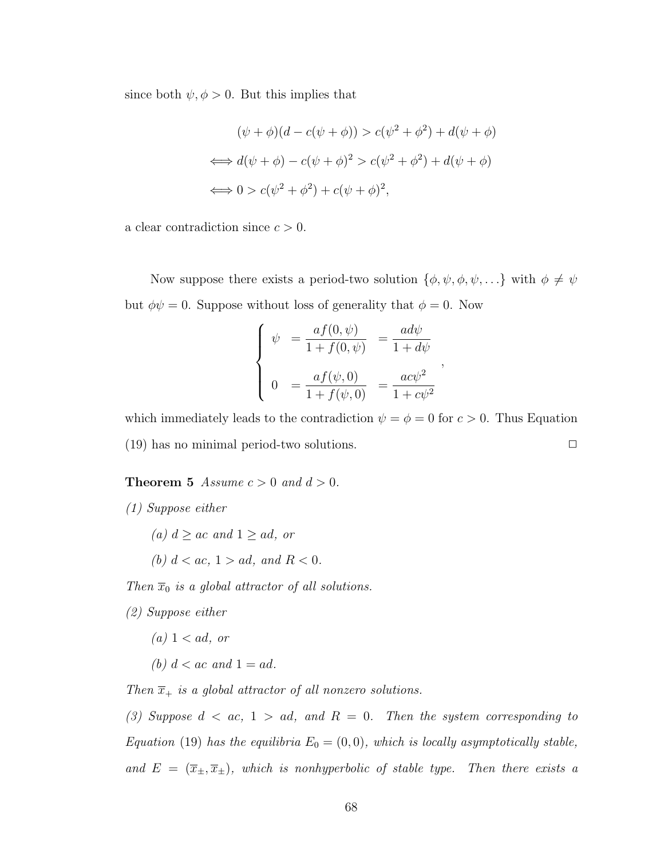since both  $\psi, \phi > 0$ . But this implies that

$$
(\psi + \phi)(d - c(\psi + \phi)) > c(\psi^2 + \phi^2) + d(\psi + \phi)
$$
  

$$
\iff d(\psi + \phi) - c(\psi + \phi)^2 > c(\psi^2 + \phi^2) + d(\psi + \phi)
$$
  

$$
\iff 0 > c(\psi^2 + \phi^2) + c(\psi + \phi)^2,
$$

a clear contradiction since  $c > 0$ .

Now suppose there exists a period-two solution  $\{\phi, \psi, \phi, \psi, \ldots\}$  with  $\phi \neq \psi$ but  $\phi \psi = 0$ . Suppose without loss of generality that  $\phi = 0$ . Now

$$
\begin{cases}\n\psi = \frac{af(0, \psi)}{1 + f(0, \psi)} = \frac{ad\psi}{1 + d\psi} \\
0 = \frac{af(\psi, 0)}{1 + f(\psi, 0)} = \frac{ac\psi^2}{1 + c\psi^2}\n\end{cases}
$$

,

which immediately leads to the contradiction  $\psi = \phi = 0$  for  $c > 0$ . Thus Equation  $(19)$  has no minimal period-two solutions.  $\Box$ 

<span id="page-81-0"></span>**Theorem 5** Assume  $c > 0$  and  $d > 0$ .

- (1) Suppose either
	- (a)  $d \geq ac$  and  $1 \geq ad$ , or
	- (b)  $d < ac, 1 > ad, and R < 0.$

Then  $\overline{x}_0$  is a global attractor of all solutions.

- (2) Suppose either
	- $(a)$  1 < ad, or
	- (b)  $d < ac$  and  $1 = ad$ .

Then  $\overline{x}_+$  is a global attractor of all nonzero solutions.

(3) Suppose  $d < ac$ ,  $1 > ad$ , and  $R = 0$ . Then the system corresponding to Equation [\(19\)](#page-77-0) has the equilibria  $E_0 = (0, 0)$ , which is locally asymptotically stable, and  $E = (\overline{x}_{\pm}, \overline{x}_{\pm})$ , which is nonhyperbolic of stable type. Then there exists a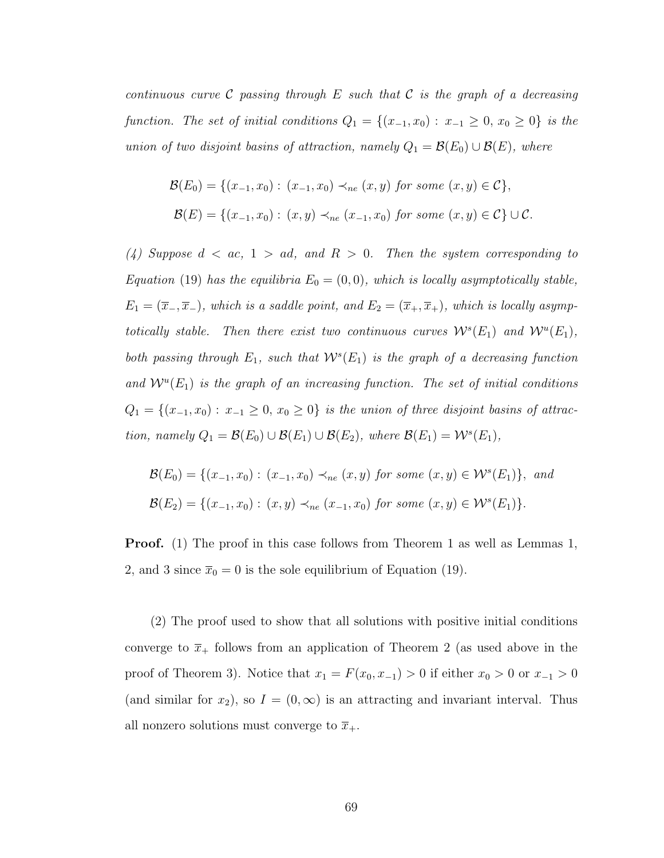continuous curve C passing through E such that C is the graph of a decreasing function. The set of initial conditions  $Q_1 = \{(x_{-1}, x_0) : x_{-1} \ge 0, x_0 \ge 0\}$  is the union of two disjoint basins of attraction, namely  $Q_1 = \mathcal{B}(E_0) \cup \mathcal{B}(E)$ , where

$$
\mathcal{B}(E_0) = \{ (x_{-1}, x_0) : (x_{-1}, x_0) \prec_{ne} (x, y) \text{ for some } (x, y) \in \mathcal{C} \},
$$
  

$$
\mathcal{B}(E) = \{ (x_{-1}, x_0) : (x, y) \prec_{ne} (x_{-1}, x_0) \text{ for some } (x, y) \in \mathcal{C} \} \cup \mathcal{C}.
$$

(4) Suppose  $d < ac$ ,  $1 > ad$ , and  $R > 0$ . Then the system corresponding to Equation [\(19\)](#page-77-0) has the equilibria  $E_0 = (0, 0)$ , which is locally asymptotically stable,  $E_1 = (\overline{x}_-, \overline{x}_-)$ , which is a saddle point, and  $E_2 = (\overline{x}_+, \overline{x}_+)$ , which is locally asymptotically stable. Then there exist two continuous curves  $\mathcal{W}^s(E_1)$  and  $\mathcal{W}^u(E_1)$ , both passing through  $E_1$ , such that  $W<sup>s</sup>(E_1)$  is the graph of a decreasing function and  $\mathcal{W}^u(E_1)$  is the graph of an increasing function. The set of initial conditions  $Q_1 = \{(x_{-1}, x_0): x_{-1} \ge 0, x_0 \ge 0\}$  is the union of three disjoint basins of attraction, namely  $Q_1 = \mathcal{B}(E_0) \cup \mathcal{B}(E_1) \cup \mathcal{B}(E_2)$ , where  $\mathcal{B}(E_1) = \mathcal{W}^s(E_1)$ ,

$$
\mathcal{B}(E_0) = \{(x_{-1}, x_0) : (x_{-1}, x_0) \prec_{ne} (x, y) \text{ for some } (x, y) \in \mathcal{W}^s(E_1)\}, \text{ and}
$$
  

$$
\mathcal{B}(E_2) = \{(x_{-1}, x_0) : (x, y) \prec_{ne} (x_{-1}, x_0) \text{ for some } (x, y) \in \mathcal{W}^s(E_1)\}.
$$

Proof. (1) The proof in this case follows from Theorem [1](#page-71-1) as well as Lemmas [1,](#page-47-0) [2,](#page-48-0) and [3](#page-50-0) since  $\bar{x}_0 = 0$  is the sole equilibrium of Equation [\(19\)](#page-77-0).

(2) The proof used to show that all solutions with positive initial conditions converge to  $\bar{x}_+$  follows from an application of Theorem [2](#page-72-1) (as used above in the proof of Theorem [3\)](#page-75-0). Notice that  $x_1 = F(x_0, x_{-1}) > 0$  if either  $x_0 > 0$  or  $x_{-1} > 0$ (and similar for  $x_2$ ), so  $I = (0, \infty)$  is an attracting and invariant interval. Thus all nonzero solutions must converge to  $\overline{x}_+$ .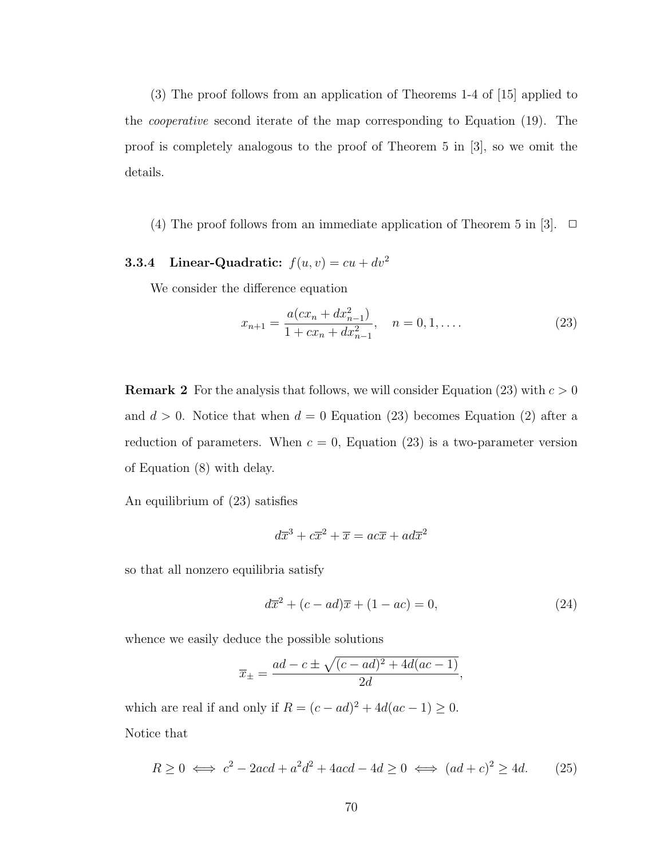(3) The proof follows from an application of Theorems 1-4 of [\[15\]](#page-92-3) applied to the cooperative second iterate of the map corresponding to Equation [\(19\)](#page-77-0). The proof is completely analogous to the proof of Theorem 5 in [\[3\]](#page-91-2), so we omit the details.

(4) The proof follows from an immediate application of Theorem 5 in [\[3\]](#page-91-2).  $\Box$ 

# 3.3.4 Linear-Quadratic:  $f(u, v) = cu + dv^2$

We consider the difference equation

<span id="page-83-0"></span>
$$
x_{n+1} = \frac{a(cx_n + dx_{n-1}^2)}{1 + cx_n + dx_{n-1}^2}, \quad n = 0, 1, ....
$$
 (23)

**Remark 2** For the analysis that follows, we will consider Equation [\(23\)](#page-83-0) with  $c > 0$ and  $d > 0$ . Notice that when  $d = 0$  Equation [\(23\)](#page-83-0) becomes Equation [\(2\)](#page-67-1) after a reduction of parameters. When  $c = 0$ , Equation [\(23\)](#page-83-0) is a two-parameter version of Equation [\(8\)](#page-69-0) with delay.

An equilibrium of [\(23\)](#page-83-0) satisfies

$$
d\overline{x}^3 + c\overline{x}^2 + \overline{x} = ac\overline{x} + ad\overline{x}^2
$$

so that all nonzero equilibria satisfy

<span id="page-83-1"></span>
$$
d\overline{x}^{2} + (c - ad)\overline{x} + (1 - ac) = 0,
$$
\n(24)

whence we easily deduce the possible solutions

$$
\overline{x}_{\pm} = \frac{ad - c \pm \sqrt{(c - ad)^2 + 4d(ac - 1)}}{2d},
$$

which are real if and only if  $R = (c - ad)^2 + 4d(ac - 1) \ge 0$ . Notice that

<span id="page-83-2"></span>
$$
R \ge 0 \iff c^2 - 2acd + a^2d^2 + 4acd - 4d \ge 0 \iff (ad + c)^2 \ge 4d. \tag{25}
$$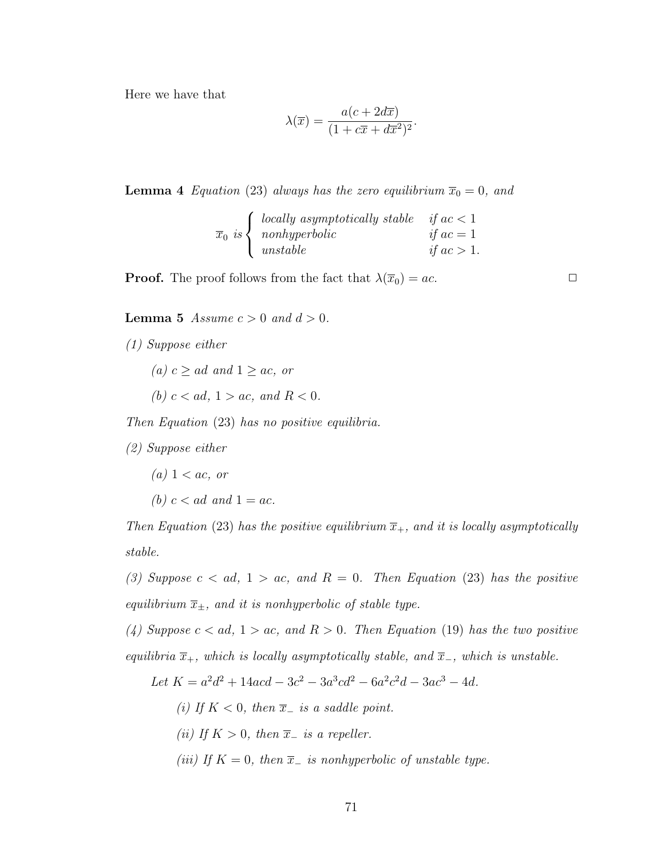Here we have that

$$
\lambda(\overline{x}) = \frac{a(c + 2d\overline{x})}{(1 + c\overline{x} + d\overline{x}^2)^2}.
$$

**Lemma 4** Equation [\(23\)](#page-83-0) always has the zero equilibrium  $\overline{x}_0 = 0$ , and

$$
\overline{x}_0 is \begin{cases} locally \ asymptotically \ stable & if \ ac < 1 \\ nonhyperbolic & if \ ac = 1 \\ unstable & if \ ac > 1. \end{cases}
$$

**Proof.** The proof follows from the fact that  $\lambda(\overline{x}_0) = ac$ .

**Lemma 5** Assume  $c > 0$  and  $d > 0$ .

(1) Suppose either

(a)  $c \geq ad$  and  $1 \geq ac$ , or

(b)  $c < ad$ ,  $1 > ac$ , and  $R < 0$ .

Then Equation [\(23\)](#page-83-0) has no positive equilibria.

(2) Suppose either

- $(a)$  1 < ac, or
- (b)  $c < ad$  and  $1 = ac$ .

Then Equation [\(23\)](#page-83-0) has the positive equilibrium  $\overline{x}_{+}$ , and it is locally asymptotically stable.

(3) Suppose  $c < ad$ ,  $1 > ac$ , and  $R = 0$ . Then Equation [\(23\)](#page-83-0) has the positive equilibrium  $\overline{x}_{\pm}$ , and it is nonhyperbolic of stable type.

(4) Suppose  $c < ad$ ,  $1 > ac$ , and  $R > 0$ . Then Equation [\(19\)](#page-77-0) has the two positive equilibria  $\overline{x}_+$ , which is locally asymptotically stable, and  $\overline{x}_-$ , which is unstable.

Let 
$$
K = a^2d^2 + 14acd - 3c^2 - 3a^3cd^2 - 6a^2c^2d - 3ac^3 - 4d
$$
.

- (i) If  $K < 0$ , then  $\overline{x}_-$  is a saddle point.
- (ii) If  $K > 0$ , then  $\overline{x}_-$  is a repeller.
- (iii) If  $K = 0$ , then  $\overline{x}_{-}$  is nonhyperbolic of unstable type.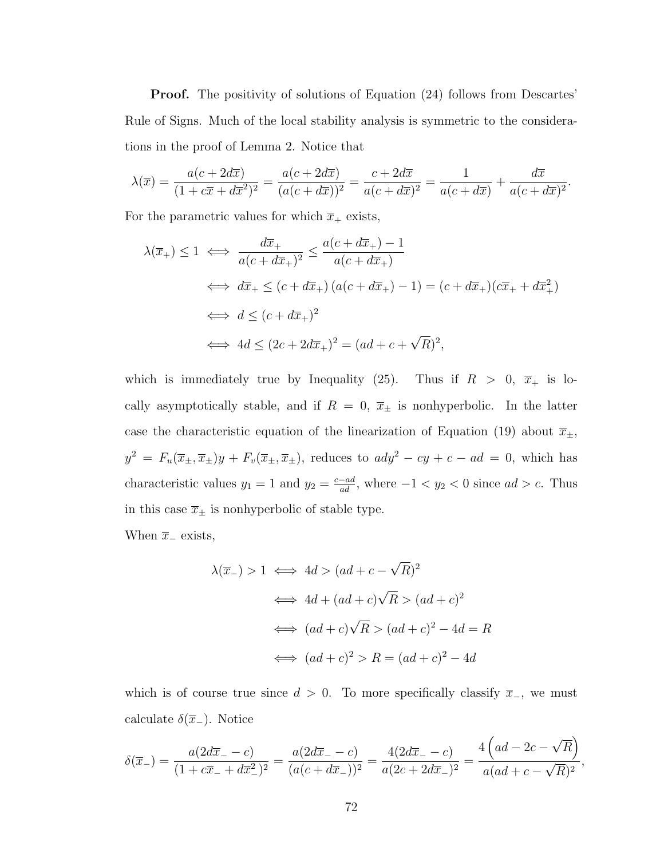**Proof.** The positivity of solutions of Equation  $(24)$  follows from Descartes' Rule of Signs. Much of the local stability analysis is symmetric to the considerations in the proof of Lemma [2.](#page-48-0) Notice that

$$
\lambda(\overline{x}) = \frac{a(c + 2d\overline{x})}{(1 + c\overline{x} + d\overline{x}^2)^2} = \frac{a(c + 2d\overline{x})}{(a(c + d\overline{x}))^2} = \frac{c + 2d\overline{x}}{a(c + d\overline{x})^2} = \frac{1}{a(c + d\overline{x})} + \frac{d\overline{x}}{a(c + d\overline{x})^2}.
$$

For the parametric values for which  $\overline{x}_+$  exists,

$$
\lambda(\overline{x}_{+}) \le 1 \iff \frac{d\overline{x}_{+}}{a(c+d\overline{x}_{+})^{2}} \le \frac{a(c+d\overline{x}_{+})-1}{a(c+d\overline{x}_{+})}
$$
  

$$
\iff d\overline{x}_{+} \le (c+d\overline{x}_{+}) (a(c+d\overline{x}_{+})-1) = (c+d\overline{x}_{+}) (c\overline{x}_{+}+d\overline{x}_{+}^{2})
$$
  

$$
\iff d \le (c+d\overline{x}_{+})^{2}
$$
  

$$
\iff 4d \le (2c+2d\overline{x}_{+})^{2} = (ad+c+\sqrt{R})^{2},
$$

which is immediately true by Inequality [\(25\)](#page-83-2). Thus if  $R > 0$ ,  $\overline{x}_+$  is locally asymptotically stable, and if  $R = 0$ ,  $\bar{x}_{\pm}$  is nonhyperbolic. In the latter case the characteristic equation of the linearization of Equation [\(19\)](#page-77-0) about  $\overline{x}_{\pm}$ ,  $y^2 = F_u(\overline{x}_\pm, \overline{x}_\pm) y + F_v(\overline{x}_\pm, \overline{x}_\pm)$ , reduces to  $ady^2 - cy + c - ad = 0$ , which has characteristic values  $y_1 = 1$  and  $y_2 = \frac{c - ad}{ad}$ , where  $-1 < y_2 < 0$  since  $ad > c$ . Thus in this case  $\overline{x}_{\pm}$  is nonhyperbolic of stable type.

When  $\bar{x}_-$  exists,

$$
\lambda(\overline{x}_-) > 1 \iff 4d > (ad + c - \sqrt{R})^2
$$
  

$$
\iff 4d + (ad + c)\sqrt{R} > (ad + c)^2
$$
  

$$
\iff (ad + c)\sqrt{R} > (ad + c)^2 - 4d = R
$$
  

$$
\iff (ad + c)^2 > R = (ad + c)^2 - 4d
$$

which is of course true since  $d > 0$ . To more specifically classify  $\overline{x}_-$ , we must calculate  $\delta(\overline{x}_-)$ . Notice

$$
\delta(\overline{x}_{-}) = \frac{a(2d\overline{x}_{-} - c)}{(1 + c\overline{x}_{-} + d\overline{x}_{-}^{2})^{2}} = \frac{a(2d\overline{x}_{-} - c)}{(a(c + d\overline{x}_{-}))^{2}} = \frac{4(2d\overline{x}_{-} - c)}{a(2c + 2d\overline{x}_{-})^{2}} = \frac{4\left(ad - 2c - \sqrt{R}\right)}{a(ad + c - \sqrt{R})^{2}},
$$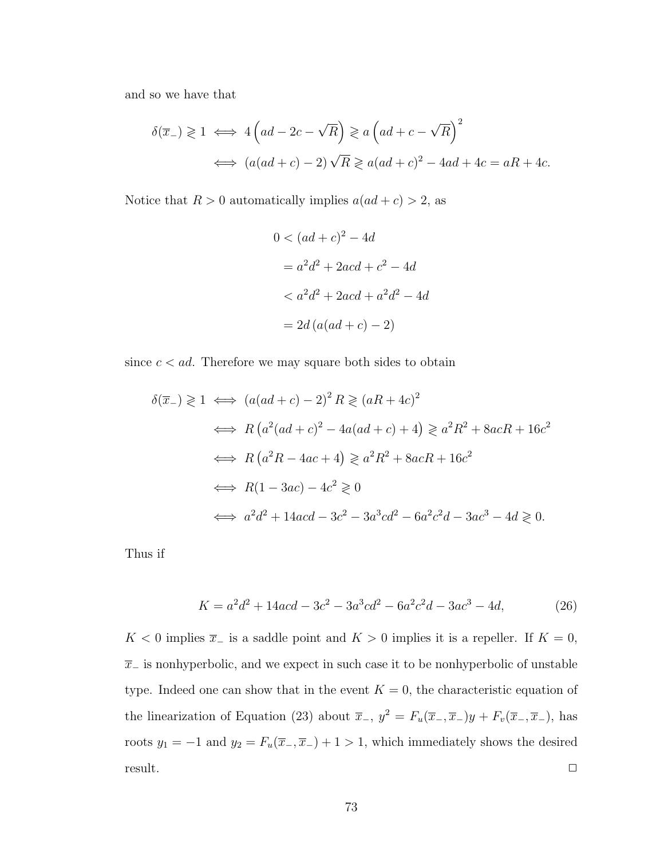and so we have that

$$
\delta(\overline{x}_-) \geq 1 \iff 4\left(ad - 2c - \sqrt{R}\right) \geq a\left(ad + c - \sqrt{R}\right)^2
$$
  

$$
\iff (a(ad + c) - 2)\sqrt{R} \geq a(ad + c)^2 - 4ad + 4c = aR + 4c.
$$

Notice that  $R > 0$  automatically implies  $a(ad + c) > 2$ , as

$$
0 < (ad + c)2 - 4d
$$
\n
$$
= a2d2 + 2acd + c2 - 4d
$$
\n
$$
< a2d2 + 2acd + a2d2 - 4d
$$
\n
$$
= 2d(a(ad + c) - 2)
$$

since  $c < ad$ . Therefore we may square both sides to obtain

$$
\delta(\overline{x}_{-}) \geq 1 \iff (a(ad+c)-2)^{2}R \geq (aR+4c)^{2}
$$
  
\n
$$
\iff R(a^{2}(ad+c)^{2} - 4a(ad+c) + 4) \geq a^{2}R^{2} + 8acR + 16c^{2}
$$
  
\n
$$
\iff R(a^{2}R - 4ac + 4) \geq a^{2}R^{2} + 8acR + 16c^{2}
$$
  
\n
$$
\iff R(1 - 3ac) - 4c^{2} \geq 0
$$
  
\n
$$
\iff a^{2}d^{2} + 14acd - 3c^{2} - 3a^{3}cd^{2} - 6a^{2}c^{2}d - 3ac^{3} - 4d \geq 0.
$$

Thus if

<span id="page-86-0"></span>
$$
K = a^2d^2 + 14acd - 3c^2 - 3a^3cd^2 - 6a^2c^2d - 3ac^3 - 4d,
$$
\n(26)

K < 0 implies  $\overline{x}_-$  is a saddle point and  $K > 0$  implies it is a repeller. If  $K = 0$ ,  $\bar{x}_-$  is nonhyperbolic, and we expect in such case it to be nonhyperbolic of unstable type. Indeed one can show that in the event  $K = 0$ , the characteristic equation of the linearization of Equation [\(23\)](#page-83-0) about  $\overline{x}_-$ ,  $y^2 = F_u(\overline{x}_-,\overline{x}_-)y + F_v(\overline{x}_-,\overline{x}_-)$ , has roots  $y_1 = -1$  and  $y_2 = F_u(\overline{x}_-,\overline{x}_-) + 1 > 1$ , which immediately shows the desired  $r$ esult.  $\Box$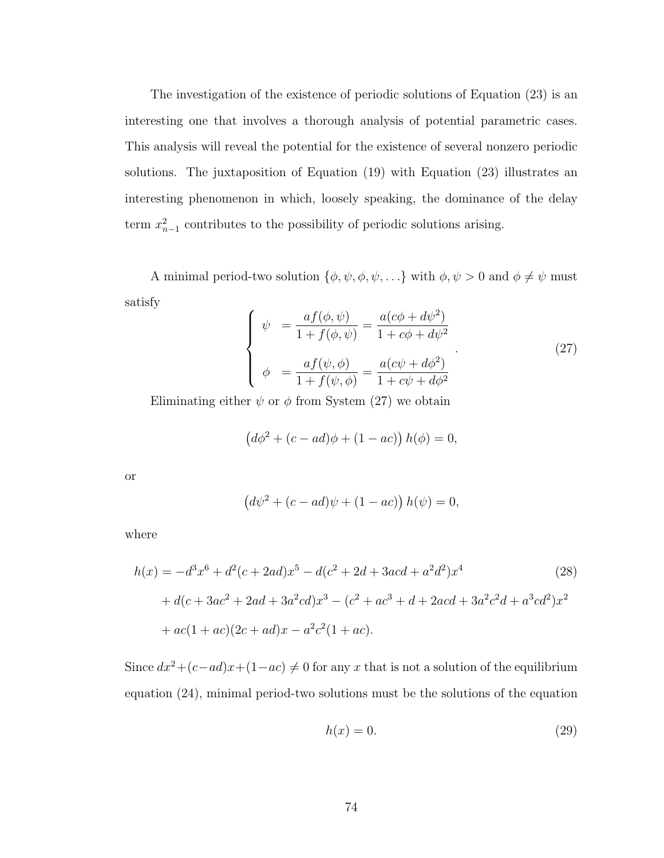The investigation of the existence of periodic solutions of Equation [\(23\)](#page-83-0) is an interesting one that involves a thorough analysis of potential parametric cases. This analysis will reveal the potential for the existence of several nonzero periodic solutions. The juxtaposition of Equation [\(19\)](#page-77-0) with Equation [\(23\)](#page-83-0) illustrates an interesting phenomenon in which, loosely speaking, the dominance of the delay term  $x_{n-1}^2$  contributes to the possibility of periodic solutions arising.

A minimal period-two solution  $\{\phi, \psi, \phi, \psi, \ldots\}$  with  $\phi, \psi > 0$  and  $\phi \neq \psi$  must satisfy

<span id="page-87-0"></span>
$$
\begin{cases}\n\psi = \frac{af(\phi, \psi)}{1 + f(\phi, \psi)} = \frac{a(c\phi + d\psi^2)}{1 + c\phi + d\psi^2} \\
\phi = \frac{af(\psi, \phi)}{1 + f(\psi, \phi)} = \frac{a(c\psi + d\phi^2)}{1 + c\psi + d\phi^2}\n\end{cases} (27)
$$

Eliminating either  $\psi$  or  $\phi$  from System [\(27\)](#page-87-0) we obtain

$$
(d\phi^{2} + (c - ad)\phi + (1 - ac)) h(\phi) = 0,
$$

or

$$
(d\psi^{2} + (c - ad)\psi + (1 - ac)) h(\psi) = 0,
$$

where

$$
h(x) = -d^3x^6 + d^2(c + 2ad)x^5 - d(c^2 + 2d + 3acd + a^2d^2)x^4
$$
\n
$$
+ d(c + 3ac^2 + 2ad + 3a^2cd)x^3 - (c^2 + ac^3 + d + 2acd + 3a^2c^2d + a^3cd^2)x^2
$$
\n
$$
+ ac(1 + ac)(2c + ad)x - a^2c^2(1 + ac).
$$
\n(28)

Since  $dx^2 + (c - ad)x + (1 - ac) \neq 0$  for any x that is not a solution of the equilibrium equation [\(24\)](#page-83-1), minimal period-two solutions must be the solutions of the equation

<span id="page-87-2"></span><span id="page-87-1"></span>
$$
h(x) = 0.\t\t(29)
$$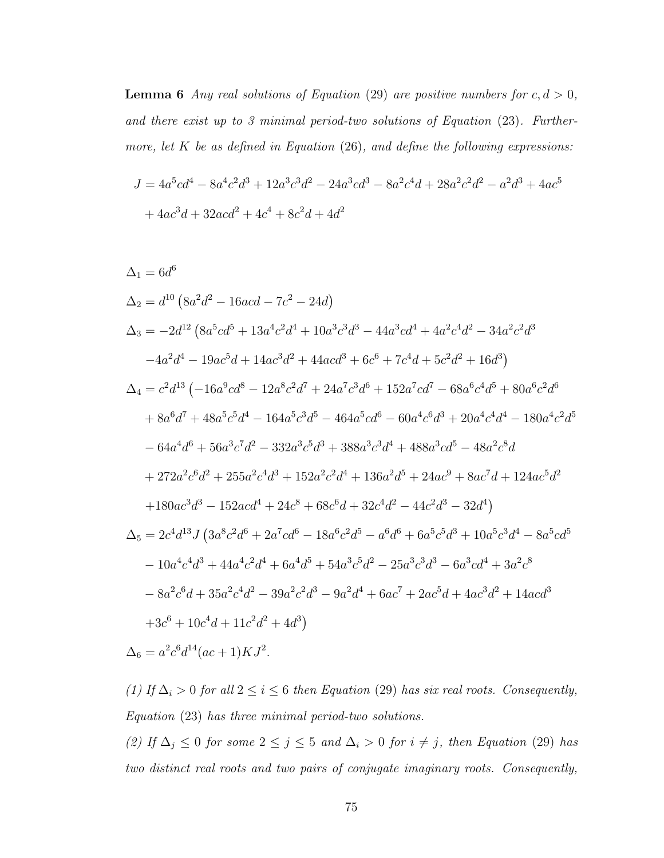**Lemma 6** Any real solutions of Equation [\(29\)](#page-87-1) are positive numbers for  $c, d > 0$ , and there exist up to 3 minimal period-two solutions of Equation [\(23\)](#page-83-0). Furthermore, let  $K$  be as defined in Equation [\(26\)](#page-86-0), and define the following expressions:

$$
J = 4a^{5}cd^{4} - 8a^{4}c^{2}d^{3} + 12a^{3}c^{3}d^{2} - 24a^{3}cd^{3} - 8a^{2}c^{4}d + 28a^{2}c^{2}d^{2} - a^{2}d^{3} + 4ac^{5}
$$
  
+ 
$$
4ac^{3}d + 32acd^{2} + 4c^{4} + 8c^{2}d + 4d^{2}
$$

$$
\Delta_1 = 6d^6
$$
\n
$$
\Delta_2 = d^{10} (8a^2d^2 - 16acd - 7c^2 - 24d)
$$
\n
$$
\Delta_3 = -2d^{12} (8a^5cd^5 + 13a^4c^2d^4 + 10a^3c^3d^3 - 44a^3cd^4 + 4a^2c^4d^2 - 34a^2c^2d^3 - 4a^2d^4 - 19ac^5d + 14ac^3d^2 + 44acd^3 + 6c^6 + 7c^4d + 5c^2d^2 + 16d^3)
$$
\n
$$
\Delta_4 = c^2d^{13} (-16a^9cd^8 - 12a^8c^2d^7 + 24a^7c^3d^6 + 152a^7cd^7 - 68a^6c^4d^5 + 80a^6c^2d^6 + 8a^6d^7 + 48a^5c^5d^4 - 164a^5c^3d^5 - 464a^5cd^6 - 60a^4c^6d^3 + 20a^4c^4d^4 - 180a^4c^2d^5 - 64a^4d^6 + 56a^3c^7d^2 - 332a^3c^5d^3 + 388a^3c^3d^4 + 488a^3cd^5 - 48a^2c^8d + 272a^2c^6d^2 + 255a^2c^4d^3 + 152a^2c^2d^4 + 136a^2d^5 + 24ac^9 + 8ac^7d + 124ac^5d^2 + 180ac^3d^3 - 152acd^4 + 24c^8 + 68c^6d + 32c^4d^2 - 44c^2d^3 - 32d^4)
$$
\n
$$
\Delta_5 = 2c^4d^{13}J (3a^8c^2d^6 + 2a^7cd^6 - 18a^6c^2d^5 - a^6d^6 + 6a^5c^5d^3 + 10a^5c^3d^4 - 8a^5cd^5 - 10a^4c^4d^3 + 44a^4c^2d^4 + 6a^4d^5 + 54a^3c^5d^2 - 25a^3c^3d^3 -
$$

(1) If  $\Delta_i > 0$  for all  $2 \leq i \leq 6$  then Equation [\(29\)](#page-87-1) has six real roots. Consequently, Equation [\(23\)](#page-83-0) has three minimal period-two solutions.

(2) If  $\Delta_j \leq 0$  for some  $2 \leq j \leq 5$  and  $\Delta_i > 0$  for  $i \neq j$ , then Equation [\(29\)](#page-87-1) has two distinct real roots and two pairs of conjugate imaginary roots. Consequently,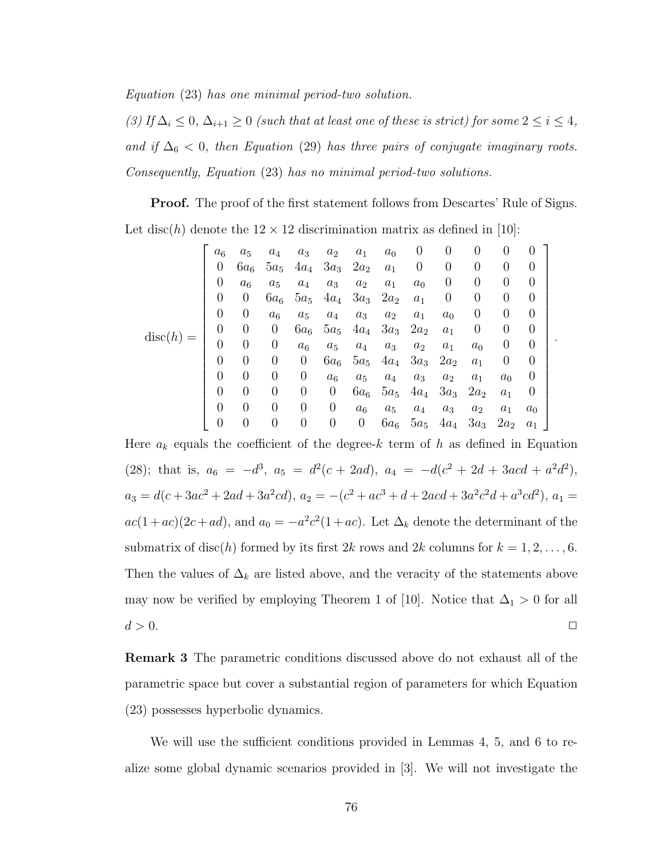Equation [\(23\)](#page-83-0) has one minimal period-two solution.

(3) If  $\Delta_i \leq 0$ ,  $\Delta_{i+1} \geq 0$  (such that at least one of these is strict) for some  $2 \leq i \leq 4$ , and if  $\Delta_6$  < 0, then Equation [\(29\)](#page-87-1) has three pairs of conjugate imaginary roots. Consequently, Equation [\(23\)](#page-83-0) has no minimal period-two solutions.

**Proof.** The proof of the first statement follows from Descartes' Rule of Signs. Let disc(h) denote the  $12 \times 12$  discrimination matrix as defined in [\[10\]](#page-91-3):

$$
disc(h) = \begin{bmatrix} a_6 & a_5 & a_4 & a_3 & a_2 & a_1 & a_0 & 0 & 0 & 0 & 0 & 0 & 0 \\ 0 & 6a_6 & 5a_5 & 4a_4 & 3a_3 & 2a_2 & a_1 & 0 & 0 & 0 & 0 & 0 \\ 0 & a_6 & a_5 & a_4 & a_3 & a_2 & a_1 & a_0 & 0 & 0 & 0 & 0 \\ 0 & 0 & 6a_6 & 5a_5 & 4a_4 & 3a_3 & 2a_2 & a_1 & 0 & 0 & 0 & 0 \\ 0 & 0 & a_6 & a_5 & a_4 & a_3 & a_2 & a_1 & a_0 & 0 & 0 & 0 \\ 0 & 0 & 0 & 6a_6 & 5a_5 & 4a_4 & 3a_3 & 2a_2 & a_1 & 0 & 0 & 0 \\ 0 & 0 & 0 & 0 & 6a_6 & 5a_5 & 4a_4 & 3a_3 & 2a_2 & a_1 & 0 & 0 \\ 0 & 0 & 0 & 0 & 6a_6 & 5a_5 & 4a_4 & 3a_3 & 2a_2 & a_1 & 0 \\ 0 & 0 & 0 & 0 & 0 & 6a_6 & 5a_5 & 4a_4 & 3a_3 & 2a_2 & a_1 & a_0 \\ 0 & 0 & 0 & 0 & 0 & 6a_6 & 5a_5 & 4a_4 & 3a_3 & 2a_2 & a_1 & a_0 \\ 0 & 0 & 0 & 0 & 0 & 0 & 6a_6 & 5a_5 & 4a_4 & 3a_3 & 2a_2 & a_1 \end{bmatrix}
$$

.

Here  $a_k$  equals the coefficient of the degree-k term of h as defined in Equation [\(28\)](#page-87-2); that is,  $a_6 = -d^3$ ,  $a_5 = d^2(c + 2ad)$ ,  $a_4 = -d(c^2 + 2d + 3acd + a^2d^2)$ ,  $a_3 = d(c + 3ac^2 + 2ad + 3a^2cd), a_2 = -(c^2 + ac^3 + d + 2acd + 3a^2c^2d + a^3cd^2), a_1 =$  $ac(1+ac)(2c+ad)$ , and  $a_0 = -a^2c^2(1+ac)$ . Let  $\Delta_k$  denote the determinant of the submatrix of disc(h) formed by its first 2k rows and 2k columns for  $k = 1, 2, ..., 6$ . Then the values of  $\Delta_k$  are listed above, and the veracity of the statements above may now be verified by employing Theorem 1 of [\[10\]](#page-91-3). Notice that  $\Delta_1 > 0$  for all  $d > 0$ .

Remark 3 The parametric conditions discussed above do not exhaust all of the parametric space but cover a substantial region of parameters for which Equation [\(23\)](#page-83-0) possesses hyperbolic dynamics.

We will use the sufficient conditions provided in Lemmas [4,](#page-51-0) [5,](#page-52-0) and [6](#page-53-0) to realize some global dynamic scenarios provided in [\[3\]](#page-91-2). We will not investigate the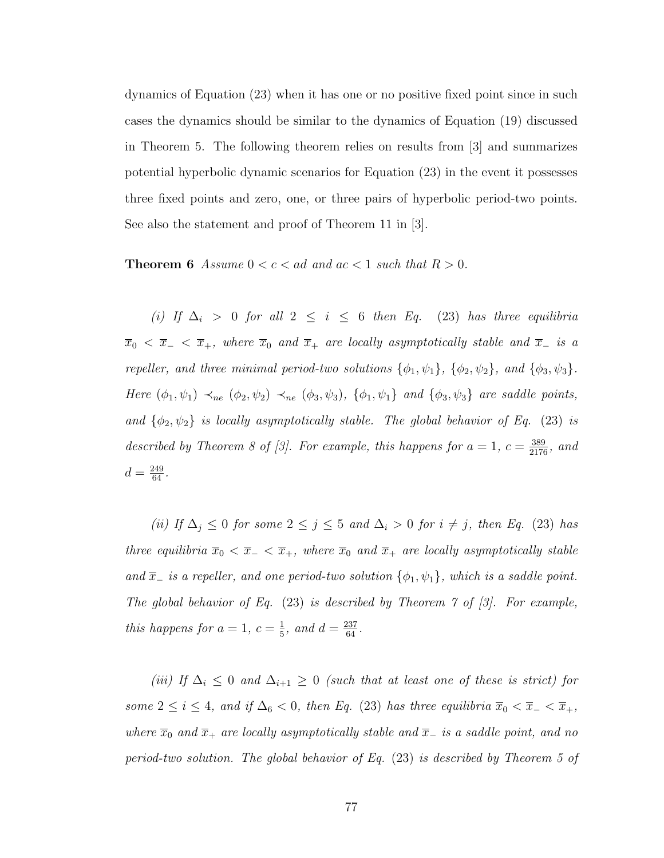dynamics of Equation [\(23\)](#page-83-0) when it has one or no positive fixed point since in such cases the dynamics should be similar to the dynamics of Equation [\(19\)](#page-77-0) discussed in Theorem [5.](#page-81-0) The following theorem relies on results from [\[3\]](#page-91-2) and summarizes potential hyperbolic dynamic scenarios for Equation [\(23\)](#page-83-0) in the event it possesses three fixed points and zero, one, or three pairs of hyperbolic period-two points. See also the statement and proof of Theorem 11 in [\[3\]](#page-91-2).

**Theorem 6** Assume  $0 < c < ad$  and  $ac < 1$  such that  $R > 0$ .

(i) If  $\Delta_i$  > 0 for all 2  $\leq i \leq 6$  then Eq. [\(23\)](#page-83-0) has three equilibria  $\overline{x}_0 < \overline{x}_- < \overline{x}_+$ , where  $\overline{x}_0$  and  $\overline{x}_+$  are locally asymptotically stable and  $\overline{x}_-$  is a repeller, and three minimal period-two solutions  $\{\phi_1, \psi_1\}$ ,  $\{\phi_2, \psi_2\}$ , and  $\{\phi_3, \psi_3\}$ . Here  $(\phi_1, \psi_1) \prec_{ne} (\phi_2, \psi_2) \prec_{ne} (\phi_3, \psi_3)$ ,  $\{\phi_1, \psi_1\}$  and  $\{\phi_3, \psi_3\}$  are saddle points, and  $\{\phi_2, \psi_2\}$  is locally asymptotically stable. The global behavior of Eq. [\(23\)](#page-83-0) is described by Theorem 8 of [\[3\]](#page-91-2). For example, this happens for  $a = 1$ ,  $c = \frac{389}{2176}$ , and  $d = \frac{249}{64}.$ 

(ii) If  $\Delta_j \leq 0$  for some  $2 \leq j \leq 5$  and  $\Delta_i > 0$  for  $i \neq j$ , then Eq. [\(23\)](#page-83-0) has three equilibria  $\overline{x}_0 < \overline{x}_- < \overline{x}_+$ , where  $\overline{x}_0$  and  $\overline{x}_+$  are locally asymptotically stable and  $\overline{x}_-$  is a repeller, and one period-two solution  $\{\phi_1, \psi_1\}$ , which is a saddle point. The global behavior of Eq.  $(23)$  is described by Theorem  $\tilde{ }$  of  $[3]$ . For example, this happens for  $a=1, c=\frac{1}{5}$  $\frac{1}{5}$ , and  $d = \frac{237}{64}$ .

(iii) If  $\Delta_i \leq 0$  and  $\Delta_{i+1} \geq 0$  (such that at least one of these is strict) for some  $2 \le i \le 4$ , and if  $\Delta_6 < 0$ , then Eq. [\(23\)](#page-83-0) has three equilibria  $\overline{x}_0 < \overline{x}_- < \overline{x}_+$ , where  $\overline{x}_0$  and  $\overline{x}_+$  are locally asymptotically stable and  $\overline{x}_-$  is a saddle point, and no period-two solution. The global behavior of Eq. [\(23\)](#page-83-0) is described by Theorem 5 of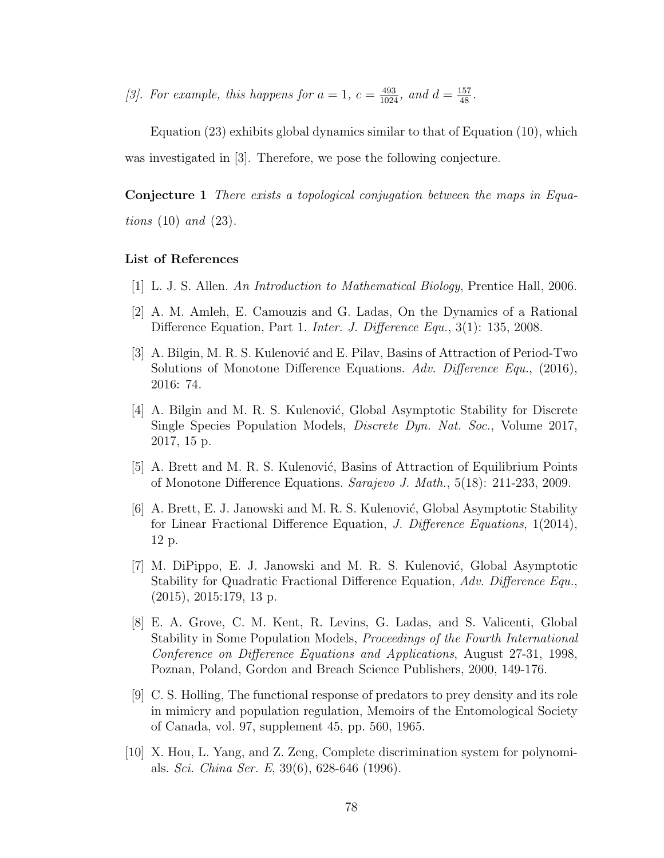[\[3\]](#page-91-2). For example, this happens for  $a = 1$ ,  $c = \frac{493}{1024}$ , and  $d = \frac{157}{48}$ .

Equation  $(23)$  exhibits global dynamics similar to that of Equation  $(10)$ , which was investigated in [\[3\]](#page-91-2). Therefore, we pose the following conjecture.

Conjecture 1 There exists a topological conjugation between the maps in Equations  $(10)$  and  $(23)$ .

#### List of References

- [1] L. J. S. Allen. An Introduction to Mathematical Biology, Prentice Hall, 2006.
- [2] A. M. Amleh, E. Camouzis and G. Ladas, On the Dynamics of a Rational Difference Equation, Part 1. *Inter. J. Difference Equ.*, 3(1): 135, 2008.
- <span id="page-91-2"></span>[3] A. Bilgin, M. R. S. Kulenović and E. Pilav, Basins of Attraction of Period-Two Solutions of Monotone Difference Equations. Adv. Difference Equ., (2016), 2016: 74.
- [4] A. Bilgin and M. R. S. Kulenović, Global Asymptotic Stability for Discrete Single Species Population Models, Discrete Dyn. Nat. Soc., Volume 2017, 2017, 15 p.
- <span id="page-91-1"></span>[5] A. Brett and M. R. S. Kulenović, Basins of Attraction of Equilibrium Points of Monotone Difference Equations. Sarajevo J. Math., 5(18): 211-233, 2009.
- [6] A. Brett, E. J. Janowski and M. R. S. Kulenović, Global Asymptotic Stability for Linear Fractional Difference Equation, J. Difference Equations, 1(2014), 12 p.
- [7] M. DiPippo, E. J. Janowski and M. R. S. Kulenović, Global Asymptotic Stability for Quadratic Fractional Difference Equation, Adv. Difference Equ., (2015), 2015:179, 13 p.
- <span id="page-91-0"></span>[8] E. A. Grove, C. M. Kent, R. Levins, G. Ladas, and S. Valicenti, Global Stability in Some Population Models, Proceedings of the Fourth International Conference on Difference Equations and Applications, August 27-31, 1998, Poznan, Poland, Gordon and Breach Science Publishers, 2000, 149-176.
- [9] C. S. Holling, The functional response of predators to prey density and its role in mimicry and population regulation, Memoirs of the Entomological Society of Canada, vol. 97, supplement 45, pp. 560, 1965.
- <span id="page-91-3"></span>[10] X. Hou, L. Yang, and Z. Zeng, Complete discrimination system for polynomials. Sci. China Ser. E, 39(6), 628-646 (1996).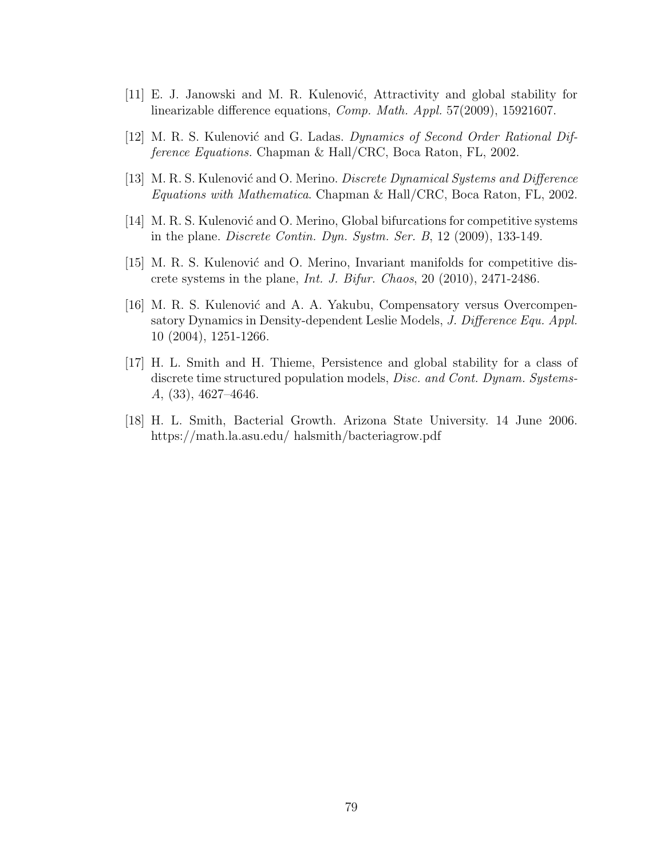- <span id="page-92-0"></span>[11] E. J. Janowski and M. R. Kulenović, Attractivity and global stability for linearizable difference equations, Comp. Math. Appl. 57(2009), 15921607.
- <span id="page-92-2"></span>[12] M. R. S. Kulenović and G. Ladas. Dynamics of Second Order Rational Difference Equations. Chapman & Hall/CRC, Boca Raton, FL, 2002.
- <span id="page-92-1"></span>[13] M. R. S. Kulenović and O. Merino. *Discrete Dynamical Systems and Difference* Equations with Mathematica. Chapman & Hall/CRC, Boca Raton, FL, 2002.
- [14] M. R. S. Kulenović and O. Merino, Global bifurcations for competitive systems in the plane. Discrete Contin. Dyn. Systm. Ser. B, 12 (2009), 133-149.
- <span id="page-92-3"></span>[15] M. R. S. Kulenović and O. Merino, Invariant manifolds for competitive discrete systems in the plane, Int. J. Bifur. Chaos, 20 (2010), 2471-2486.
- [16] M. R. S. Kulenović and A. A. Yakubu, Compensatory versus Overcompensatory Dynamics in Density-dependent Leslie Models, J. Difference Equ. Appl. 10 (2004), 1251-1266.
- [17] H. L. Smith and H. Thieme, Persistence and global stability for a class of discrete time structured population models, *Disc. and Cont. Dynam. Systems*-A, (33), 4627–4646.
- [18] H. L. Smith, Bacterial Growth. Arizona State University. 14 June 2006. https://math.la.asu.edu/ halsmith/bacteriagrow.pdf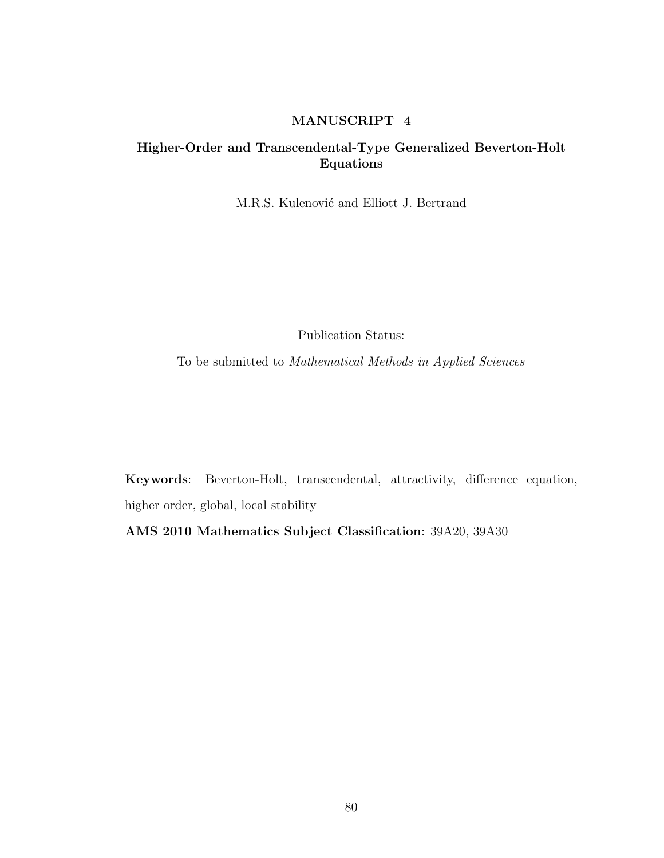## MANUSCRIPT 4

# Higher-Order and Transcendental-Type Generalized Beverton-Holt Equations

M.R.S. Kulenović and Elliott J. Bertrand

Publication Status:

To be submitted to Mathematical Methods in Applied Sciences

Keywords: Beverton-Holt, transcendental, attractivity, difference equation, higher order, global, local stability

AMS 2010 Mathematics Subject Classification: 39A20, 39A30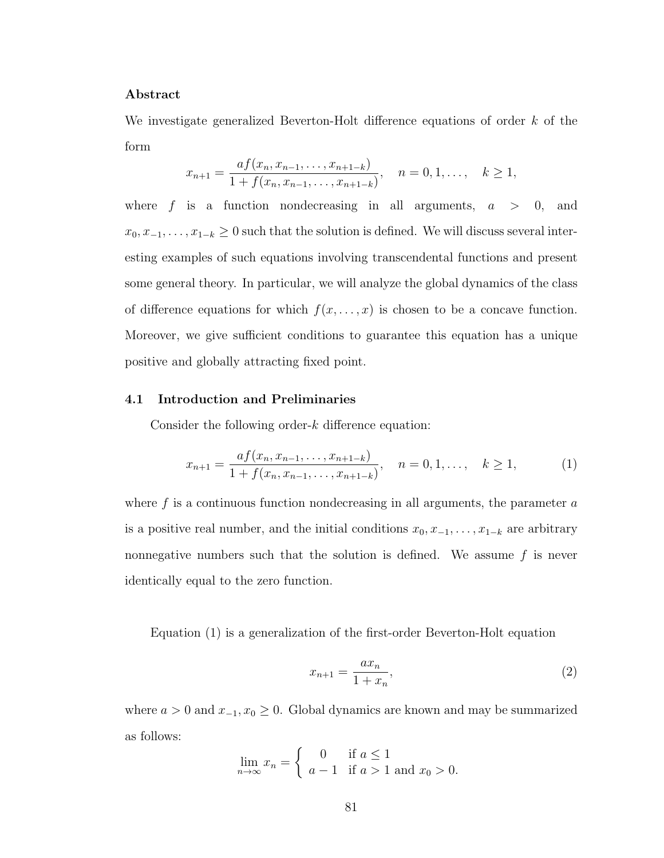## Abstract

We investigate generalized Beverton-Holt difference equations of order k of the form

$$
x_{n+1} = \frac{af(x_n, x_{n-1}, \dots, x_{n+1-k})}{1 + f(x_n, x_{n-1}, \dots, x_{n+1-k})}, \quad n = 0, 1, \dots, k \ge 1,
$$

where f is a function nondecreasing in all arguments,  $a > 0$ , and  $x_0, x_{-1}, \ldots, x_{1-k} \geq 0$  such that the solution is defined. We will discuss several interesting examples of such equations involving transcendental functions and present some general theory. In particular, we will analyze the global dynamics of the class of difference equations for which  $f(x, \ldots, x)$  is chosen to be a concave function. Moreover, we give sufficient conditions to guarantee this equation has a unique positive and globally attracting fixed point.

## 4.1 Introduction and Preliminaries

Consider the following order- $k$  difference equation:

<span id="page-94-0"></span>
$$
x_{n+1} = \frac{af(x_n, x_{n-1}, \dots, x_{n+1-k})}{1 + f(x_n, x_{n-1}, \dots, x_{n+1-k})}, \quad n = 0, 1, \dots, \quad k \ge 1,
$$
 (1)

where  $f$  is a continuous function nondecreasing in all arguments, the parameter  $a$ is a positive real number, and the initial conditions  $x_0, x_{-1}, \ldots, x_{1-k}$  are arbitrary nonnegative numbers such that the solution is defined. We assume  $f$  is never identically equal to the zero function.

Equation [\(1\)](#page-94-0) is a generalization of the first-order Beverton-Holt equation

<span id="page-94-1"></span>
$$
x_{n+1} = \frac{ax_n}{1 + x_n},
$$
\n(2)

where  $a > 0$  and  $x_{-1}, x_0 \ge 0$ . Global dynamics are known and may be summarized as follows:

$$
\lim_{n \to \infty} x_n = \begin{cases} 0 & \text{if } a \le 1 \\ a - 1 & \text{if } a > 1 \text{ and } x_0 > 0. \end{cases}
$$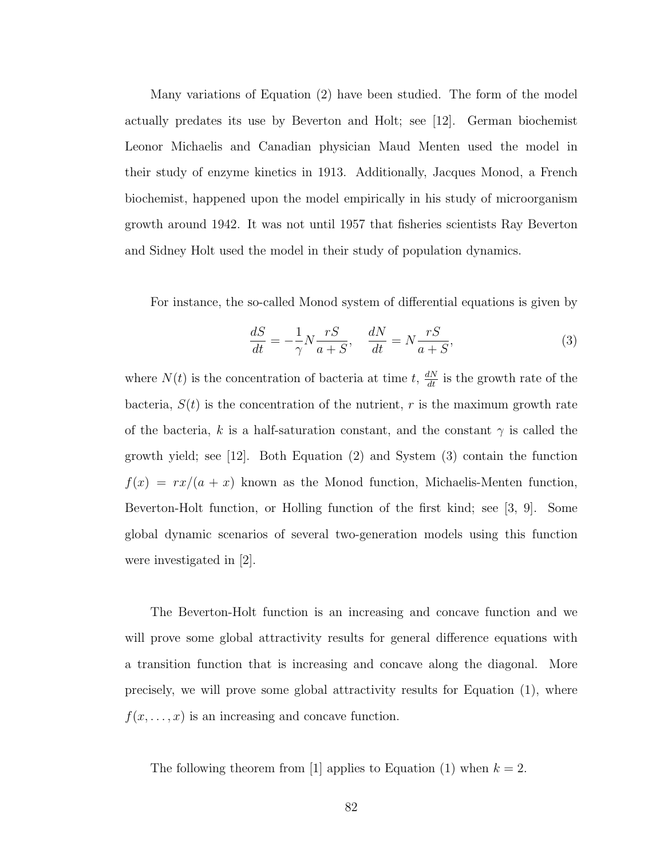Many variations of Equation [\(2\)](#page-94-1) have been studied. The form of the model actually predates its use by Beverton and Holt; see [\[12\]](#page-110-0). German biochemist Leonor Michaelis and Canadian physician Maud Menten used the model in their study of enzyme kinetics in 1913. Additionally, Jacques Monod, a French biochemist, happened upon the model empirically in his study of microorganism growth around 1942. It was not until 1957 that fisheries scientists Ray Beverton and Sidney Holt used the model in their study of population dynamics.

For instance, the so-called Monod system of differential equations is given by

<span id="page-95-0"></span>
$$
\frac{dS}{dt} = -\frac{1}{\gamma} N \frac{rS}{a+S}, \quad \frac{dN}{dt} = N \frac{rS}{a+S},\tag{3}
$$

where  $N(t)$  is the concentration of bacteria at time t,  $\frac{dN}{dt}$  is the growth rate of the bacteria,  $S(t)$  is the concentration of the nutrient, r is the maximum growth rate of the bacteria, k is a half-saturation constant, and the constant  $\gamma$  is called the growth yield; see [\[12\]](#page-110-0). Both Equation [\(2\)](#page-94-1) and System [\(3\)](#page-95-0) contain the function  $f(x) = rx/(a + x)$  known as the Monod function, Michaelis-Menten function, Beverton-Holt function, or Holling function of the first kind; see [\[3,](#page-109-0) [9\]](#page-109-1). Some global dynamic scenarios of several two-generation models using this function were investigated in [\[2\]](#page-109-2).

The Beverton-Holt function is an increasing and concave function and we will prove some global attractivity results for general difference equations with a transition function that is increasing and concave along the diagonal. More precisely, we will prove some global attractivity results for Equation [\(1\)](#page-94-0), where  $f(x, \ldots, x)$  is an increasing and concave function.

<span id="page-95-1"></span>The following theorem from [\[1\]](#page-109-3) applies to Equation [\(1\)](#page-94-0) when  $k = 2$ .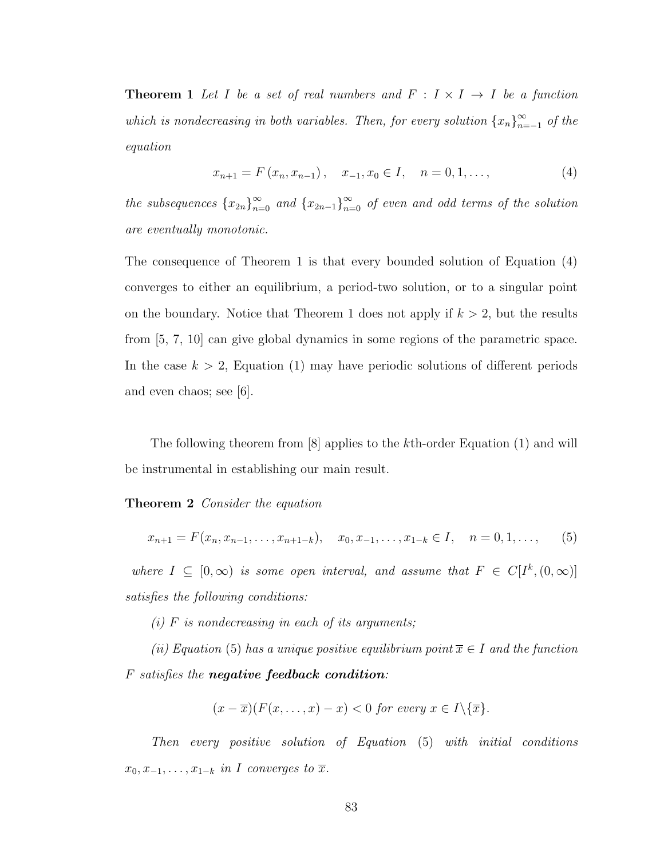**Theorem 1** Let I be a set of real numbers and  $F : I \times I \rightarrow I$  be a function which is nondecreasing in both variables. Then, for every solution  $\{x_n\}_{n=1}^{\infty}$  $\sum_{n=-1}^{\infty}$  of the equation

<span id="page-96-0"></span>
$$
x_{n+1} = F(x_n, x_{n-1}), \quad x_{-1}, x_0 \in I, \quad n = 0, 1, \dots,
$$
\n<sup>(4)</sup>

the subsequences  ${x_{2n}}_{n=0}^{\infty}$  and  ${x_{2n-1}}_{n=0}^{\infty}$  of even and odd terms of the solution are eventually monotonic.

The consequence of Theorem [1](#page-95-1) is that every bounded solution of Equation [\(4\)](#page-96-0) converges to either an equilibrium, a period-two solution, or to a singular point on the boundary. Notice that Theorem [1](#page-95-1) does not apply if  $k > 2$ , but the results from [\[5,](#page-109-4) [7,](#page-109-5) [10\]](#page-110-1) can give global dynamics in some regions of the parametric space. In the case  $k > 2$ , Equation [\(1\)](#page-94-0) may have periodic solutions of different periods and even chaos; see [\[6\]](#page-109-6).

The following theorem from [\[8\]](#page-109-7) applies to the kth-order Equation [\(1\)](#page-94-0) and will be instrumental in establishing our main result.

Theorem 2 Consider the equation

<span id="page-96-1"></span>
$$
x_{n+1} = F(x_n, x_{n-1}, \dots, x_{n+1-k}), \quad x_0, x_{-1}, \dots, x_{1-k} \in I, \quad n = 0, 1, \dots,
$$
 (5)

where  $I \subseteq [0, \infty)$  is some open interval, and assume that  $F \in C[I^k, (0, \infty)]$ satisfies the following conditions:

(i)  $F$  is nondecreasing in each of its arguments;

(ii) Equation [\(5\)](#page-96-1) has a unique positive equilibrium point  $\overline{x} \in I$  and the function F satisfies the negative feedback condition:

$$
(x-\overline{x})(F(x,\ldots,x)-x) < 0 \text{ for every } x \in I \setminus \{\overline{x}\}.
$$

Then every positive solution of Equation [\(5\)](#page-96-1) with initial conditions  $x_0, x_{-1}, \ldots, x_{1-k}$  in I converges to  $\overline{x}$ .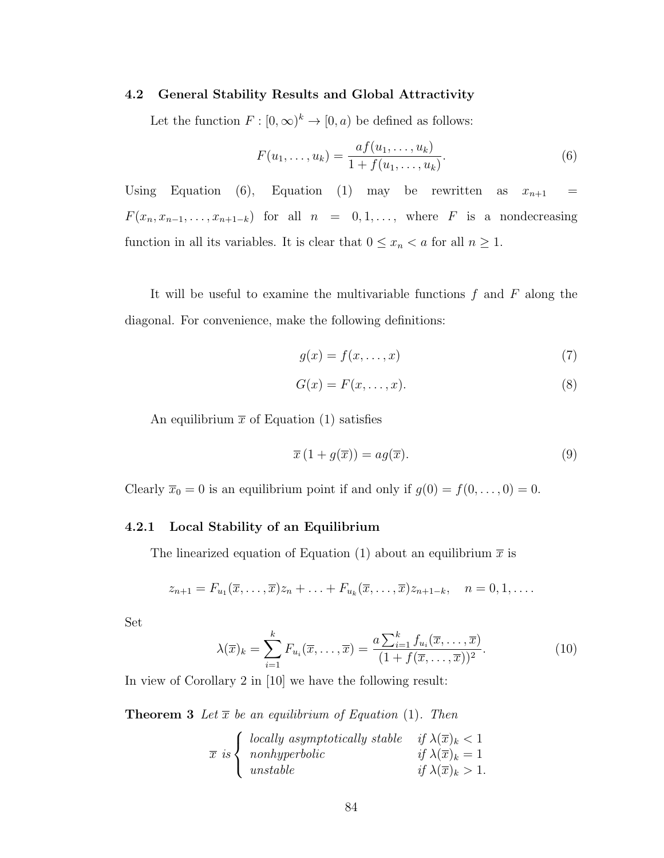#### 4.2 General Stability Results and Global Attractivity

Let the function  $F : [0, \infty)^k \to [0, a)$  be defined as follows:

<span id="page-97-0"></span>
$$
F(u_1, \ldots, u_k) = \frac{af(u_1, \ldots, u_k)}{1 + f(u_1, \ldots, u_k)}.
$$
\n(6)

Using Equation [\(6\)](#page-97-0), Equation [\(1\)](#page-94-0) may be rewritten as  $x_{n+1}$  =  $F(x_n, x_{n-1}, \ldots, x_{n+1-k})$  for all  $n = 0, 1, \ldots$ , where F is a nondecreasing function in all its variables. It is clear that  $0 \leq x_n < a$  for all  $n \geq 1$ .

It will be useful to examine the multivariable functions  $f$  and  $F$  along the diagonal. For convenience, make the following definitions:

<span id="page-97-2"></span><span id="page-97-1"></span>
$$
g(x) = f(x, \dots, x) \tag{7}
$$

$$
G(x) = F(x, \dots, x). \tag{8}
$$

An equilibrium  $\bar{x}$  of Equation [\(1\)](#page-94-0) satisfies

<span id="page-97-3"></span>
$$
\overline{x}\left(1+g(\overline{x})\right) = ag(\overline{x}).\tag{9}
$$

Clearly  $\overline{x}_0 = 0$  is an equilibrium point if and only if  $g(0) = f(0, \ldots, 0) = 0$ .

## 4.2.1 Local Stability of an Equilibrium

The linearized equation of Equation [\(1\)](#page-94-0) about an equilibrium  $\bar{x}$  is

$$
z_{n+1} = F_{u_1}(\overline{x}, \ldots, \overline{x}) z_n + \ldots + F_{u_k}(\overline{x}, \ldots, \overline{x}) z_{n+1-k}, \quad n = 0, 1, \ldots
$$

Set

<span id="page-97-4"></span>
$$
\lambda(\overline{x})_k = \sum_{i=1}^k F_{u_i}(\overline{x}, \dots, \overline{x}) = \frac{a \sum_{i=1}^k f_{u_i}(\overline{x}, \dots, \overline{x})}{(1 + f(\overline{x}, \dots, \overline{x}))^2}.
$$
(10)

In view of Corollary 2 in [\[10\]](#page-110-1) we have the following result:

**Theorem 3** Let  $\overline{x}$  be an equilibrium of Equation [\(1\)](#page-94-0). Then

$$
\overline{x} \text{ is }\begin{cases} \text{ locally asymptotically stable} & \text{if } \lambda(\overline{x})_k < 1\\ \text{nonhyperbolic} & \text{if } \lambda(\overline{x})_k = 1\\ \text{unstable} & \text{if } \lambda(\overline{x})_k > 1. \end{cases}
$$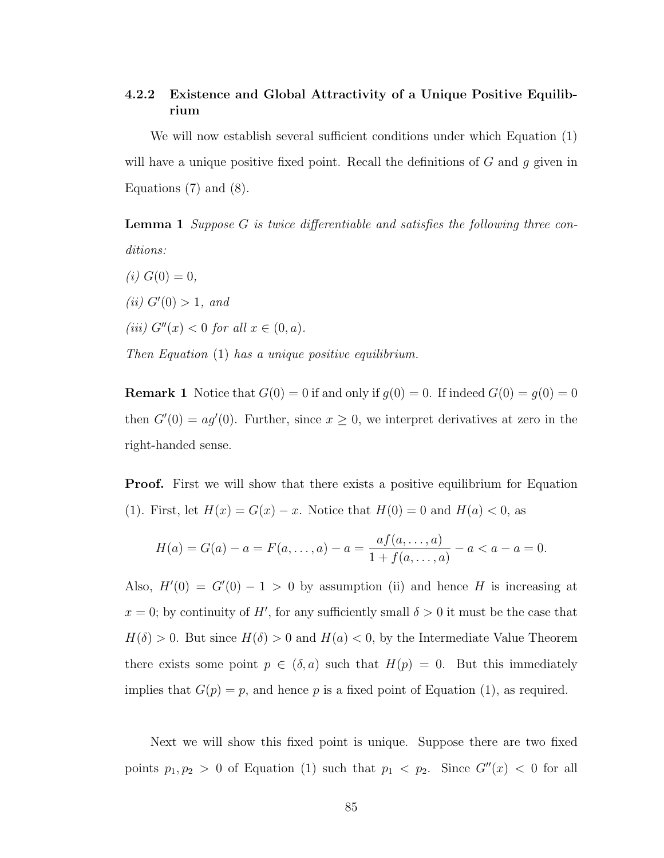# 4.2.2 Existence and Global Attractivity of a Unique Positive Equilibrium

We will now establish several sufficient conditions under which Equation [\(1\)](#page-94-0) will have a unique positive fixed point. Recall the definitions of  $G$  and  $g$  given in Equations [\(7\)](#page-97-1) and [\(8\)](#page-97-2).

Lemma 1 Suppose G is twice differentiable and satisfies the following three conditions:

(*i*)  $G(0) = 0$ , (*ii*)  $G'(0) > 1$ , and (iii)  $G''(x) < 0$  for all  $x \in (0, a)$ . Then Equation [\(1\)](#page-94-0) has a unique positive equilibrium.

**Remark 1** Notice that  $G(0) = 0$  if and only if  $g(0) = 0$ . If indeed  $G(0) = g(0) = 0$ then  $G'(0) = ag'(0)$ . Further, since  $x \geq 0$ , we interpret derivatives at zero in the right-handed sense.

**Proof.** First we will show that there exists a positive equilibrium for Equation [\(1\)](#page-94-0). First, let  $H(x) = G(x) - x$ . Notice that  $H(0) = 0$  and  $H(a) < 0$ , as

$$
H(a) = G(a) - a = F(a, ..., a) - a = \frac{af(a, ..., a)}{1 + f(a, ..., a)} - a < a - a = 0.
$$

Also,  $H'(0) = G'(0) - 1 > 0$  by assumption (ii) and hence H is increasing at  $x = 0$ ; by continuity of H', for any sufficiently small  $\delta > 0$  it must be the case that  $H(\delta) > 0$ . But since  $H(\delta) > 0$  and  $H(a) < 0$ , by the Intermediate Value Theorem there exists some point  $p \in (\delta, a)$  such that  $H(p) = 0$ . But this immediately implies that  $G(p) = p$ , and hence p is a fixed point of Equation [\(1\)](#page-94-0), as required.

Next we will show this fixed point is unique. Suppose there are two fixed points  $p_1, p_2 > 0$  of Equation [\(1\)](#page-94-0) such that  $p_1 < p_2$ . Since  $G''(x) < 0$  for all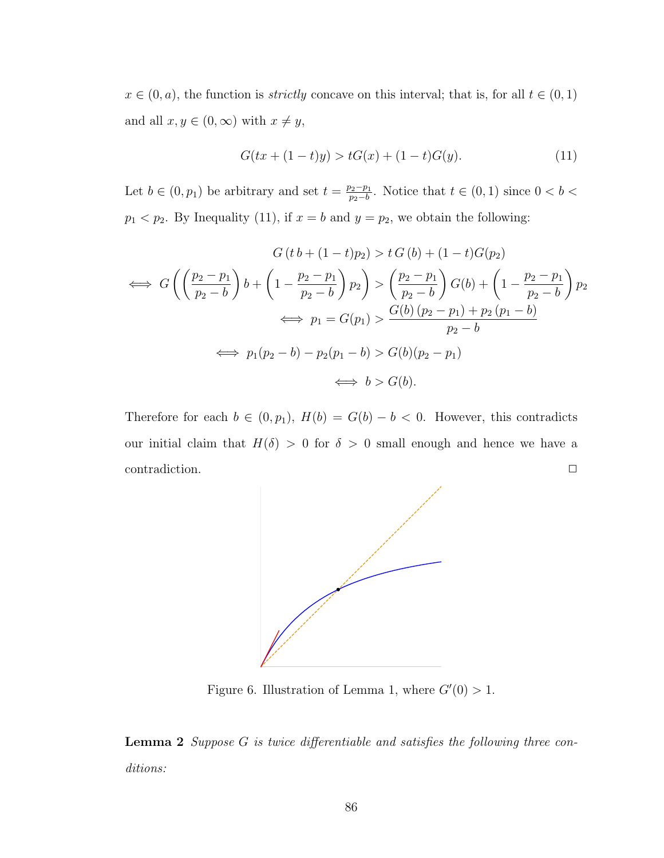$x \in (0, a)$ , the function is *strictly* concave on this interval; that is, for all  $t \in (0, 1)$ and all  $x, y \in (0, \infty)$  with  $x \neq y$ ,

<span id="page-99-0"></span>
$$
G(tx + (1-t)y) > tG(x) + (1-t)G(y).
$$
\n(11)

Let  $b \in (0, p_1)$  be arbitrary and set  $t = \frac{p_2 - p_1}{p_2 - b}$  $\frac{p_2-p_1}{p_2-b}$ . Notice that  $t \in (0,1)$  since  $0 < b <$  $p_1 < p_2$ . By Inequality [\(11\)](#page-99-0), if  $x = b$  and  $y = p_2$ , we obtain the following:

$$
G(t b + (1 - t)p_2) > t G(b) + (1 - t)G(p_2)
$$
  
\n
$$
\iff G\left(\left(\frac{p_2 - p_1}{p_2 - b}\right)b + \left(1 - \frac{p_2 - p_1}{p_2 - b}\right)p_2\right) > \left(\frac{p_2 - p_1}{p_2 - b}\right)G(b) + \left(1 - \frac{p_2 - p_1}{p_2 - b}\right)p_2
$$
  
\n
$$
\iff p_1 = G(p_1) > \frac{G(b)(p_2 - p_1) + p_2(p_1 - b)}{p_2 - b}
$$
  
\n
$$
\iff p_1(p_2 - b) - p_2(p_1 - b) > G(b)(p_2 - p_1)
$$
  
\n
$$
\iff b > G(b).
$$

Therefore for each  $b \in (0, p_1)$ ,  $H(b) = G(b) - b < 0$ . However, this contradicts our initial claim that  $H(\delta) > 0$  for  $\delta > 0$  small enough and hence we have a contradiction.  $\Box$ 



Figure 6. Illustration of Lemma [1,](#page-47-0) where  $G'(0) > 1$ .

**Lemma 2** Suppose  $G$  is twice differentiable and satisfies the following three conditions: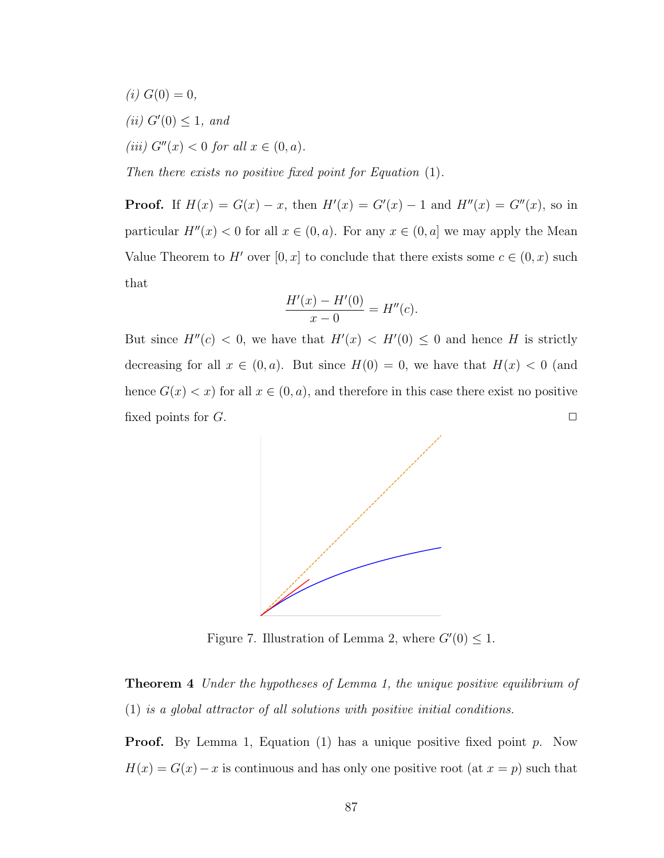- (*i*)  $G(0) = 0$ ,
- (ii)  $G'(0) \leq 1$ , and

(*iii*)  $G''(x) < 0$  for all  $x \in (0, a)$ .

Then there exists no positive fixed point for Equation [\(1\)](#page-94-0).

**Proof.** If  $H(x) = G(x) - x$ , then  $H'(x) = G'(x) - 1$  and  $H''(x) = G''(x)$ , so in particular  $H''(x) < 0$  for all  $x \in (0, a)$ . For any  $x \in (0, a]$  we may apply the Mean Value Theorem to H' over  $[0, x]$  to conclude that there exists some  $c \in (0, x)$  such that

$$
\frac{H'(x) - H'(0)}{x - 0} = H''(c).
$$

But since  $H''(c) < 0$ , we have that  $H'(x) < H'(0) \leq 0$  and hence H is strictly decreasing for all  $x \in (0, a)$ . But since  $H(0) = 0$ , we have that  $H(x) < 0$  (and hence  $G(x) < x$  for all  $x \in (0, a)$ , and therefore in this case there exist no positive fixed points for  $G$ .



Figure 7. Illustration of Lemma [2,](#page-48-0) where  $G'(0) \leq 1$ .

<span id="page-100-0"></span>**Theorem 4** Under the hypotheses of Lemma [1,](#page-47-0) the unique positive equilibrium of [\(1\)](#page-94-0) is a global attractor of all solutions with positive initial conditions.

**Proof.** By Lemma [1,](#page-47-0) Equation [\(1\)](#page-94-0) has a unique positive fixed point p. Now  $H(x) = G(x) - x$  is continuous and has only one positive root (at  $x = p$ ) such that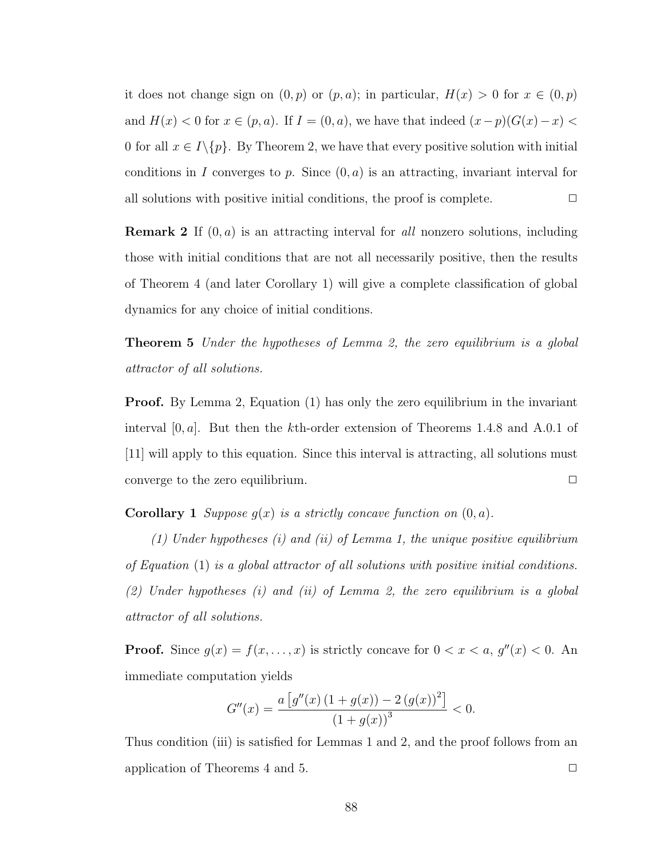it does not change sign on  $(0, p)$  or  $(p, a)$ ; in particular,  $H(x) > 0$  for  $x \in (0, p)$ and  $H(x) < 0$  for  $x \in (p, a)$ . If  $I = (0, a)$ , we have that indeed  $(x - p)(G(x) - x) <$ 0 for all  $x \in I \setminus \{p\}$ . By Theorem [2,](#page-96-1) we have that every positive solution with initial conditions in I converges to p. Since  $(0, a)$  is an attracting, invariant interval for all solutions with positive initial conditions, the proof is complete.  $\Box$ 

**Remark 2** If  $(0, a)$  is an attracting interval for all nonzero solutions, including those with initial conditions that are not all necessarily positive, then the results of Theorem [4](#page-100-0) (and later Corollary [1\)](#page-20-0) will give a complete classification of global dynamics for any choice of initial conditions.

<span id="page-101-0"></span>**Theorem 5** Under the hypotheses of Lemma [2,](#page-48-0) the zero equilibrium is a global attractor of all solutions.

**Proof.** By Lemma [2,](#page-48-0) Equation [\(1\)](#page-94-0) has only the zero equilibrium in the invariant interval  $[0, a]$ . But then the kth-order extension of Theorems 1.4.8 and A.0.1 of [\[11\]](#page-110-2) will apply to this equation. Since this interval is attracting, all solutions must converge to the zero equilibrium.  $\Box$ 

**Corollary 1** Suppose  $g(x)$  is a strictly concave function on  $(0, a)$ .

(1) Under hypotheses  $(i)$  and  $(ii)$  of Lemma [1,](#page-47-0) the unique positive equilibrium of Equation [\(1\)](#page-94-0) is a global attractor of all solutions with positive initial conditions. (2) Under hypotheses (i) and (ii) of Lemma [2,](#page-48-0) the zero equilibrium is a global attractor of all solutions.

**Proof.** Since  $g(x) = f(x, \ldots, x)$  is strictly concave for  $0 < x < a$ ,  $g''(x) < 0$ . An immediate computation yields

$$
G''(x) = \frac{a\left[g''(x)\left(1+g(x)\right)-2\left(g(x)\right)^2\right]}{\left(1+g(x)\right)^3} < 0.
$$

Thus condition (iii) is satisfied for Lemmas [1](#page-47-0) and [2,](#page-48-0) and the proof follows from an application of Theorems [4](#page-100-0) and [5.](#page-101-0)  $\Box$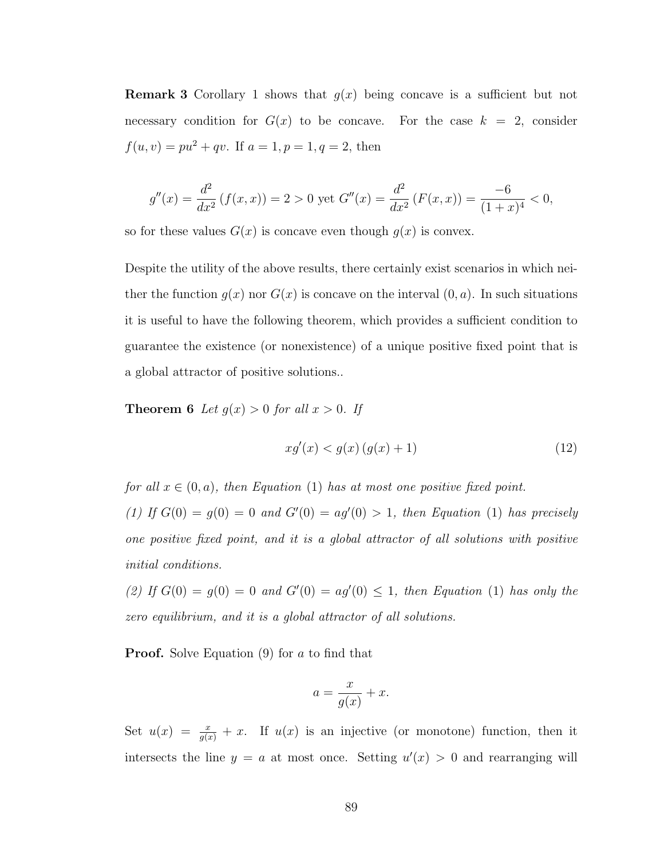**Remark 3** Corollary [1](#page-20-0) shows that  $g(x)$  being concave is a sufficient but not necessary condition for  $G(x)$  to be concave. For the case  $k = 2$ , consider  $f(u, v) = pu^2 + qv$ . If  $a = 1, p = 1, q = 2$ , then

$$
g''(x) = \frac{d^2}{dx^2} \left( f(x, x) \right) = 2 > 0 \text{ yet } G''(x) = \frac{d^2}{dx^2} \left( F(x, x) \right) = \frac{-6}{(1+x)^4} < 0,
$$

so for these values  $G(x)$  is concave even though  $g(x)$  is convex.

Despite the utility of the above results, there certainly exist scenarios in which neither the function  $q(x)$  nor  $G(x)$  is concave on the interval  $(0, a)$ . In such situations it is useful to have the following theorem, which provides a sufficient condition to guarantee the existence (or nonexistence) of a unique positive fixed point that is a global attractor of positive solutions..

**Theorem 6** Let  $g(x) > 0$  for all  $x > 0$ . If

<span id="page-102-1"></span><span id="page-102-0"></span>
$$
xg'(x) < g(x)\left(g(x) + 1\right) \tag{12}
$$

for all  $x \in (0, a)$ , then Equation [\(1\)](#page-94-0) has at most one positive fixed point. [\(1\)](#page-94-0) If  $G(0) = g(0) = 0$  and  $G'(0) = ag'(0) > 1$ , then Equation (1) has precisely one positive fixed point, and it is a global attractor of all solutions with positive initial conditions.

(2) If  $G(0) = g(0) = 0$  and  $G'(0) = ag'(0) \le 1$ , then Equation [\(1\)](#page-94-0) has only the zero equilibrium, and it is a global attractor of all solutions.

**Proof.** Solve Equation [\(9\)](#page-97-3) for a to find that

$$
a = \frac{x}{g(x)} + x.
$$

Set  $u(x) = \frac{x}{g(x)} + x$ . If  $u(x)$  is an injective (or monotone) function, then it intersects the line  $y = a$  at most once. Setting  $u'(x) > 0$  and rearranging will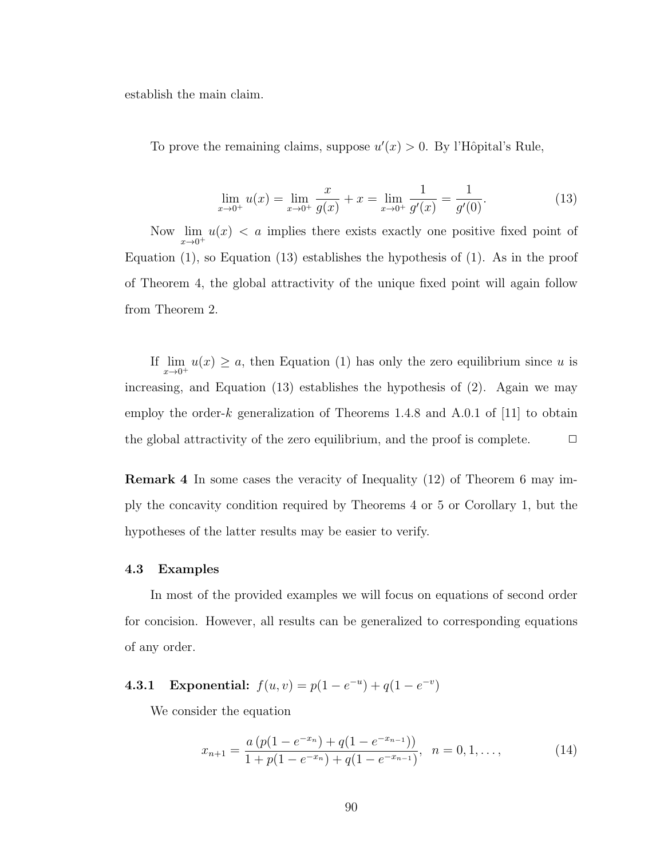establish the main claim.

To prove the remaining claims, suppose  $u'(x) > 0$ . By l'Hôpital's Rule,

<span id="page-103-0"></span>
$$
\lim_{x \to 0^+} u(x) = \lim_{x \to 0^+} \frac{x}{g(x)} + x = \lim_{x \to 0^+} \frac{1}{g'(x)} = \frac{1}{g'(0)}.
$$
\n(13)

Now  $\lim_{x\to 0^+} u(x) < a$  implies there exists exactly one positive fixed point of Equation [\(1\)](#page-94-0), so Equation [\(13\)](#page-103-0) establishes the hypothesis of (1). As in the proof of Theorem [4,](#page-100-0) the global attractivity of the unique fixed point will again follow from Theorem [2.](#page-96-1)

If  $\lim_{x\to 0^+} u(x) \ge a$ , then Equation [\(1\)](#page-94-0) has only the zero equilibrium since u is increasing, and Equation [\(13\)](#page-103-0) establishes the hypothesis of (2). Again we may employ the order-k generalization of Theorems 1.4.8 and A.0.1 of [\[11\]](#page-110-2) to obtain the global attractivity of the zero equilibrium, and the proof is complete.  $\Box$ 

Remark 4 In some cases the veracity of Inequality [\(12\)](#page-102-0) of Theorem [6](#page-102-1) may imply the concavity condition required by Theorems [4](#page-100-0) or [5](#page-101-0) or Corollary [1,](#page-20-0) but the hypotheses of the latter results may be easier to verify.

#### 4.3 Examples

In most of the provided examples we will focus on equations of second order for concision. However, all results can be generalized to corresponding equations of any order.

**4.3.1** Exponential:  $f(u, v) = p(1 - e^{-u}) + q(1 - e^{-v})$ 

We consider the equation

<span id="page-103-1"></span>
$$
x_{n+1} = \frac{a\left(p(1 - e^{-x_n}) + q(1 - e^{-x_{n-1}})\right)}{1 + p(1 - e^{-x_n}) + q(1 - e^{-x_{n-1}})}, \quad n = 0, 1, \dots,
$$
\n(14)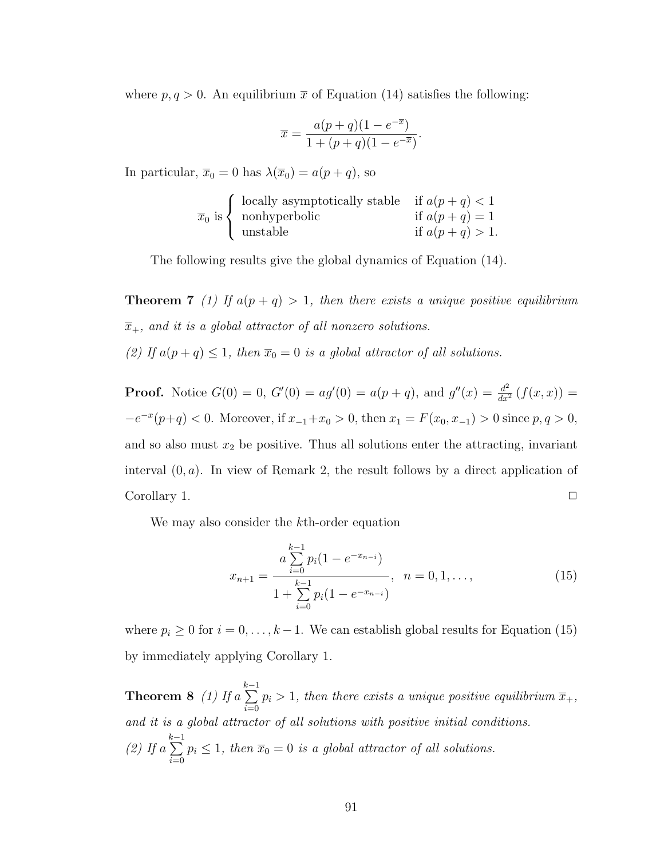where  $p, q > 0$ . An equilibrium  $\bar{x}$  of Equation [\(14\)](#page-103-1) satisfies the following:

$$
\overline{x} = \frac{a(p+q)(1 - e^{-\overline{x}})}{1 + (p+q)(1 - e^{-\overline{x}})}.
$$

In particular,  $\bar{x}_0 = 0$  has  $\lambda(\bar{x}_0) = a(p+q)$ , so

$$
\overline{x}_0
$$
 is 
$$
\begin{cases}\n\text{locally asymptotically stable} & \text{if } a(p+q) < 1 \\
\text{nonhyperbolic} & \text{if } a(p+q) = 1 \\
\text{unstable} & \text{if } a(p+q) > 1.\n\end{cases}
$$

The following results give the global dynamics of Equation [\(14\)](#page-103-1).

<span id="page-104-1"></span>**Theorem 7** (1) If  $a(p+q) > 1$ , then there exists a unique positive equilibrium  $\overline{x}_+$ , and it is a global attractor of all nonzero solutions. (2) If  $a(p+q) \leq 1$ , then  $\overline{x}_0 = 0$  is a global attractor of all solutions.

**Proof.** Notice  $G(0) = 0$ ,  $G'(0) = ag'(0) = a(p+q)$ , and  $g''(x) = \frac{d^2}{dx^2} (f(x,x)) =$  $-e^{-x}(p+q) < 0$ . Moreover, if  $x_{-1}+x_0 > 0$ , then  $x_1 = F(x_0, x_{-1}) > 0$  since  $p, q > 0$ , and so also must  $x_2$  be positive. Thus all solutions enter the attracting, invariant interval  $(0, a)$ . In view of Remark [2,](#page-31-0) the result follows by a direct application of  $Corollary 1.$  $Corollary 1.$ 

We may also consider the k<sup>th</sup>-order equation

<span id="page-104-0"></span>
$$
x_{n+1} = \frac{a \sum_{i=0}^{k-1} p_i (1 - e^{-x_{n-i}})}{1 + \sum_{i=0}^{k-1} p_i (1 - e^{-x_{n-i}})}, \quad n = 0, 1, ..., \tag{15}
$$

where  $p_i \geq 0$  for  $i = 0, \ldots, k-1$ . We can establish global results for Equation [\(15\)](#page-104-0) by immediately applying Corollary [1.](#page-20-0)

Theorem  $8$  (1) If a  $\sum_{ }^{k-1}$  $\dot{i}=0$  $p_i > 1$ , then there exists a unique positive equilibrium  $\overline{x}_+,$ and it is a global attractor of all solutions with positive initial conditions.  $(2)$  If a  $\sum_{i=1}^{k-1}$  $i=0$  $p_i \leq 1$ , then  $\overline{x}_0 = 0$  is a global attractor of all solutions.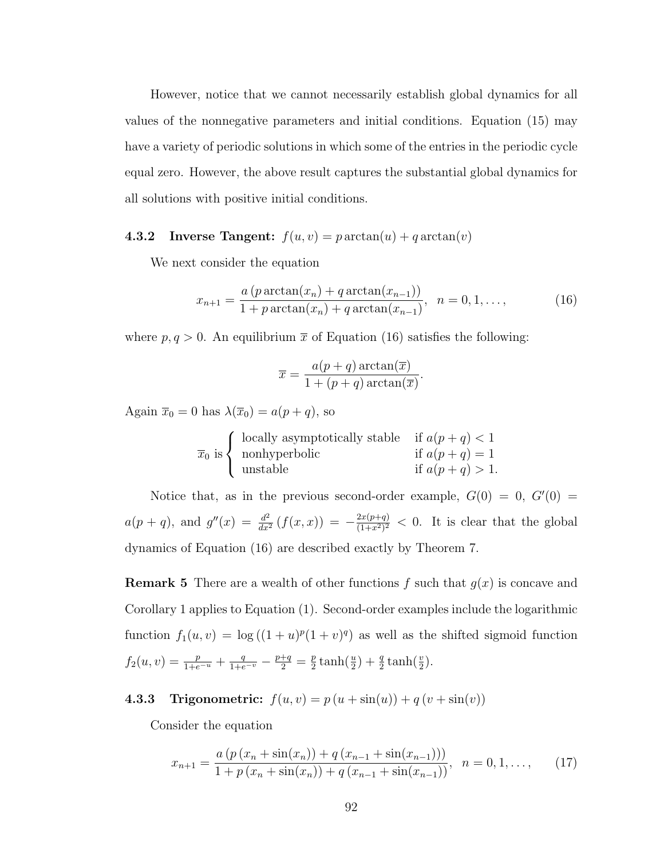However, notice that we cannot necessarily establish global dynamics for all values of the nonnegative parameters and initial conditions. Equation [\(15\)](#page-104-0) may have a variety of periodic solutions in which some of the entries in the periodic cycle equal zero. However, the above result captures the substantial global dynamics for all solutions with positive initial conditions.

# **4.3.2** Inverse Tangent:  $f(u, v) = p \arctan(u) + q \arctan(v)$

We next consider the equation

<span id="page-105-0"></span>
$$
x_{n+1} = \frac{a (p \arctan(x_n) + q \arctan(x_{n-1}))}{1 + p \arctan(x_n) + q \arctan(x_{n-1})}, \quad n = 0, 1, ..., \tag{16}
$$

where  $p, q > 0$ . An equilibrium  $\bar{x}$  of Equation [\(16\)](#page-105-0) satisfies the following:

$$
\overline{x} = \frac{a(p+q) \arctan(\overline{x})}{1 + (p+q) \arctan(\overline{x})}.
$$

Again  $\overline{x}_0 = 0$  has  $\lambda(\overline{x}_0) = a(p+q)$ , so

$$
\overline{x}_0
$$
 is 
$$
\begin{cases}\n\text{locally asymptotically stable} & \text{if } a(p+q) < 1 \\
\text{nonhyperbolic} & \text{if } a(p+q) = 1 \\
\text{unstable} & \text{if } a(p+q) > 1.\n\end{cases}
$$

Notice that, as in the previous second-order example,  $G(0) = 0$ ,  $G'(0) =$  $a(p+q)$ , and  $g''(x) = \frac{d^2}{dx^2} (f(x,x)) = -\frac{2x(p+q)}{(1+x^2)^2}$  $\frac{2x(p+q)}{(1+x^2)^2}$  < 0. It is clear that the global dynamics of Equation [\(16\)](#page-105-0) are described exactly by Theorem [7.](#page-104-1)

**Remark 5** There are a wealth of other functions f such that  $g(x)$  is concave and Corollary [1](#page-20-0) applies to Equation [\(1\)](#page-94-0). Second-order examples include the logarithmic function  $f_1(u, v) = \log((1 + u)^p(1 + v)^q)$  as well as the shifted sigmoid function  $f_2(u, v) = \frac{p}{1 + e^{-u}} + \frac{q}{1 + e^{-v}} - \frac{p + q}{2} = \frac{p}{2}$  $\frac{p}{2}\tanh(\frac{u}{2}) + \frac{q}{2}\tanh(\frac{v}{2}).$ 

**4.3.3 Trigonometric:**  $f(u, v) = p(u + sin(u)) + q(v + sin(v))$ 

Consider the equation

<span id="page-105-1"></span>
$$
x_{n+1} = \frac{a\left(p\left(x_n + \sin(x_n)\right) + q\left(x_{n-1} + \sin(x_{n-1})\right)\right)}{1 + p\left(x_n + \sin(x_n)\right) + q\left(x_{n-1} + \sin(x_{n-1})\right)}, \quad n = 0, 1, \dots, \tag{17}
$$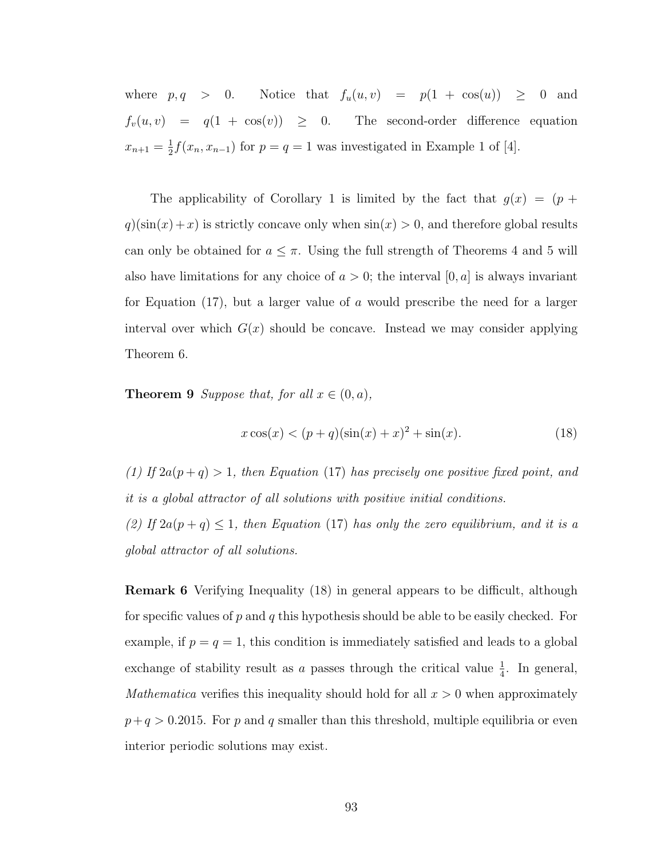where  $p, q > 0$ . Notice that  $f_u(u, v) = p(1 + \cos(u)) \ge 0$  and  $f_v(u, v) = q(1 + \cos(v)) \geq 0$ . The second-order difference equation  $x_{n+1} = \frac{1}{2}$  $\frac{1}{2}f(x_n, x_{n-1})$  for  $p = q = 1$  was investigated in Example 1 of [\[4\]](#page-109-8).

The applicability of Corollary [1](#page-20-0) is limited by the fact that  $g(x) = (p +$  $q$ )(sin(x) + x) is strictly concave only when  $sin(x) > 0$ , and therefore global results can only be obtained for  $a \leq \pi$ . Using the full strength of Theorems [4](#page-100-0) and [5](#page-101-0) will also have limitations for any choice of  $a > 0$ ; the interval  $[0, a]$  is always invariant for Equation [\(17\)](#page-105-1), but a larger value of a would prescribe the need for a larger interval over which  $G(x)$  should be concave. Instead we may consider applying Theorem [6.](#page-102-1)

**Theorem 9** Suppose that, for all  $x \in (0, a)$ ,

<span id="page-106-0"></span>
$$
x\cos(x) < (p+q)(\sin(x) + x)^2 + \sin(x). \tag{18}
$$

(1) If  $2a(p+q) > 1$ , then Equation [\(17\)](#page-105-1) has precisely one positive fixed point, and it is a global attractor of all solutions with positive initial conditions. (2) If  $2a(p+q) \leq 1$ , then Equation [\(17\)](#page-105-1) has only the zero equilibrium, and it is a

global attractor of all solutions.

Remark 6 Verifying Inequality [\(18\)](#page-106-0) in general appears to be difficult, although for specific values of p and q this hypothesis should be able to be easily checked. For example, if  $p = q = 1$ , this condition is immediately satisfied and leads to a global exchange of stability result as a passes through the critical value  $\frac{1}{4}$ . In general, *Mathematica* verifies this inequality should hold for all  $x > 0$  when approximately  $p+q > 0.2015$ . For p and q smaller than this threshold, multiple equilibria or even interior periodic solutions may exist.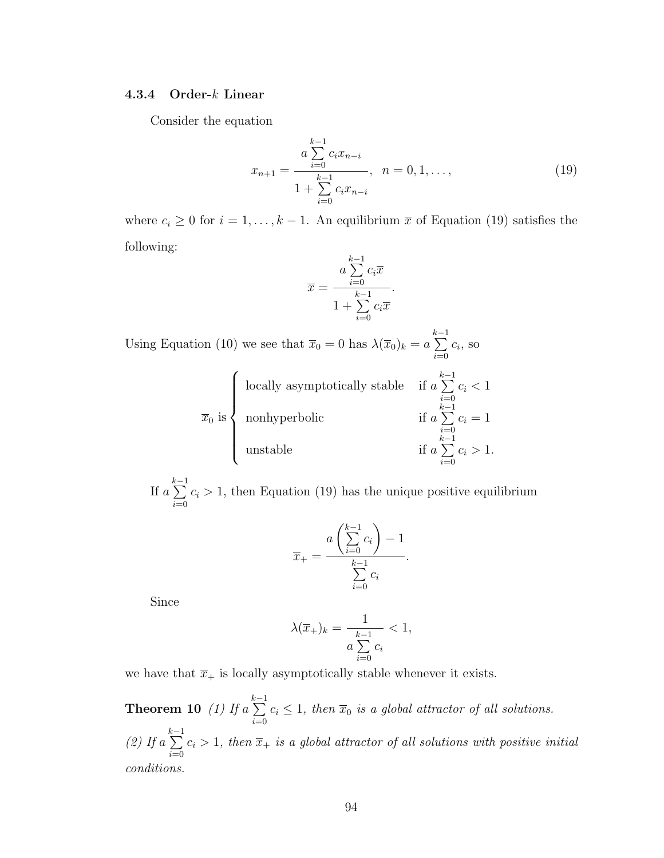### 4.3.4 Order-k Linear

Consider the equation

<span id="page-107-0"></span>
$$
x_{n+1} = \frac{a \sum_{i=0}^{k-1} c_i x_{n-i}}{1 + \sum_{i=0}^{k-1} c_i x_{n-i}}, \quad n = 0, 1, ..., \tag{19}
$$

where  $c_i \geq 0$  for  $i = 1, ..., k - 1$ . An equilibrium  $\bar{x}$  of Equation [\(19\)](#page-107-0) satisfies the following:

$$
\overline{x} = \frac{a \sum_{i=0}^{k-1} c_i \overline{x}}{1 + \sum_{i=0}^{k-1} c_i \overline{x}}.
$$

Using Equation [\(10\)](#page-97-4) we see that  $\overline{x}_0 = 0$  has  $\lambda(\overline{x}_0)_k = a$  $\sum_{ }^{k-1}$  $i=0$  $c_i$ , so

$$
\overline{x}_0
$$
 is  
 
$$
\begin{cases} \text{locally asymptotically stable} & \text{if } a \sum_{i=0}^{k-1} c_i < 1\\ \text{nonhyperbolic} & \text{if } a \sum_{i=0}^{k-1} c_i = 1\\ \text{unstable} & \text{if } a \sum_{i=0}^{k-1} c_i > 1. \end{cases}
$$

If a  $\sum_{i=1}^{k-1}$  $i=0$  $c_i > 1$ , then Equation [\(19\)](#page-107-0) has the unique positive equilibrium

$$
\overline{x}_{+} = \frac{a\left(\sum_{i=0}^{k-1} c_i\right) - 1}{\sum_{i=0}^{k-1} c_i}.
$$

Since

$$
\lambda(\overline{x}_{+})_k = \frac{1}{a \sum_{i=0}^{k-1} c_i} < 1,
$$

we have that  $\overline{x}_+$  is locally asymptotically stable whenever it exists.

**Theorem 10** (1) If a  $\sum_{ }^{k-1}$  $i=0$  $c_i \leq 1$ , then  $\overline{x}_0$  is a global attractor of all solutions.  $(2)$  If a  $\sum_{ }^{k-1}$  $i=0$  $c_i > 1$ , then  $\overline{x}_+$  is a global attractor of all solutions with positive initial conditions.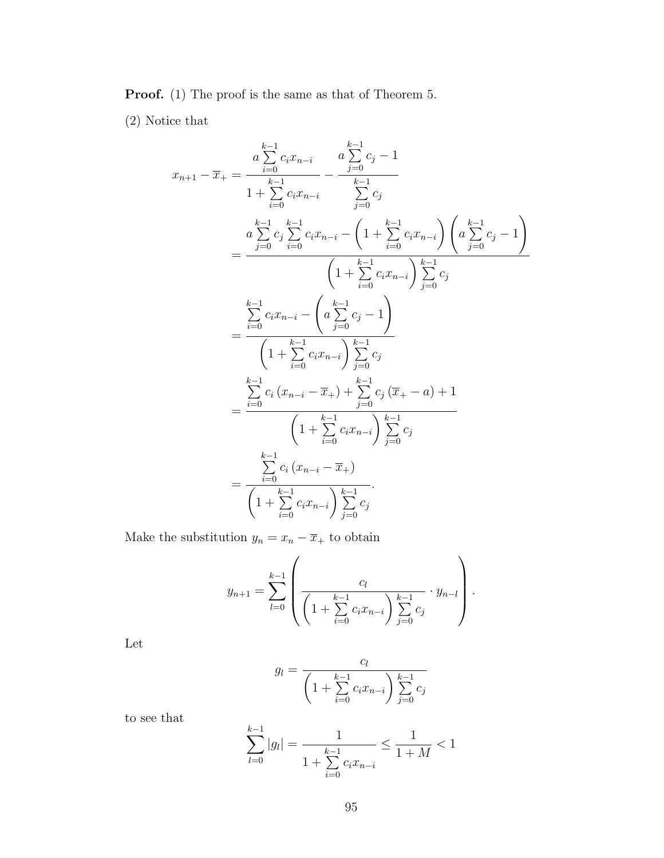Proof. (1) The proof is the same as that of Theorem [5.](#page-101-0)

(2) Notice that

$$
x_{n+1} - \overline{x}_{+} = \frac{a \sum_{i=0}^{k-1} c_{i} x_{n-i}}{1 + \sum_{i=0}^{k-1} c_{i} x_{n-i}} - \frac{a \sum_{j=0}^{k-1} c_{j} - 1}{\sum_{j=0}^{k-1} c_{j}}
$$
  
\n
$$
= \frac{a \sum_{j=0}^{k-1} c_{j} \sum_{i=0}^{k-1} c_{i} x_{n-i} - \left(1 + \sum_{i=0}^{k-1} c_{i} x_{n-i}\right) \left(a \sum_{j=0}^{k-1} c_{j} - 1\right)}{\left(1 + \sum_{i=0}^{k-1} c_{i} x_{n-i}\right) \sum_{j=0}^{k-1} c_{j}}
$$
  
\n
$$
= \frac{\sum_{i=0}^{k-1} c_{i} x_{n-i} - \left(a \sum_{j=0}^{k-1} c_{j} - 1\right)}{\left(1 + \sum_{i=0}^{k-1} c_{i} x_{n-i}\right) \sum_{j=0}^{k-1} c_{j}}
$$
  
\n
$$
= \frac{\sum_{i=0}^{k-1} c_{i} \left(x_{n-i} - \overline{x}_{+}\right) + \sum_{j=0}^{k-1} c_{j} \left(\overline{x}_{+} - a\right) + 1}{\left(1 + \sum_{i=0}^{k-1} c_{i} x_{n-i}\right) \sum_{j=0}^{k-1} c_{j}}
$$
  
\n
$$
= \frac{\sum_{i=0}^{k-1} c_{i} \left(x_{n-i} - \overline{x}_{+}\right)}{\left(1 + \sum_{i=0}^{k-1} c_{i} x_{n-i}\right) \sum_{j=0}^{k-1} c_{j}}
$$

Make the substitution  $y_n = x_n - \overline{x}_+$  to obtain

$$
y_{n+1} = \sum_{l=0}^{k-1} \left( \frac{c_l}{\left(1 + \sum_{i=0}^{k-1} c_i x_{n-i}\right) \sum_{j=0}^{k-1} c_j} \cdot y_{n-l} \right).
$$

Let

$$
g_l = \frac{c_l}{\left(1 + \sum_{i=0}^{k-1} c_i x_{n-i}\right) \sum_{j=0}^{k-1} c_j}
$$

to see that

$$
\sum_{l=0}^{k-1}|g_l| = \frac{1}{1 + \sum_{i=0}^{k-1} c_i x_{n-i}} \le \frac{1}{1+M} < 1
$$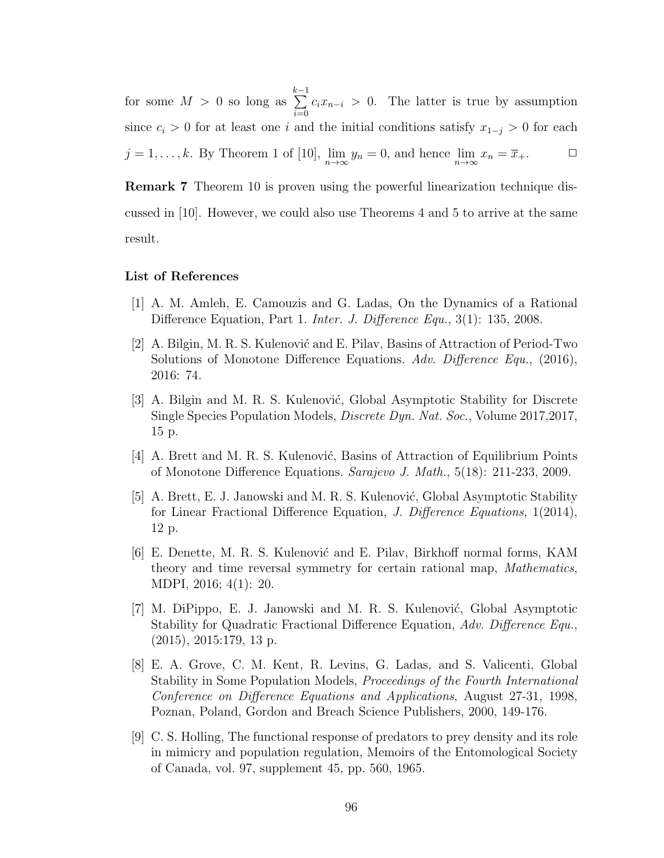for some  $M > 0$  so long as  $\sum_{ }^{k-1}$  $i=0$  $c_i x_{n-i} > 0$ . The latter is true by assumption since  $c_i > 0$  for at least one i and the initial conditions satisfy  $x_{1-j} > 0$  for each  $j = 1, \ldots, k$ . By Theorem 1 of [\[10\]](#page-110-0),  $\lim_{n \to \infty} y_n = 0$ , and hence  $\lim_{n \to \infty} x_n = \overline{x}_+$ .

Remark 7 Theorem [10](#page-107-0) is proven using the powerful linearization technique discussed in [\[10\]](#page-110-0). However, we could also use Theorems [4](#page-100-0) and [5](#page-101-0) to arrive at the same result.

## List of References

- [1] A. M. Amleh, E. Camouzis and G. Ladas, On the Dynamics of a Rational Difference Equation, Part 1. *Inter. J. Difference Equ.*, 3(1): 135, 2008.
- [2] A. Bilgin, M. R. S. Kulenović and E. Pilav, Basins of Attraction of Period-Two Solutions of Monotone Difference Equations. Adv. Difference Equ., (2016), 2016: 74.
- [3] A. Bilgin and M. R. S. Kulenović, Global Asymptotic Stability for Discrete Single Species Population Models, Discrete Dyn. Nat. Soc., Volume 2017,2017, 15 p.
- [4] A. Brett and M. R. S. Kulenović, Basins of Attraction of Equilibrium Points of Monotone Difference Equations. Sarajevo J. Math., 5(18): 211-233, 2009.
- [5] A. Brett, E. J. Janowski and M. R. S. Kulenović, Global Asymptotic Stability for Linear Fractional Difference Equation, J. Difference Equations, 1(2014), 12 p.
- [6] E. Denette, M. R. S. Kulenović and E. Pilav, Birkhoff normal forms, KAM theory and time reversal symmetry for certain rational map, Mathematics, MDPI, 2016; 4(1): 20.
- [7] M. DiPippo, E. J. Janowski and M. R. S. Kulenović, Global Asymptotic Stability for Quadratic Fractional Difference Equation, Adv. Difference Equ., (2015), 2015:179, 13 p.
- [8] E. A. Grove, C. M. Kent, R. Levins, G. Ladas, and S. Valicenti, Global Stability in Some Population Models, Proceedings of the Fourth International Conference on Difference Equations and Applications, August 27-31, 1998, Poznan, Poland, Gordon and Breach Science Publishers, 2000, 149-176.
- [9] C. S. Holling, The functional response of predators to prey density and its role in mimicry and population regulation, Memoirs of the Entomological Society of Canada, vol. 97, supplement 45, pp. 560, 1965.